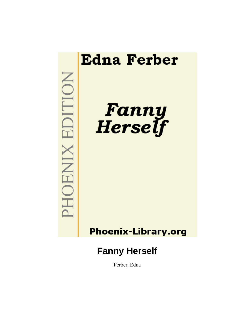

Ferber, Edna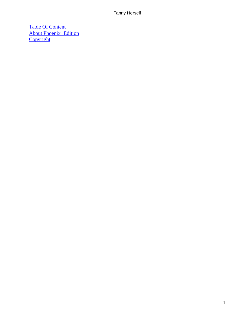[Table Of Content](#page-221-0) [About Phoenix−Edition](#page-222-0) **[Copyright](#page-223-0)**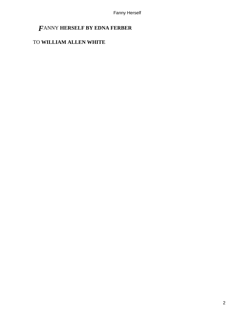# *F*ANNY **HERSELF BY EDNA FERBER**

# TO **WILLIAM ALLEN WHITE**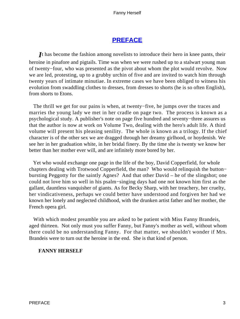# **[PREFACE](#page-221-0)**

It has become the fashion among novelists to introduce their hero in knee pants, their heroine in pinafore and pigtails. Time was when we were rushed up to a stalwart young man of twenty−four, who was presented as the pivot about whom the plot would revolve. Now we are led, protesting, up to a grubby urchin of five and are invited to watch him through twenty years of intimate minutiae. In extreme cases we have been obliged to witness his evolution from swaddling clothes to dresses, from dresses to shorts (he is so often English), from shorts to Etons.

 The thrill we get for our pains is when, at twenty−five, he jumps over the traces and marries the young lady we met in her cradle on page two. The process is known as a psychological study. A publisher's note on page five hundred and seventy−three assures us that the author is now at work on Volume Two, dealing with the hero's adult life. A third volume will present his pleasing senility. The whole is known as a trilogy. If the chief character is of the other sex we are dragged through her dreamy girlhood, or hoydenish. We see her in her graduation white, in her bridal finery. By the time she is twenty we know her better than her mother ever will, and are infinitely more bored by her.

 Yet who would exchange one page in the life of the boy, David Copperfield, for whole chapters dealing with Trotwood Copperfield, the man? Who would relinquish the button− bursting Peggotty for the saintly Agnes? And that other David – he of the slingshot; one could not love him so well in his psalm−singing days had one not known him first as the gallant, dauntless vanquisher of giants. As for Becky Sharp, with her treachery, her cruelty, her vindicativeness, perhaps we could better have understood and forgiven her had we known her lonely and neglected childhood, with the drunken artist father and her mother, the French opera girl.

 With which modest preamble you are asked to be patient with Miss Fanny Brandeis, aged thirteen. Not only must you suffer Fanny, but Fanny's mother as well, without whom there could be no understanding Fanny. For that matter, we shouldn't wonder if Mrs. Brandeis were to turn out the heroine in the end. She is that kind of person.

### **FANNY HERSELF**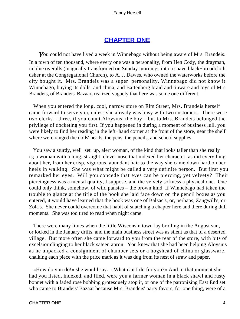# **[CHAPTER ONE](#page-221-0)**

*Y*ou could not have lived a week in Winnebago without being aware of Mrs. Brandeis. In a town of ten thousand, where every one was a personality, from Hen Cody, the drayman, in blue overalls (magically transformed on Sunday mornings into a suave black−broadcloth usher at the Congregational Church), to A. J. Dawes, who owned the waterworks before the city bought it. Mrs. Brandeis was a super−personality. Winnebago did not know it. Winnebago, buying its dolls, and china, and Battenberg braid and tinware and toys of Mrs. Brandeis, of Brandeis' Bazaar, realized vaguely that here was some one different.

 When you entered the long, cool, narrow store on Elm Street, Mrs. Brandeis herself came forward to serve you, unless she already was busy with two customers. There were two clerks – three, if you count Aloysius, the boy – but to Mrs. Brandeis belonged the privilege of docketing you first. If you happened in during a moment of business lull, you were likely to find her reading in the left−hand corner at the front of the store, near the shelf where were ranged the dolls' heads, the pens, the pencils, and school supplies.

 You saw a sturdy, well−set−up, alert woman, of the kind that looks taller than she really is; a woman with a long, straight, clever nose that indexed her character, as did everything about her, from her crisp, vigorous, abundant hair to the way she came down hard on her heels in walking. She was what might be called a very definite person. But first you remarked her eyes. Will you concede that eyes can be piercing, yet velvety? Their piercingness was a mental quality, I suppose, and the velvety softness a physical one. One could only think, somehow, of wild pansies – the brown kind. If Winnebago had taken the trouble to glance at the title of the book she laid face down on the pencil boxes as you entered, it would have learned that the book was one of Balzac's, or, perhaps, Zangwill's, or Zola's. She never could overcome that habit of snatching a chapter here and there during dull moments. She was too tired to read when night came.

 There were many times when the little Wisconsin town lay broiling in the August sun, or locked in the January drifts, and the main business street was as silent as that of a deserted village. But more often she came forward to you from the rear of the store, with bits of excelsior clinging to her black sateen apron. You knew that she had been helping Aloysius as he unpacked a consignment of chamber sets or a hogshead of china or glassware, chalking each piece with the price mark as it was dug from its nest of straw and paper.

 «How do you do!» she would say. «What can I do for you?» And in that moment she had you listed, indexed, and filed, were you a farmer woman in a black shawl and rusty bonnet with a faded rose bobbing grotesquely atop it, or one of the patronizing East End set who came to Brandeis' Bazaar because Mrs. Brandeis' party favors, for one thing, were of a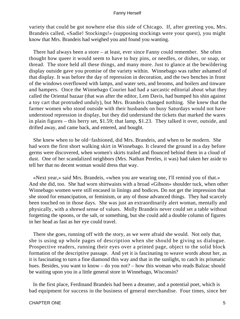variety that could be got nowhere else this side of Chicago. If, after greeting you, Mrs. Brandeis called, «Sadie! Stockings!» (supposing stockings were your quest), you might know that Mrs. Brandeis had weighed you and found you wanting.

 There had always been a store – at least, ever since Fanny could remember. She often thought how queer it would seem to have to buy pins, or needles, or dishes, or soap, or thread. The store held all these things, and many more. Just to glance at the bewildering display outside gave you promise of the variety within. Winnebago was rather ashamed of that display. It was before the day of repression in decoration, and the two benches in front of the windows overflowed with lamps, and water sets, and brooms, and boilers and tinware and hampers. Once the Winnebago Courier had had a sarcastic editorial about what they called the Oriental bazaar (that was after the editor, Lem Davis, had bumped his shin against a toy cart that protruded unduly), but Mrs. Brandeis changed nothing. She knew that the farmer women who stood outside with their husbands on busy Saturdays would not have understood repression in display, but they did understand the tickets that marked the wares in plain figures – this berry set, \$1.59; that lamp, \$1.23. They talked it over, outside, and drifted away, and came back, and entered, and bought.

 She knew when to be old−fashioned, did Mrs. Brandeis, and when to be modern. She had worn the first short walking skirt in Winnebago. It cleared the ground in a day before germs were discovered, when women's skirts trailed and flounced behind them in a cloud of dust. One of her scandalized neighbors (Mrs. Nathan Pereles, it was) had taken her aside to tell her that no decent woman would dress that way.

 «Next year,» said Mrs. Brandeis, «when you are wearing one, I'll remind you of that.» And she did, too. She had worn shirtwaists with a broad «Gibson» shoulder tuck, when other Winnebago women were still encased in linings and bodices. Do not get the impression that she stood for emancipation, or feminism, or any of those advanced things. They had scarcely been touched on in those days. She was just an extraordinarily alert woman, mentally and physically, with a shrewd sense of values. Molly Brandeis never could set a table without forgetting the spoons, or the salt, or something, but she could add a double column of figures in her head as fast as her eye could travel.

 There she goes, running off with the story, as we were afraid she would. Not only that, she is using up whole pages of description when she should be giving us dialogue. Prospective readers, running their eyes over a printed page, object to the solid block formation of the descriptive passage. And yet it is fascinating to weave words about her, as it is fascinating to turn a fine diamond this way and that in the sunlight, to catch its prismatic hues. Besides, you want to know – do you not? – how this woman who reads Balzac should be waiting upon you in a little general store in Winnebago, Wisconsin?

 In the first place, Ferdinand Brandeis had been a dreamer, and a potential poet, which is bad equipment for success in the business of general merchandise. Four times, since her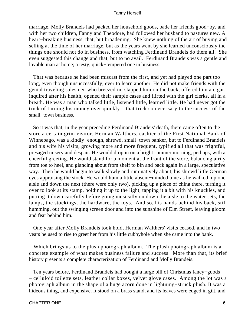marriage, Molly Brandeis had packed her household goods, bade her friends good−by, and with her two children, Fanny and Theodore, had followed her husband to pastures new. A heart−breaking business, that, but broadening. She knew nothing of the art of buying and selling at the time of her marriage, but as the years went by she learned unconsciously the things one should not do in business, from watching Ferdinand Brandeis do them all. She even suggested this change and that, but to no avail. Ferdinand Brandeis was a gentle and lovable man at home; a testy, quick−tempered one in business.

 That was because he had been miscast from the first, and yet had played one part too long, even though unsuccessfully, ever to learn another. He did not make friends with the genial traveling salesmen who breezed in, slapped him on the back, offered him a cigar, inquired after his health, opened their sample cases and flirted with the girl clerks, all in a breath. He was a man who talked little, listened little, learned little. He had never got the trick of turning his money over quickly – that trick so necessary to the success of the small–town business.

 So it was that, in the year preceding Ferdinand Brandeis' death, there came often to the store a certain grim visitor. Herman Walthers, cashier of the First National Bank of Winnebago, was a kindly−enough, shrewd, small−town banker, but to Ferdinand Brandeis and his wife his visits, growing more and more frequent, typified all that was frightful, presaged misery and despair. He would drop in on a bright summer morning, perhaps, with a cheerful greeting. He would stand for a moment at the front of the store, balancing airily from toe to heel, and glancing about from shelf to bin and back again in a large, speculative way. Then he would begin to walk slowly and ruminatively about, his shrewd little German eyes appraising the stock. He would hum a little absent−minded tune as he walked, up one aisle and down the next (there were only two), picking up a piece of china there, turning it over to look at its stamp, holding it up to the light, tapping it a bit with his knuckles, and putting it down carefully before going musically on down the aisle to the water sets, the lamps, the stockings, the hardware, the toys. And so, his hands behind his back, still humming, out the swinging screen door and into the sunshine of Elm Street, leaving gloom and fear behind him.

 One year after Molly Brandeis took hold, Herman Walthers' visits ceased, and in two years he used to rise to greet her from his little cubbyhole when she came into the bank.

 Which brings us to the plush photograph album. The plush photograph album is a concrete example of what makes business failure and success. More than that, its brief history presents a complete characterization of Ferdinand and Molly Brandeis.

 Ten years before, Ferdinand Brandeis had bought a large bill of Christmas fancy−goods – celluloid toilette sets, leather collar boxes, velvet glove cases. Among the lot was a photograph album in the shape of a huge acorn done in lightning−struck plush. It was a hideous thing, and expensive. It stood on a brass stand, and its leaves were edged in gilt, and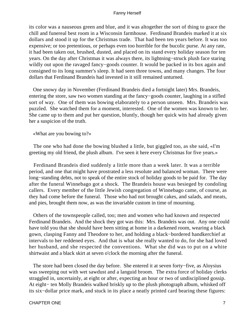its color was a nauseous green and blue, and it was altogether the sort of thing to grace the chill and funereal best room in a Wisconsin farmhouse. Ferdinand Brandeis marked it at six dollars and stood it up for the Christmas trade. That had been ten years before. It was too expensive; or too pretentious, or perhaps even too horrible for the bucolic purse. At any rate, it had been taken out, brushed, dusted, and placed on its stand every holiday season for ten years. On the day after Christmas it was always there, its lightning−struck plush face staring wildly out upon the ravaged fancy−goods counter. It would be packed in its box again and consigned to its long summer's sleep. It had seen three towns, and many changes. The four dollars that Ferdinand Brandeis had invested in it still remained unturned.

 One snowy day in November (Ferdinand Brandeis died a fortnight later) Mrs. Brandeis, entering the store, saw two women standing at the fancy−goods counter, laughing in a stifled sort of way. One of them was bowing elaborately to a person unseen. Mrs. Brandeis was puzzled. She watched them for a moment, interested. One of the women was known to her. She came up to them and put her question, bluntly, though her quick wits had already given her a suspicion of the truth.

«What are you bowing to?»

 The one who had done the bowing blushed a little, but giggled too, as she said, «I'm greeting my old friend, the plush album. I've seen it here every Christmas for five years.»

 Ferdinand Brandeis died suddenly a little more than a week later. It was a terrible period, and one that might have prostrated a less resolute and balanced woman. There were long−standing debts, not to speak of the entire stock of holiday goods to be paid for. The day after the funeral Winnebago got a shock. The Brandeis house was besieged by condoling callers. Every member of the little Jewish congregation of Winnebago came, of course, as they had come before the funeral. Those who had not brought cakes, and salads, and meats, and pies, brought them now, as was the invariable custom in time of mourning.

 Others of the townspeople called, too; men and women who had known and respected Ferdinand Brandeis. And the shock they got was this: Mrs. Brandeis was out. Any one could have told you that she should have been sitting at home in a darkened room, wearing a black gown, clasping Fanny and Theodore to her, and holding a black−bordered handkerchief at intervals to her reddened eyes. And that is what she really wanted to do, for she had loved her husband, and she respected the conventions. What she did was to put on a white shirtwaist and a black skirt at seven o'clock the morning after the funeral.

 The store had been closed the day before. She entered it at seven forty−five, as Aloysius was sweeping out with wet sawdust and a languid broom. The extra force of holiday clerks straggled in, uncertainly, at eight or after, expecting an hour or two of undisciplined gossip. At eight− ten Molly Brandeis walked briskly up to the plush photograph album, whisked off its six−dollar price mark, and stuck in its place a neatly printed card bearing these figures: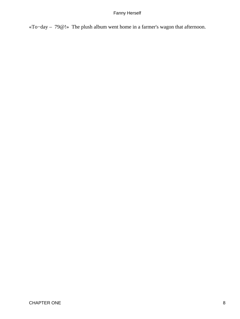«To−day – 79@!» The plush album went home in a farmer's wagon that afternoon.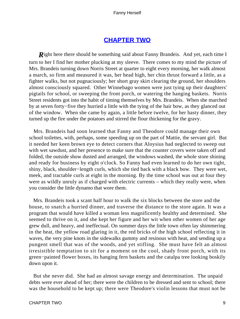# **[CHAPTER TWO](#page-221-0)**

*R*ight here there should be something said about Fanny Brandeis. And yet, each time I turn to her I find her mother plucking at my sleeve. There comes to my mind the picture of Mrs. Brandeis turning down Norris Street at quarter to eight every morning, her walk almost a march, so firm and measured it was, her head high, her chin thrust forward a little, as a fighter walks, but not pugnaciously; her short gray skirt clearing the ground, her shoulders almost consciously squared. Other Winnebago women were just tying up their daughters' pigtails for school, or sweeping the front porch, or watering the hanging baskets. Norris Street residents got into the habit of timing themselves by Mrs. Brandeis. When she marched by at seven forty−five they hurried a little with the tying of the hair bow, as they glanced out of the window. When she came by again, a little before twelve, for her hasty dinner, they turned up the fire under the potatoes and stirred the flour thickening for the gravy.

 Mrs. Brandeis had soon learned that Fanny and Theodore could manage their own school toilettes, with, perhaps, some speeding up on the part of Mattie, the servant girl. But it needed her keen brown eye to detect corners that Aloysius had neglected to sweep out with wet sawdust, and her presence to make sure that the counter covers were taken off and folded, the outside show dusted and arranged, the windows washed, the whole store shining and ready for business by eight o'clock. So Fanny had even learned to do her own tight, shiny, black, shoulder−length curls, which she tied back with a black bow. They were wet, meek, and tractable curls at eight in the morning. By the time school was out at four they were as wildly unruly as if charged with electric currents – which they really were, when you consider the little dynamo that wore them.

 Mrs. Brandeis took a scant half hour to walk the six blocks between the store and the house, to snatch a hurried dinner, and traverse the distance to the store again. It was a program that would have killed a woman less magnificently healthy and determined. She seemed to thrive on it, and she kept her figure and her wit when other women of her age grew dull, and heavy, and ineffectual. On summer days the little town often lay shimmering in the heat, the yellow road glaring in it, the red bricks of the high school reflecting it in waves, the very pine knots in the sidewalks gummy and resinous with heat, and sending up a pungent smell that was of the woods, and yet stifling. She must have felt an almost irresistible temptation to sit for a moment on the cool, shady front porch, with its green−painted flower boxes, its hanging fern baskets and the catalpa tree looking boskily down upon it.

 But she never did. She had an almost savage energy and determination. The unpaid debts were ever ahead of her; there were the children to be dressed and sent to school; there was the household to be kept up; there were Theodore's violin lessons that must not be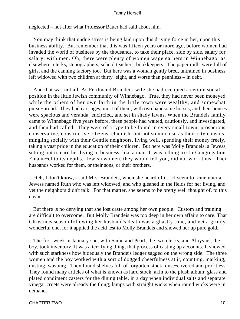neglected – not after what Professor Bauer had said about him.

 You may think that undue stress is being laid upon this driving force in her, upon this business ability. But remember that this was fifteen years or more ago, before women had invaded the world of business by the thousands, to take their place, side by side, salary for salary, with men. Oh, there were plenty of women wage earners in Winnebago, as elsewhere; clerks, stenographers, school teachers, bookkeepers. The paper mills were full of girls, and the canning factory too. But here was a woman gently bred, untrained in business, left widowed with two children at thirty−eight, and worse than penniless – in debt.

 And that was not all. As Ferdinand Brandeis' wife she had occupied a certain social position in the little Jewish community of Winnebago. True, they had never been moneyed, while the others of her own faith in the little town were wealthy, and somewhat purse−proud. They had carriages, most of them, with two handsome horses, and their houses were spacious and veranda−encircled, and set in shady lawns. When the Brandeis family came to Winnebago five years before, these people had waited, cautiously, and investigated, and then had called. They were of a type to be found in every small town; prosperous, conservative, constructive citizens, clannish, but not so much so as their city cousins, mingling socially with their Gentile neighbors, living well, spending their money freely, taking a vast pride in the education of their children. But here was Molly Brandeis, a Jewess, setting out to earn her living in business, like a man. It was a thing to stir Congregation Emanu−el to its depths. Jewish women, they would tell you, did not work thus. Their husbands worked for them, or their sons, or their brothers.

 «Oh, I don't know,» said Mrs. Brandeis, when she heard of it. «I seem to remember a Jewess named Ruth who was left widowed, and who gleaned in the fields for her living, and yet the neighbors didn't talk. For that matter, she seems to be pretty well thought of, to this day.»

 But there is no denying that she lost caste among her own people. Custom and training are difficult to overcome. But Molly Brandeis was too deep in her own affairs to care. That Christmas season following her husband's death was a ghastly time, and yet a grimly wonderful one, for it applied the acid test to Molly Brandeis and showed her up pure gold.

 The first week in January she, with Sadie and Pearl, the two clerks, and Aloysius, the boy, took inventory. It was a terrifying thing, that process of casting up accounts. It showed with such starkness how hideously the Brandeis ledger sagged on the wrong side. The three women and the boy worked with a sort of dogged cheerfulness at it, counting, marking, dusting, washing. They found shelves full of forgotten stock, dust−covered and profitless. They found many articles of what is known as hard stock, akin to the plush album; glass and plated condiment casters for the dining table, in a day when individual salts and separate vinegar cruets were already the thing; lamps with straight wicks when round wicks were in demand.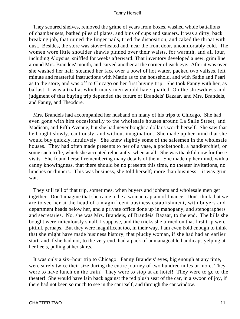They scoured shelves, removed the grime of years from boxes, washed whole battalions of chamber sets, bathed piles of plates, and bins of cups and saucers. It was a dirty, back− breaking job, that ruined the finger nails, tried the disposition, and caked the throat with dust. Besides, the store was stove−heated and, near the front door, uncomfortably cold. The women wore little shoulder shawls pinned over their waists, for warmth, and all four, including Aloysius, sniffled for weeks afterward. That inventory developed a new, grim line around Mrs. Brandeis' mouth, and carved another at the corner of each eye. After it was over she washed her hair, steamed her face over a bowl of hot water, packed two valises, left minute and masterful instructions with Mattie as to the household, and with Sadie and Pearl as to the store, and was off to Chicago on her first buying trip. She took Fanny with her, as ballast. It was a trial at which many men would have quailed. On the shrewdness and judgment of that buying trip depended the future of Brandeis' Bazaar, and Mrs. Brandeis, and Fanny, and Theodore.

 Mrs. Brandeis had accompanied her husband on many of his trips to Chicago. She had even gone with him occasionally to the wholesale houses around La Salle Street, and Madison, and Fifth Avenue, but she had never bought a dollar's worth herself. She saw that he bought slowly, cautiously, and without imagination. She made up her mind that she would buy quickly, intuitively. She knew slightly some of the salesmen in the wholesale houses. They had often made presents to her of a vase, a pocketbook, a handkerchief, or some such trifle, which she accepted reluctantly, when at all. She was thankful now for these visits. She found herself remembering many details of them. She made up her mind, with a canny knowingness, that there should be no presents this time, no theater invitations, no lunches or dinners. This was business, she told herself; more than business – it was grim war.

 They still tell of that trip, sometimes, when buyers and jobbers and wholesale men get together. Don't imagine that she came to be a woman captain of finance. Don't think that we are to see her at the head of a magnificent business establishment, with buyers and department heads below her, and a private office done up in mahogany, and stenographers and secretaries. No, she was Mrs. Brandeis, of Brandeis' Bazaar, to the end. The bills she bought were ridiculously small, I suppose, and the tricks she turned on that first trip were pitiful, perhaps. But they were magnificent too, in their way. I am even bold enough to think that she might have made business history, that plucky woman, if she had had an earlier start, and if she had not, to the very end, had a pack of unmanageable handicaps yelping at her heels, pulling at her skirts.

 It was only a six−hour trip to Chicago. Fanny Brandeis' eyes, big enough at any time, were surely twice their size during the entire journey of two hundred miles or more. They were to have lunch on the train! They were to stop at an hotel! They were to go to the theater! She would have lain back against the red plush seat of the car, in a swoon of joy, if there had not been so much to see in the car itself, and through the car window.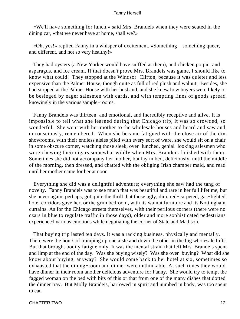«We'll have something for lunch,» said Mrs. Brandeis when they were seated in the dining car, «that we never have at home, shall we?»

 «Oh, yes!» replied Fanny in a whisper of excitement. «Something – something queer, and different, and not so very healthy!»

 They had oysters (a New Yorker would have sniffed at them), and chicken potpie, and asparagus, and ice cream. If that doesn't prove Mrs. Brandeis was game, I should like to know what could! They stopped at the Windsor−Clifton, because it was quieter and less expensive than the Palmer House, though quite as full of red plush and walnut. Besides, she had stopped at the Palmer House with her husband, and she knew how buyers were likely to be besieged by eager salesmen with cards, and with tempting lines of goods spread knowingly in the various sample−rooms.

 Fanny Brandeis was thirteen, and emotional, and incredibly receptive and alive. It is impossible to tell what she learned during that Chicago trip, it was so crowded, so wonderful. She went with her mother to the wholesale houses and heard and saw and, unconsciously, remembered. When she became fatigued with the close air of the dim showrooms, with their endless aisles piled with every sort of ware, she would sit on a chair in some obscure corner, watching those sleek, over−lunched, genial−looking salesmen who were chewing their cigars somewhat wildly when Mrs. Brandeis finished with them. Sometimes she did not accompany her mother, but lay in bed, deliciously, until the middle of the morning, then dressed, and chatted with the obliging Irish chamber maid, and read until her mother came for her at noon.

 Everything she did was a delightful adventure; everything she saw had the tang of novelty. Fanny Brandeis was to see much that was beautiful and rare in her full lifetime, but she never again, perhaps, got quite the thrill that those ugly, dim, red−carpeted, gas−lighted hotel corridors gave her, or the grim bedroom, with its walnut furniture and its Nottingham curtains. As for the Chicago streets themselves, with their perilous corners (there were no czars in blue to regulate traffic in those days), older and more sophisticated pedestrians experienced various emotions while negotiating the corner of State and Madison.

 That buying trip lasted ten days. It was a racking business, physically and mentally. There were the hours of tramping up one aisle and down the other in the big wholesale lofts. But that brought bodily fatigue only. It was the mental strain that left Mrs. Brandeis spent and limp at the end of the day. Was she buying wisely? Was she over−buying? What did she know about buying, anyway? She would come back to her hotel at six, sometimes so exhausted that the dining−room and dinner were unthinkable. At such times they would have dinner in their room another delicious adventure for Fanny. She would try to tempt the fagged woman on the bed with bits of this or that from one of the many dishes that dotted the dinner tray. But Molly Brandeis, harrowed in spirit and numbed in body, was too spent to eat.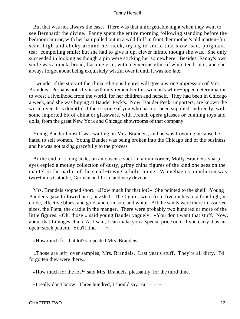But that was not always the case. There was that unforgettable night when they went to see Bernhardt the divine. Fanny spent the entire morning following standing before the bedroom mirror, with her hair pulled out in a wild fluff in front, her mother's old marten−fur scarf high and choky around her neck, trying to smile that slow, sad, poignant, tear−compelling smile; but she had to give it up, clever mimic though she was. She only succeeded in looking as though a pin were sticking her somewhere. Besides, Fanny's own smile was a quick, broad, flashing grin, with a generous glint of white teeth in it, and she always forgot about being exquisitely wistful over it until it was too late.

 I wonder if the story of the china religious figures will give a wrong impression of Mrs. Brandeis. Perhaps not, if you will only remember this woman's white−lipped determination to wrest a livelihood from the world, for her children and herself. They had been in Chicago a week, and she was buying at Bauder Peck's. Now, Bauder Peck, importers, are known the world over. It is doubtful if there is one of you who has not been supplied, indirectly, with some imported bit of china or glassware, with French opera glasses or cunning toys and dolls, from the great New York and Chicago showrooms of that company.

 Young Bauder himself was waiting on Mrs. Brandeis, and he was frowning because he hated to sell women. Young Bauder was being broken into the Chicago end of the business, and he was not taking gracefully to the process.

 At the end of a long aisle, on an obscure shelf in a dim corner, Molly Brandeis' sharp eyes espied a motley collection of dusty, grimy china figures of the kind one sees on the mantel in the parlor of the small−town Catholic home. Winnebago's population was two−thirds Catholic, German and Irish, and very devout.

 Mrs. Brandeis stopped short. «How much for that lot?» She pointed to the shelf. Young Bauder's gaze followed hers, puzzled. The figures were from five inches to a foot high, in crude, effective blues, and gold, and crimson, and white. All the saints were there in assorted sizes, the Pieta, the cradle in the manger. There were probably two hundred or more of the little figures. «Oh, those!» said young Bauder vaguely. «You don't want that stuff. Now, about that Limoges china. As I said, I can make you a special price on it if you carry it as an open−stock pattern. You'll find – – »

«How much for that lot?» repeated Mrs. Brandeis.

 «Those are left−over samples, Mrs. Brandeis. Last year's stuff. They're all dirty. I'd forgotten they were there.»

«How much for the lot?» said Mrs. Brandeis, pleasantly, for the third time.

«I really don't know. Three hundred, I should say. But  $- \rightarrow \infty$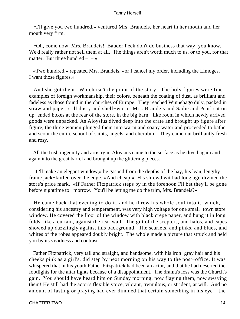«I'll give you two hundred,» ventured Mrs. Brandeis, her heart in her mouth and her mouth very firm.

 «Oh, come now, Mrs. Brandeis! Bauder Peck don't do business that way, you know. We'd really rather not sell them at all. The things aren't worth much to us, or to you, for that matter. But three hundred  $-$  »

 «Two hundred,» repeated Mrs. Brandeis, «or I cancel my order, including the Limoges. I want those figures.»

 And she got them. Which isn't the point of the story. The holy figures were fine examples of foreign workmanship, their colors, beneath the coating of dust, as brilliant and fadeless as those found in the churches of Europe. They reached Winnebago duly, packed in straw and paper, still dusty and shelf−worn. Mrs. Brandeis and Sadie and Pearl sat on up−ended boxes at the rear of the store, in the big barn− like room in which newly arrived goods were unpacked. As Aloysius dived deep into the crate and brought up figure after figure, the three women plunged them into warm and soapy water and proceeded to bathe and scour the entire school of saints, angels, and cherubim. They came out brilliantly fresh and rosy.

 All the Irish ingenuity and artistry in Aloysius came to the surface as he dived again and again into the great barrel and brought up the glittering pieces.

 «It'll make an elegant window,» he gasped from the depths of the hay, his lean, lengthy frame jack−knifed over the edge. «And cheap.» His shrewd wit had long ago divined the store's price mark. «If Father Fitzpatrick steps by in the forenoon I'll bet they'll be gone before nighttime to− morrow. You'll be letting me do the trim, Mrs. Brandeis?»

 He came back that evening to do it, and he threw his whole soul into it, which, considering his ancestry and temperament, was very high voltage for one small−town store window. He covered the floor of the window with black crepe paper, and hung it in long folds, like a curtain, against the rear wall. The gilt of the scepters, and halos, and capes showed up dazzlingly against this background. The scarlets, and pinks, and blues, and whites of the robes appeared doubly bright. The whole made a picture that struck and held you by its vividness and contrast.

 Father Fitzpatrick, very tall and straight, and handsome, with his iron−gray hair and his cheeks pink as a girl's, did step by next morning on his way to the post−office. It was whispered that in his youth Father Fitzpatrick had been an actor, and that he had deserted the footlights for the altar lights because of a disappointment. The drama's loss was the Church's gain. You should have heard him on Sunday morning, now flaying them, now swaying them! He still had the actor's flexible voice, vibrant, tremulous, or strident, at will. And no amount of fasting or praying had ever dimmed that certain something in his eye – the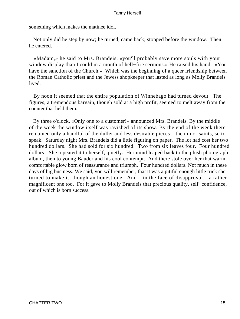something which makes the matinee idol.

 Not only did he step by now; he turned, came back; stopped before the window. Then he entered.

 «Madam,» he said to Mrs. Brandeis, «you'll probably save more souls with your window display than I could in a month of hell−fire sermons.» He raised his hand. «You have the sanction of the Church.» Which was the beginning of a queer friendship between the Roman Catholic priest and the Jewess shopkeeper that lasted as long as Molly Brandeis lived.

 By noon it seemed that the entire population of Winnebago had turned devout. The figures, a tremendous bargain, though sold at a high profit, seemed to melt away from the counter that held them.

 By three o'clock, «Only one to a customer!» announced Mrs. Brandeis. By the middle of the week the window itself was ravished of its show. By the end of the week there remained only a handful of the duller and less desirable pieces – the minor saints, so to speak. Saturday night Mrs. Brandeis did a little figuring on paper. The lot had cost her two hundred dollars. She had sold for six hundred. Two from six leaves four. Four hundred dollars! She repeated it to herself, quietly. Her mind leaped back to the plush photograph album, then to young Bauder and his cool contempt. And there stole over her that warm, comfortable glow born of reassurance and triumph. Four hundred dollars. Not much in these days of big business. We said, you will remember, that it was a pitiful enough little trick she turned to make it, though an honest one. And – in the face of disapproval – a rather magnificent one too. For it gave to Molly Brandeis that precious quality, self−confidence, out of which is born success.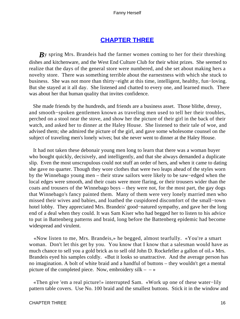## **[CHAPTER THREE](#page-221-0)**

*By* spring Mrs. Brandeis had the farmer women coming to her for their threshing dishes and kitchenware, and the West End Culture Club for their whist prizes. She seemed to realize that the days of the general store were numbered, and she set about making hers a novelty store. There was something terrible about the earnestness with which she stuck to business. She was not more than thirty−eight at this time, intelligent, healthy, fun−loving. But she stayed at it all day. She listened and chatted to every one, and learned much. There was about her that human quality that invites confidence.

 She made friends by the hundreds, and friends are a business asset. Those blithe, dressy, and smooth−spoken gentlemen known as traveling men used to tell her their troubles, perched on a stool near the stove, and show her the picture of their girl in the back of their watch, and asked her to dinner at the Haley House. She listened to their tale of woe, and advised them; she admired the picture of the girl, and gave some wholesome counsel on the subject of traveling men's lonely wives; but she never went to dinner at the Haley House.

 It had not taken these debonair young men long to learn that there was a woman buyer who bought quickly, decisively, and intelligently, and that she always demanded a duplicate slip. Even the most unscrupulous could not stuff an order of hers, and when it came to dating she gave no quarter. Though they wore clothes that were two leaps ahead of the styles worn by the Winnebago young men – their straw sailors were likely to be saw−edged when the local edges were smooth, and their coats were more flaring, or their trousers wider than the coats and trousers of the Winnebago boys – they were not, for the most part, the gay dogs that Winnebago's fancy painted them. Many of them were very lonely married men who missed their wives and babies, and loathed the cuspidored discomfort of the small−town hotel lobby. They appreciated Mrs. Brandeis' good−natured sympathy, and gave her the long end of a deal when they could. It was Sam Kiser who had begged her to listen to his advice to put in Battenberg patterns and braid, long before the Battenberg epidemic had become widespread and virulent.

 «Now listen to me, Mrs. Brandeis,» he begged, almost tearfully. «You're a smart woman. Don't let this get by you. You know that I know that a salesman would have as much chance to sell you a gold brick as to sell old John D. Rockefeller a gallon of oil.» Mrs. Brandeis eyed his samples coldly. «But it looks so unattractive. And the average person has no imagination. A bolt of white braid and a handful of buttons – they wouldn't get a mental picture of the completed piece. Now, embroidery  $silk - \rightarrow \infty$ 

 «Then give 'em a real picture!» interrupted Sam. «Work up one of these water−lily pattern table covers. Use No. 100 braid and the smallest buttons. Stick it in the window and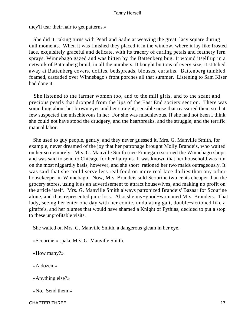they'll tear their hair to get patterns.»

 She did it, taking turns with Pearl and Sadie at weaving the great, lacy square during dull moments. When it was finished they placed it in the window, where it lay like frosted lace, exquisitely graceful and delicate, with its tracery of curling petals and feathery fern sprays. Winnebago gazed and was bitten by the Battenberg bug. It wound itself up in a network of Battenberg braid, in all the numbers. It bought buttons of every size; it stitched away at Battenberg covers, doilies, bedspreads, blouses, curtains. Battenberg tumbled, foamed, cascaded over Winnebago's front porches all that summer. Listening to Sam Kiser had done it.

 She listened to the farmer women too, and to the mill girls, and to the scant and precious pearls that dropped from the lips of the East End society section. There was something about her brown eyes and her straight, sensible nose that reassured them so that few suspected the mischievous in her. For she was mischievous. If she had not been I think she could not have stood the drudgery, and the heartbreaks, and the struggle, and the terrific manual labor.

 She used to guy people, gently, and they never guessed it. Mrs. G. Manville Smith, for example, never dreamed of the joy that her patronage brought Molly Brandeis, who waited on her so demurely. Mrs. G. Manville Smith (nee Finnegan) scorned the Winnebago shops, and was said to send to Chicago for her hairpins. It was known that her household was run on the most niggardly basis, however, and she short−rationed her two maids outrageously. It was said that she could serve less real food on more real lace doilies than any other housekeeper in Winnebago. Now, Mrs. Brandeis sold Scourine two cents cheaper than the grocery stores, using it as an advertisement to attract housewives, and making no profit on the article itself. Mrs. G. Manville Smith always patronized Brandeis' Bazaar for Scourine alone, and thus represented pure loss. Also she my−good−womaned Mrs. Brandeis. That lady, seeing her enter one day with her comic, undulating gait, double−actioned like a giraffe's, and her plumes that would have shamed a Knight of Pythias, decided to put a stop to these unprofitable visits.

She waited on Mrs. G. Manville Smith, a dangerous gleam in her eye.

«Scourine,» spake Mrs. G. Manville Smith.

«How many?»

«A dozen.»

«Anything else?»

«No. Send them.»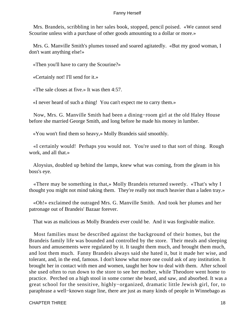Mrs. Brandeis, scribbling in her sales book, stopped, pencil poised. «We cannot send Scourine unless with a purchase of other goods amounting to a dollar or more.»

 Mrs. G. Manville Smith's plumes tossed and soared agitatedly. «But my good woman, I don't want anything else!»

«Then you'll have to carry the Scourine?»

«Certainly not! I'll send for it.»

«The sale closes at five.» It was then 4:57.

«I never heard of such a thing! You can't expect me to carry them.»

 Now, Mrs. G. Manville Smith had been a dining−room girl at the old Haley House before she married George Smith, and long before he made his money in lumber.

«You won't find them so heavy,» Molly Brandeis said smoothly.

 «I certainly would! Perhaps you would not. You're used to that sort of thing. Rough work, and all that.»

 Aloysius, doubled up behind the lamps, knew what was coming, from the gleam in his boss's eye.

 «There may be something in that,» Molly Brandeis returned sweetly. «That's why I thought you might not mind taking them. They're really not much heavier than a laden tray.»

 «Oh!» exclaimed the outraged Mrs. G. Manville Smith. And took her plumes and her patronage out of Brandeis' Bazaar forever.

That was as malicious as Molly Brandeis ever could be. And it was forgivable malice.

 Most families must be described against the background of their homes, but the Brandeis family life was bounded and controlled by the store. Their meals and sleeping hours and amusements were regulated by it. It taught them much, and brought them much, and lost them much. Fanny Brandeis always said she hated it, but it made her wise, and tolerant, and, in the end, famous. I don't know what more one could ask of any institution. It brought her in contact with men and women, taught her how to deal with them. After school she used often to run down to the store to see her mother, while Theodore went home to practice. Perched on a high stool in some corner she heard, and saw, and absorbed. It was a great school for the sensitive, highly−organized, dramatic little Jewish girl, for, to paraphrase a well−known stage line, there are just as many kinds of people in Winnebago as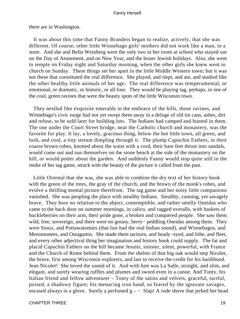there are in Washington.

 It was about this time that Fanny Brandeis began to realize, actively, that she was different. Of course, other little Winnebago girls' mothers did not work like a man, in a store. And she and Bella Weinberg were the only two in her room at school who stayed out on the Day of Atonement, and on New Year, and the lesser Jewish holidays. Also, she went to temple on Friday night and Saturday morning, when the other girls she knew went to church on Sunday. These things set her apart in the little Middle Western town; but it was not these that constituted the real difference. She played, and slept, and ate, and studied like the other healthy little animals of her age. The real difference was temperamental, or emotional, or dramatic, or historic, or all four. They would be playing tag, perhaps, in one of the cool, green ravines that were the beauty spots of the little Wisconsin town.

 They nestled like exquisite emeralds in the embrace of the hills, those ravines, and Winnebago's civic surge had not yet swept them away in a deluge of old tin cans, ashes, dirt and refuse, to be sold later for building lots. The Indians had camped and hunted in them. The one under the Court Street bridge, near the Catholic church and monastery, was the favorite for play. It lay, a lovely, gracious thing, below the hot little town, all green, and lush, and cool, a tiny stream dimpling through it. The plump Capuchin Fathers, in their coarse brown robes, knotted about the waist with a cord, their bare feet thrust into sandals, would come out and sun themselves on the stone bench at the side of the monastery on the hill, or would potter about the garden. And suddenly Fanny would stop quite still in the midst of her tag game, struck with the beauty of the picture it called from the past.

 Little Oriental that she was, she was able to combine the dry text of her history book with the green of the trees, the gray of the church, and the brown of the monk's robes, and evolve a thrilling mental picture therefrom. The tag game and her noisy little companions vanished. She was peopling the place with stealthy Indians. Stealthy, cunning, yet savagely brave. They bore no relation to the abject, contemptible, and rather smelly Oneidas who came to the back door on summer mornings, in calico, and ragged overalls, with baskets of huckleberries on their arm, their pride gone, a broken and conquered people. She saw them wild, free, sovereign, and there were no greasy, berry− peddling Oneidas among them. They were Sioux, and Pottawatomies (that last had the real Indian sound), and Winnebagos, and Menomonees, and Outagamis. She made them taciturn, and beady−eyed, and lithe, and fleet, and every other adjectival thing her imagination and history book could supply. The fat and placid Capuchin Fathers on the hill became Jesuits, sinister, silent, powerful, with France and the Church of Rome behind them. From the shelter of that big oak would step Nicolet, the brave, first among Wisconsin explorers, and last to receive the credit for his hardihood. Jean Nicolet! She loved the sound of it. And with him was La Salle, straight, and slim, and elegant, and surely wearing ruffles and plumes and sword even in a canoe. And Tonty, his Italian friend and fellow adventurer – Tonty of the satins and velvets, graceful, tactful, poised, a shadowy figure; his menacing iron hand, so feared by the ignorant savages, encased always in a glove. Surely a perfumed  $g - -$  Slap! A rude shove that jerked her head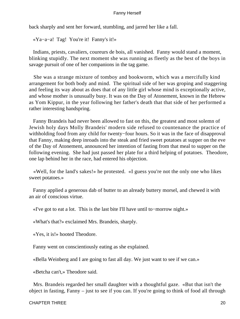back sharply and sent her forward, stumbling, and jarred her like a fall.

«Ya−a−a! Tag! You're it! Fanny's it!»

 Indians, priests, cavaliers, coureurs de bois, all vanished. Fanny would stand a moment, blinking stupidly. The next moment she was running as fleetly as the best of the boys in savage pursuit of one of her companions in the tag game.

 She was a strange mixture of tomboy and bookworm, which was a mercifully kind arrangement for both body and mind. The spiritual side of her was groping and staggering and feeling its way about as does that of any little girl whose mind is exceptionally active, and whose mother is unusually busy. It was on the Day of Atonement, known in the Hebrew as Yom Kippur, in the year following her father's death that that side of her performed a rather interesting handspring.

 Fanny Brandeis had never been allowed to fast on this, the greatest and most solemn of Jewish holy days Molly Brandeis' modern side refused to countenance the practice of withholding food from any child for twenty−four hours. So it was in the face of disapproval that Fanny, making deep inroads into the steak and fried sweet potatoes at supper on the eve of the Day of Atonement, announced her intention of fasting from that meal to supper on the following evening. She had just passed her plate for a third helping of potatoes. Theodore, one lap behind her in the race, had entered his objection.

 «Well, for the land's sakes!» he protested. «I guess you're not the only one who likes sweet potatoes.»

 Fanny applied a generous dab of butter to an already buttery morsel, and chewed it with an air of conscious virtue.

«I've got to eat a lot. This is the last bite I'll have until to−morrow night.»

«What's that?» exclaimed Mrs. Brandeis, sharply.

«Yes, it is!» hooted Theodore.

Fanny went on conscientiously eating as she explained.

«Bella Weinberg and I are going to fast all day. We just want to see if we can.»

«Betcha can't,» Theodore said.

 Mrs. Brandeis regarded her small daughter with a thoughtful gaze. «But that isn't the object in fasting, Fanny – just to see if you can. If you're going to think of food all through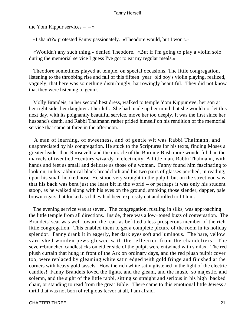the Yom Kippur services  $- - \infty$ 

«I sha'n't?» protested Fanny passionately. «Theodore would, but I won't.»

 «Wouldn't any such thing,» denied Theodore. «But if I'm going to play a violin solo during the memorial service I guess I've got to eat my regular meals.»

 Theodore sometimes played at temple, on special occasions. The little congregation, listening to the throbbing rise and fall of this fifteen−year−old boy's violin playing, realized, vaguely, that here was something disturbingly, harrowingly beautiful. They did not know that they were listening to genius.

 Molly Brandeis, in her second best dress, walked to temple Yom Kippur eve, her son at her right side, her daughter at her left. She had made up her mind that she would not let this next day, with its poignantly beautiful service, move her too deeply. It was the first since her husband's death, and Rabbi Thalmann rather prided himself on his rendition of the memorial service that came at three in the afternoon.

 A man of learning, of sweetness, and of gentle wit was Rabbi Thalmann, and unappreciated by his congregation. He stuck to the Scriptures for his texts, finding Moses a greater leader than Roosevelt, and the miracle of the Burning Bush more wonderful than the marvels of twentieth−century wizardy in electricity. A little man, Rabbi Thalmann, with hands and feet as small and delicate as those of a woman. Fanny found him fascinating to look on, in his rabbinical black broadcloth and his two pairs of glasses perched, in reading, upon his small hooked nose. He stood very straight in the pulpit, but on the street you saw that his back was bent just the least bit in the world – or perhaps it was only his student stoop, as he walked along with his eyes on the ground, smoking those slender, dapper, pale brown cigars that looked as if they had been expressly cut and rolled to fit him.

 The evening service was at seven. The congregation, rustling in silks, was approaching the little temple from all directions. Inside, there was a low−toned buzz of conversation. The Brandeis' seat was well toward the rear, as befitted a less prosperous member of the rich little congregation. This enabled them to get a complete picture of the room in its holiday splendor. Fanny drank it in eagerly, her dark eyes soft and luminous. The bare, yellow− varnished wooden pews glowed with the reflection from the chandeliers. The seven−branched candlesticks on either side of the pulpit were entwined with smilax. The red plush curtain that hung in front of the Ark on ordinary days, and the red plush pulpit cover too, were replaced by gleaming white satin edged with gold fringe and finished at the corners with heavy gold tassels. How the rich white satin glistened in the light of the electric candles! Fanny Brandeis loved the lights, and the gleam, and the music, so majestic, and solemn, and the sight of the little rabbi, sitting so straight and serious in his high−backed chair, or standing to read from the great Bible. There came to this emotional little Jewess a thrill that was not born of religious fervor at all, I am afraid.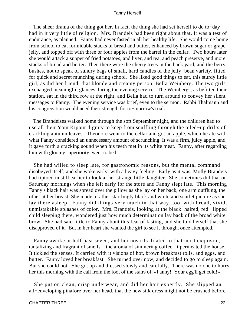The sheer drama of the thing got her. In fact, the thing she had set herself to do to−day had in it very little of religion. Mrs. Brandeis had been right about that. It was a test of endurance, as planned. Fanny had never fasted in all her healthy life. She would come home from school to eat formidable stacks of bread and butter, enhanced by brown sugar or grape jelly, and topped off with three or four apples from the barrel in the cellar. Two hours later she would attack a supper of fried potatoes, and liver, and tea, and peach preserve, and more stacks of bread and butter. Then there were the cherry trees in the back yard, and the berry bushes, not to speak of sundry bags of small, hard candies of the jelly−bean variety, fitted for quick and secret munching during school. She liked good things to eat, this sturdy little girl, as did her friend, that blonde and creamy person, Bella Weinberg. The two girls exchanged meaningful glances during the evening service. The Weinbergs, as befitted their station, sat in the third row at the right, and Bella had to turn around to convey her silent messages to Fanny. The evening service was brief, even to the sermon. Rabbi Thalmann and his congregation would need their strength for to−morrow's trial.

 The Brandeises walked home through the soft September night, and the children had to use all their Yom Kippur dignity to keep from scuffling through the piled−up drifts of crackling autumn leaves. Theodore went to the cellar and got an apple, which he ate with what Fanny considered an unnecessary amount of scrunching. It was a firm, juicy apple, and it gave forth a cracking sound when his teeth met in its white meat. Fanny, after regarding him with gloomy superiority, went to bed.

 She had willed to sleep late, for gastronomic reasons, but the mental command disobeyed itself, and she woke early, with a heavy feeling. Early as it was, Molly Brandeis had tiptoed in still earlier to look at her strange little daughter. She sometimes did that on Saturday mornings when she left early for the store and Fanny slept late. This morning Fanny's black hair was spread over the pillow as she lay on her back, one arm outflung, the other at her breast. She made a rather startlingly black and white and scarlet picture as she lay there asleep. Fanny did things very much in that way, too, with broad, vivid, unmistakable splashes of color. Mrs. Brandeis, looking at the black−haired, red− lipped child sleeping there, wondered just how much determination lay back of the broad white brow. She had said little to Fanny about this feat of fasting, and she told herself that she disapproved of it. But in her heart she wanted the girl to see it through, once attempted.

 Fanny awoke at half past seven, and her nostrils dilated to that most exquisite, tantalizing and fragrant of smells – the aroma of simmering coffee. It permeated the house. It tickled the senses. It carried with it visions of hot, brown breakfast rolls, and eggs, and butter. Fanny loved her breakfast. She turned over now, and decided to go to sleep again. But she could not. She got up and dressed slowly and carefully. There was no one to hurry her this morning with the call from the foot of the stairs of, «Fanny! Your egg'll get cold!»

 She put on clean, crisp underwear, and did her hair expertly. She slipped an all−enveloping pinafore over her head, that the new silk dress might not be crushed before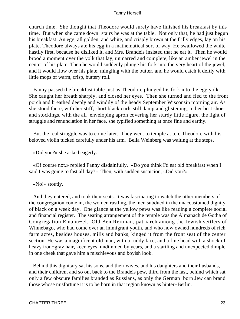church time. She thought that Theodore would surely have finished his breakfast by this time. But when she came down−stairs he was at the table. Not only that, he had just begun his breakfast. An egg, all golden, and white, and crisply brown at the frilly edges, lay on his plate. Theodore always ate his egg in a mathematical sort of way. He swallowed the white hastily first, because he disliked it, and Mrs. Brandeis insisted that he eat it. Then he would brood a moment over the yolk that lay, unmarred and complete, like an amber jewel in the center of his plate. Then he would suddenly plunge his fork into the very heart of the jewel, and it would flow over his plate, mingling with the butter, and he would catch it deftly with little mops of warm, crisp, buttery roll.

 Fanny passed the breakfast table just as Theodore plunged his fork into the egg yolk. She caught her breath sharply, and closed her eyes. Then she turned and fled to the front porch and breathed deeply and windily of the heady September Wisconsin morning air. As she stood there, with her stiff, short black curls still damp and glistening, in her best shoes and stockings, with the all−enveloping apron covering her sturdy little figure, the light of struggle and renunciation in her face, she typified something at once fine and earthy.

 But the real struggle was to come later. They went to temple at ten, Theodore with his beloved violin tucked carefully under his arm. Bella Weinberg was waiting at the steps.

«Did you?» she asked eagerly.

 «Of course not,» replied Fanny disdainfully. «Do you think I'd eat old breakfast when I said I was going to fast all day?» Then, with sudden suspicion, «Did you?»

#### «No!» stoutly.

 And they entered, and took their seats. It was fascinating to watch the other members of the congregation come in, the women rustling, the men subdued in the unaccustomed dignity of black on a week day. One glance at the yellow pews was like reading a complete social and financial register. The seating arrangement of the temple was the Almanach de Gotha of Congregation Emanu−el. Old Ben Reitman, patriarch among the Jewish settlers of Winnebago, who had come over an immigrant youth, and who now owned hundreds of rich farm acres, besides houses, mills and banks, kinged it from the front seat of the center section. He was a magnificent old man, with a ruddy face, and a fine head with a shock of heavy iron−gray hair, keen eyes, undimmed by years, and a startling and unexpected dimple in one cheek that gave him a mischievous and boyish look.

 Behind this dignitary sat his sons, and their wives, and his daughters and their husbands, and their children, and so on, back to the Brandeis pew, third from the last, behind which sat only a few obscure families branded as Russians, as only the German−born Jew can brand those whose misfortune it is to be born in that region known as hinter−Berlin.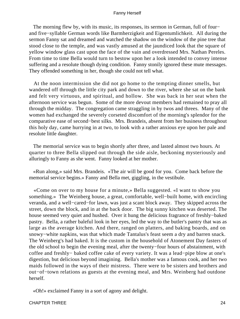The morning flew by, with its music, its responses, its sermon in German, full of four− and five−syllable German words like Barmherzigkeit and Eigentumlichkeit. All during the sermon Fanny sat and dreamed and watched the shadow on the window of the pine tree that stood close to the temple, and was vastly amused at the jaundiced look that the square of yellow window glass cast upon the face of the vain and overdressed Mrs. Nathan Pereles. From time to time Bella would turn to bestow upon her a look intended to convey intense suffering and a resolute though dying condition. Fanny stonily ignored these mute messages. They offended something in her, though she could not tell what.

 At the noon intermission she did not go home to the tempting dinner smells, but wandered off through the little city park and down to the river, where she sat on the bank and felt very virtuous, and spiritual, and hollow. She was back in her seat when the afternoon service was begun. Some of the more devout members had remained to pray all through the midday. The congregation came straggling in by twos and threes. Many of the women had exchanged the severely corseted discomfort of the morning's splendor for the comparative ease of second−best silks. Mrs. Brandeis, absent from her business throughout this holy day, came hurrying in at two, to look with a rather anxious eye upon her pale and resolute little daughter.

 The memorial service was to begin shortly after three, and lasted almost two hours. At quarter to three Bella slipped out through the side aisle, beckoning mysteriously and alluringly to Fanny as she went. Fanny looked at her mother.

 «Run along,» said Mrs. Brandeis. «The air will be good for you. Come back before the memorial service begins.» Fanny and Bella met, giggling, in the vestibule.

 «Come on over to my house for a minute,» Bella suggested. «I want to show you something.» The Weinberg house, a great, comfortable, well−built home, with encircling veranda, and a well−cared−for lawn, was just a scant block away. They skipped across the street, down the block, and in at the back door. The big sunny kitchen was deserted. The house seemed very quiet and hushed. Over it hung the delicious fragrance of freshly−baked pastry. Bella, a rather baleful look in her eyes, led the way to the butler's pantry that was as large as the average kitchen. And there, ranged on platters, and baking boards, and on snowy−white napkins, was that which made Tantalus's feast seem a dry and barren snack. The Weinberg's had baked. It is the custom in the household of Atonement Day fasters of the old school to begin the evening meal, after the twenty−four hours of abstainment, with coffee and freshly− baked coffee cake of every variety. It was a lead−pipe blow at one's digestion, but delicious beyond imagining. Bella's mother was a famous cook, and her two maids followed in the ways of their mistress. There were to be sisters and brothers and out−of−town relations as guests at the evening meal, and Mrs. Weinberg had outdone herself.

«Oh!» exclaimed Fanny in a sort of agony and delight.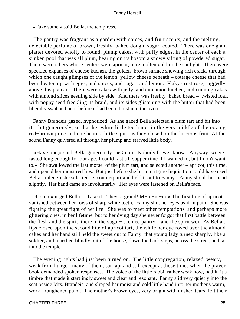«Take some,» said Bella, the temptress.

 The pantry was fragrant as a garden with spices, and fruit scents, and the melting, delectable perfume of brown, freshly−baked dough, sugar−coated. There was one giant platter devoted wholly to round, plump cakes, with puffy edges, in the center of each a sunken pool that was all plum, bearing on its bosom a snowy sifting of powdered sugar. There were others whose centers were apricot, pure molten gold in the sunlight. There were speckled expanses of cheese kuchen, the golden−brown surface showing rich cracks through which one caught glimpses of the lemon−yellow cheese beneath – cottage cheese that had been beaten up with eggs, and spices, and sugar, and lemon. Flaky crust rose, jaggedly, above this plateau. There were cakes with jelly, and cinnamon kuchen, and cunning cakes with almond slices nestling side by side. And there was freshly-baked bread – twisted loaf, with poppy seed freckling its braid, and its sides glistening with the butter that had been liberally swabbed on it before it had been thrust into the oven.

 Fanny Brandeis gazed, hypnotized. As she gazed Bella selected a plum tart and bit into it – bit generously, so that her white little teeth met in the very middle of the oozing red−brown juice and one heard a little squirt as they closed on the luscious fruit. At the sound Fanny quivered all through her plump and starved little body.

 «Have one,» said Bella generously. «Go on. Nobody'll ever know. Anyway, we've fasted long enough for our age. I could fast till supper time if I wanted to, but I don't want to.» She swallowed the last morsel of the plum tart, and selected another – apricot, this time, and opened her moist red lips. But just before she bit into it (the Inquisition could have used Bella's talents) she selected its counterpart and held it out to Fanny. Fanny shook her head slightly. Her hand came up involuntarily. Her eyes were fastened on Bella's face.

 «Go on,» urged Bella. «Take it. They're grand! M−m−m−m!» The first bite of apricot vanished between her rows of sharp white teeth. Fanny shut her eyes as if in pain. She was fighting the great fight of her life. She was to meet other temptations, and perhaps more glittering ones, in her lifetime, but to her dying day she never forgot that first battle between the flesh and the spirit, there in the sugar− scented pantry – and the spirit won. As Bella's lips closed upon the second bite of apricot tart, the while her eye roved over the almond cakes and her hand still held the sweet out to Fanny, that young lady turned sharply, like a soldier, and marched blindly out of the house, down the back steps, across the street, and so into the temple.

 The evening lights had just been turned on. The little congregation, relaxed, weary, weak from hunger, many of them, sat rapt and still except at those times when the prayer book demanded spoken responses. The voice of the little rabbi, rather weak now, had in it a timbre that made it startlingly sweet and clear and resonant. Fanny slid very quietly into the seat beside Mrs. Brandeis, and slipped her moist and cold little hand into her mother's warm, work− roughened palm. The mother's brown eyes, very bright with unshed tears, left their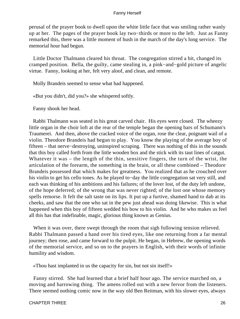perusal of the prayer book to dwell upon the white little face that was smiling rather wanly up at her. The pages of the prayer book lay two−thirds or more to the left. Just as Fanny remarked this, there was a little moment of hush in the march of the day's long service. The memorial hour had begun.

 Little Doctor Thalmann cleared his throat. The congregation stirred a bit, changed its cramped position. Bella, the guilty, came stealing in, a pink−and−gold picture of angelic virtue. Fanny, looking at her, felt very aloof, and clean, and remote.

Molly Brandeis seemed to sense what had happened.

«But you didn't, did you?» she whispered softly.

Fanny shook her head.

 Rabbi Thalmann was seated in his great carved chair. His eyes were closed. The wheezy little organ in the choir loft at the rear of the temple began the opening bars of Schumann's Traumerei. And then, above the cracked voice of the organ, rose the clear, poignant wail of a violin. Theodore Brandeis had begun to play. You know the playing of the average boy of fifteen – that nerve−destroying, uninspired scraping. There was nothing of this in the sounds that this boy called forth from the little wooden box and the stick with its taut lines of catgut. Whatever it was – the length of the thin, sensitive fingers, the turn of the wrist, the articulation of the forearm, the something in the brain, or all these combined – Theodore Brandeis possessed that which makes for greatness. You realized that as he crouched over his violin to get his cello tones. As he played to−day the little congregation sat very still, and each was thinking of his ambitions and his failures; of the lover lost, of the duty left undone, of the hope deferred; of the wrong that was never righted; of the lost one whose memory spells remorse. It felt the salt taste on its lips. It put up a furtive, shamed hand to dab at its cheeks, and saw that the one who sat in the pew just ahead was doing likewise. This is what happened when this boy of fifteen wedded his bow to his violin. And he who makes us feel all this has that indefinable, magic, glorious thing known as Genius.

When it was over, there swept through the room that sigh following tension relieved. Rabbi Thalmann passed a hand over his tired eyes, like one returning from a far mental journey; then rose, and came forward to the pulpit. He began, in Hebrew, the opening words of the memorial service, and so on to the prayers in English, with their words of infinite humility and wisdom.

«Thou hast implanted in us the capacity for sin, but not sin itself!»

 Fanny stirred. She had learned that a brief half hour ago. The service marched on, a moving and harrowing thing. The amens rolled out with a new fervor from the listeners. There seemed nothing comic now in the way old Ben Reitman, with his slower eyes, always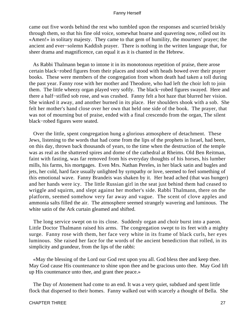came out five words behind the rest who tumbled upon the responses and scurried briskly through them, so that his fine old voice, somewhat hoarse and quavering now, rolled out its «Amen!» in solitary majesty. They came to that gem of humility, the mourners' prayer; the ancient and ever−solemn Kaddish prayer. There is nothing in the written language that, for sheer drama and magnificence, can equal it as it is chanted in the Hebrew.

 As Rabbi Thalmann began to intone it in its monotonous repetition of praise, there arose certain black−robed figures from their places and stood with heads bowed over their prayer books. These were members of the congregation from whom death had taken a toll during the past year. Fanny rose with her mother and Theodore, who had left the choir loft to join them. The little wheezy organ played very softly. The black−robed figures swayed. Here and there a half−stifled sob rose, and was crushed. Fanny felt a hot haze that blurred her vision. She winked it away, and another burned in its place. Her shoulders shook with a sob. She felt her mother's hand close over her own that held one side of the book. The prayer, that was not of mourning but of praise, ended with a final crescendo from the organ, The silent black−robed figures were seated.

 Over the little, spent congregation hung a glorious atmosphere of detachment. These Jews, listening to the words that had come from the lips of the prophets in Israel, had been, on this day, thrown back thousands of years, to the time when the destruction of the temple was as real as the shattered spires and dome of the cathedral at Rheims. Old Ben Reitman, faint with fasting, was far removed from his everyday thoughts of his horses, his lumber mills, his farms, his mortgages. Even Mrs. Nathan Pereles, in her black satin and bugles and jets, her cold, hard face usually unlighted by sympathy or love, seemed to feel something of this emotional wave. Fanny Brandeis was shaken by it. Her head ached (that was hunger) and her hands were icy. The little Russian girl in the seat just behind them had ceased to wriggle and squirm, and slept against her mother's side. Rabbi Thalmann, there on the platform, seemed somehow very far away and vague. The scent of clove apples and ammonia salts filled the air. The atmosphere seemed strangely wavering and luminous. The white satin of the Ark curtain gleamed and shifted.

 The long service swept on to its close. Suddenly organ and choir burst into a paeon. Little Doctor Thalmann raised his arms. The congregation swept to its feet with a mighty surge. Fanny rose with them, her face very white in its frame of black curls, her eyes luminous. She raised her face for the words of the ancient benediction that rolled, in its simplicity and grandeur, from the lips of the rabbi:

 «May the blessing of the Lord our God rest upon you all. God bless thee and keep thee. May God cause His countenance to shine upon thee and be gracious unto thee. May God lift up His countenance unto thee, and grant thee peace.»

 The Day of Atonement had come to an end. It was a very quiet, subdued and spent little flock that dispersed to their homes. Fanny walked out with scarcely a thought of Bella. She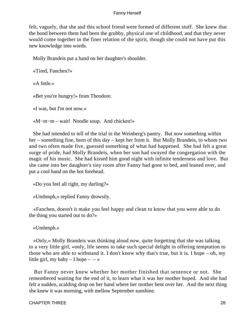felt, vaguely, that she and this school friend were formed of different stuff. She knew that the bond between them had been the grubby, physical one of childhood, and that they never would come together in the finer relation of the spirit, though she could not have put this new knowledge into words.

Molly Brandeis put a hand on her daughter's shoulder.

«Tired, Fanchen?»

«A little.»

«Bet you're hungry!» from Theodore.

«I was, but I'm not now.»

«M−m−m – wait! Noodle soup. And chicken!»

 She had intended to tell of the trial in the Weinberg's pantry. But now something within her – something fine, born of this day – kept her from it. But Molly Brandeis, to whom two and two often made five, guessed something of what had happened. She had felt a great surge of pride, had Molly Brandeis, when her son had swayed the congregation with the magic of his music. She had kissed him good night with infinite tenderness and love. But she came into her daughter's tiny room after Fanny had gone to bed, and leaned over, and put a cool hand on the hot forehead.

«Do you feel all right, my darling?»

«Umhmph,» replied Fanny drowsily.

 «Fanchen, doesn't it make you feel happy and clean to know that you were able to do the thing you started out to do?»

«Umhmph.»

 «Only,» Molly Brandeis was thinking aloud now, quite forgetting that she was talking to a very little girl, «only, life seems to take such special delight in offering temptation to those who are able to withstand it. I don't know why that's true, but it is. I hope – oh, my little girl, my baby  $- I$  hope  $- - \infty$ 

 But Fanny never knew whether her mother finished that sentence or not. She remembered waiting for the end of it, to learn what it was her mother hoped. And she had felt a sudden, scalding drop on her hand where her mother bent over her. And the next thing she knew it was morning, with mellow September sunshine.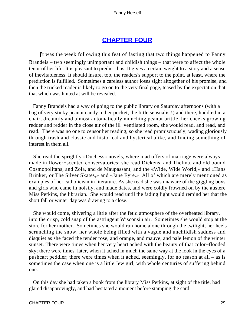# **[CHAPTER FOUR](#page-221-0)**

*I*t was the week following this feat of fasting that two things happened to Fanny Brandeis – two seemingly unimportant and childish things – that were to affect the whole tenor of her life. It is pleasant to predict thus. It gives a certain weight to a story and a sense of inevitableness. It should insure, too, the readers's support to the point, at least, where the prediction is fulfilled. Sometimes a careless author loses sight altogether of his promise, and then the tricked reader is likely to go on to the very final page, teased by the expectation that that which was hinted at will be revealed.

 Fanny Brandeis had a way of going to the public library on Saturday afternoons (with a bag of very sticky peanut candy in her pocket, the little sensualist!) and there, huddled in a chair, dreamily and almost automatically munching peanut brittle, her cheeks growing redder and redder in the close air of the ill−ventilated room, she would read, and read, and read. There was no one to censor her reading, so she read promiscuously, wading gloriously through trash and classic and historical and hysterical alike, and finding something of interest in them all.

 She read the sprightly «Duchess» novels, where mad offers of marriage were always made in flower−scented conservatories; she read Dickens, and Thelma, and old bound Cosmopolitans, and Zola, and de Maupassant, and the «Wide, Wide World,» and «Hans Brinker, or The Silver Skates,» and «Jane Eyre.» All of which are merely mentioned as examples of her catholicism in literature. As she read she was unaware of the giggling boys and girls who came in noisily, and made dates, and were coldly frowned on by the austere Miss Perkins, the librarian. She would read until the fading light would remind her that the short fall or winter day was drawing to a close.

 She would come, shivering a little after the fetid atmosphere of the overheated library, into the crisp, cold snap of the astringent Wisconsin air. Sometimes she would stop at the store for her mother. Sometimes she would run home alone through the twilight, her heels scrunching the snow, her whole being filled with a vague and unchildish sadness and disquiet as she faced the tender rose, and orange, and mauve, and pale lemon of the winter sunset. There were times when her very heart ached with the beauty of that color−flooded sky; there were times, later, when it ached in much the same way at the look in the eyes of a pushcart peddler; there were times when it ached, seemingly, for no reason at all – as is sometimes the case when one is a little Jew girl, with whole centuries of suffering behind one.

 On this day she had taken a book from the library Miss Perkins, at sight of the title, had glared disapprovingly, and had hesitated a moment before stamping the card.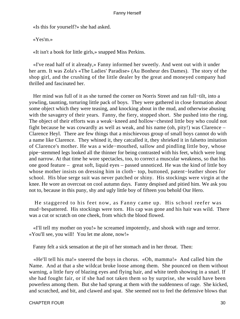«Is this for yourself?» she had asked.

«Yes'm.»

«It isn't a book for little girls,» snapped Miss Perkins.

 «I've read half of it already,» Fanny informed her sweetly. And went out with it under her arm. It was Zola's «The Ladies' Paradise» (Au Bonheur des Dames). The story of the shop girl, and the crushing of the little dealer by the great and moneyed company had thrilled and fascinated her.

 Her mind was full of it as she turned the corner on Norris Street and ran full−tilt, into a yowling, taunting, torturing little pack of boys. They were gathered in close formation about some object which they were teasing, and knocking about in the mud, and otherwise abusing with the savagery of their years. Fanny, the fiery, stopped short. She pushed into the ring. The object of their efforts was a weak−kneed and hollow−chested little boy who could not fight because he was cowardly as well as weak, and his name (oh, pity!) was Clarence – Clarence Heyl. There are few things that a mischievous group of small boys cannot do with a name like Clarence. They whined it, they catcalled it, they shrieked it in falsetto imitation of Clarence's mother. He was a wide−mouthed, sallow and pindling little boy, whose pipe−stemmed legs looked all the thinner for being contrasted with his feet, which were long and narrow. At that time he wore spectacles, too, to correct a muscular weakness, so that his one good feature – great soft, liquid eyes – passed unnoticed. He was the kind of little boy whose mother insists on dressing him in cloth− top, buttoned, patent−leather shoes for school. His blue serge suit was never patched or shiny. His stockings were virgin at the knee. He wore an overcoat on cool autumn days. Fanny despised and pitied him. We ask you not to, because in this puny, shy and ugly little boy of fifteen you behold Our Hero.

 He staggered to his feet now, as Fanny came up. His school reefer was mud−bespattered. His stockings were torn. His cap was gone and his hair was wild. There was a cut or scratch on one cheek, from which the blood flowed.

 «I'll tell my mother on you!» he screamed impotently, and shook with rage and terror. «You'll see, you will! You let me alone, now!»

Fanny felt a sick sensation at the pit of her stomach and in her throat. Then:

 «He'll tell his ma!» sneered the boys in chorus. «Oh, mamma!» And called him the Name. And at that a she wildcat broke loose among them. She pounced on them without warning, a little fury of blazing eyes and flying hair, and white teeth showing in a snarl. If she had fought fair, or if she had not taken them so by surprise, she would have been powerless among them. But she had sprung at them with the suddenness of rage. She kicked, and scratched, and bit, and clawed and spat. She seemed not to feel the defensive blows that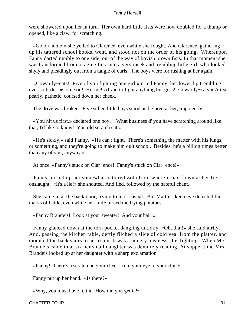were showered upon her in turn. Her own hard little fists were now doubled for a thump or opened, like a claw, for scratching.

 «Go on home!» she yelled to Clarence, even while she fought. And Clarence, gathering up his tattered school books, went, and stood not on the order of his going. Whereupon Fanny darted nimbly to one side, out of the way of boyish brown fists. In that moment she was transformed from a raging fury into a very meek and trembling little girl, who looked shyly and pleadingly out from a tangle of curls. The boys were for rushing at her again.

 «Cowardy−cats! Five of you fighting one girl,» cried Fanny, her lower lip trembling ever so little. «Come on! Hit me! Afraid to fight anything but girls! Cowardy−cats!» A tear, pearly, pathetic, coursed down her cheek.

The drive was broken. Five sullen little boys stood and glared at her, impotently.

 «You hit us first,» declared one boy. «What business d' you have scratching around like that, I'd like to know! You old scratch cat!»

 «He's sickly,» said Fanny. «He can't fight. There's something the matter with his lungs, or something, and they're going to make him quit school. Besides, he's a billion times better than any of you, anyway.»

At once, «Fanny's stuck on Clar−ence! Fanny's stuck on Clar−ence!»

 Fanny picked up her somewhat battered Zola from where it had flown at her first onslaught. «It's a lie!» she shouted. And fled, followed by the hateful chant.

 She came in at the back door, trying to look casual. But Mattie's keen eye detected the marks of battle, even while her knife turned the frying potatoes.

«Fanny Brandeis! Look at your sweater! And your hair!»

 Fanny glanced down at the torn pocket dangling untidily. «Oh, that!» she said airily. And, passing the kitchen table, deftly filched a slice of cold veal from the platter, and mounted the back stairs to her room. It was a hungry business, this fighting. When Mrs. Brandeis came in at six her small daughter was demurely reading. At supper time Mrs. Brandeis looked up at her daughter with a sharp exclamation.

«Fanny! There's a scratch on your cheek from your eye to your chin.»

Fanny put up her hand. «Is there?»

«Why, you must have felt it. How did you get it?»

#### CHAPTER FOUR 31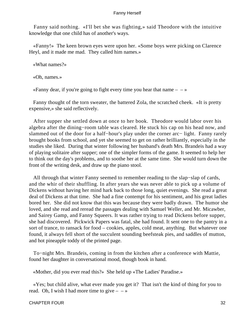Fanny said nothing. «I'll bet she was fighting,» said Theodore with the intuitive knowledge that one child has of another's ways.

 «Fanny!» The keen brown eyes were upon her. «Some boys were picking on Clarence Heyl, and it made me mad. They called him names.»

«What names?»

«Oh, names.»

«Fanny dear, if you're going to fight every time you hear that name  $- \rightarrow \infty$ 

 Fanny thought of the torn sweater, the battered Zola, the scratched cheek. «It is pretty expensive,» she said reflectively.

 After supper she settled down at once to her book. Theodore would labor over his algebra after the dining−room table was cleared. He stuck his cap on his head now, and slammed out of the door for a half−hour's play under the corner arc− light. Fanny rarely brought books from school, and yet she seemed to get on rather brilliantly, especially in the studies she liked. During that winter following her husband's death Mrs. Brandeis had a way of playing solitaire after supper; one of the simpler forms of the game. It seemed to help her to think out the day's problems, and to soothe her at the same time. She would turn down the front of the writing desk, and draw up the piano stool.

 All through that winter Fanny seemed to remember reading to the slap−slap of cards, and the whir of their shuffling. In after years she was never able to pick up a volume of Dickens without having her mind hark back to those long, quiet evenings. She read a great deal of Dickens at that time. She had a fine contempt for his sentiment, and his great ladies bored her. She did not know that this was because they were badly drawn. The humor she loved, and she read and reread the passages dealing with Samuel Weller, and Mr. Micawber, and Sairey Gamp, and Fanny Squeers. It was rather trying to read Dickens before supper, she had discovered. Pickwick Papers was fatal, she had found. It sent one to the pantry in a sort of trance, to ransack for food – cookies, apples, cold meat, anything. But whatever one found, it always fell short of the succulent sounding beefsteak pies, and saddles of mutton, and hot pineapple toddy of the printed page.

 To−night Mrs. Brandeis, coming in from the kitchen after a conference with Mattie, found her daughter in conversational mood, though book in hand.

«Mother, did you ever read this?» She held up «The Ladies' Paradise.»

 «Yes; but child alive, what ever made you get it? That isn't the kind of thing for you to read. Oh, I wish I had more time to give  $\rightarrow$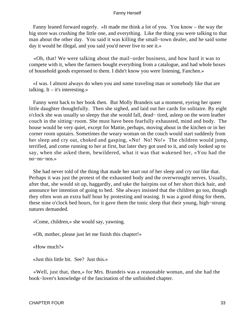Fanny leaned forward eagerly. «It made me think a lot of you. You know – the way the big store was crushing the little one, and everything. Like the thing you were talking to that man about the other day. You said it was killing the small−town dealer, and he said some day it would be illegal, and you said you'd never live to see it.»

 «Oh, that! We were talking about the mail−order business, and how hard it was to compete with it, when the farmers bought everything from a catalogue, and had whole boxes of household goods expressed to them. I didn't know you were listening, Fanchen.»

 «I was. I almost always do when you and some traveling man or somebody like that are talking. It – it's interesting.»

 Fanny went back to her book then. But Molly Brandeis sat a moment, eyeing her queer little daughter thoughtfully. Then she sighed, and laid out her cards for solitaire. By eight o'clock she was usually so sleepy that she would fall, dead− tired, asleep on the worn leather couch in the sitting−room. She must have been fearfully exhausted, mind and body. The house would be very quiet, except for Mattie, perhaps, moving about in the kitchen or in her corner room upstairs. Sometimes the weary woman on the couch would start suddenly from her sleep and cry out, choked and gasping, «No! No! No!» The children would jump, terrified, and come running to her at first, but later they got used to it, and only looked up to say, when she asked them, bewildered, what it was that wakened her, «You had the no−no−nos.»

 She had never told of the thing that made her start out of her sleep and cry out like that. Perhaps it was just the protest of the exhausted body and the overwrought nerves. Usually, after that, she would sit up, haggardly, and take the hairpins out of her short thick hair, and announce her intention of going to bed. She always insisted that the children go too, though they often won an extra half hour by protesting and teasing. It was a good thing for them, these nine o'clock bed hours, for it gave them the tonic sleep that their young, high−strung natures demanded.

«Come, children,» she would say, yawning.

«Oh, mother, please just let me finish this chapter!»

«How much?»

«Just this little bit. See? Just this.»

 «Well, just that, then,» for Mrs. Brandeis was a reasonable woman, and she had the book−lover's knowledge of the fascination of the unfinished chapter.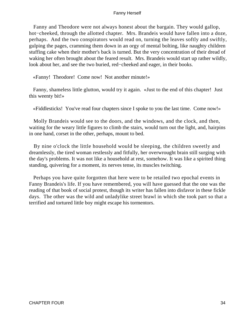Fanny and Theodore were not always honest about the bargain. They would gallop, hot−cheeked, through the allotted chapter. Mrs. Brandeis would have fallen into a doze, perhaps. And the two conspirators would read on, turning the leaves softly and swiftly, gulping the pages, cramming them down in an orgy of mental bolting, like naughty children stuffing cake when their mother's back is turned. But the very concentration of their dread of waking her often brought about the feared result. Mrs. Brandeis would start up rather wildly, look about her, and see the two buried, red−cheeked and eager, in their books.

«Fanny! Theodore! Come now! Not another minute!»

 Fanny, shameless little glutton, would try it again. «Just to the end of this chapter! Just this weenty bit!»

«Fiddlesticks! You've read four chapters since I spoke to you the last time. Come now!»

 Molly Brandeis would see to the doors, and the windows, and the clock, and then, waiting for the weary little figures to climb the stairs, would turn out the light, and, hairpins in one hand, corset in the other, perhaps, mount to bed.

 By nine o'clock the little household would be sleeping, the children sweetly and dreamlessly, the tired woman restlessly and fitfully, her overwrought brain still surging with the day's problems. It was not like a household at rest, somehow. It was like a spirited thing standing, quivering for a moment, its nerves tense, its muscles twitching.

 Perhaps you have quite forgotten that here were to be retailed two epochal events in Fanny Brandeis's life. If you have remembered, you will have guessed that the one was the reading of that book of social protest, though its writer has fallen into disfavor in these fickle days. The other was the wild and unladylike street brawl in which she took part so that a terrified and tortured little boy might escape his tormentors.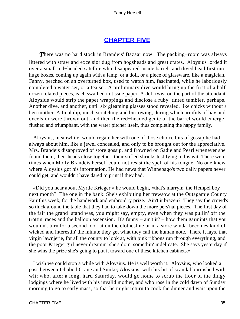# **[CHAPTER FIVE](#page-221-0)**

*T*here was no hard stock in Brandeis' Bazaar now. The packing−room was always littered with straw and excelsior dug from hogsheads and great crates. Aloysius lorded it over a small red−headed satellite who disappeared inside barrels and dived head first into huge boxes, coming up again with a lamp, or a doll, or a piece of glassware, like a magician. Fanny, perched on an overturned box, used to watch him, fascinated, while he laboriously completed a water set, or a tea set. A preliminary dive would bring up the first of a half dozen related pieces, each swathed in tissue paper. A deft twist on the part of the attendant Aloysius would strip the paper wrappings and disclose a ruby−tinted tumbler, perhaps. Another dive, and another, until six gleaming glasses stood revealed, like chicks without a hen mother. A final dip, much scratching and burrowing, during which armfuls of hay and excelsior were thrown out, and then the red−headed genie of the barrel would emerge, flushed and triumphant, with the water pitcher itself, thus completing the happy family.

 Aloysius, meanwhile, would regale her with one of those choice bits of gossip he had always about him, like a jewel concealed, and only to be brought out for the appreciative. Mrs. Brandeis disapproved of store gossip, and frowned on Sadie and Pearl whenever she found them, their heads close together, their stifled shrieks testifying to his wit. There were times when Molly Brandeis herself could not resist the spell of his tongue. No one knew where Aloysius got his information. He had news that Winnebago's two daily papers never could get, and wouldn't have dared to print if they had.

 «Did you hear about Myrtle Krieger,» he would begin, «that's marryin' the Hempel boy next month? The one in the bank. She's exhibiting her trewsow at the Outagamie County Fair this week, for the handwork and embroid'ry prize. Ain't it brazen? They say the crowd's so thick around the table that they had to take down the more pers'nal pieces. The first day of the fair the grand−stand was, you might say, empty, even when they was pullin' off the trottin' races and the balloon ascension. It's funny – ain't it? – how them garmints that you wouldn't turn for a second look at on the clothesline or in a store winda' becomes kind of wicked and interestin' the minute they get what they call the human note. There it lays, that virgin lawnjerie, for all the county to look at, with pink ribbons run through everything, and the poor Krieger girl never dreamin' she's doin' somethin' indelicate. She says yesterday if she wins the prize she's going to put it toward one of these kitchen cabinets.»

 I wish we could stop a while with Aloysius. He is well worth it. Aloysius, who looked a pass between Ichabod Crane and Smike; Aloysius, with his bit of scandal burnished with wit; who, after a long, hard Saturday, would go home to scrub the floor of the dingy lodgings where he lived with his invalid mother, and who rose in the cold dawn of Sunday morning to go to early mass, so that he might return to cook the dinner and wait upon the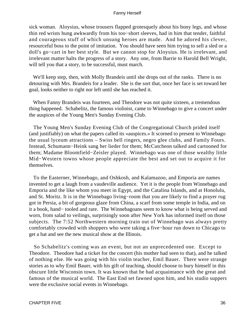sick woman. Aloysius, whose trousers flapped grotesquely about his bony legs, and whose thin red wrists hung awkwardly from his too−short sleeves, had in him that tender, faithful and courageous stuff of which unsung heroes are made. And he adored his clever, resourceful boss to the point of imitation. You should have seen him trying to sell a sled or a doll's go−cart in her best style. But we cannot stop for Aloysius. He is irrelevant, and irrelevant matter halts the progress of a story. Any one, from Barrie to Harold Bell Wright, will tell you that a story, to be successful, must march.

We'll keep step, then, with Molly Brandeis until she drops out of the ranks. There is no detouring with Mrs. Brandeis for a leader. She is the sort that, once her face is set toward her goal, looks neither to right nor left until she has reached it.

 When Fanny Brandeis was fourteen, and Theodore was not quite sixteen, a tremendous thing happened. Schabelitz, the famous violinist, came to Winnebago to give a concert under the auspices of the Young Men's Sunday Evening Club.

 The Young Men's Sunday Evening Club of the Congregational Church prided itself (and justifiably) on what the papers called its «auspices.» It scorned to present to Winnebago the usual lyceum attractions – Swiss bell ringers, negro glee clubs, and Family Fours. Instead, Schumann−Heink sang her lieder for them; McCutcheon talked and cartooned for them; Madame Bloomfield−Zeisler played. Winnebago was one of those wealthy little Mid−Western towns whose people appreciate the best and set out to acquire it for themselves.

 To the Easterner, Winnebago, and Oshkosh, and Kalamazoo, and Emporia are names invented to get a laugh from a vaudeville audience. Yet it is the people from Winnebago and Emporia and the like whom you meet in Egypt, and the Catalina Islands, and at Honolulu, and St. Moritz. It is in the Winnebago living−room that you are likely to find a prayer rug got in Persia, a bit of gorgeous glaze from China, a scarf from some temple in India, and on it a book, hand− tooled and rare. The Winnebagoans seem to know what is being served and worn, from salad to veilings, surprisingly soon after New York has informed itself on those subjects. The 7:52 Northwestern morning train out of Winnebago was always pretty comfortably crowded with shoppers who were taking a five−hour run down to Chicago to get a hat and see the new musical show at the Illinois.

 So Schabelitz's coming was an event, but not an unprecedented one. Except to Theodore. Theodore had a ticket for the concert (his mother had seen to that), and he talked of nothing else. He was going with his violin teacher, Emil Bauer. There were strange stories as to why Emil Bauer, with his gift of teaching, should choose to bury himself in this obscure little Wisconsin town. It was known that he had acquaintance with the great and famous of the musical world. The East End set fawned upon him, and his studio suppers were the exclusive social events in Winnebago.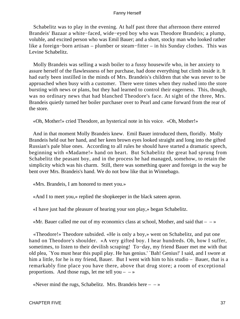Schabelitz was to play in the evening. At half past three that afternoon there entered Brandeis' Bazaar a white−faced, wide−eyed boy who was Theodore Brandeis; a plump, voluble, and excited person who was Emil Bauer; and a short, stocky man who looked rather like a foreign−born artisan – plumber or steam−fitter – in his Sunday clothes. This was Levine Schabelitz.

 Molly Brandeis was selling a wash boiler to a fussy housewife who, in her anxiety to assure herself of the flawlessness of her purchase, had done everything but climb inside it. It had early been instilled in the minds of Mrs. Brandeis's children that she was never to be approached when busy with a customer. There were times when they rushed into the store bursting with news or plans, but they had learned to control their eagerness. This, though, was no ordinary news that had blanched Theodore's face. At sight of the three, Mrs. Brandeis quietly turned her boiler purchaser over to Pearl and came forward from the rear of the store.

«Oh, Mother!» cried Theodore, an hysterical note in his voice. «Oh, Mother!»

 And in that moment Molly Brandeis knew. Emil Bauer introduced them, floridly. Molly Brandeis held out her hand, and her keen brown eyes looked straight and long into the gifted Russian's pale blue ones. According to all rules he should have started a dramatic speech, beginning with «Madame!» hand on heart. But Schabelitz the great had sprung from Schabelitz the peasant boy, and in the process he had managed, somehow, to retain the simplicity which was his charm. Still, there was something queer and foreign in the way he bent over Mrs. Brandeis's hand. We do not bow like that in Winnebago.

«Mrs. Brandeis, I am honored to meet you.»

«And I to meet you,» replied the shopkeeper in the black sateen apron.

«I have just had the pleasure of hearing your son play,» began Schabelitz.

«Mr. Bauer called me out of my economics class at school, Mother, and said that  $- \rightarrow \infty$ 

 «Theodore!» Theodore subsided. «He is only a boy,» went on Schabelitz, and put one hand on Theodore's shoulder. «A very gifted boy. I hear hundreds. Oh, how I suffer, sometimes, to listen to their devilish scraping! To−day, my friend Bauer met me with that old plea, `You must hear this pupil play. He has genius.' `Bah! Genius!' I said, and I swore at him a little, for he is my friend, Bauer. But I went with him to his studio – Bauer, that is a remarkably fine place you have there, above that drug store; a room of exceptional proportions. And those rugs, let me tell you  $- \rightarrow \infty$ 

«Never mind the rugs, Schabelitz. Mrs. Brandeis here  $- \rightarrow \infty$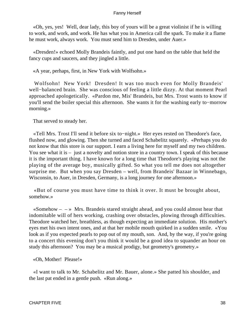«Oh, yes, yes! Well, dear lady, this boy of yours will be a great violinist if he is willing to work, and work, and work. He has what you in America call the spark. To make it a flame he must work, always work. You must send him to Dresden, under Auer.»

 «Dresden!» echoed Molly Brandeis faintly, and put one hand on the table that held the fancy cups and saucers, and they jingled a little.

«A year, perhaps, first, in New York with Wolfsohn.»

 Wolfsohn! New York! Dresden! It was too much even for Molly Brandeis' well−balanced brain. She was conscious of feeling a little dizzy. At that moment Pearl approached apologetically. «Pardon me, Mis' Brandeis, but Mrs. Trost wants to know if you'll send the boiler special this afternoon. She wants it for the washing early to−morrow morning.»

That served to steady her.

 «Tell Mrs. Trost I'll send it before six to−night.» Her eyes rested on Theodore's face, flushed now, and glowing. Then she turned and faced Schabelitz squarely. «Perhaps you do not know that this store is our support. I earn a living here for myself and my two children. You see what it is – just a novelty and notion store in a country town. I speak of this because it is the important thing. I have known for a long time that Theodore's playing was not the playing of the average boy, musically gifted. So what you tell me does not altogether surprise me. But when you say Dresden – well, from Brandeis' Bazaar in Winnebago, Wisconsin, to Auer, in Dresden, Germany, is a long journey for one afternoon.»

 «But of course you must have time to think it over. It must be brought about, somehow.»

 $\infty$ Somehow –  $\rightarrow$  Mrs. Brandeis stared straight ahead, and you could almost hear that indomitable will of hers working, crashing over obstacles, plowing through difficulties. Theodore watched her, breathless, as though expecting an immediate solution. His mother's eyes met his own intent ones, and at that her mobile mouth quirked in a sudden smile. «You look as if you expected pearls to pop out of my mouth, son. And, by the way, if you're going to a concert this evening don't you think it would be a good idea to squander an hour on study this afternoon? You may be a musical prodigy, but geometry's geometry.»

«Oh, Mother! Please!»

 «I want to talk to Mr. Schabelitz and Mr. Bauer, alone.» She patted his shoulder, and the last pat ended in a gentle push. «Run along.»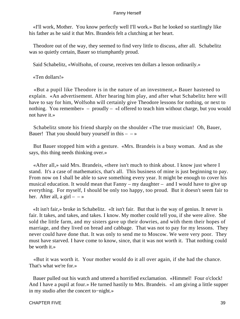«I'll work, Mother. You know perfectly well I'll work.» But he looked so startlingly like his father as he said it that Mrs. Brandeis felt a clutching at her heart.

 Theodore out of the way, they seemed to find very little to discuss, after all. Schabelitz was so quietly certain, Bauer so triumphantly proud.

Said Schabelitz, «Wolfsohn, of course, receives ten dollars a lesson ordinarily.»

«Ten dollars!»

 «But a pupil like Theodore is in the nature of an investment,» Bauer hastened to explain. «An advertisement. After hearing him play, and after what Schabelitz here will have to say for him, Wolfsohn will certainly give Theodore lessons for nothing, or next to nothing. You remember» – proudly – «I offered to teach him without charge, but you would not have it.»

 Schabelitz smote his friend sharply on the shoulder «The true musician! Oh, Bauer, Bauer! That you should bury yourself in this  $-\rightarrow$ 

 But Bauer stopped him with a gesture. «Mrs. Brandeis is a busy woman. And as she says, this thing needs thinking over.»

 «After all,» said Mrs. Brandeis, «there isn't much to think about. I know just where I stand. It's a case of mathematics, that's all. This business of mine is just beginning to pay. From now on I shall be able to save something every year. It might be enough to cover his musical education. It would mean that Fanny – my daughter – and I would have to give up everything. For myself, I should be only too happy, too proud. But it doesn't seem fair to her. After all, a girl  $-$  – »

 «It isn't fair,» broke in Schabelitz. «It isn't fair. But that is the way of genius. It never is fair. It takes, and takes, and takes. I know. My mother could tell you, if she were alive. She sold the little farm, and my sisters gave up their dowries, and with them their hopes of marriage, and they lived on bread and cabbage. That was not to pay for my lessons. They never could have done that. It was only to send me to Moscow. We were very poor. They must have starved. I have come to know, since, that it was not worth it. That nothing could be worth it.»

 «But it was worth it. Your mother would do it all over again, if she had the chance. That's what we're for.»

 Bauer pulled out his watch and uttered a horrified exclamation. «Himmel! Four o'clock! And I have a pupil at four.» He turned hastily to Mrs. Brandeis. «I am giving a little supper in my studio after the concert to−night.»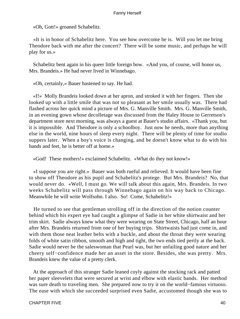«Oh, Gott!» groaned Schabelitz.

 «It is in honor of Schabelitz here. You see how overcome he is. Will you let me bring Theodore back with me after the concert? There will be some music, and perhaps he will play for us.»

 Schabelitz bent again in his queer little foreign bow. «And you, of course, will honor us, Mrs. Brandeis.» He had never lived in Winnebago.

«Oh, certainly,» Bauer hastened to say. He had.

 «I!» Molly Brandeis looked down at her apron, and stroked it with her fingers. Then she looked up with a little smile that was not so pleasant as her smile usually was. There had flashed across her quick mind a picture of Mrs. G. Manville Smith. Mrs. G. Manville Smith, in an evening gown whose decolletage was discussed from the Haley House to Gerretson's department store next morning, was always a guest at Bauer's studio affairs. «Thank you, but it is impossible. And Theodore is only a schoolboy. Just now he needs, more than anything else in the world, nine hours of sleep every night. There will be plenty of time for studio suppers later. When a boy's voice is changing, and he doesn't know what to do with his hands and feet, he is better off at home.»

«God! These mothers!» exclaimed Schabelitz. «What do they not know!»

 «I suppose you are right.» Bauer was both rueful and relieved. It would have been fine to show off Theodore as his pupil and Schabelitz's protege. But Mrs. Brandeis? No, that would never do. «Well, I must go. We will talk about this again, Mrs. Brandeis. In two weeks Schabelitz will pass through Winnebago again on his way back to Chicago. Meanwhile he will write Wolfsohn. I also. So! Come, Schabelitz!»

 He turned to see that gentleman strolling off in the direction of the notion counter behind which his expert eye had caught a glimpse of Sadie in her white shirtwaist and her trim skirt. Sadie always knew what they were wearing on State Street, Chicago, half an hour after Mrs. Brandeis returned from one of her buying trips. Shirtwaists had just come in, and with them those neat leather belts with a buckle, and about the throat they were wearing folds of white satin ribbon, smooth and high and tight, the two ends tied pertly at the back. Sadie would never be the saleswoman that Pearl was, but her unfailing good nature and her cheery self−confidence made her an asset in the store. Besides, she was pretty. Mrs. Brandeis knew the value of a pretty clerk.

 At the approach of this stranger Sadie leaned coyly against the stocking rack and patted her paper sleevelets that were secured at wrist and elbow with elastic bands. Her method was sure death to traveling men. She prepared now to try it on the world−famous virtuoso. The ease with which she succeeded surprised even Sadie, accustomed though she was to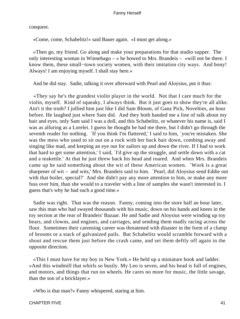conquest.

«Come, come, Schabelitz!» said Bauer again. «I must get along.»

 «Then go, my friend. Go along and make your preparations for that studio supper. The only interesting woman in Winnebago – » he bowed to Mrs. Brandeis – «will not be there. I know them, these small−town society women, with their imitation city ways. And bony! Always! I am enjoying myself. I shall stay here.»

And he did stay. Sadie, talking it over afterward with Pearl and Aloysius, put it thus:

 «They say he's the grandest violin player in the world. Not that I care much for the violin, myself. Kind of squeaky, I always think. But it just goes to show they're all alike. Ain't it the truth? I jollied him just like I did Sam Bloom, of Ganz Pick, Novelties, an hour before. He laughed just where Sam did. And they both handed me a line of talk about my hair and eyes, only Sam said I was a doll, and this Schabelitz, or whatever his name is, said I was as alluring as a Lorelei. I guess he thought he had me there, but I didn't go through the seventh reader for nothing. `If you think I'm flattered,' I said to him, `you're mistaken. She was the mess who used to sit out on a rock with her back hair down, combing away and singing like mad, and keeping an eye out for sailors up and down the river. If I had to work that hard to get some attention,' I said, `I'd give up the struggle, and settle down with a cat and a teakettle.' At that he just threw back his head and roared. And when Mrs. Brandeis came up he said something about the wit of these American women. `Work is a great sharpener of wit – and wits,' Mrs. Brandeis said to him. `Pearl, did Aloysius send Eddie out with that boiler, special?' And she didn't pay any more attention to him, or make any more fuss over him, than she would to a traveler with a line of samples she wasn't interested in. I guess that's why he had such a good time.»

 Sadie was right. That was the reason. Fanny, coming into the store half an hour later, saw this man who had swayed thousands with his music, down on his hands and knees in the toy section at the rear of Brandeis' Bazaar. He and Sadie and Aloysius were winding up toy bears, and clowns, and engines, and carriages, and sending them madly racing across the floor. Sometimes their careening career was threatened with disaster in the form of a clump of brooms or a stack of galvanized pails. But Schabelitz would scramble forward with a shout and rescue them just before the crash came, and set them deftly off again in the opposite direction.

 «This I must have for my boy in New York.» He held up a miniature hook and ladder. «And this windmill that whirls so busily. My Leo is seven, and his head is full of engines, and motors, and things that run on wheels. He cares no more for music, the little savage, than the son of a bricklayer.»

«Who is that man?» Fanny whispered, staring at him.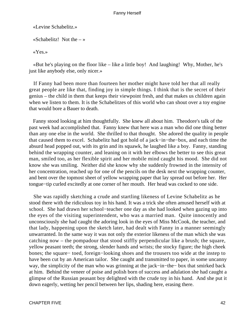«Levine Schabelitz.»

«Schabelitz! Not the  $-\infty$ 

«Yes.»

 «But he's playing on the floor like – like a little boy! And laughing! Why, Mother, he's just like anybody else, only nicer.»

 If Fanny had been more than fourteen her mother might have told her that all really great people are like that, finding joy in simple things. I think that is the secret of their genius – the child in them that keeps their viewpoint fresh, and that makes us children again when we listen to them. It is the Schabelitzes of this world who can shout over a toy engine that would bore a Bauer to death.

 Fanny stood looking at him thoughtfully. She knew all about him. Theodore's talk of the past week had accomplished that. Fanny knew that here was a man who did one thing better than any one else in the world. She thrilled to that thought. She adored the quality in people that caused them to excel. Schabelitz had got hold of a jack−in−the−box, and each time the absurd head popped out, with its grin and its squawk, he laughed like a boy. Fanny, standing behind the wrapping counter, and leaning on it with her elbows the better to see this great man, smiled too, as her flexible spirit and her mobile mind caught his mood. She did not know she was smiling. Neither did she know why she suddenly frowned in the intensity of her concentration, reached up for one of the pencils on the desk next the wrapping counter, and bent over the topmost sheet of yellow wrapping paper that lay spread out before her. Her tongue−tip curled excitedly at one corner of her mouth. Her head was cocked to one side.

 She was rapidly sketching a crude and startling likeness of Levine Schabelitz as he stood there with the ridiculous toy in his hand. It was a trick she often amused herself with at school. She had drawn her school−teacher one day as she had looked when gazing up into the eyes of the visiting superintendent, who was a married man. Quite innocently and unconsciously she had caught the adoring look in the eyes of Miss McCook, the teacher, and that lady, happening upon the sketch later, had dealt with Fanny in a manner seemingly unwarranted. In the same way it was not only the exterior likeness of the man which she was catching now – the pompadour that stood stiffly perpendicular like a brush; the square, yellow peasant teeth; the strong, slender hands and wrists; the stocky figure; the high cheek bones; the square− toed, foreign−looking shoes and the trousers too wide at the instep to have been cut by an American tailor. She caught and transmitted to paper, in some uncanny way, the simplicity of the man who was grinning at the jack−in−the− box that smirked back at him. Behind the veneer of poise and polish born of success and adulation she had caught a glimpse of the Russian peasant boy delighted with the crude toy in his hand. And she put it down eagerly, wetting her pencil between her lips, shading here, erasing there.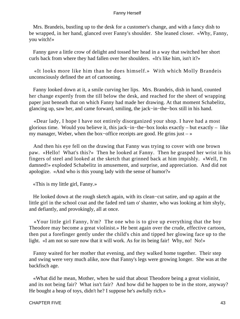Mrs. Brandeis, bustling up to the desk for a customer's change, and with a fancy dish to be wrapped, in her hand, glanced over Fanny's shoulder. She leaned closer. «Why, Fanny, you witch!»

 Fanny gave a little crow of delight and tossed her head in a way that switched her short curls back from where they had fallen over her shoulders. «It's like him, isn't it?»

 «It looks more like him than he does himself.» With which Molly Brandeis unconsciously defined the art of cartooning.

 Fanny looked down at it, a smile curving her lips. Mrs. Brandeis, dish in hand, counted her change expertly from the till below the desk, and reached for the sheet of wrapping paper just beneath that on which Fanny had made her drawing. At that moment Schabelitz, glancing up, saw her, and came forward, smiling, the jack−in−the−box still in his hand.

 «Dear lady, I hope I have not entirely disorganized your shop. I have had a most glorious time. Would you believe it, this jack−in−the−box looks exactly – but exactly – like my manager, Weber, when the box−office receipts are good. He grins just – »

 And then his eye fell on the drawing that Fanny was trying to cover with one brown paw. «Hello! What's this?» Then he looked at Fanny. Then he grasped her wrist in his fingers of steel and looked at the sketch that grinned back at him impishly. «Well, I'm damned!» exploded Schabelitz in amusement, and surprise, and appreciation. And did not apologize. «And who is this young lady with the sense of humor?»

«This is my little girl, Fanny.»

 He looked down at the rough sketch again, with its clean−cut satire, and up again at the little girl in the school coat and the faded red tam o' shanter, who was looking at him shyly, and defiantly, and provokingly, all at once.

 «Your little girl Fanny, h'm? The one who is to give up everything that the boy Theodore may become a great violinist.» He bent again over the crude, effective cartoon, then put a forefinger gently under the child's chin and tipped her glowing face up to the light. «I am not so sure now that it will work. As for its being fair! Why, no! No!»

 Fanny waited for her mother that evening, and they walked home together. Their step and swing were very much alike, now that Fanny's legs were growing longer. She was at the backfisch age.

 «What did he mean, Mother, when he said that about Theodore being a great violinist, and its not being fair? What isn't fair? And how did he happen to be in the store, anyway? He bought a heap of toys, didn't he? I suppose he's awfully rich.»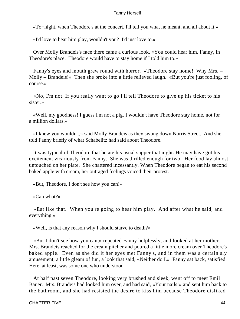«To−night, when Theodore's at the concert, I'll tell you what he meant, and all about it.»

«I'd love to hear him play, wouldn't you? I'd just love to.»

 Over Molly Brandeis's face there came a curious look. «You could hear him, Fanny, in Theodore's place. Theodore would have to stay home if I told him to.»

 Fanny's eyes and mouth grew round with horror. «Theodore stay home! Why Mrs. – Molly – Brandeis!» Then she broke into a little relieved laugh. «But you're just fooling, of course.»

 «No, I'm not. If you really want to go I'll tell Theodore to give up his ticket to his sister.»

 «Well, my goodness! I guess I'm not a pig. I wouldn't have Theodore stay home, not for a million dollars.»

 «I knew you wouldn't,» said Molly Brandeis as they swung down Norris Street. And she told Fanny briefly of what Schabelitz had said about Theodore.

 It was typical of Theodore that he ate his usual supper that night. He may have got his excitement vicariously from Fanny. She was thrilled enough for two. Her food lay almost untouched on her plate. She chattered incessantly. When Theodore began to eat his second baked apple with cream, her outraged feelings voiced their protest.

«But, Theodore, I don't see how you can!»

«Can what?»

 «Eat like that. When you're going to hear him play. And after what he said, and everything.»

«Well, is that any reason why I should starve to death?»

 «But I don't see how you can,» repeated Fanny helplessly, and looked at her mother. Mrs. Brandeis reached for the cream pitcher and poured a little more cream over Theodore's baked apple. Even as she did it her eyes met Fanny's, and in them was a certain sly amusement, a little gleam of fun, a look that said, «Neither do I.» Fanny sat back, satisfied. Here, at least, was some one who understood.

 At half past seven Theodore, looking very brushed and sleek, went off to meet Emil Bauer. Mrs. Brandeis had looked him over, and had said, «Your nails!» and sent him back to the bathroom, and she had resisted the desire to kiss him because Theodore disliked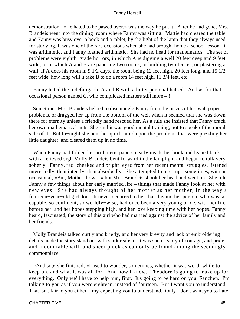demonstration. «He hated to be pawed over,» was the way he put it. After he had gone, Mrs. Brandeis went into the dining−room where Fanny was sitting. Mattie had cleared the table, and Fanny was busy over a book and a tablet, by the light of the lamp that they always used for studying. It was one of the rare occasions when she had brought home a school lesson. It was arithmetic, and Fanny loathed arithmetic. She had no head for mathematics. The set of problems were eighth−grade horrors, in which A is digging a well 20 feet deep and 9 feet wide; or in which A and B are papering two rooms, or building two fences, or plastering a wall. If A does his room in 9 1/2 days, the room being 12 feet high, 20 feet long, and 15 1/2 feet wide, how long will it take B to do a room 14 feet high, 11 3/4 feet, etc.

 Fanny hated the indefatigable A and B with a bitter personal hatred. And as for that occasional person named C, who complicated matters still more – !

 Sometimes Mrs. Brandeis helped to disentangle Fanny from the mazes of her wall paper problems, or dragged her up from the bottom of the well when it seemed that she was down there for eternity unless a friendly hand rescued her. As a rule she insisted that Fanny crack her own mathematical nuts. She said it was good mental training, not to speak of the moral side of it. But to−night she bent her quick mind upon the problems that were puzzling her little daughter, and cleared them up in no time.

 When Fanny had folded her arithmetic papers neatly inside her book and leaned back with a relieved sigh Molly Brandeis bent forward in the lamplight and began to talk very soberly. Fanny, red−cheeked and bright−eyed from her recent mental struggles, listened interestedly, then intently, then absorbedly. She attempted to interrupt, sometimes, with an occasional, «But, Mother, how – » but Mrs. Brandeis shook her head and went on. She told Fanny a few things about her early married life – things that made Fanny look at her with new eyes. She had always thought of her mother as her mother, in the way a fourteen−year−old girl does. It never occurred to her that this mother person, who was so capable, so confident, so worldly−wise, had once been a very young bride, with her life before her, and her hopes stepping high, and her love keeping time with her hopes. Fanny heard, fascinated, the story of this girl who had married against the advice of her family and her friends.

 Molly Brandeis talked curtly and briefly, and her very brevity and lack of embroidering details made the story stand out with stark realism. It was such a story of courage, and pride, and indomitable will, and sheer pluck as can only be found among the seemingly commonplace.

 «And so,» she finished, «I used to wonder, sometimes, whether it was worth while to keep on, and what it was all for. And now I know. Theodore is going to make up for everything. Only we'll have to help him, first. It's going to be hard on you, Fanchen. I'm talking to you as if you were eighteen, instead of fourteen. But I want you to understand. That isn't fair to you either – my expecting you to understand. Only I don't want you to hate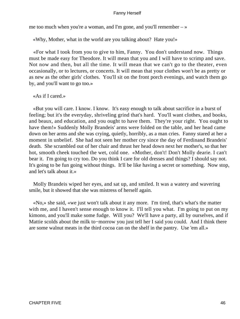me too much when you're a woman, and I'm gone, and you'll remember  $-\infty$ 

«Why, Mother, what in the world are you talking about? Hate you!»

 «For what I took from you to give to him, Fanny. You don't understand now. Things must be made easy for Theodore. It will mean that you and I will have to scrimp and save. Not now and then, but all the time. It will mean that we can't go to the theater, even occasionally, or to lectures, or concerts. It will mean that your clothes won't be as pretty or as new as the other girls' clothes. You'll sit on the front porch evenings, and watch them go by, and you'll want to go too.»

«As if I cared.»

 «But you will care. I know. I know. It's easy enough to talk about sacrifice in a burst of feeling; but it's the everyday, shriveling grind that's hard. You'll want clothes, and books, and beaux, and education, and you ought to have them. They're your right. You ought to have them!» Suddenly Molly Brandeis' arms were folded on the table, and her head came down on her arms and she was crying, quietly, horribly, as a man cries. Fanny stared at her a moment in unbelief. She had not seen her mother cry since the day of Ferdinand Brandeis' death. She scrambled out of her chair and thrust her head down next her mother's, so that her hot, smooth cheek touched the wet, cold one. «Mother, don't! Don't Molly dearie. I can't bear it. I'm going to cry too. Do you think I care for old dresses and things? I should say not. It's going to be fun going without things. It'll be like having a secret or something. Now stop, and let's talk about it.»

 Molly Brandeis wiped her eyes, and sat up, and smiled. It was a watery and wavering smile, but it showed that she was mistress of herself again.

 «No,» she said, «we just won't talk about it any more. I'm tired, that's what's the matter with me, and I haven't sense enough to know it. I'll tell you what. I'm going to put on my kimono, and you'll make some fudge. Will you? We'll have a party, all by ourselves, and if Mattie scolds about the milk to−morrow you just tell her I said you could. And I think there are some walnut meats in the third cocoa can on the shelf in the pantry. Use 'em all.»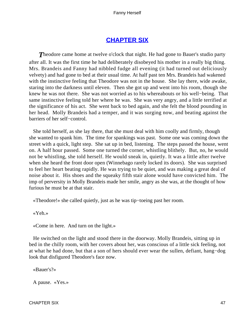# **[CHAPTER SIX](#page-221-0)**

**Theodore came home at twelve o'clock that night. He had gone to Bauer's studio party** after all. It was the first time he had deliberately disobeyed his mother in a really big thing. Mrs. Brandeis and Fanny had nibbled fudge all evening (it had turned out deliciously velvety) and had gone to bed at their usual time. At half past ten Mrs. Brandeis had wakened with the instinctive feeling that Theodore was not in the house. She lay there, wide awake, staring into the darkness until eleven. Then she got up and went into his room, though she knew he was not there. She was not worried as to his whereabouts or his well−being. That same instinctive feeling told her where he was. She was very angry, and a little terrified at the significance of his act. She went back to bed again, and she felt the blood pounding in her head. Molly Brandeis had a temper, and it was surging now, and beating against the barriers of her self−control.

 She told herself, as she lay there, that she must deal with him coolly and firmly, though she wanted to spank him. The time for spankings was past. Some one was coming down the street with a quick, light step. She sat up in bed, listening. The steps passed the house, went on. A half hour passed. Some one turned the corner, whistling blithely. But, no, he would not be whistling, she told herself. He would sneak in, quietly. It was a little after twelve when she heard the front door open (Winnebago rarely locked its doors). She was surprised to feel her heart beating rapidly. He was trying to be quiet, and was making a great deal of noise about it. His shoes and the squeaky fifth stair alone would have convicted him. The imp of perversity in Molly Brandeis made her smile, angry as she was, at the thought of how furious he must be at that stair.

«Theodore!» she called quietly, just as he was tip−toeing past her room.

«Yeh.»

«Come in here. And turn on the light.»

 He switched on the light and stood there in the doorway. Molly Brandeis, sitting up in bed in the chilly room, with her covers about her, was conscious of a little sick feeling, not at what he had done, but that a son of hers should ever wear the sullen, defiant, hang−dog look that disfigured Theodore's face now.

«Bauer's?»

A pause. «Yes.»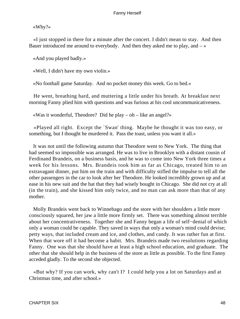«Why?»

 «I just stopped in there for a minute after the concert. I didn't mean to stay. And then Bauer introduced me around to everybody. And then they asked me to play, and  $-\infty$ 

«And you played badly.»

«Well, I didn't have my own violin.»

«No football game Saturday. And no pocket money this week. Go to bed.»

 He went, breathing hard, and muttering a little under his breath. At breakfast next morning Fanny plied him with questions and was furious at his cool uncommunicativeness.

«Was it wonderful, Theodore? Did he play – oh – like an angel?»

 «Played all right. Except the `Swan' thing. Maybe he thought it was too easy, or something, but I thought he murdered it. Pass the toast, unless you want it all.»

 It was not until the following autumn that Theodore went to New York. The thing that had seemed so impossible was arranged. He was to live in Brooklyn with a distant cousin of Ferdinand Brandeis, on a business basis, and he was to come into New York three times a week for his lessons. Mrs. Brandeis took him as far as Chicago, treated him to an extravagant dinner, put him on the train and with difficulty stifled the impulse to tell all the other passengers in the car to look after her Theodore. He looked incredibly grown up and at ease in his new suit and the hat that they had wisely bought in Chicago. She did not cry at all (in the train), and she kissed him only twice, and no man can ask more than that of any mother.

 Molly Brandeis went back to Winnebago and the store with her shoulders a little more consciously squared, her jaw a little more firmly set. There was something almost terrible about her concentrativeness. Together she and Fanny began a life of self−denial of which only a woman could be capable. They saved in ways that only a woman's mind could devise; petty ways, that included cream and ice, and clothes, and candy. It was rather fun at first. When that wore off it had become a habit. Mrs. Brandeis made two resolutions regarding Fanny. One was that she should have at least a high school education, and graduate. The other that she should help in the business of the store as little as possible. To the first Fanny acceded gladly. To the second she objected.

 «But why? If you can work, why can't I? I could help you a lot on Saturdays and at Christmas time, and after school.»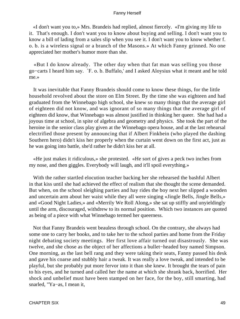«I don't want you to,» Mrs. Brandeis had replied, almost fiercely. «I'm giving my life to it. That's enough. I don't want you to know about buying and selling. I don't want you to know a bill of lading from a sales slip when you see it. I don't want you to know whether f. o. b. is a wireless signal or a branch of the Masons.» At which Fanny grinned. No one appreciated her mother's humor more than she.

 «But I do know already. The other day when that fat man was selling you those go−carts I heard him say. `F. o. b. Buffalo,' and I asked Aloysius what it meant and he told me.»

 It was inevitable that Fanny Brandeis should come to know these things, for the little household revolved about the store on Elm Street. By the time she was eighteen and had graduated from the Winnebago high school, she knew so many things that the average girl of eighteen did not know, and was ignorant of so many things that the average girl of eighteen did know, that Winnebago was almost justified in thinking her queer. She had had a joyous time at school, in spite of algebra and geometry and physics. She took the part of the heroine in the senior class play given at the Winnebago opera house, and at the last rehearsal electrified those present by announcing that if Albert Finkbein (who played the dashing Southern hero) didn't kiss her properly when the curtain went down on the first act, just as he was going into battle, she'd rather he didn't kiss her at all.

 «He just makes it ridiculous,» she protested. «He sort of gives a peck two inches from my nose, and then giggles. Everybody will laugh, and it'll spoil everything.»

 With the rather startled elocution teacher backing her she rehearsed the bashful Albert in that kiss until she had achieved the effect of realism that she thought the scene demanded. But when, on the school sleighing parties and hay rides the boy next her slipped a wooden and uncertain arm about her waist while they all were singing «Jingle Bells, Jingle Bells,» and «Good Night Ladies,» and «Merrily We Roll Along,» she sat up stiffly and unyieldingly until the arm, discouraged, withdrew to its normal position. Which two instances are quoted as being of a piece with what Winnebago termed her queerness.

 Not that Fanny Brandeis went beauless through school. On the contrary, she always had some one to carry her books, and to take her to the school parties and home from the Friday night debating society meetings. Her first love affair turned out disastrously. She was twelve, and she chose as the object of her affections a bullet−headed boy named Simpson. One morning, as the last bell rang and they were taking their seats, Fanny passed his desk and gave his coarse and stubbly hair a tweak. It was really a love tweak, and intended to be playful, but she probably put more fervor into it than she knew. It brought the tears of pain to his eyes, and he turned and called her the name at which she shrank back, horrified. Her shock and unbelief must have been stamped on her face, for the boy, still smarting, had snarled, "Ya−as, I mean it,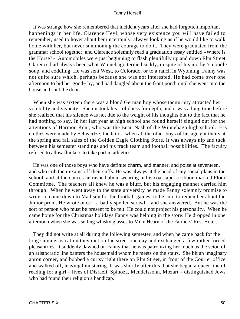It was strange how she remembered that incident years after she had forgotten important happenings in her life. Clarence Heyl, whose very existence you will have failed to remember, used to hover about her uncertainly, always looking as if he would like to walk home with her, but never summoning the courage to do it. They were graduated from the grammar school together, and Clarence solemnly read a graduation essay entitled «Where is the Horse?» Automobiles were just beginning to flash plentifully up and down Elm Street. Clarence had always been what Winnebago termed sickly, in spite of his mother's noodle soup, and coddling. He was sent West, to Colorado, or to a ranch in Wyoming, Fanny was not quite sure which, perhaps because she was not interested. He had come over one afternoon to bid her good− by, and had dangled about the front porch until she went into the house and shut the door.

 When she was sixteen there was a blond German boy whose taciturnity attracted her volubility and vivacity. She mistook his stolidness for depth, and it was a long time before she realized that his silence was not due to the weight of his thoughts but to the fact that he had nothing to say. In her last year at high school she found herself singled out for the attentions of Harmon Kent, who was the Beau Nash of the Winnebago high school. His clothes were made by Schwartze, the tailor, when all the other boys of his age got theirs at the spring and fall sales of the Golden Eagle Clothing Store. It was always nip and tuck between his semester standings and his track team and football possibilities. The faculty refused to allow flunkers to take part in athletics.

 He was one of those boys who have definite charm, and manner, and poise at seventeen, and who crib their exams off their cuffs. He was always at the head of any social plans in the school, and at the dances he rushed about wearing in his coat lapel a ribbon marked Floor Committee. The teachers all knew he was a bluff, but his engaging manner carried him through. When he went away to the state university he made Fanny solemnly promise to write; to come down to Madison for the football games; to be sure to remember about the Junior prom. He wrote once – a badly spelled scrawl – and she answered. But he was the sort of person who must be present to be felt. He could not project his personality. When he came home for the Christmas holidays Fanny was helping in the store. He dropped in one afternoon when she was selling whisky glasses to Mike Hearn of the Farmers' Rest Hotel.

 They did not write at all during the following semester, and when he came back for the long summer vacation they met on the street one day and exchanged a few rather forced pleasantries. It suddenly dawned on Fanny that he was patronizing her much as the scion of an aristocratic line banters the housemaid whom he meets on the stairs. She bit an imaginary apron corner, and bobbed a curtsy right there on Elm Street, in front of the Courier office and walked off, leaving him staring. It was shortly after this that she began a queer line of reading for a girl – lives of Disraeli, Spinoza, Mendelssohn, Mozart – distinguished Jews who had found their religion a handicap.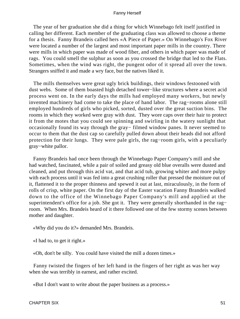The year of her graduation she did a thing for which Winnebago felt itself justified in calling her different. Each member of the graduating class was allowed to choose a theme for a thesis. Fanny Brandeis called hers «A Piece of Paper.» On Winnebago's Fox River were located a number of the largest and most important paper mills in the country. There were mills in which paper was made of wood fiber, and others in which paper was made of rags. You could smell the sulphur as soon as you crossed the bridge that led to the Flats. Sometimes, when the wind was right, the pungent odor of it spread all over the town. Strangers sniffed it and made a wry face, but the natives liked it.

 The mills themselves were great ugly brick buildings, their windows festooned with dust webs. Some of them boasted high detached tower−like structures where a secret acid process went on. In the early days the mills had employed many workers, but newly invented machinery had come to take the place of hand labor. The rag−rooms alone still employed hundreds of girls who picked, sorted, dusted over the great suction bins. The rooms in which they worked were gray with dust. They wore caps over their hair to protect it from the motes that you could see spinning and swirling in the watery sunlight that occasionally found its way through the gray− filmed window panes. It never seemed to occur to them that the dust cap so carefully pulled down about their heads did not afford protection for their lungs. They were pale girls, the rag−room girls, with a peculiarly gray−white pallor.

 Fanny Brandeis had once been through the Winnebago Paper Company's mill and she had watched, fascinated, while a pair of soiled and greasy old blue overalls were dusted and cleaned, and put through this acid vat, and that acid tub, growing whiter and more pulpy with each process until it was fed into a great crushing roller that pressed the moisture out of it, flattened it to the proper thinness and spewed it out at last, miraculously, in the form of rolls of crisp, white paper. On the first day of the Easter vacation Fanny Brandeis walked down to the office of the Winnebago Paper Company's mill and applied at the superintendent's office for a job. She got it. They were generally shorthanded in the rag– room. When Mrs. Brandeis heard of it there followed one of the few stormy scenes between mother and daughter.

«Why did you do it?» demanded Mrs. Brandeis.

«I had to, to get it right.»

«Oh, don't be silly. You could have visited the mill a dozen times.»

 Fanny twisted the fingers of her left hand in the fingers of her right as was her way when she was terribly in earnest, and rather excited.

«But I don't want to write about the paper business as a process.»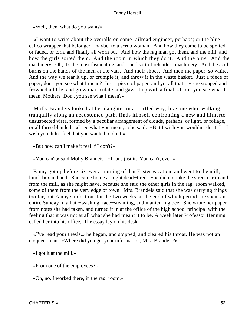«Well, then, what do you want?»

 «I want to write about the overalls on some railroad engineer, perhaps; or the blue calico wrapper that belonged, maybe, to a scrub woman. And how they came to be spotted, or faded, or torn, and finally all worn out. And how the rag man got them, and the mill, and how the girls sorted them. And the room in which they do it. And the bins. And the machinery. Oh, it's the most fascinating, and – and sort of relentless machinery. And the acid burns on the hands of the men at the vats. And their shoes. And then the paper, so white. And the way we tear it up, or crumple it, and throw it in the waste basket. Just a piece of paper, don't you see what I mean? Just a piece of paper, and yet all that – » she stopped and frowned a little, and grew inarticulate, and gave it up with a final, «Don't you see what I mean, Mother? Don't you see what I mean?»

 Molly Brandeis looked at her daughter in a startled way, like one who, walking tranquilly along an accustomed path, finds himself confronting a new and hitherto unsuspected vista, formed by a peculiar arrangement of clouds, perhaps, or light, or foliage, or all three blended. «I see what you mean,» she said. «But I wish you wouldn't do it. I – I wish you didn't feel that you wanted to do it.»

«But how can I make it real if I don't?»

«You can't,» said Molly Brandeis. «That's just it. You can't, ever.»

 Fanny got up before six every morning of that Easter vacation, and went to the mill, lunch box in hand. She came home at night dead−tired. She did not take the street car to and from the mill, as she might have, because she said the other girls in the rag−room walked, some of them from the very edge of town. Mrs. Brandeis said that she was carrying things too far, but Fanny stuck it out for the two weeks, at the end of which period she spent an entire Sunday in a hair−washing, face−steaming, and manicuring bee. She wrote her paper from notes she had taken, and turned it in at the office of the high school principal with the feeling that it was not at all what she had meant it to be. A week later Professor Henning called her into his office. The essay lay on his desk.

 «I've read your thesis,» he began, and stopped, and cleared his throat. He was not an eloquent man. «Where did you get your information, Miss Brandeis?»

«I got it at the mill.»

«From one of the employees?»

«Oh, no. I worked there, in the rag−room.»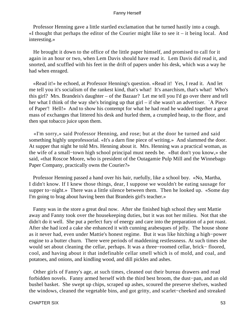Professor Henning gave a little startled exclamation that he turned hastily into a cough.  $\ll$ I thought that perhaps the editor of the Courier might like to see it – it being local. And interesting.»

 He brought it down to the office of the little paper himself, and promised to call for it again in an hour or two, when Lem Davis should have read it. Lem Davis did read it, and snorted, and scuffled with his feet in the drift of papers under his desk, which was a way he had when enraged.

 «Read it!» he echoed, at Professor Henning's question. «Read it! Yes, I read it. And let me tell you it's socialism of the rankest kind, that's what! It's anarchism, that's what! Who's this girl? Mrs. Brandeis's daughter – of the Bazaar? Let me tell you I'd go over there and tell her what I think of the way she's bringing up that girl – if she wasn't an advertiser. `A Piece of Paper'! Hell!» And to show his contempt for what he had read he wadded together a great mass of exchanges that littered his desk and hurled them, a crumpled heap, to the floor, and then spat tobacco juice upon them.

 «I'm sorry,» said Professor Henning, and rose; but at the door he turned and said something highly unprofessorial. «It's a darn fine piece of writing.» And slammed the door. At supper that night he told Mrs. Henning about it. Mrs. Henning was a practical woman, as the wife of a small−town high school principal must needs be. «But don't you know,» she said, «that Roscoe Moore, who is president of the Outagamie Pulp Mill and the Winnebago Paper Company, practically owns the Courier?»

 Professor Henning passed a hand over his hair, ruefully, like a school boy. «No, Martha, I didn't know. If I knew those things, dear, I suppose we wouldn't be eating sausage for supper to−night.» There was a little silence between them. Then he looked up. «Some day I'm going to brag about having been that Brandeis girl's teacher.»

 Fanny was in the store a great deal now. After she finished high school they sent Mattie away and Fanny took over the housekeeping duties, but it was not her milieu. Not that she didn't do it well. She put a perfect fury of energy and care into the preparation of a pot roast. After she had iced a cake she enhanced it with cunning arabesques of jelly. The house shone as it never had, even under Mattie's honest regime. But it was like hitching a high−power engine to a butter churn. There were periods of maddening restlessness. At such times she would set about cleaning the cellar, perhaps. It was a three−roomed cellar, brick− floored, cool, and having about it that indefinable cellar smell which is of mold, and coal, and potatoes, and onions, and kindling wood, and dill pickles and ashes.

 Other girls of Fanny's age, at such times, cleaned out their bureau drawers and read forbidden novels. Fanny armed herself with the third best broom, the dust−pan, and an old bushel basket. She swept up chips, scraped up ashes, scoured the preserve shelves, washed the windows, cleaned the vegetable bins, and got gritty, and scarlet−cheeked and streaked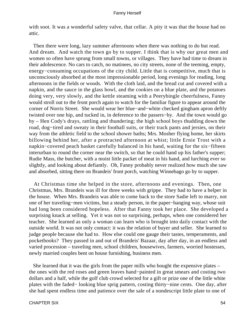with soot. It was a wonderful safety valve, that cellar. A pity it was that the house had no attic.

 Then there were long, lazy summer afternoons when there was nothing to do but read. And dream. And watch the town go by to supper. I think that is why our great men and women so often have sprung from small towns, or villages. They have had time to dream in their adolescence. No cars to catch, no matinees, no city streets, none of the teeming, empty, energy−consuming occupations of the city child. Little that is competitive, much that is unconsciously absorbed at the most impressionable period, long evenings for reading, long afternoons in the fields or woods. With the cloth laid, and the bread cut and covered with a napkin, and the sauce in the glass bowl, and the cookies on a blue plate, and the potatoes doing very, very slowly, and the kettle steaming with a Peerybingle cheerfulness, Fanny would stroll out to the front porch again to watch for the familiar figure to appear around the corner of Norris Street. She would wear her blue−and−white checked gingham apron deftly twisted over one hip, and tucked in, in deference to the passers−by. And the town would go by – Hen Cody's drays, rattling and thundering; the high school boys thudding down the road, dog−tired and sweaty in their football suits, or their track pants and jersies, on their way from the athletic field to the school shower baths; Mrs. Mosher flying home, her skirts billowing behind her, after a protracted afternoon at whist; little Ernie Trost with a napkin−covered peach basket carefully balanced in his hand, waiting for the six−fifteen interurban to round the corner near the switch, so that he could hand up his father's supper; Rudie Mass, the butcher, with a moist little packet of meat in his hand, and lurching ever so slightly, and looking about defiantly. Oh, Fanny probably never realized how much she saw and absorbed, sitting there on Brandeis' front porch, watching Winnebago go by to supper.

 At Christmas time she helped in the store, afternoons and evenings. Then, one Christmas, Mrs. Brandeis was ill for three weeks with grippe. They had to have a helper in the house. When Mrs. Brandeis was able to come back to the store Sadie left to marry, not one of her traveling−men victims, but a steady person, in the paper−hanging way, whose suit had long been considered hopeless. After that Fanny took her place. She developed a surprising knack at selling. Yet it was not so surprising, perhaps, when one considered her teacher. She learned as only a woman can learn who is brought into daily contact with the outside world. It was not only contact: it was the relation of buyer and seller. She learned to judge people because she had to. How else could one gauge their tastes, temperaments, and pocketbooks? They passed in and out of Brandeis' Bazaar, day after day, in an endless and varied procession – traveling men, school children, housewives, farmers, worried hostesses, newly married couples bent on house furnishing, business men.

 She learned that it was the girls from the paper mills who bought the expensive plates – the ones with the red roses and green leaves hand−painted in great smears and costing two dollars and a half, while the golf club crowd selected for a gift or prize one of the little white plates with the faded− looking blue sprig pattern, costing thirty−nine cents. One day, after she had spent endless time and patience over the sale of a nondescript little plate to one of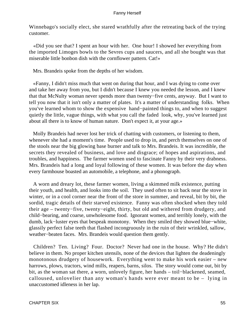Winnebago's socially elect, she stared wrathfully after the retreating back of the trying customer.

 «Did you see that? I spent an hour with her. One hour! I showed her everything from the imported Limoges bowls to the Sevres cups and saucers, and all she bought was that miserable little bonbon dish with the cornflower pattern. Cat!»

Mrs. Brandeis spoke from the depths of her wisdom.

 «Fanny, I didn't miss much that went on during that hour, and I was dying to come over and take her away from you, but I didn't because I knew you needed the lesson, and I knew that that McNulty woman never spends more than twenty−five cents, anyway. But I want to tell you now that it isn't only a matter of plates. It's a matter of understanding folks. When you've learned whom to show the expensive hand−painted things to, and when to suggest quietly the little, vague things, with what you call the faded look, why, you've learned just about all there is to know of human nature. Don't expect it, at your age.»

 Molly Brandeis had never lost her trick of chatting with customers, or listening to them, whenever she had a moment's time. People used to drop in, and perch themselves on one of the stools near the big glowing base burner and talk to Mrs. Brandeis. It was incredible, the secrets they revealed of business, and love and disgrace; of hopes and aspirations, and troubles, and happiness. The farmer women used to fascinate Fanny by their very drabness. Mrs. Brandeis had a long and loyal following of these women. It was before the day when every farmhouse boasted an automobile, a telephone, and a phonograph.

 A worn and dreary lot, these farmer women, living a skimmed milk existence, putting their youth, and health, and looks into the soil. They used often to sit back near the stove in winter, or in a cool corner near the front of the store in summer, and reveal, bit by bit, the sordid, tragic details of their starved existence. Fanny was often shocked when they told their age – twenty−five, twenty−eight, thirty, but old and withered from drudgery, and child−bearing, and coarse, unwholesome food. Ignorant women, and terribly lonely, with the dumb, lack−luster eyes that bespeak monotony. When they smiled they showed blue−white, glassily perfect false teeth that flashed incongruously in the ruin of their wrinkled, sallow, weather−beaten faces. Mrs. Brandeis would question them gently.

 Children? Ten. Living? Four. Doctor? Never had one in the house. Why? He didn't believe in them. No proper kitchen utensils, none of the devices that lighten the deadeningly monotonous drudgery of housework. Everything went to make his work easier – new harrows, plows, tractors, wind mills, reapers, barns, silos. The story would come out, bit by bit, as the woman sat there, a worn, unlovely figure, her hands – toil−blackened, seamed, calloused, unlovelier than any woman's hands were ever meant to be – lying in unaccustomed idleness in her lap.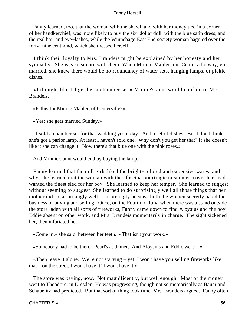Fanny learned, too, that the woman with the shawl, and with her money tied in a corner of her handkerchief, was more likely to buy the six−dollar doll, with the blue satin dress, and the real hair and eye−lashes, while the Winnebago East End society woman haggled over the forty−nine cent kind, which she dressed herself.

 I think their loyalty to Mrs. Brandeis might be explained by her honesty and her sympathy. She was so square with them. When Minnie Mahler, out Centerville way, got married, she knew there would be no redundancy of water sets, hanging lamps, or pickle dishes.

 «I thought like I'd get her a chamber set,» Minnie's aunt would confide to Mrs. Brandeis.

«Is this for Minnie Mahler, of Centerville?»

«Yes; she gets married Sunday.»

 «I sold a chamber set for that wedding yesterday. And a set of dishes. But I don't think she's got a parlor lamp. At least I haven't sold one. Why don't you get her that? If she doesn't like it she can change it. Now there's that blue one with the pink roses.»

And Minnie's aunt would end by buying the lamp.

 Fanny learned that the mill girls liked the bright−colored and expensive wares, and why; she learned that the woman with the «fascinator» (tragic misnomer!) over her head wanted the finest sled for her boy. She learned to keep her temper. She learned to suggest without seeming to suggest. She learned to do surprisingly well all those things that her mother did so surprisingly well – surprisingly because both the women secretly hated the business of buying and selling. Once, on the Fourth of July, when there was a stand outside the store laden with all sorts of fireworks, Fanny came down to find Aloysius and the boy Eddie absent on other work, and Mrs. Brandeis momentarily in charge. The sight sickened her, then infuriated her.

«Come in,» she said, between her teeth. «That isn't your work.»

«Somebody had to be there. Pearl's at dinner. And Aloysius and Eddie were  $-\infty$ 

 «Then leave it alone. We're not starving – yet. I won't have you selling fireworks like that – on the street. I won't have it! I won't have it!»

 The store was paying, now. Not magnificently, but well enough. Most of the money went to Theodore, in Dresden. He was progressing, though not so meteorically as Bauer and Schabelitz had predicted. But that sort of thing took time, Mrs. Brandeis argued. Fanny often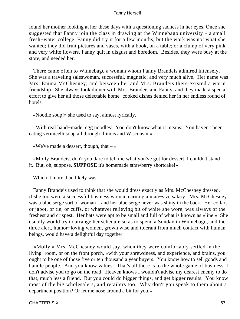found her mother looking at her these days with a questioning sadness in her eyes. Once she suggested that Fanny join the class in drawing at the Winnebago university – a small fresh−water college. Fanny did try it for a few months, but the work was not what she wanted; they did fruit pictures and vases, with a book, on a table; or a clump of very pink and very white flowers. Fanny quit in disgust and boredom. Besides, they were busy at the store, and needed her.

 There came often to Winnebago a woman whom Fanny Brandeis admired intensely. She was a traveling saleswoman, successful, magnetic, and very much alive. Her name was Mrs. Emma McChesney, and between her and Mrs. Brandeis there existed a warm friendship. She always took dinner with Mrs. Brandeis and Fanny, and they made a special effort to give her all those delectable home−cooked dishes denied her in her endless round of hotels.

«Noodle soup!» she used to say, almost lyrically.

 «With real hand−made, egg noodles! You don't know what it means. You haven't been eating vermicelli soup all through Illinois and Wisconsin.»

«We've made a dessert, though, that  $-\infty$ 

 «Molly Brandeis, don't you dare to tell me what you've got for dessert. I couldn't stand it. But, oh, suppose, **SUPPOSE** it's homemade strawberry shortcake!»

Which it more than likely was.

 Fanny Brandeis used to think that she would dress exactly as Mrs. McChesney dressed, if she too were a successful business woman earning a man−size salary. Mrs. McChesney was a blue serge sort of woman – and her blue serge never was shiny in the back. Her collar, or jabot, or tie, or cuffs, or whatever relieving bit of white she wore, was always of the freshest and crispest. Her hats were apt to be small and full of what is known as «line.» She usually would try to arrange her schedule so as to spend a Sunday in Winnebago, and the three alert, humor−loving women, grown wise and tolerant from much contact with human beings, would have a delightful day together.

 «Molly,» Mrs. McChesney would say, when they were comfortably settled in the living−room, or on the front porch, «with your shrewdness, and experience, and brains, you ought to be one of those five or ten thousand a year buyers. You know how to sell goods and handle people. And you know values. That's all there is to the whole game of business. I don't advise you to go on the road. Heaven knows I wouldn't advise my dearest enemy to do that, much less a friend. But you could do bigger things, and get bigger results. You know most of the big wholesalers, and retailers too. Why don't you speak to them about a department position? Or let me nose around a bit for you.»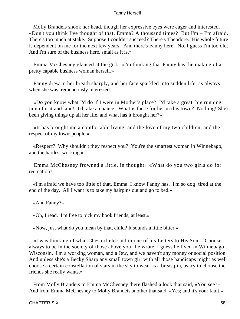Molly Brandeis shook her head, though her expressive eyes were eager and interested. «Don't you think I've thought of that, Emma? A thousand times? But I'm – I'm afraid. There's too much at stake. Suppose I couldn't succeed? There's Theodore. His whole future is dependent on me for the next few years. And there's Fanny here. No, I guess I'm too old. And I'm sure of the business here, small as it is.»

 Emma McChesney glanced at the girl. «I'm thinking that Fanny has the making of a pretty capable business woman herself.»

 Fanny drew in her breath sharply, and her face sparkled into sudden life, as always when she was tremendously interested.

 «Do you know what I'd do if I were in Mother's place? I'd take a great, big running jump for it and land! I'd take a chance. What is there for her in this town? Nothing! She's been giving things up all her life, and what has it brought her?»

 «It has brought me a comfortable living, and the love of my two children, and the respect of my townspeople.»

 «Respect? Why shouldn't they respect you? You're the smartest woman in Winnebago, and the hardest working.»

 Emma McChesney frowned a little, in thought. «What do you two girls do for recreation?»

 «I'm afraid we have too little of that, Emma. I know Fanny has. I'm so dog−tired at the end of the day. All I want is to take my hairpins out and go to bed.»

«And Fanny?»

«Oh, I read. I'm free to pick my book friends, at least.»

«Now, just what do you mean by that, child? It sounds a little bitter.»

 «I was thinking of what Chesterfield said in one of his Letters to His Son. `Choose always to be in the society of those above you,' he wrote. I guess he lived in Winnebago, Wisconsin. I'm a working woman, and a Jew, and we haven't any money or social position. And unless she's a Becky Sharp any small town girl with all those handicaps might as well choose a certain constellation of stars in the sky to wear as a breastpin, as try to choose the friends she really wants.»

 From Molly Brandeis to Emma McChesney there flashed a look that said, «You see?» And from Emma McChesney to Molly Brandeis another that said, «Yes; and it's your fault.»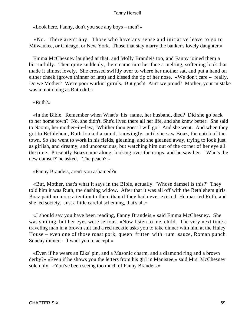«Look here, Fanny, don't you see any boys – men?»

 «No. There aren't any. Those who have any sense and initiative leave to go to Milwaukee, or Chicago, or New York. Those that stay marry the banker's lovely daughter.»

 Emma McChesney laughed at that, and Molly Brandeis too, and Fanny joined them a bit ruefully. Then quite suddenly, there came into her face a melting, softening look that made it almost lovely. She crossed swiftly over to where her mother sat, and put a hand on either cheek (grown thinner of late) and kissed the tip of her nose. «We don't care – really. Do we Mother? We're poor wurkin' girruls. But gosh! Ain't we proud? Mother, your mistake was in not doing as Ruth did.»

«Ruth?»

 «In the Bible. Remember when What's−his−name, her husband, died? Did she go back to her home town? No, she didn't. She'd lived there all her life, and she knew better. She said to Naomi, her mother−in−law, `Whither thou goest I will go.' And she went. And when they got to Bethlehem, Ruth looked around, knowingly, until she saw Boaz, the catch of the town. So she went to work in his fields, gleaning, and she gleaned away, trying to look just as girlish, and dreamy, and unconscious, but watching him out of the corner of her eye all the time. Presently Boaz came along, looking over the crops, and he saw her. `Who's the new damsel?' he asked. `The peach?'»

«Fanny Brandeis, aren't you ashamed?»

 «But, Mother, that's what it says in the Bible, actually. `Whose damsel is this?' They told him it was Ruth, the dashing widow. After that it was all off with the Bethlehem girls. Boaz paid no more attention to them than if they had never existed. He married Ruth, and she led society. Just a little careful scheming, that's all.»

 «I should say you have been reading, Fanny Brandeis,» said Emma McChesney. She was smiling, but her eyes were serious. «Now listen to me, child. The very next time a traveling man in a brown suit and a red necktie asks you to take dinner with him at the Haley House – even one of those roast pork, queen−fritter−with−rum−sauce, Roman punch Sunday dinners – I want you to accept.»

 «Even if he wears an Elks' pin, and a Masonic charm, and a diamond ring and a brown derby?» «Even if he shows you the letters from his girl in Manistee,» said Mrs. McChesney solemnly. «You've been seeing too much of Fanny Brandeis.»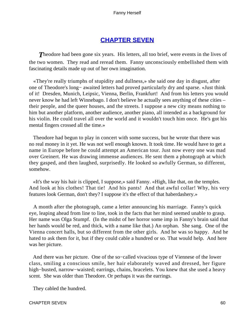## **[CHAPTER SEVEN](#page-221-0)**

**Theodore had been gone six years.** His letters, all too brief, were events in the lives of the two women. They read and reread them. Fanny unconsciously embellished them with fascinating details made up out of her own imagination.

 «They're really triumphs of stupidity and dullness,» she said one day in disgust, after one of Theodore's long− awaited letters had proved particularly dry and sparse. «Just think of it! Dresden, Munich, Leipsic, Vienna, Berlin, Frankfurt! And from his letters you would never know he had left Winnebago. I don't believe he actually sees anything of these cities – their people, and the queer houses, and the streets. I suppose a new city means nothing to him but another platform, another audience, another piano, all intended as a background for his violin. He could travel all over the world and it wouldn't touch him once. He's got his mental fingers crossed all the time.»

 Theodore had begun to play in concert with some success, but he wrote that there was no real money in it yet. He was not well enough known. It took time. He would have to get a name in Europe before he could attempt an American tour. Just now every one was mad over Greinert. He was drawing immense audiences. He sent them a photograph at which they gasped, and then laughed, surprisedly. He looked so awfully German, so different, somehow.

 «It's the way his hair is clipped, I suppose,» said Fanny. «High, like that, on the temples. And look at his clothes! That tie! And his pants! And that awful collar! Why, his very features look German, don't they? I suppose it's the effect of that haberdashery.»

 A month after the photograph, came a letter announcing his marriage. Fanny's quick eye, leaping ahead from line to line, took in the facts that her mind seemed unable to grasp. Her name was Olga Stumpf. (In the midst of her horror some imp in Fanny's brain said that her hands would be red, and thick, with a name like that.) An orphan. She sang. One of the Vienna concert halls, but so different from the other girls. And he was so happy. And he hated to ask them for it, but if they could cable a hundred or so. That would help. And here was her picture.

 And there was her picture. One of the so−called vivacious type of Viennese of the lower class, smiling a conscious smile, her hair elaborately waved and dressed, her figure high−busted, narrow−waisted; earrings, chains, bracelets. You knew that she used a heavy scent. She was older than Theodore. Or perhaps it was the earrings.

They cabled the hundred.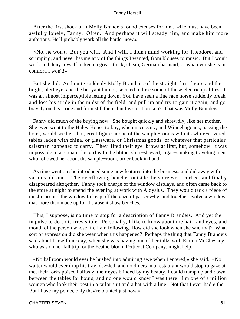After the first shock of it Molly Brandeis found excuses for him. «He must have been awfully lonely, Fanny. Often. And perhaps it will steady him, and make him more ambitious. He'll probably work all the harder now.»

 «No, he won't. But you will. And I will. I didn't mind working for Theodore, and scrimping, and never having any of the things I wanted, from blouses to music. But I won't work and deny myself to keep a great, thick, cheap, German barmaid, or whatever she is in comfort. I won't!»

 But she did. And quite suddenly Molly Brandeis, of the straight, firm figure and the bright, alert eye, and the buoyant humor, seemed to lose some of those electric qualities. It was an almost imperceptible letting down. You have seen a fine race horse suddenly break and lose his stride in the midst of the field, and pull up and try to gain it again, and go bravely on, his stride and form still there, but his spirit broken? That was Molly Brandeis.

 Fanny did much of the buying now. She bought quickly and shrewdly, like her mother. She even went to the Haley House to buy, when necessary, and Winnebagoans, passing the hotel, would see her slim, erect figure in one of the sample−rooms with its white−covered tables laden with china, or glassware, or Christmas goods, or whatever that particular salesman happened to carry. They lifted their eye−brows at first, but, somehow, it was impossible to associate this girl with the blithe, shirt−sleeved, cigar−smoking traveling men who followed her about the sample−room, order book in hand.

 As time went on she introduced some new features into the business, and did away with various old ones. The overflowing benches outside the store were curbed, and finally disappeared altogether. Fanny took charge of the window displays, and often came back to the store at night to spend the evening at work with Aloysius. They would tack a piece of muslin around the window to keep off the gaze of passers−by, and together evolve a window that more than made up for the absent show benches.

 This, I suppose, is no time to stop for a description of Fanny Brandeis. And yet the impulse to do so is irresistible. Personally, I like to know about the hair, and eyes, and mouth of the person whose life I am following. How did she look when she said that? What sort of expression did she wear when this happened? Perhaps the thing that Fanny Brandeis said about herself one day, when she was having one of her talks with Emma McChesney, who was on her fall trip for the Featherbloom Petticoat Company, might help.

 «No ballroom would ever be hushed into admiring awe when I entered,» she said. «No waiter would ever drop his tray, dazzled, and no diners in a restaurant would stop to gaze at me, their forks poised halfway, their eyes blinded by my beauty. I could tramp up and down between the tables for hours, and no one would know I was there. I'm one of a million women who look their best in a tailor suit and a hat with a line. Not that I ever had either. But I have my points, only they're blunted just now.»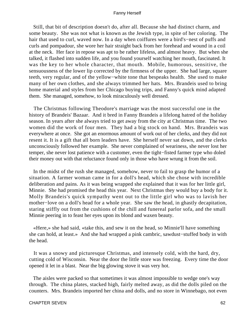Still, that bit of description doesn't do, after all. Because she had distinct charm, and some beauty. She was not what is known as the Jewish type, in spite of her coloring. The hair that used to curl, waved now. In a day when coiffures were a bird's−nest of puffs and curls and pompadour, she wore her hair straight back from her forehead and wound in a coil at the neck. Her face in repose was apt to be rather lifeless, and almost heavy. But when she talked, it flashed into sudden life, and you found yourself watching her mouth, fascinated. It was the key to her whole character, that mouth. Mobile, humorous, sensitive, the sensuousness of the lower lip corrected by the firmness of the upper. She had large, square teeth, very regular, and of the yellow−white tone that bespeaks health. She used to make many of her own clothes, and she always trimmed her hats. Mrs. Brandeis used to bring home material and styles from her Chicago buying trips, and Fanny's quick mind adapted them. She managed, somehow, to look miraculously well dressed.

 The Christmas following Theodore's marriage was the most successful one in the history of Brandeis' Bazaar. And it bred in Fanny Brandeis a lifelong hatred of the holiday season. In years after she always tried to get away from the city at Christmas time. The two women did the work of four men. They had a big stock on hand. Mrs. Brandeis was everywhere at once. She got an enormous amount of work out of her clerks, and they did not resent it. It is a gift that all born leaders have. She herself never sat down, and the clerks unconsciously followed her example. She never complained of weariness, she never lost her temper, she never lost patience with a customer, even the tight−fisted farmer type who doled their money out with that reluctance found only in those who have wrung it from the soil.

 In the midst of the rush she managed, somehow, never to fail to grasp the humor of a situation. A farmer woman came in for a doll's head, which she chose with incredible deliberation and pains. As it was being wrapped she explained that it was for her little girl, Minnie. She had promised the head this year. Next Christmas they would buy a body for it. Molly Brandeis's quick sympathy went out to the little girl who was to lavish her mother−love on a doll's head for a whole year. She saw the head, in ghastly decapitation, staring stiffly out from the cushions of the chill and funereal parlor sofa, and the small Minnie peering in to feast her eyes upon its blond and waxen beauty.

 «Here,» she had said, «take this, and sew it on the head, so Minnie'll have something she can hold, at least.» And she had wrapped a pink cambric, sawdust−stuffed body in with the head.

 It was a snowy and picturesque Christmas, and intensely cold, with the hard, dry, cutting cold of Wisconsin. Near the door the little store was freezing. Every time the door opened it let in a blast. Near the big glowing stove it was very hot.

 The aisles were packed so that sometimes it was almost impossible to wedge one's way through. The china plates, stacked high, fairly melted away, as did the dolls piled on the counters. Mrs. Brandeis imported her china and dolls, and no store in Winnebago, not even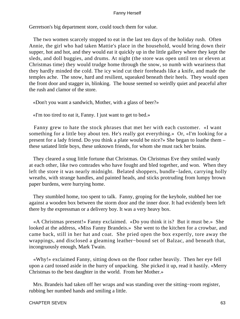Gerretson's big department store, could touch them for value.

 The two women scarcely stopped to eat in the last ten days of the holiday rush. Often Annie, the girl who had taken Mattie's place in the household, would bring down their supper, hot and hot, and they would eat it quickly up in the little gallery where they kept the sleds, and doll buggies, and drums. At night (the store was open until ten or eleven at Christmas time) they would trudge home through the snow, so numb with weariness that they hardly minded the cold. The icy wind cut their foreheads like a knife, and made the temples ache. The snow, hard and resilient, squeaked beneath their heels. They would open the front door and stagger in, blinking. The house seemed so weirdly quiet and peaceful after the rush and clamor of the store.

«Don't you want a sandwich, Mother, with a glass of beer?»

«I'm too tired to eat it, Fanny. I just want to get to bed.»

 Fanny grew to hate the stock phrases that met her with each customer. «I want something for a little boy about ten. He's really got everything.» Or, «I'm looking for a present for a lady friend. Do you think a plate would be nice?» She began to loathe them – these satiated little boys, these unknown friends, for whom she must rack her brains.

 They cleared a snug little fortune that Christmas. On Christmas Eve they smiled wanly at each other, like two comrades who have fought and bled together, and won. When they left the store it was nearly midnight. Belated shoppers, bundle−laden, carrying holly wreaths, with strange handles, and painted heads, and sticks protruding from lumpy brown paper burdens, were hurrying home.

 They stumbled home, too spent to talk. Fanny, groping for the keyhole, stubbed her toe against a wooden box between the storm door and the inner door. It had evidently been left there by the expressman or a delivery boy. It was a very heavy box.

 «A Christmas present!» Fanny exclaimed. «Do you think it is? But it must be.» She looked at the address, «Miss Fanny Brandeis.» She went to the kitchen for a crowbar, and came back, still in her hat and coat. She pried open the box expertly, tore away the wrappings, and disclosed a gleaming leather−bound set of Balzac, and beneath that, incongruously enough, Mark Twain.

 «Why!» exclaimed Fanny, sitting down on the floor rather heavily. Then her eye fell upon a card tossed aside in the hurry of unpacking. She picked it up, read it hastily. «Merry Christmas to the best daughter in the world. From her Mother.»

 Mrs. Brandeis had taken off her wraps and was standing over the sitting−room register, rubbing her numbed hands and smiling a little.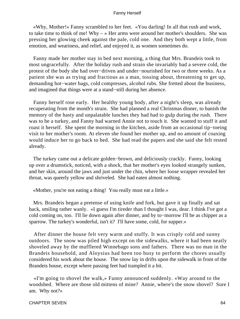«Why, Mother!» Fanny scrambled to her feet. «You darling! In all that rush and work, to take time to think of me! Why  $-$  » Her arms were around her mother's shoulders. She was pressing her glowing cheek against the pale, cold one. And they both wept a little, from emotion, and weariness, and relief, and enjoyed it, as women sometimes do.

 Fanny made her mother stay in bed next morning, a thing that Mrs. Brandeis took to most ungracefully. After the holiday rush and strain she invariably had a severe cold, the protest of the body she had over−driven and under−nourished for two or three weeks. As a patient she was as trying and fractious as a man, tossing about, threatening to get up, demanding hot−water bags, cold compresses, alcohol rubs. She fretted about the business, and imagined that things were at a stand−still during her absence.

 Fanny herself rose early. Her healthy young body, after a night's sleep, was already recuperating from the month's strain. She had planned a real Christmas dinner, to banish the memory of the hasty and unpalatable lunches they had had to gulp during the rush. There was to be a turkey, and Fanny had warned Annie not to touch it. She wanted to stuff it and roast it herself. She spent the morning in the kitchen, aside from an occasional tip−toeing visit to her mother's room. At eleven she found her mother up, and no amount of coaxing would induce her to go back to bed. She had read the papers and she said she felt rested already.

 The turkey came out a delicate golden−brown, and deliciously crackly. Fanny, looking up over a drumstick, noticed, with a shock, that her mother's eyes looked strangely sunken, and her skin, around the jaws and just under the chin, where her loose wrapper revealed her throat, was queerly yellow and shriveled. She had eaten almost nothing.

«Mother, you're not eating a thing! You really must eat a little.»

 Mrs. Brandeis began a pretense of using knife and fork, but gave it up finally and sat back, smiling rather wanly. «I guess I'm tireder than I thought I was, dear. I think I've got a cold coming on, too. I'll lie down again after dinner, and by to−morrow I'll be as chipper as a sparrow. The turkey's wonderful, isn't it? I'll have some, cold, for supper.»

 After dinner the house felt very warm and stuffy. It was crisply cold and sunny outdoors. The snow was piled high except on the sidewalks, where it had been neatly shoveled away by the mufflered Winnebago sons and fathers. There was no man in the Brandeis household, and Aloysius had been too busy to perform the chores usually considered his work about the house. The snow lay in drifts upon the sidewalk in front of the Brandeis house, except where passing feet had trampled it a bit.

 «I'm going to shovel the walk,» Fanny announced suddenly. «Way around to the woodshed. Where are those old mittens of mine? Annie, where's the snow shovel? Sure I am. Why not?»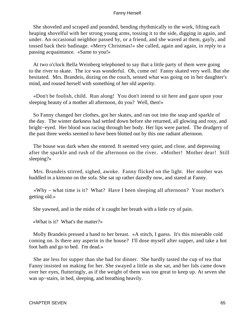She shoveled and scraped and pounded, bending rhythmically to the work, lifting each heaping shovelful with her strong young arms, tossing it to the side, digging in again, and under. An occasional neighbor passed by, or a friend, and she waved at them, gayly, and tossed back their badinage. «Merry Christmas!» she called, again and again, in reply to a passing acquaintance. «Same to you!»

 At two o'clock Bella Weinberg telephoned to say that a little party of them were going to the river to skate. The ice was wonderful. Oh, come on! Fanny skated very well. But she hesitated. Mrs. Brandeis, dozing on the couch, sensed what was going on in her daughter's mind, and roused herself with something of her old asperity.

 «Don't be foolish, child. Run along! You don't intend to sit here and gaze upon your sleeping beauty of a mother all afternoon, do you? Well, then!»

 So Fanny changed her clothes, got her skates, and ran out into the snap and sparkle of the day. The winter darkness had settled down before she returned, all glowing and rosy, and bright−eyed. Her blood was racing through her body. Her lips were parted. The drudgery of the past three weeks seemed to have been blotted out by this one radiant afternoon.

 The house was dark when she entered. It seemed very quiet, and close, and depressing after the sparkle and rush of the afternoon on the river. «Mother! Mother dear! Still sleeping?»

 Mrs. Brandeis stirred, sighed, awoke. Fanny flicked on the light. Her mother was huddled in a kimono on the sofa. She sat up rather dazedly now, and stared at Fanny.

 «Why – what time is it? What? Have I been sleeping all afternoon? Your mother's getting old.»

She yawned, and in the midst of it caught her breath with a little cry of pain.

«What is it? What's the matter?»

 Molly Brandeis pressed a hand to her breast. «A stitch, I guess. It's this miserable cold coming on. Is there any asperin in the house? I'll dose myself after supper, and take a hot foot bath and go to bed. I'm dead.»

 She ate less for supper than she had for dinner. She hardly tasted the cup of tea that Fanny insisted on making for her. She swayed a little as she sat, and her lids came down over her eyes, flutteringly, as if the weight of them was too great to keep up. At seven she was up−stairs, in bed, sleeping, and breathing heavily.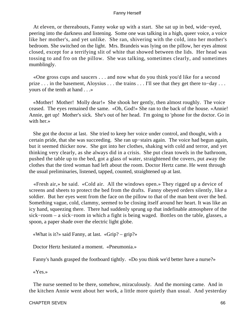At eleven, or thereabouts, Fanny woke up with a start. She sat up in bed, wide−eyed, peering into the darkness and listening. Some one was talking in a high, queer voice, a voice like her mother's, and yet unlike. She ran, shivering with the cold, into her mother's bedroom. She switched on the light. Mrs. Brandeis was lying on the pillow, her eyes almost closed, except for a terrifying slit of white that showed between the lids. Her head was tossing to and fro on the pillow. She was talking, sometimes clearly, and sometimes mumblingly.

 «One gross cups and saucers . . . and now what do you think you'd like for a second prize . . . in the basement, Aloysius . . . the trains . . . I'll see that they get there to−day . . . yours of the tenth at hand . . .»

 «Mother! Mother! Molly dear!» She shook her gently, then almost roughly. The voice ceased. The eyes remained the same. «Oh, God!» She ran to the back of the house. «Annie! Annie, get up! Mother's sick. She's out of her head. I'm going to 'phone for the doctor. Go in with her.»

 She got the doctor at last. She tried to keep her voice under control, and thought, with a certain pride, that she was succeeding. She ran up−stairs again. The voice had begun again, but it seemed thicker now. She got into her clothes, shaking with cold and terror, and yet thinking very clearly, as she always did in a crisis. She put clean towels in the bathroom, pushed the table up to the bed, got a glass of water, straightened the covers, put away the clothes that the tired woman had left about the room. Doctor Hertz came. He went through the usual preliminaries, listened, tapped, counted, straightened up at last.

 «Fresh air,» he said. «Cold air. All the windows open.» They rigged up a device of screens and sheets to protect the bed from the drafts. Fanny obeyed orders silently, like a soldier. But her eyes went from the face on the pillow to that of the man bent over the bed. Something vague, cold, clammy, seemed to be closing itself around her heart. It was like an icy hand, squeezing there. There had suddenly sprung up that indefinable atmosphere of the sick−room – a sick−room in which a fight is being waged. Bottles on the table, glasses, a spoon, a paper shade over the electric light globe.

«What is it?» said Fanny, at last. «Grip? – grip?»

Doctor Hertz hesitated a moment. «Pneumonia.»

Fanny's hands grasped the footboard tightly. «Do you think we'd better have a nurse?»

«Yes.»

 The nurse seemed to be there, somehow, miraculously. And the morning came. And in the kitchen Annie went about her work, a little more quietly than usual. And yesterday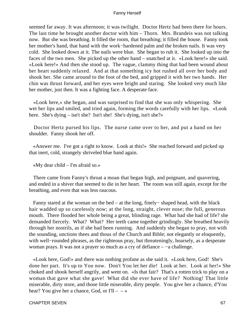seemed far away. It was afternoon; it was twilight. Doctor Hertz had been there for hours. The last time he brought another doctor with him – Thorn. Mrs. Brandeis was not talking now. But she was breathing. It filled the room, that breathing; it filled the house. Fanny took her mother's hand, that hand with the work−hardened palm and the broken nails. It was very cold. She looked down at it. The nails were blue. She began to rub it. She looked up into the faces of the two men. She picked up the other hand – snatched at it. «Look here!» she said. «Look here!» And then she stood up. The vague, clammy thing that had been wound about her heart suddenly relaxed. And at that something icy hot rushed all over her body and shook her. She came around to the foot of the bed, and gripped it with her two hands. Her chin was thrust forward, and her eyes were bright and staring. She looked very much like her mother, just then. It was a fighting face. A desperate face.

 «Look here,» she began, and was surprised to find that she was only whispering. She wet her lips and smiled, and tried again, forming the words carefully with her lips. «Look here. She's dying – isn't she? Isn't she! She's dying, isn't she?»

 Doctor Hertz pursed his lips. The nurse came over to her, and put a hand on her shoulder. Fanny shook her off.

 «Answer me. I've got a right to know. Look at this!» She reached forward and picked up that inert, cold, strangely shriveled blue hand again.

«My dear child – I'm afraid so.»

 There came from Fanny's throat a moan that began high, and poignant, and quavering, and ended in a shiver that seemed to die in her heart. The room was still again, except for the breathing, and even that was less raucous.

 Fanny stared at the woman on the bed – at the long, finely− shaped head, with the black hair wadded up so carelessly now; at the long, straight, clever nose; the full, generous mouth. There flooded her whole being a great, blinding rage. What had she had of life? she demanded fiercely. What? What? Her teeth came together grindingly. She breathed heavily through her nostrils, as if she had been running. And suddenly she began to pray, not with the sounding, unctions thees and thous of the Church and Bible; not elegantly or eloquently, with well−rounded phrases, as the righteous pray, but threateningly, hoarsely, as a desperate woman prays. It was not a prayer so much as a cry of defiance – −a challenge.

 «Look here, God!» and there was nothing profane as she said it. «Look here, God! She's done her part. It's up to You now. Don't You let her die! Look at her. Look at her!» She choked and shook herself angrily, and went on. «Is that fair? That's a rotten trick to play on a woman that gave what she gave! What did she ever have of life? Nothing! That little miserable, dirty store, and those little miserable, dirty people. You give her a chance, d'You hear? You give her a chance, God, or  $I'll - -\infty$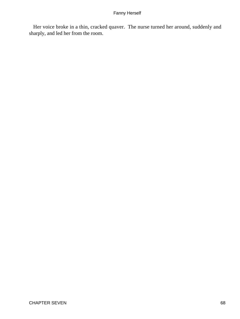Her voice broke in a thin, cracked quaver. The nurse turned her around, suddenly and sharply, and led her from the room.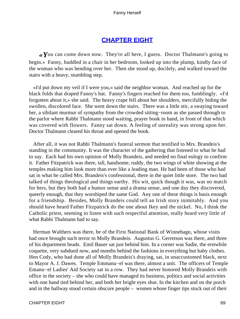## **[CHAPTER EIGHT](#page-221-0)**

*«Y*ou can come down now. They're all here, I guess. Doctor Thalmann's going to begin.» Fanny, huddled in a chair in her bedroom, looked up into the plump, kindly face of the woman who was bending over her. Then she stood up, docilely, and walked toward the stairs with a heavy, stumbling step.

 «I'd put down my veil if I were you,» said the neighbor woman. And reached up for the black folds that draped Fanny's hat. Fanny's fingers reached for them too, fumblingly. «I'd forgotten about it,» she said. The heavy crape fell about her shoulders, mercifully hiding the swollen, discolored face. She went down the stairs. There was a little stir, a swaying toward her, a sibilant murmur of sympathy from the crowded sitting−room as she passed through to the parlor where Rabbi Thalmann stood waiting, prayer book in hand, in front of that which was covered with flowers. Fanny sat down. A feeling of unreality was strong upon her. Doctor Thalmann cleared his throat and opened the book.

 After all, it was not Rabbi Thalmann's funeral sermon that testified to Mrs. Brandeis's standing in the community. It was the character of the gathering that listened to what he had to say. Each had his own opinion of Molly Brandeis, and needed no final eulogy to confirm it. Father Fitzpatrick was there, tall, handsome, ruddy, the two wings of white showing at the temples making him look more than ever like a leading man. He had been of those who had sat in what he called Mrs. Brandeis's confessional, there in the quiet little store. The two had talked of things theological and things earthy. His wit, quick though it was, was no match for hers, but they both had a humor sense and a drama sense, and one day they discovered, queerly enough, that they worshiped the same God. Any one of these things is basis enough for a friendship. Besides, Molly Brandeis could tell an Irish story inimitably. And you should have heard Father Fitzpatrick do the one about Ikey and the nickel. No, I think the Catholic priest, seeming to listen with such respectful attention, really heard very little of what Rabbi Thalmann had to say.

 Herman Walthers was there, he of the First National Bank of Winnebago, whose visits had once brought such terror to Molly Brandeis. Augustus G. Gerretson was there, and three of his department heads. Emil Bauer sat just behind him. In a corner was Sadie, the erstwhile coquette, very subdued now, and months behind the fashions in everything but baby clothes. Hen Cody, who had done all of Molly Brandeis's draying, sat, in unaccustomed black, next to Mayor A. J. Dawes. Temple Emmanu−el was there, almost a unit. The officers of Temple Emanu−el Ladies' Aid Society sat in a row. They had never honored Molly Brandeis with office in the society – she who could have managed its business, politics and social activities with one hand tied behind her, and both her bright eyes shut. In the kitchen and on the porch and in the hallway stood certain obscure people – women whose finger tips stuck out of their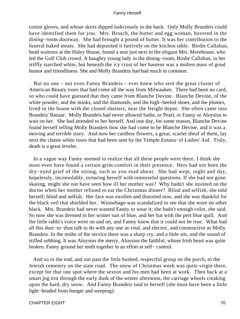cotton gloves, and whose skirts dipped ludicrously in the back. Only Molly Brandeis could have identified them for you. Mrs. Brosch, the butter and egg woman, hovered in the dining−room doorway. She had brought a pound of butter. It was her contribution to the funeral baked meats. She had deposited it furtively on the kitchen table. Birdie Callahan, head waitress at the Haley House, found a seat just next to the elegant Mrs. Morehouse, who led the Golf Club crowd. A haughty young lady in the dining−room, Birdie Callahan, in her stiffly starched white, but beneath the icy crust of her hauteur was a molten mass of good humor and friendliness. She and Molly Brandeis had had much in common.

 But no one – not even Fanny Brandeis – ever knew who sent the great cluster of American Beauty roses that had come all the way from Milwaukee. There had been no card, so who could have guessed that they came from Blanche Devine. Blanche Devine, of the white powder, and the minks, and the diamonds, and the high−heeled shoes, and the plumes, lived in the house with the closed shutters, near the freight depot. She often came into Brandeis' Bazaar. Molly Brandeis had never allowed Sadie, or Pearl, or Fanny or Aloysius to wait on her. She had attended to her herself. And one day, for some reason, Blanche Devine found herself telling Molly Brandeis how she had come to be Blanche Devine, and it was a moving and terrible story. And now her cardless flowers, a great, scarlet sheaf of them, lay next the chaste white roses that had been sent by the Temple Emanu−el Ladies' Aid. Truly, death is a great leveler.

 In a vague way Fanny seemed to realize that all these people were there. I think she must even have found a certain grim comfort in their presence. Hers had not been the dry−eyed grief of the strong, such as you read about. She had wept, night and day, hopelessly, inconsolably, torturing herself with remorseful questions. If she had not gone skating, might she not have seen how ill her mother was? Why hadn't she insisted on the doctor when her mother refused to eat the Christmas dinner? Blind and selfish, she told herself; blind and selfish. Her face was swollen and distorted now, and she was thankful for the black veil that shielded her. Winnebago was scandalized to see that she wore no other black. Mrs. Brandeis had never wanted Fanny to wear it; she hadn't enough color, she said. So now she was dressed in her winter suit of blue, and her hat with the pert blue quill. And the little rabbi's voice went on and on, and Fanny knew that it could not be true. What had all this dust−to−dust talk to do with any one as vital, and electric, and constructive as Molly Brandeis. In the midst of the service there was a sharp cry, and a little stir, and the sound of stifled sobbing. It was Aloysius the merry, Aloysius the faithful, whose Irish heart was quite broken. Fanny ground her teeth together in an effort at self− control.

 And so to the end, and out past the little hushed, respectful group on the porch, to the Jewish cemetery on the state road. The snow of Christmas week was quite virgin there, except for that one spot where the sexton and his men had been at work. Then back at a smart jog trot through the early dusk of the winter afternoon, the carriage wheels creaking upon the hard, dry snow. And Fanny Brandeis said to herself (she must have been a little light−headed from hunger and weeping):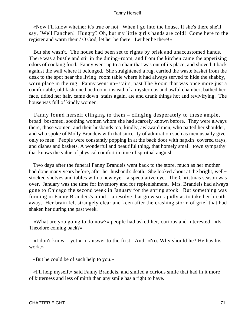«Now I'll know whether it's true or not. When I go into the house. If she's there she'll say, `Well Fanchen! Hungry? Oh, but my little girl's hands are cold! Come here to the register and warm them.' O God, let her be there! Let her be there!»

 But she wasn't. The house had been set to rights by brisk and unaccustomed hands. There was a bustle and stir in the dining−room, and from the kitchen came the appetizing odors of cooking food. Fanny went up to a chair that was out of its place, and shoved it back against the wall where it belonged. She straightened a rug, carried the waste basket from the desk to the spot near the living−room table where it had always served to hide the shabby, worn place in the rug. Fanny went up−stairs, past The Room that was once more just a comfortable, old fashioned bedroom, instead of a mysterious and awful chamber; bathed her face, tidied her hair, came down−stairs again, ate and drank things hot and revivifying. The house was full of kindly women.

 Fanny found herself clinging to them – clinging desperately to these ample, broad−bosomed, soothing women whom she had scarcely known before. They were always there, those women, and their husbands too; kindly, awkward men, who patted her shoulder, and who spoke of Molly Brandeis with that sincerity of admiration such as men usually give only to men. People were constantly popping in at the back door with napkin−covered trays, and dishes and baskets. A wonderful and beautiful thing, that homely small−town sympathy that knows the value of physical comfort in time of spiritual anguish.

 Two days after the funeral Fanny Brandeis went back to the store, much as her mother had done many years before, after her husband's death. She looked about at the bright, well− stocked shelves and tables with a new eye – a speculative eye. The Christmas season was over. January was the time for inventory and for replenishment. Mrs. Brandeis had always gone to Chicago the second week in January for the spring stock. But something was forming in Fanny Brandeis's mind – a resolve that grew so rapidly as to take her breath away. Her brain felt strangely clear and keen after the crashing storm of grief that had shaken her during the past week.

 «What are you going to do now?» people had asked her, curious and interested. «Is Theodore coming back?»

 «I don't know – yet.» In answer to the first. And, «No. Why should he? He has his work.»

«But he could be of such help to you.»

 «I'll help myself,» said Fanny Brandeis, and smiled a curious smile that had in it more of bitterness and less of mirth than any smile has a right to have.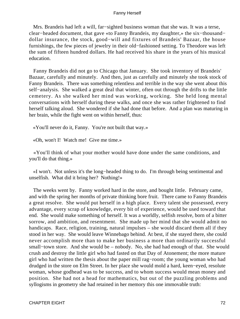Mrs. Brandeis had left a will, far−sighted business woman that she was. It was a terse, clear−headed document, that gave «to Fanny Brandeis, my daughter,» the six−thousand− dollar insurance, the stock, good−will and fixtures of Brandeis' Bazaar, the house furnishings, the few pieces of jewelry in their old−fashioned setting. To Theodore was left the sum of fifteen hundred dollars. He had received his share in the years of his musical education.

 Fanny Brandeis did not go to Chicago that January. She took inventory of Brandeis' Bazaar, carefully and minutely. And then, just as carefully and minutely she took stock of Fanny Brandeis. There was something relentless and terrible in the way she went about this self−analysis. She walked a great deal that winter, often out through the drifts to the little cemetery. As she walked her mind was working, working. She held long mental conversations with herself during these walks, and once she was rather frightened to find herself talking aloud. She wondered if she had done that before. And a plan was maturing in her brain, while the fight went on within herself, thus:

«You'll never do it, Fanny. You're not built that way.»

«Oh, won't I! Watch me! Give me time.»

 «You'll think of what your mother would have done under the same conditions, and you'll do that thing.»

 «I won't. Not unless it's the long−headed thing to do. I'm through being sentimental and unselfish. What did it bring her? Nothing!»

 The weeks went by. Fanny worked hard in the store, and bought little. February came, and with the spring her months of private thinking bore fruit. There came to Fanny Brandeis a great resolve. She would put herself in a high place. Every talent she possessed, every advantage, every scrap of knowledge, every bit of experience, would be used toward that end. She would make something of herself. It was a worldly, selfish resolve, born of a bitter sorrow, and ambition, and resentment. She made up her mind that she would admit no handicaps. Race, religion, training, natural impulses – she would discard them all if they stood in her way. She would leave Winnebago behind. At best, if she stayed there, she could never accomplish more than to make her business a more than ordinarily successful small–town store. And she would be – nobody. No, she had had enough of that. She would crush and destroy the little girl who had fasted on that Day of Atonement; the more mature girl who had written the thesis about the paper mill rag−room; the young woman who had drudged in the store on Elm Street. In her place she would mold a hard, keen−eyed, resolute woman, whose godhead was to be success, and to whom success would mean money and position. She had not a head for mathematics, but out of the puzzling problems and syllogisms in geometry she had retained in her memory this one immovable truth: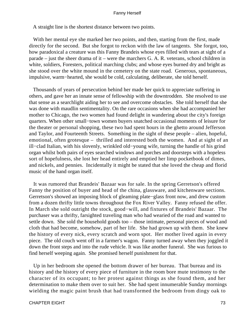A straight line is the shortest distance between two points.

With her mental eye she marked her two points, and then, starting from the first, made directly for the second. But she forgot to reckon with the law of tangents. She forgot, too, how paradoxical a creature was this Fanny Brandeis whose eyes filled with tears at sight of a parade – just the sheer drama of it – were the marchers G. A. R. veterans, school children in white, soldiers, Foresters, political marching clubs; and whose eyes burned dry and bright as she stood over the white mound in the cemetery on the state road. Generous, spontaneous, impulsive, warm−hearted, she would be cold, calculating, deliberate, she told herself.

 Thousands of years of persecution behind her made her quick to appreciate suffering in others, and gave her an innate sense of fellowship with the downtrodden. She resolved to use that sense as a searchlight aiding her to see and overcome obstacles. She told herself that she was done with maudlin sentimentality. On the rare occasions when she had accompanied her mother to Chicago, the two women had found delight in wandering about the city's foreign quarters. When other small−town women buyers snatched occasional moments of leisure for the theater or personal shopping, these two had spent hours in the ghetto around Jefferson and Taylor, and Fourteenth Streets. Something in the sight of these people – alien, hopeful, emotional, often grotesque – thrilled and interested both the women. And at sight of an ill−clad Italian, with his slovenly, wrinkled old−young wife, turning the handle of his grind organ whilst both pairs of eyes searched windows and porches and doorsteps with a hopeless sort of hopefulness, she lost her head entirely and emptied her limp pocketbook of dimes, and nickels, and pennies. Incidentally it might be stated that she loved the cheap and florid music of the hand organ itself.

 It was rumored that Brandeis' Bazaar was for sale. In the spring Gerretson's offered Fanny the position of buyer and head of the china, glassware, and kitchenware sections. Gerretson's showed an imposing block of gleaming plate−glass front now, and drew custom from a dozen thrifty little towns throughout the Fox River Valley. Fanny refused the offer. In March she sold outright the stock, good−will, and fixtures of Brandeis' Bazaar. The purchaser was a thrifty, farsighted traveling man who had wearied of the road and wanted to settle down. She sold the household goods too – those intimate, personal pieces of wood and cloth that had become, somehow, part of her life. She had grown up with them. She knew the history of every nick, every scratch and worn spot. Her mother lived again in every piece. The old couch went off in a farmer's wagon. Fanny turned away when they joggled it down the front steps and into the rude vehicle. It was like another funeral. She was furious to find herself weeping again. She promised herself punishment for that.

 Up in her bedroom she opened the bottom drawer of her bureau. That bureau and its history and the history of every piece of furniture in the room bore mute testimony to the character of its occupant; to her protest against things as she found them, and her determination to make them over to suit her. She had spent innumerable Sunday mornings wielding the magic paint brush that had transformed the bedroom from dingy oak to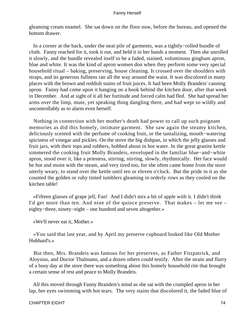gleaming cream enamel. She sat down on the floor now, before the bureau, and opened the bottom drawer.

 In a corner at the back, under the neat pile of garments, was a tightly−rolled bundle of cloth. Fanny reached for it, took it out, and held it in her hands a moment. Then she unrolled it slowly, and the bundle revealed itself to be a faded, stained, voluminous gingham apron, blue and white. It was the kind of apron women don when they perform some very special household ritual – baking, preserving, house cleaning. It crossed over the shoulders with straps, and its generous fullness ran all the way around the waist. It was discolored in many places with the brown and reddish stains of fruit juices. It had been Molly Brandeis' canning apron. Fanny had come upon it hanging on a hook behind the kitchen door, after that week in December. And at sight of it all her fortitude and forced calm had fled. She had spread her arms over the limp, mute, yet speaking thing dangling there, and had wept so wildly and uncontrollably as to alarm even herself.

 Nothing in connection with her mother's death had power to call up such poignant memories as did this homely, intimate garment. She saw again the steamy kitchen, deliciously scented with the perfume of cooking fruit, or the tantalizing, mouth−watering spiciness of vinegar and pickles. On the stove the big dishpan, in which the jelly glasses and fruit jars, with their tops and rubbers, bobbed about in hot water. In the great granite kettle simmered the cooking fruit Molly Brandeis, enveloped in the familiar blue−and−white apron, stood over it, like a priestess, stirring, stirring, slowly, rhythmically. Her face would be hot and moist with the steam, and very tired too, for she often came home from the store utterly weary, to stand over the kettle until ten or eleven o'clock. But the pride in it as she counted the golden or ruby tinted tumblers gleaming in orderly rows as they cooled on the kitchen table!

 «Fifteen glasses of grape jell, Fan! And I didn't mix a bit of apple with it. I didn't think I'd get more than ten. And nine of the quince preserve. That makes – let me see – eighty−three, ninety−eight – one hundred and seven altogether.»

«We'll never eat it, Mother.»

 «You said that last year, and by April my preserve cupboard looked like Old Mother Hubbard's.»

 But then, Mrs. Brandeis was famous for her preserves, as Father Fitzpatrick, and Aloysius, and Doctor Thalmann, and a dozen others could testify. After the strain and flurry of a busy day at the store there was something about this homely household rite that brought a certain sense of rest and peace to Molly Brandeis.

 All this moved through Fanny Brandeis's mind as she sat with the crumpled apron in her lap, her eyes swimming with hot tears. The very stains that discolored it, the faded blue of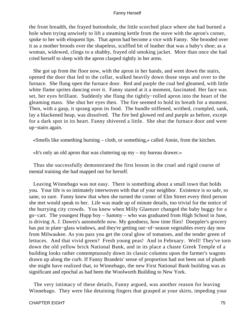the front breadth, the frayed buttonhole, the little scorched place where she had burned a hole when trying unwisely to lift a steaming kettle from the stove with the apron's corner, spoke to her with eloquent lips. That apron had become a vice with Fanny. She brooded over it as a mother broods over the shapeless, scuffled bit of leather that was a baby's shoe; as a woman, widowed, clings to a shabby, frayed old smoking jacket. More than once she had cried herself to sleep with the apron clasped tightly in her arms.

 She got up from the floor now, with the apron in her hands, and went down the stairs, opened the door that led to the cellar, walked heavily down those steps and over to the furnace. She flung open the furnace door. Red and purple the coal bed gleamed, with little white flame sprites dancing over it. Fanny stared at it a moment, fascinated. Her face was set, her eyes brilliant. Suddenly she flung the tightly−rolled apron into the heart of the gleaming mass. She shut her eyes then. The fire seemed to hold its breath for a moment. Then, with a gasp, it sprang upon its food. The bundle stiffened, writhed, crumpled, sank, lay a blackened heap, was dissolved. The fire bed glowed red and purple as before, except for a dark spot in its heart. Fanny shivered a little. She shut the furnace door and went up−stairs again.

«Smells like something burning – cloth, or something,» called Annie, from the kitchen.

«It's only an old apron that was cluttering up my – my bureau drawer.»

 Thus she successfully demonstrated the first lesson in the cruel and rigid course of mental training she had mapped out for herself.

 Leaving Winnebago was not easy. There is something about a small town that holds you. Your life is so intimately interwoven with that of your neighbor. Existence is so safe, so sane, so sure. Fanny knew that when she turned the corner of Elm Street every third person she met would speak to her. Life was made up of minute details, too trivial for the notice of the hurrying city crowds. You knew when Milly Glaenzer changed the baby buggy for a go−cart. The youngest Hupp boy – Sammy – who was graduated from High School in June, is driving A. J. Dawes's automobile now. My goodness, how time flies! Doeppler's grocery has put in plate−glass windows, and they're getting out−of−season vegetables every day now from Milwaukee. As you pass you get the coral glow of tomatoes, and the tender green of lettuces. And that vivid green? Fresh young peas! And in February. Well! They've torn down the old yellow brick National Bank, and in its place a chaste Greek Temple of a building looks rather contemptuously down its classic columns upon the farmer's wagons drawn up along the curb. If Fanny Brandeis' sense of proportion had not been out of plumb she might have realized that, to Winnebago, the new First National Bank building was as significant and epochal as had been the Woolworth Building to New York.

 The very intimacy of these details, Fanny argued, was another reason for leaving Winnebago. They were like detaining fingers that grasped at your skirts, impeding your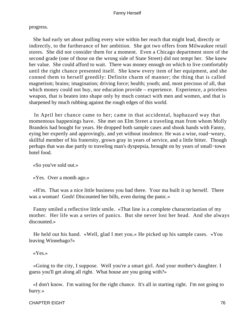progress.

 She had early set about pulling every wire within her reach that might lead, directly or indirectly, to the furtherance of her ambition. She got two offers from Milwaukee retail stores. She did not consider them for a moment. Even a Chicago department store of the second grade (one of those on the wrong side of State Street) did not tempt her. She knew her value. She could afford to wait. There was money enough on which to live comfortably until the right chance presented itself. She knew every item of her equipment, and she conned them to herself greedily: Definite charm of manner; the thing that is called magnetism; brains; imagination; driving force; health; youth; and, most precious of all, that which money could not buy, nor education provide – experience. Experience, a priceless weapon, that is beaten into shape only by much contact with men and women, and that is sharpened by much rubbing against the rough edges of this world.

 In April her chance came to her; came in that accidental, haphazard way that momentous happenings have. She met on Elm Street a traveling man from whom Molly Brandeis had bought for years. He dropped both sample cases and shook hands with Fanny, eying her expertly and approvingly, and yet without insolence. He was a wise, road−weary, skillful member of his fraternity, grown gray in years of service, and a little bitter. Though perhaps that was due partly to traveling man's dyspepsia, brought on by years of small−town hotel food.

«So you've sold out.»

«Yes. Over a month ago.»

 «H'm. That was a nice little business you had there. Your ma built it up herself. There was a woman! Gosh! Discounted her bills, even during the panic.»

 Fanny smiled a reflective little smile. «That line is a complete characterization of my mother. Her life was a series of panics. But she never lost her head. And she always discounted.»

 He held out his hand. «Well, glad I met you.» He picked up his sample cases. «You leaving Winnebago?»

«Yes.»

 «Going to the city, I suppose. Well you're a smart girl. And your mother's daughter. I guess you'll get along all right. What house are you going with?»

 «I don't know. I'm waiting for the right chance. It's all in starting right. I'm not going to hurry.»

CHAPTER EIGHT 76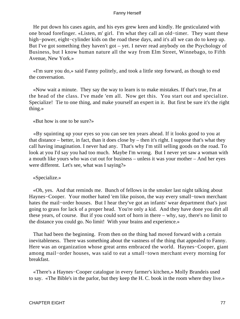He put down his cases again, and his eyes grew keen and kindly. He gesticulated with one broad forefinger. «Listen, m' girl. I'm what they call an old−timer. They want these high−power, eight−cylinder kids on the road these days, and it's all we can do to keep up. But I've got something they haven't got – yet. I never read anybody on the Psychology of Business, but I know human nature all the way from Elm Street, Winnebago, to Fifth Avenue, New York.»

 «I'm sure you do,» said Fanny politely, and took a little step forward, as though to end the conversation.

 «Now wait a minute. They say the way to learn is to make mistakes. If that's true, I'm at the head of the class. I've made 'em all. Now get this. You start out and specialize. Specialize! Tie to one thing, and make yourself an expert in it. But first be sure it's the right thing.»

«But how is one to be sure?»

 «By squinting up your eyes so you can see ten years ahead. If it looks good to you at that distance – better, in fact, than it does close by – then it's right. I suppose that's what they call having imagination. I never had any. That's why I'm still selling goods on the road. To look at you I'd say you had too much. Maybe I'm wrong. But I never yet saw a woman with a mouth like yours who was cut out for business – unless it was your mother – And her eyes were different. Let's see, what was I saying?»

«Specialize.»

 «Oh, yes. And that reminds me. Bunch of fellows in the smoker last night talking about Haynes−Cooper. Your mother hated 'em like poison, the way every small−town merchant hates the mail−order houses. But I hear they've got an infants' wear department that's just going to grass for lack of a proper head. You're only a kid. And they have done you dirt all these years, of course. But if you could sort of horn in there – why, say, there's no limit to the distance you could go. No limit! With your brains and experience.»

 That had been the beginning. From then on the thing had moved forward with a certain inevitableness. There was something about the vastness of the thing that appealed to Fanny. Here was an organization whose great arms embraced the world. Haynes−Cooper, giant among mail−order houses, was said to eat a small−town merchant every morning for breakfast.

 «There's a Haynes−Cooper catalogue in every farmer's kitchen,» Molly Brandeis used to say. «The Bible's in the parlor, but they keep the H. C. book in the room where they live.»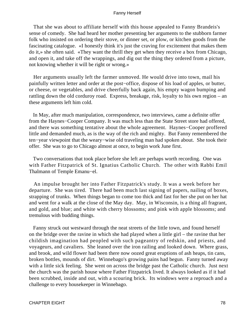That she was about to affiliate herself with this house appealed to Fanny Brandeis's sense of comedy. She had heard her mother presenting her arguments to the stubborn farmer folk who insisted on ordering their stove, or dinner set, or plow, or kitchen goods from the fascinating catalogue. «I honestly think it's just the craving for excitement that makes them do it,» she often said. «They want the thrill they get when they receive a box from Chicago, and open it, and take off the wrappings, and dig out the thing they ordered from a picture, not knowing whether it will be right or wrong.»

 Her arguments usually left the farmer unmoved. He would drive into town, mail his painfully written letter and order at the post−office, dispose of his load of apples, or butter, or cheese, or vegetables, and drive cheerfully back again, his empty wagon bumping and rattling down the old corduroy road. Express, breakage, risk, loyalty to his own region – an these arguments left him cold.

 In May, after much manipulation, correspondence, two interviews, came a definite offer from the Haynes−Cooper Company. It was much less than the State Street store had offered, and there was something tentative about the whole agreement. Haynes−Cooper proffered little and demanded much, as is the way of the rich and mighty. But Fanny remembered the ten−year viewpoint that the weary−wise old traveling man had spoken about. She took their offer. She was to go to Chicago almost at once, to begin work June first.

 Two conversations that took place before she left are perhaps worth recording. One was with Father Fitzpatrick of St. Ignatius Catholic Church. The other with Rabbi Emil Thalmann of Temple Emanu−el.

 An impulse brought her into Father Fitzpatrick's study. It was a week before her departure. She was tired. There had been much last signing of papers, nailing of boxes, strapping of trunks. When things began to come too thick and fast for her she put on her hat and went for a walk at the close of the May day. May, in Wisconsin, is a thing all fragrant, and gold, and blue; and white with cherry blossoms; and pink with apple blossoms; and tremulous with budding things.

 Fanny struck out westward through the neat streets of the little town, and found herself on the bridge over the ravine in which she had played when a little girl – the ravine that her childish imagination had peopled with such pageantry of redskin, and priests, and voyageurs, and cavaliers. She leaned over the iron railing and looked down. Where grass, and brook, and wild flower had been there now oozed great eruptions of ash heaps, tin cans, broken bottles, mounds of dirt. Winnebago's growing pains had begun. Fanny turned away with a little sick feeling. She went on across the bridge past the Catholic church. Just next the church was the parish house where Father Fitzpatrick lived. It always looked as if it had been scrubbed, inside and out, with a scouring brick. Its windows were a reproach and a challenge to every housekeeper in Winnebago.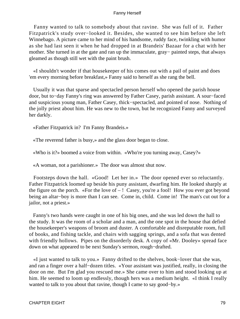Fanny wanted to talk to somebody about that ravine. She was full of it. Father Fitzpatrick's study over−looked it. Besides, she wanted to see him before she left Winnebago. A picture came to her mind of his handsome, ruddy face, twinkling with humor as she had last seen it when he had dropped in at Brandeis' Bazaar for a chat with her mother. She turned in at the gate and ran up the immaculate, gray− painted steps, that always gleamed as though still wet with the paint brush.

 «I shouldn't wonder if that housekeeper of his comes out with a pail of paint and does 'em every morning before breakfast,» Fanny said to herself as she rang the bell.

 Usually it was that sparse and spectacled person herself who opened the parish house door, but to−day Fanny's ring was answered by Father Casey, parish assistant. A sour−faced and suspicious young man, Father Casey, thick−spectacled, and pointed of nose. Nothing of the jolly priest about him. He was new to the town, but he recognized Fanny and surveyed her darkly.

«Father Fitzpatrick in? I'm Fanny Brandeis.»

«The reverend father is busy,» and the glass door began to close.

«Who is it?» boomed a voice from within. «Who're you turning away, Casey?»

«A woman, not a parishioner.» The door was almost shut now.

 Footsteps down the hall. «Good! Let her in.» The door opened ever so reluctantly. Father Fitzpatrick loomed up beside his puny assistant, dwarfing him. He looked sharply at the figure on the porch. «For the love of  $-!$  Casey, you're a fool! How you ever got beyond being an altar−boy is more than I can see. Come in, child. Come in! The man's cut out for a jailor, not a priest.»

 Fanny's two hands were caught in one of his big ones, and she was led down the hall to the study. It was the room of a scholar and a man, and the one spot in the house that defied the housekeeper's weapons of broom and duster. A comfortable and disreputable room, full of books, and fishing tackle, and chairs with sagging springs, and a sofa that was dented with friendly hollows. Pipes on the disorderly desk. A copy of «Mr. Dooley» spread face down on what appeared to be next Sunday's sermon, rough−drafted.

 «I just wanted to talk to you.» Fanny drifted to the shelves, book−lover that she was, and ran a finger over a half−dozen titles. «Your assistant was justified, really, in closing the door on me. But I'm glad you rescued me.» She came over to him and stood looking up at him. He seemed to loom up endlessly, though hers was a medium height. «I think I really wanted to talk to you about that ravine, though I came to say good−by.»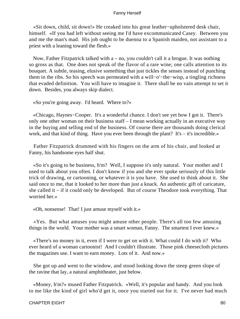«Sit down, child, sit down!» He creaked into his great leather−upholstered desk chair, himself. «If you had left without seeing me I'd have excommunicated Casey. Between you and me the man's mad. His job ought to be duenna to a Spanish maiden, not assistant to a priest with a leaning toward the flesh.»

 Now, Father Fitzpatrick talked with a – no, you couldn't call it a brogue. It was nothing so gross as that. One does not speak of the flavor of a rare wine; one calls attention to its bouquet. A subtle, teasing, elusive something that just tickles the senses instead of punching them in the ribs. So his speech was permeated with a will−o'−the−wisp, a tingling richness that evaded definition. You will have to imagine it. There shall be no vain attempt to set it down. Besides, you always skip dialect.

«So you're going away. I'd heard. Where to?»

 «Chicago, Haynes−Cooper. It's a wonderful chance. I don't see yet how I got it. There's only one other woman on their business staff – I mean working actually in an executive way in the buying and selling end of the business. Of course there are thousands doing clerical work, and that kind of thing. Have you ever been through the plant? It's – it's incredible.»

 Father Fitzpatrick drummed with his fingers on the arm of his chair, and looked at Fanny, his handsome eyes half shut.

 «So it's going to be business, h'm? Well, I suppose it's only natural. Your mother and I used to talk about you often. I don't know if you and she ever spoke seriously of this little trick of drawing, or cartooning, or whatever it is you have. She used to think about it. She said once to me, that it looked to her more than just a knack. An authentic gift of caricature, she called it – if it could only be developed. But of course Theodore took everything. That worried her.»

«Oh, nonsense! That! I just amuse myself with it.»

 «Yes. But what amuses you might amuse other people. There's all too few amusing things in the world. Your mother was a smart woman, Fanny. The smartest I ever knew.»

 «There's no money in it, even if I were to get on with it. What could I do with it? Who ever heard of a woman cartoonist! And I couldn't illustrate. Those pink cheesecloth pictures the magazines use. I want to earn money. Lots of it. And now.»

 She got up and went to the window, and stood looking down the steep green slope of the ravine that lay, a natural amphitheater, just below.

 «Money, h'm?» mused Father Fitzpatrick. «Well, it's popular and handy. And you look to me like the kind of girl who'd get it, once you started out for it. I've never had much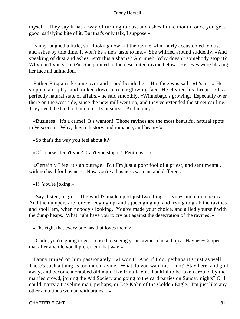myself. They say it has a way of turning to dust and ashes in the mouth, once you get a good, satisfying bite of it. But that's only talk, I suppose.»

 Fanny laughed a little, still looking down at the ravine. «I'm fairly accustomed to dust and ashes by this time. It won't be a new taste to me.» She whirled around suddenly. «And speaking of dust and ashes, isn't this a shame? A crime? Why doesn't somebody stop it? Why don't you stop it?» She pointed to the desecrated ravine below. Her eyes were blazing, her face all animation.

Father Fitzpatrick came over and stood beside her. His face was sad. «It's  $a \rightarrow He$ stopped abruptly, and looked down into her glowing face. He cleared his throat. «It's a perfectly natural state of affairs,» he said smoothly. «Winnebago's growing. Especially over there on the west side, since the new mill went up, and they've extended the street car line. They need the land to build on. It's business. And money.»

 «Business! It's a crime! It's wanton! Those ravines are the most beautiful natural spots in Wisconsin. Why, they're history, and romance, and beauty!»

«So that's the way you feel about it?»

«Of course. Don't you? Can't you stop it? Petitions – »

 «Certainly I feel it's an outrage. But I'm just a poor fool of a priest, and sentimental, with no head for business. Now you're a business woman, and different.»

«I! You're joking.»

 «Say, listen, m' girl. The world's made up of just two things: ravines and dump heaps. And the dumpers are forever edging up, and squeedging up, and trying to grab the ravines and spoil 'em, when nobody's looking. You've made your choice, and allied yourself with the dump heaps. What right have you to cry out against the desecration of the ravines?»

«The right that every one has that loves them.»

 «Child, you're going to get so used to seeing your ravines choked up at Haynes−Cooper that after a while you'll prefer 'em that way.»

 Fanny turned on him passionately. «I won't! And if I do, perhaps it's just as well. There's such a thing as too much ravine. What do you want me to do? Stay here, and grub away, and become a crabbed old maid like Irma Klein, thankful to be taken around by the married crowd, joining the Aid Society and going to the card parties on Sunday nights? Or I could marry a traveling man, perhaps, or Lee Kohn of the Golden Eagle. I'm just like any other ambitious woman with brains – »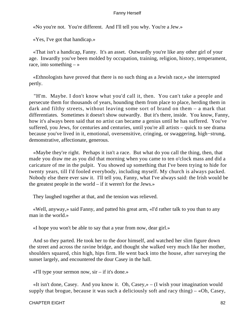«No you're not. You're different. And I'll tell you why. You're a Jew.»

«Yes, I've got that handicap.»

 «That isn't a handicap, Fanny. It's an asset. Outwardly you're like any other girl of your age. Inwardly you've been molded by occupation, training, religion, history, temperament, race, into something  $-\infty$ 

 «Ethnologists have proved that there is no such thing as a Jewish race,» she interrupted pertly.

 "H'm. Maybe. I don't know what you'd call it, then. You can't take a people and persecute them for thousands of years, hounding them from place to place, herding them in dark and filthy streets, without leaving some sort of brand on them – a mark that differentiates. Sometimes it doesn't show outwardly. But it's there, inside. You know, Fanny, how it's always been said that no artist can became a genius until he has suffered. You've suffered, you Jews, for centuries and centuries, until you're all artists – quick to see drama because you've lived in it, emotional, oversensitive, cringing, or swaggering, high−strung, demonstrative, affectionate, generous.

 «Maybe they're right. Perhaps it isn't a race. But what do you call the thing, then, that made you draw me as you did that morning when you came to ten o'clock mass and did a caricature of me in the pulpit. You showed up something that I've been trying to hide for twenty years, till I'd fooled everybody, including myself. My church is always packed. Nobody else there ever saw it. I'll tell you, Fanny, what I've always said: the Irish would be the greatest people in the world – if it weren't for the Jews.»

They laughed together at that, and the tension was relieved.

 «Well, anyway,» said Fanny, and patted his great arm, «I'd rather talk to you than to any man in the world.»

«I hope you won't be able to say that a year from now, dear girl.»

 And so they parted. He took her to the door himself, and watched her slim figure down the street and across the ravine bridge, and thought she walked very much like her mother, shoulders squared, chin high, hips firm. He went back into the house, after surveying the sunset largely, and encountered the dour Casey in the hall.

«I'll type your sermon now, sir – if it's done.»

 «It isn't done, Casey. And you know it. Oh, Casey,» – (I wish your imagination would supply that brogue, because it was such a deliciously soft and racy thing)  $-\alpha$ Oh, Casey,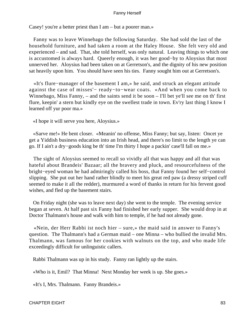Casey! you're a better priest than I am – but a poorer man.»

 Fanny was to leave Winnebago the following Saturday. She had sold the last of the household furniture, and had taken a room at the Haley House. She felt very old and experienced – and sad. That, she told herself, was only natural. Leaving things to which one is accustomed is always hard. Queerly enough, it was her good−by to Aloysius that most unnerved her. Aloysius had been taken on at Gerretson's, and the dignity of his new position sat heavily upon him. You should have seen his ties. Fanny sought him out at Gerretson's.

 «It's flure−manager of the basement I am,» he said, and struck an elegant attitude against the case of misses'− ready−to−wear coats. «And when you come back to Winnebago, Miss Fanny, – and the saints send it be soon – I'll bet ye'll see me on th' first flure, keepin' a stern but kindly eye on the swellest trade in town. Ev'ry last thing I know I learned off yur poor ma.»

«I hope it will serve you here, Aloysius.»

 «Sarve me!» He bent closer. «Meanin' no offense, Miss Fanny; but say, listen: Oncet ye get a Yiddish business education into an Irish head, and there's no limit to the length ye can go. If I ain't a dry−goods king be th' time I'm thirty I hope a packin' case'll fall on me.»

 The sight of Aloysius seemed to recall so vividly all that was happy and all that was hateful about Brandeis' Bazaar; all the bravery and pluck, and resourcefulness of the bright−eyed woman he had admiringly called his boss, that Fanny found her self−control slipping. She put out her hand rather blindly to meet his great red paw (a dressy striped cuff seemed to make it all the redder), murmured a word of thanks in return for his fervent good wishes, and fled up the basement stairs.

 On Friday night (she was to leave next day) she went to the temple. The evening service began at seven. At half past six Fanny had finished her early supper. She would drop in at Doctor Thalmann's house and walk with him to temple, if he had not already gone.

 «Nein, der Herr Rabbi ist noch hier – sure,» the maid said in answer to Fanny's question. The Thalmann's had a German maid – one Minna – who bullied the invalid Mrs. Thalmann, was famous for her cookies with walnuts on the top, and who made life exceedingly difficult for unlinguistic callers.

Rabbi Thalmann was up in his study. Fanny ran lightly up the stairs.

«Who is it, Emil? That Minna! Next Monday her week is up. She goes.»

«It's I, Mrs. Thalmann. Fanny Brandeis.»

CHAPTER EIGHT 83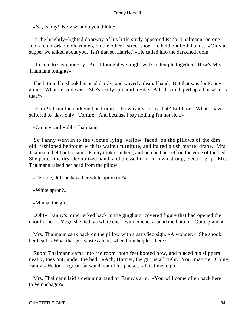«Na, Fanny! Now what do you think!»

 In the brightly−lighted doorway of his little study appeared Rabbi Thalmann, on one foot a comfortable old romeo, on the other a street shoe. He held out both hands. «Only at supper we talked about you. Isn't that so, Harriet?» He called into the darkened room.

 «I came to say good−by. And I thought we might walk to temple together. How's Mrs. Thalmann tonight?»

 The little rabbi shook his head darkly, and waved a dismal hand. But that was for Fanny alone. What he said was: «She's really splendid to−day. A little tired, perhaps; but what is that?»

 «Emil!» from the darkened bedroom. «How can you say that? But how! What I have suffered to−day, only! Torture! And because I say nothing I'm not sick.»

«Go in,» said Rabbi Thalmann.

 So Fanny went in to the woman lying, yellow−faced, on the pillows of the dim old−fashioned bedroom with its walnut furniture, and its red plush mantel drape. Mrs. Thalmann held out a hand. Fanny took it in hers, and perched herself on the edge of the bed. She patted the dry, devitalized hand, and pressed it in her own strong, electric grip. Mrs. Thalmann raised her head from the pillow.

«Tell me, did she have her white apron on?»

«White apron?»

«Minna, the girl.»

 «Oh!» Fanny's mind jerked back to the gingham−covered figure that had opened the door for her. «Yes,» she lied, «a white one – with crochet around the bottom. Quite grand.»

 Mrs. Thalmann sank back on the pillow with a satisfied sigh. «A wonder.» She shook her head. «What that girl wastes alone, when I am helpless here.»

 Rabbi Thalmann came into the room, both feet booted now, and placed his slippers neatly, toes out, under the bed. «Ach, Harriet, the girl is all right. You imagine. Come, Fanny.» He took a great, fat watch out of his pocket. «It is time to go.»

 Mrs. Thalmann laid a detaining hand on Fanny's arm. «You will come often back here to Winnebago?»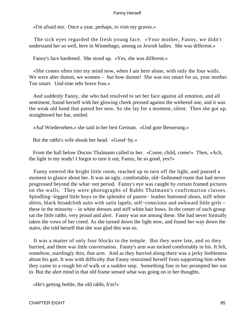«I'm afraid not. Once a year, perhaps, to visit my graves.»

 The sick eyes regarded the fresh young face. «Your mother, Fanny, we didn't understand her so well, here in Winnebago, among us Jewish ladies. She was different.»

Fanny's face hardened. She stood up. «Yes, she was different.»

 «She comes often into my mind now, when I am here alone, with only the four walls. We were aber dumm, we women – but how dumm! She was too smart for us, your mother. Too smart. Und eine sehr brave frau.»

 And suddenly Fanny, she who had resolved to set her face against all emotion, and all sentiment, found herself with her glowing cheek pressed against the withered one, and it was the weak old hand that patted her now. So she lay for a moment, silent. Then she got up, straightened her hat, smiled.

«Auf Wiedersehen,» she said in her best German. «Und gute Besserung.»

But the rabbi's wife shook her head. «Good−by.»

 From the hall below Doctor Thalmann called to her. «Come, child, come!» Then, «Ach, the light in my study! I forgot to turn it out, Fanny, be so good, yes?»

 Fanny entered the bright little room, reached up to turn off the light, and paused a moment to glance about her. It was an ugly, comfortable, old−fashioned room that had never progressed beyond the what−not period. Fanny's eye was caught by certain framed pictures on the walls. They were photographs of Rabbi Thalmann's confirmation classes. Spindling−legged little boys in the splendor of patent− leather buttoned shoes, stiff white shirts, black broadcloth suits with satin lapels; self−conscious and awkward little girls – these in the minority – in white dresses and stiff white hair bows. In the center of each group sat the little rabbi, very proud and alert. Fanny was not among these. She had never formally taken the vows of her creed. As she turned down the light now, and found her way down the stairs, she told herself that she was glad this was so.

 It was a matter of only four blocks to the temple. But they were late, and so they hurried, and there was little conversation. Fanny's arm was tucked comfortably in his. It felt, somehow, startlingly thin, that arm. And as they hurried along there was a jerky feebleness about his gait. It was with difficulty that Fanny restrained herself from supporting him when they came to a rough bit of walk or a sudden step. Something fine in her prompted her not to. But the alert mind in that old frame sensed what was going on in her thoughts.

«He's getting feeble, the old rabbi, h'm?»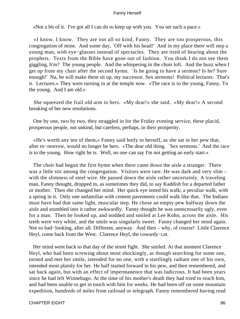«Not a bit of it. I've got all I can do to keep up with you. You set such a pace.»

 «I know. I know. They are not all so kind, Fanny. They are too prosperous, this congregation of mine. And some day, `Off with his head!' And in my place there will step a young man, with eye−glasses instead of spectacles. They are tired of hearing about the prophets. Texts from the Bible have gone out of fashion. You think I do not see them giggling, h'm? The young people. And the whispering in the choir loft. And the buzz when I get up from my chair after the second hymn. `Is he going to have a sermon? Is he? Sure enough!' Na, he will make them sit up, my successor. Sex sermons! Political lectures. That's it. Lectures.» They were turning in at the temple now. «The race is to the young, Fanny. To the young. And I am old.»

 She squeezed the frail old arm in hers. «My dear!» she said. «My dear!» A second breaking of her new resolutions.

 One by one, two by two, they straggled in for the Friday evening service, these placid, prosperous people, not unkind, but careless, perhaps, in their prosperity.

 «He's worth any ten of them,» Fanny said hotly to herself, as she sat in her pew that, after to−morrow, would no longer be hers. «The dear old thing. `Sex sermons.' And the race is to the young. How right he is. Well, no one can say I'm not getting an early start.»

 The choir had begun the first hymn when there came down the aisle a stranger. There was a little stir among the congregation. Visitors were rare. He was dark and very slim – with the slimness of steel wire. He passed down the aisle rather uncertainly. A traveling man, Fanny thought, dropped in, as sometimes they did, to say Kaddish for a departed father or mother. Then she changed her mind. Her quick eye noted his walk; a peculiar walk, with a spring in it. Only one unfamiliar with cement pavements could walk like that. The Indians must have had that same light, muscular step. He chose an empty pew halfway down the aisle and stumbled into it rather awkwardly. Fanny thought he was unnecessarily ugly, even for a man. Then he looked up, and nodded and smiled at Lee Kohn, across the aisle. His teeth were very white, and the smile was singularly sweet. Fanny changed her mind again. Not so bad−looking, after all. Different, anyway. And then – why, of course! Little Clarence Heyl, come back from the West. Clarence Heyl, the cowardy−cat.

 Her mind went back to that day of the street fight. She smiled. At that moment Clarence Heyl, who had been screwing about most shockingly, as though searching for some one, turned and met her smile, intended for no one, with a startlingly radiant one of his own, intended most plainly for her. He half started forward in his pew, and then remembered, and sat back again, but with an effect of impermanence that was ludicrous. It had been years since he had left Winnebago. At the time of his mother's death they had tried to reach him, and had been unable to get in touch with him for weeks. He had been off on some mountain expedition, hundreds of miles from railroad or telegraph. Fanny remembered having read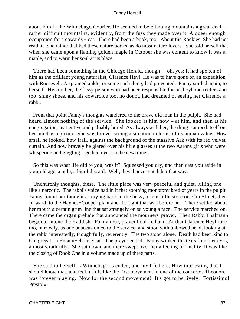about him in the Winnebago Courier. He seemed to be climbing mountains a great deal – rather difficult mountains, evidently, from the fuss they made over it. A queer enough occupation for a cowardy− cat. There had been a book, too. About the Rockies. She had not read it. She rather disliked these nature books, as do most nature lovers. She told herself that when she came upon a flaming golden maple in October she was content to know it was a maple, and to warm her soul at its blaze.

 There had been something in the Chicago Herald, though – oh, yes; it had spoken of him as the brilliant young naturalist, Clarence Heyl. He was to have gone on an expedition with Roosevelt. A sprained ankle, or some such thing, had prevented. Fanny smiled again, to herself. His mother, the fussy person who had been responsible for his boyhood reefers and too−shiny shoes, and his cowardice too, no doubt, had dreamed of seeing her Clarence a rabbi.

 From that point Fanny's thoughts wandered to the brave old man in the pulpit. She had heard almost nothing of the service. She looked at him now – at him, and then at his congregation, inattentive and palpably bored. As always with her, the thing stamped itself on her mind as a picture. She was forever seeing a situation in terms of its human value. How small he looked, how frail, against the background of the massive Ark with its red velvet curtain. And how bravely he glared over his blue glasses at the two Aarons girls who were whispering and giggling together, eyes on the newcomer.

 So this was what life did to you, was it? Squeezed you dry, and then cast you aside in your old age, a pulp, a bit of discard. Well, they'd never catch her that way.

 Unchurchly thoughts, these. The little place was very peaceful and quiet, lulling one like a narcotic. The rabbi's voice had in it that soothing monotony bred of years in the pulpit. Fanny found her thoughts straying back to the busy, bright little store on Elm Street, then forward, to the Haynes−Cooper plant and the fight that was before her. There settled about her mouth a certain grim line that sat strangely on so young a face. The service marched on. There came the organ prelude that announced the mourners' prayer. Then Rabbi Thalmann began to intone the Kaddish. Fanny rose, prayer book in hand. At that Clarence Heyl rose too, hurriedly, as one unaccustomed to the service, and stood with unbowed head, looking at the rabbi interestedly, thoughtfully, reverently. The two stood alone. Death had been kind to Congregation Emanu−el this year. The prayer ended. Fanny winked the tears from her eyes, almost wrathfully. She sat down, and there swept over her a feeling of finality. It was like the closing of Book One in a volume made up of three parts.

 She said to herself: «Winnebago is ended, and my life here. How interesting that I should know that, and feel it. It is like the first movement in one of the concertos Theodore was forever playing. Now for the second movement! It's got to be lively. Fortissimo! Presto!»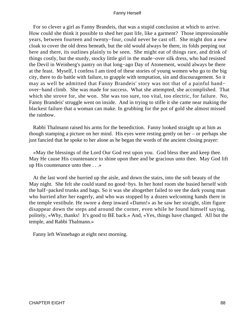For so clever a girl as Fanny Brandeis, that was a stupid conclusion at which to arrive. How could she think it possible to shed her past life, like a garment? Those impressionable years, between fourteen and twenty−four, could never be cast off. She might don a new cloak to cover the old dress beneath, but the old would always be there, its folds peeping out here and there, its outlines plainly to be seen. She might eat of things rare, and drink of things costly, but the sturdy, stocky little girl in the made−over silk dress, who had resisted the Devil in Weinberg's pantry on that long−ago Day of Atonement, would always be there at the feast. Myself, I confess I am tired of these stories of young women who go to the big city, there to do battle with failure, to grapple with temptation, sin and discouragement. So it may as well be admitted that Fanny Brandeis' story was not that of a painful hand− over−hand climb. She was made for success. What she attempted, she accomplished. That which she strove for, she won. She was too sure, too vital, too electric, for failure. No, Fanny Brandeis' struggle went on inside. And in trying to stifle it she came near making the blackest failure that a woman can make. In grubbing for the pot of gold she almost missed the rainbow.

 Rabbi Thalmann raised his arms for the benediction. Fanny looked straight up at him as though stamping a picture on her mind. His eyes were resting gently on her – or perhaps she just fancied that he spoke to her alone as he began the words of the ancient closing prayer:

 «May the blessings of the Lord Our God rest upon you. God bless thee and keep thee. May He cause His countenance to shine upon thee and be gracious unto thee. May God lift up His countenance unto thee . . .»

 At the last word she hurried up the aisle, and down the stairs, into the soft beauty of the May night. She felt she could stand no good−bys. In her hotel room she busied herself with the half−packed trunks and bags. So it was she altogether failed to see the dark young man who hurried after her eagerly, and who was stopped by a dozen welcoming hands there in the temple vestibule. He swore a deep inward «Damn!» as he saw her straight, slim figure disappear down the steps and around the corner, even while he found himself saying, politely, «Why, thanks! It's good to BE back.» And, «Yes, things have changed. All but the temple, and Rabbi Thalmann.»

Fanny left Winnebago at eight next morning.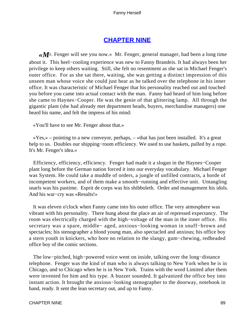# **[CHAPTER NINE](#page-221-0)**

*«M*r. Fenger will see you now.» Mr. Fenger, general manager, had been a long time about it. This heel−cooling experience was new to Fanny Brandeis. It had always been her privilege to keep others waiting. Still, she felt no resentment as she sat in Michael Fenger's outer office. For as she sat there, waiting, she was getting a distinct impression of this unseen man whose voice she could just hear as he talked over the telephone in his inner office. It was characteristic of Michael Fenger that his personality reached out and touched you before you came into actual contact with the man. Fanny had heard of him long before she came to Haynes−Cooper. He was the genie of that glittering lamp. All through the gigantic plant (she had already met department heads, buyers, merchandise managers) one heard his name, and felt the impress of his mind:

«You'll have to see Mr. Fenger about that.»

 $\langle Y \rangle$ es,» – pointing to a new conveyor, perhaps, – «that has just been installed. It's a great help to us. Doubles our shipping–room efficiency. We used to use baskets, pulled by a rope. It's Mr. Fenger's idea.»

 Efficiency, efficiency, efficiency. Fenger had made it a slogan in the Haynes−Cooper plant long before the German nation forced it into our everyday vocabulary. Michael Fenger was System. He could take a muddle of orders, a jungle of unfilled contracts, a horde of incompetent workers, and of them make a smooth−running and effective unit. Untangling snarls was his pastime. Esprit de corps was his shibboleth. Order and management his idols. And his war−cry was «Results!»

 It was eleven o'clock when Fanny came into his outer office. The very atmosphere was vibrant with his personality. There hung about the place an air of repressed expectancy. The room was electrically charged with the high−voltage of the man in the inner office. His secretary was a spare, middle− aged, anxious−looking woman in snuff−brown and spectacles; his stenographer a blond young man, also spectacled and anxious; his office boy a stern youth in knickers, who bore no relation to the slangy, gum−chewing, redheaded office boy of the comic sections.

 The low−pitched, high−powered voice went on inside, talking over the long−distance telephone. Fenger was the kind of man who is always talking to New York when he is in Chicago, and to Chicago when he is in New York. Trains with the word Limited after them were invented for him and his type. A buzzer sounded. It galvanized the office boy into instant action. It brought the anxious−looking stenographer to the doorway, notebook in hand, ready. It sent the lean secretary out, and up to Fanny.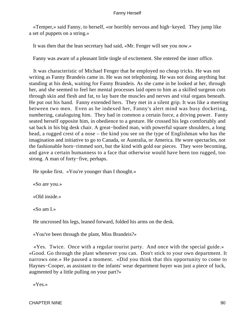«Temper,» said Fanny, to herself, «or horribly nervous and high−keyed. They jump like a set of puppets on a string.»

It was then that the lean secretary had said, «Mr. Fenger will see you now.»

Fanny was aware of a pleasant little tingle of excitement. She entered the inner office.

 It was characteristic of Michael Fenger that he employed no cheap tricks. He was not writing as Fanny Brandeis came in. He was not telephoning. He was not doing anything but standing at his desk, waiting for Fanny Brandeis. As she came in he looked at her, through her, and she seemed to feel her mental processes laid open to him as a skilled surgeon cuts through skin and flesh and fat, to lay bare the muscles and nerves and vital organs beneath. He put out his hand. Fanny extended hers. They met in a silent grip. It was like a meeting between two men. Even as he indexed her, Fanny's alert mind was busy docketing, numbering, cataloguing him. They had in common a certain force, a driving power. Fanny seated herself opposite him, in obedience to a gesture. He crossed his legs comfortably and sat back in his big desk chair. A great−bodied man, with powerful square shoulders, a long head, a rugged crest of a nose – the kind you see on the type of Englishman who has the imagination and initiative to go to Canada, or Australia, or America. He wore spectacles, not the fashionable horn−rimmed sort, but the kind with gold ear pieces. They were becoming, and gave a certain humanness to a face that otherwise would have been too rugged, too strong. A man of forty−five, perhaps.

He spoke first. «You're younger than I thought.»

«So are you.»

«Old inside.»

«So am I.»

He uncrossed his legs, leaned forward, folded his arms on the desk.

«You've been through the plant, Miss Brandeis?»

 «Yes. Twice. Once with a regular tourist party. And once with the special guide.» «Good. Go through the plant whenever you can. Don't stick to your own department. It narrows one.» He paused a moment. «Did you think that this opportunity to come to Haynes−Cooper, as assistant to the infants' wear department buyer was just a piece of luck, augmented by a little pulling on your part?»

«Yes.»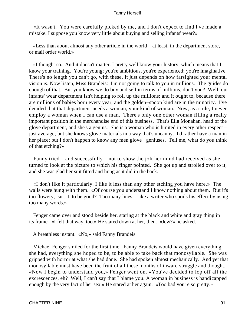«It wasn't. You were carefully picked by me, and I don't expect to find I've made a mistake. I suppose you know very little about buying and selling infants' wear?»

 «Less than about almost any other article in the world – at least, in the department store, or mail order world.»

 «I thought so. And it doesn't matter. I pretty well know your history, which means that I know your training. You're young; you're ambitious, you're experienced; you're imaginative. There's no length you can't go, with these. It just depends on how farsighted your mental vision is. Now listen, Miss Brandeis: I'm not going to talk to you in millions. The guides do enough of that. But you know we do buy and sell in terms of millions, don't you? Well, our infants' wear department isn't helping to roll up the millions; and it ought to, because there are millions of babies born every year, and the golden−spoon kind are in the minority. I've decided that that department needs a woman, your kind of woman. Now, as a rule, I never employ a woman when I can use a man. There's only one other woman filling a really important position in the merchandise end of this business. That's Ella Monahan, head of the glove department, and she's a genius. She is a woman who is limited in every other respect – just average; but she knows glove materials in a way that's uncanny. I'd rather have a man in her place; but I don't happen to know any men glove− geniuses. Tell me, what do you think of that etching?»

 Fanny tried – and successfully – not to show the jolt her mind had received as she turned to look at the picture to which his finger pointed. She got up and strolled over to it, and she was glad her suit fitted and hung as it did in the back.

 «I don't like it particularly. I like it less than any other etching you have here.» The walls were hung with them. «Of course you understand I know nothing about them. But it's too flowery, isn't it, to be good? Too many lines. Like a writer who spoils his effect by using too many words.»

 Fenger came over and stood beside her, staring at the black and white and gray thing in its frame. «I felt that way, too.» He stared down at her, then. «Jew?» he asked.

A breathless instant. «No,» said Fanny Brandeis.

 Michael Fenger smiled for the first time. Fanny Brandeis would have given everything she had, everything she hoped to be, to be able to take back that monosyllable. She was gripped with horror at what she had done. She had spoken almost mechanically. And yet that monosyllable must have been the fruit of all these months of inward struggle and thought. «Now I begin to understand you,» Fenger went on. «You've decided to lop off all the excrescences, eh? Well, I can't say that I blame you. A woman in business is handicapped enough by the very fact of her sex.» He stared at her again. «Too bad you're so pretty.»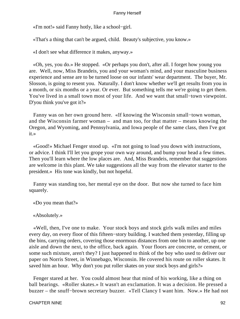«I'm not!» said Fanny hotly, like a school−girl.

«That's a thing that can't be argued, child. Beauty's subjective, you know.»

«I don't see what difference it makes, anyway.»

 «Oh, yes, you do.» He stopped. «Or perhaps you don't, after all. I forget how young you are. Well, now, Miss Brandeis, you and your woman's mind, and your masculine business experience and sense are to be turned loose on our infants' wear department. The buyer, Mr. Slosson, is going to resent you. Naturally. I don't know whether we'll get results from you in a month, or six months or a year. Or ever. But something tells me we're going to get them. You've lived in a small town most of your life. And we want that small−town viewpoint. D'you think you've got it?»

 Fanny was on her own ground here. «If knowing the Wisconsin small−town woman, and the Wisconsin farmer woman – and man too, for that matter – means knowing the Oregon, and Wyoming, and Pennsylvania, and Iowa people of the same class, then I've got it.»

 «Good!» Michael Fenger stood up. «I'm not going to load you down with instructions, or advice. I think I'll let you grope your own way around, and bump your head a few times. Then you'll learn where the low places are. And, Miss Brandeis, remember that suggestions are welcome in this plant. We take suggestions all the way from the elevator starter to the president.» His tone was kindly, but not hopeful.

 Fanny was standing too, her mental eye on the door. But now she turned to face him squarely.

«Do you mean that?»

## «Absolutely.»

 «Well, then, I've one to make. Your stock boys and stock girls walk miles and miles every day, on every floor of this fifteen−story building. I watched them yesterday, filling up the bins, carrying orders, covering those enormous distances from one bin to another, up one aisle and down the next, to the office, back again. Your floors are concrete, or cement, or some such mixture, aren't they? I just happened to think of the boy who used to deliver our paper on Norris Street, in Winnebago, Wisconsin. He covered his route on roller skates. It saved him an hour. Why don't you put roller skates on your stock boys and girls?»

 Fenger stared at her. You could almost hear that mind of his working, like a thing on ball bearings. «Roller skates.» It wasn't an exclamation. It was a decision. He pressed a buzzer – the snuff−brown secretary buzzer. «Tell Clancy I want him. Now.» He had not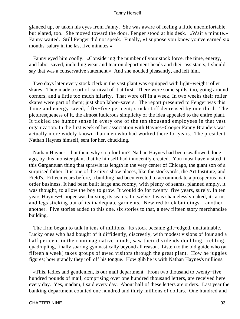glanced up, or taken his eyes from Fanny. She was aware of feeling a little uncomfortable, but elated, too. She moved toward the door. Fenger stood at his desk. «Wait a minute.» Fanny waited. Still Fenger did not speak. Finally, «I suppose you know you've earned six months' salary in the last five minutes.»

 Fanny eyed him coolly. «Considering the number of your stock force, the time, energy, and labor saved, including wear and tear on department heads and their assistants, I should say that was a conservative statement.» And she nodded pleasantly, and left him.

 Two days later every stock clerk in the vast plant was equipped with light−weight roller skates. They made a sort of carnival of it at first. There were some spills, too, going around corners, and a little too much hilarity. That wore off in a week. In two weeks their roller skates were part of them; just shop labor−savers. The report presented to Fenger was this: Time and energy saved, fifty−five per cent; stock staff decreased by one third. The picturesqueness of it, the almost ludicrous simplicity of the idea appealed to the entire plant. It tickled the humor sense in every one of the ten thousand employees in that vast organization. In the first week of her association with Haynes−Cooper Fanny Brandeis was actually more widely known than men who had worked there for years. The president, Nathan Haynes himself, sent for her, chuckling.

 Nathan Haynes – but then, why stop for him? Nathan Haynes had been swallowed, long ago, by this monster plant that he himself had innocently created. You must have visited it, this Gargantuan thing that sprawls its length in the very center of Chicago, the giant son of a surprised father. It is one of the city's show places, like the stockyards, the Art Institute, and Field's. Fifteen years before, a building had been erected to accommodate a prosperous mail order business. It had been built large and roomy, with plenty of seams, planned amply, it was thought, to allow the boy to grow. It would do for twenty−five years, surely. In ten years Haynes−Cooper was bursting its seams. In twelve it was shamelessly naked, its arms and legs sticking out of its inadequate garments. New red brick buildings – another – another. Five stories added to this one, six stories to that, a new fifteen story merchandise building.

 The firm began to talk in tens of millions. Its stock became gilt−edged, unattainable. Lucky ones who had bought of it diffidently, discreetly, with modest visions of four and a half per cent in their unimaginative minds, saw their dividends doubling, trebling, quadrupling, finally soaring gymnastically beyond all reason. Listen to the old guide who (at fifteen a week) takes groups of awed visitors through the great plant. How he juggles figures; how grandly they roll off his tongue. How glib he is with Nathan Haynes's millions.

 «This, ladies and gentlemen, is our mail department. From two thousand to twenty−five hundred pounds of mail, comprising over one hundred thousand letters, are received here every day. Yes, madam, I said every day. About half of these letters are orders. Last year the banking department counted one hundred and thirty millions of dollars. One hundred and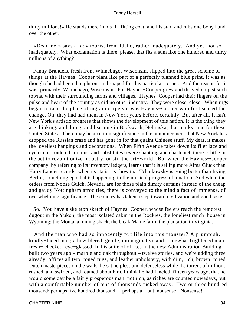thirty millions!» He stands there in his ill−fitting coat, and his star, and rubs one bony hand over the other.

 «Dear me!» says a lady tourist from Idaho, rather inadequately. And yet, not so inadequately. What exclamation is there, please, that fits a sum like one hundred and thirty millions of anything?

 Fanny Brandeis, fresh from Winnebago, Wisconsin, slipped into the great scheme of things at the Haynes−Cooper plant like part of a perfectly planned blue print. It was as though she had been thought out and shaped for this particular corner. And the reason for it was, primarily, Winnebago, Wisconsin. For Haynes−Cooper grew and thrived on just such towns, with their surrounding farms and villages. Haynes−Cooper had their fingers on the pulse and heart of the country as did no other industry. They were close, close. When rugs began to take the place of ingrain carpets it was Haynes−Cooper who first sensed the change. Oh, they had had them in New York years before, certainly. But after all, it isn't New York's artistic progress that shows the development of this nation. It is the thing they are thinking, and doing, and learning in Backwash, Nebraska, that marks time for these United States. There may be a certain significance in the announcement that New York has dropped the Russian craze and has gone in for that quaint Chinese stuff. My dear, it makes the loveliest hangings and decorations. When Fifth Avenue takes down its filet lace and eyelet embroidered curtains, and substitutes severe shantung and chaste net, there is little in the act to revolutionize industry, or stir the art−world. But when the Haynes−Cooper company, by referring to its inventory ledgers, learns that it is selling more Alma Gluck than Harry Lauder records; when its statistics show that Tchaikowsky is going better than Irving Berlin, something epochal is happening in the musical progress of a nation. And when the orders from Noose Gulch, Nevada, are for those plain dimity curtains instead of the cheap and gaudy Nottingham atrocities, there is conveyed to the mind a fact of immense, of overwhelming significance. The country has taken a step toward civilization and good taste.

 So. You have a skeleton sketch of Haynes−Cooper, whose feelers reach the remotest dugout in the Yukon, the most isolated cabin in the Rockies, the loneliest ranch−house in Wyoming; the Montana mining shack, the bleak Maine farm, the plantation in Virginia.

 And the man who had so innocently put life into this monster? A plumpish, kindly−faced man; a bewildered, gentle, unimaginative and somewhat frightened man, fresh− cheeked, eye−glassed. In his suite of offices in the new Administration Building – built two years ago – marble and oak throughout – twelve stories, and we're adding three already; offices all two−toned rugs, and leather upholstery, with dim, rich, brown−toned Dutch masterpieces on the walls, he sat helpless and defenseless while the torrent of millions rushed, and swirled, and foamed about him. I think he had fancied, fifteen years ago, that he would some day be a fairly prosperous man; not rich, as riches are counted nowadays, but with a comfortable number of tens of thousands tucked away. Two or three hundred thousand; perhaps five hundred thousand! – perhaps a – but, nonsense! Nonsense!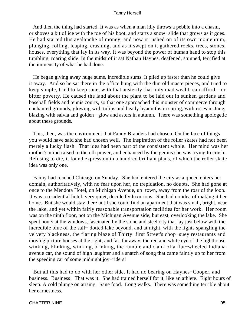And then the thing had started. It was as when a man idly throws a pebble into a chasm, or shoves a bit of ice with the toe of his boot, and starts a snow−slide that grows as it goes. He had started this avalanche of money, and now it rushed on of its own momentum, plunging, rolling, leaping, crashing, and as it swept on it gathered rocks, trees, stones, houses, everything that lay in its way. It was beyond the power of human hand to stop this tumbling, roaring slide. In the midst of it sat Nathan Haynes, deafened, stunned, terrified at the immensity of what he had done.

 He began giving away huge sums, incredible sums. It piled up faster than he could give it away. And so he sat there in the office hung with the dim old masterpieces, and tried to keep simple, tried to keep sane, with that austerity that only mad wealth can afford – or bitter poverty. He caused the land about the plant to be laid out in sunken gardens and baseball fields and tennis courts, so that one approached this monster of commerce through enchanted grounds, glowing with tulips and heady hyacinths in spring, with roses in June, blazing with salvia and golden− glow and asters in autumn. There was something apologetic about these grounds.

 This, then, was the environment that Fanny Brandeis had chosen. On the face of things you would have said she had chosen well. The inspiration of the roller skates had not been merely a lucky flash. That idea had been part of the consistent whole. Her mind was her mother's mind raised to the nth power, and enhanced by the genius she was trying to crush. Refusing to die, it found expression in a hundred brilliant plans, of which the roller skate idea was only one.

 Fanny had reached Chicago on Sunday. She had entered the city as a queen enters her domain, authoritatively, with no fear upon her, no trepidation, no doubts. She had gone at once to the Mendota Hotel, on Michigan Avenue, up−town, away from the roar of the loop. It was a residential hotel, very quiet, decidedly luxurious. She had no idea of making it her home. But she would stay there until she could find an apartment that was small, bright, near the lake, and yet within fairly reasonable transportation facilities for her work. Her room was on the ninth floor, not on the Michigan Avenue side, but east, overlooking the lake. She spent hours at the windows, fascinated by the stone and steel city that lay just below with the incredible blue of the sail− dotted lake beyond, and at night, with the lights spangling the velvety blackness, the flaring blaze of Thirty−first Street's chop−suey restaurants and moving picture houses at the right; and far, far away, the red and white eye of the lighthouse winking, blinking, winking, blinking, the rumble and clank of a flat−wheeled Indiana avenue car, the sound of high laughter and a snatch of song that came faintly up to her from the speeding car of some midnight joy−riders!

 But all this had to do with her other side. It had no bearing on Haynes−Cooper, and business. Business! That was it. She had trained herself for it, like an athlete. Eight hours of sleep. A cold plunge on arising. Sane food. Long walks. There was something terrible about her earnestness.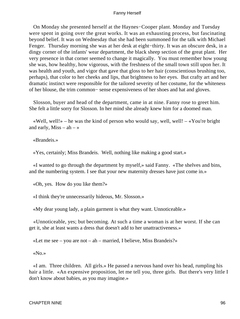On Monday she presented herself at the Haynes−Cooper plant. Monday and Tuesday were spent in going over the great works. It was an exhausting process, but fascinating beyond belief. It was on Wednesday that she had been summoned for the talk with Michael Fenger. Thursday morning she was at her desk at eight−thirty. It was an obscure desk, in a dingy corner of the infants' wear department, the black sheep section of the great plant. Her very presence in that corner seemed to change it magically. You must remember how young she was, how healthy, how vigorous, with the freshness of the small town still upon her. It was health and youth, and vigor that gave that gloss to her hair (conscientious brushing too, perhaps), that color to her cheeks and lips, that brightness to her eyes. But crafty art and her dramatic instinct were responsible for the tailored severity of her costume, for the whiteness of her blouse, the trim common− sense expensiveness of her shoes and hat and gloves.

 Slosson, buyer and head of the department, came in at nine. Fanny rose to greet him. She felt a little sorry for Slosson. In her mind she already knew him for a doomed man.

«Well, well!» – he was the kind of person who would say, well, well! – «You're bright and early,  $Miss - ah - \infty$ 

«Brandeis.»

«Yes, certainly; Miss Brandeis. Well, nothing like making a good start.»

 «I wanted to go through the department by myself,» said Fanny. «The shelves and bins, and the numbering system. I see that your new maternity dresses have just come in.»

«Oh, yes. How do you like them?»

«I think they're unnecessarily hideous, Mr. Slosson.»

«My dear young lady, a plain garment is what they want. Unnoticeable.»

 «Unnoticeable, yes; but becoming. At such a time a woman is at her worst. If she can get it, she at least wants a dress that doesn't add to her unattractiveness.»

«Let me see – you are not – ah – married, I believe, Miss Brandeis?»

«No.»

 «I am. Three children. All girls.» He passed a nervous hand over his head, rumpling his hair a little. «An expensive proposition, let me tell you, three girls. But there's very little I don't know about babies, as you may imagine.»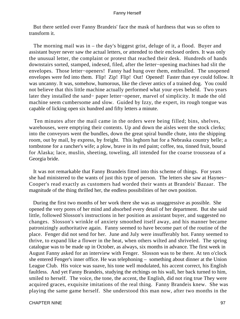But there settled over Fanny Brandeis' face the mask of hardness that was so often to transform it.

 The morning mail was in – the day's biggest grist, deluge of it, a flood. Buyer and assistant buyer never saw the actual letters, or attended to their enclosed orders. It was only the unusual letter, the complaint or protest that reached their desk. Hundreds of hands downstairs sorted, stamped, indexed, filed, after the letter−opening machines had slit the envelopes. Those letter−openers! Fanny had hung over them, enthralled. The unopened envelopes were fed into them. Flip! Zip! Flip! Out! Opened! Faster than eye could follow. It was uncanny. It was, somehow, humorous, like the clever antics of a trained dog. You could not believe that this little machine actually performed what your eyes beheld. Two years later they installed the sand− paper letter−opener, marvel of simplicity. It made the old machine seem cumbersome and slow. Guided by Izzy, the expert, its rough tongue was capable of licking open six hundred and fifty letters a minute.

 Ten minutes after the mail came in the orders were being filled; bins, shelves, warehouses, were emptying their contents. Up and down the aisles went the stock clerks; into the conveyors went the bundles, down the great spiral bundle chute, into the shipping room, out by mail, by express, by freight. This leghorn hat for a Nebraska country belle; a tombstone for a rancher's wife; a plow, brave in its red paint; coffee, tea, tinned fruit, bound for Alaska; lace, muslin, sheeting, toweling, all intended for the coarse trousseau of a Georgia bride.

 It was not remarkable that Fanny Brandeis fitted into this scheme of things. For years she had ministered to the wants of just this type of person. The letters she saw at Haynes− Cooper's read exactly as customers had worded their wants at Brandeis' Bazaar. The magnitude of the thing thrilled her, the endless possibilities of her own position.

 During the first two months of her work there she was as unaggressive as possible. She opened the very pores of her mind and absorbed every detail of her department. But she said little, followed Slosson's instructions in her position as assistant buyer, and suggested no changes. Slosson's wrinkle of anxiety smoothed itself away, and his manner became patronizingly authoritative again. Fanny seemed to have become part of the routine of the place. Fenger did not send for her. June and July were insufferably hot. Fanny seemed to thrive, to expand like a flower in the heat, when others wilted and shriveled. The spring catalogue was to be made up in October, as always, six months in advance. The first week in August Fanny asked for an interview with Fenger. Slosson was to be there. At ten o'clock she entered Fenger's inner office. He was telephoning – something about dinner at the Union League Club. His voice was suave, his tone well modulated, his accent correct, his English faultless. And yet Fanny Brandeis, studying the etchings on his wall, her back turned to him, smiled to herself. The voice, the tone, the accent, the English, did not ring true They were acquired graces, exquisite imitations of the real thing. Fanny Brandeis knew. She was playing the same game herself. She understood this man now, after two months in the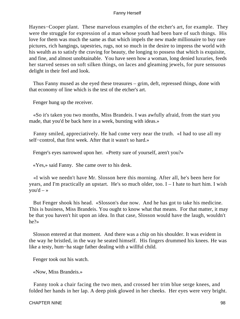Haynes−Cooper plant. These marvelous examples of the etcher's art, for example. They were the struggle for expression of a man whose youth had been bare of such things. His love for them was much the same as that which impels the new made millionaire to buy rare pictures, rich hangings, tapestries, rugs, not so much in the desire to impress the world with his wealth as to satisfy the craving for beauty, the longing to possess that which is exquisite, and fine, and almost unobtainable. You have seen how a woman, long denied luxuries, feeds her starved senses on soft silken things, on laces and gleaming jewels, for pure sensuous delight in their feel and look.

 Thus Fanny mused as she eyed these treasures – grim, deft, repressed things, done with that economy of line which is the test of the etcher's art.

Fenger hung up the receiver.

 «So it's taken you two months, Miss Brandeis. I was awfully afraid, from the start you made, that you'd be back here in a week, bursting with ideas.»

 Fanny smiled, appreciatively. He had come very near the truth. «I had to use all my self−control, that first week. After that it wasn't so hard.»

Fenger's eyes narrowed upon her. «Pretty sure of yourself, aren't you?»

«Yes,» said Fanny. She came over to his desk.

 «I wish we needn't have Mr. Slosson here this morning. After all, he's been here for years, and I'm practically an upstart. He's so much older, too. I – I hate to hurt him. I wish you'd  $-$  »

 But Fenger shook his head. «Slosson's due now. And he has got to take his medicine. This is business, Miss Brandeis. You ought to know what that means. For that matter, it may be that you haven't hit upon an idea. In that case, Slosson would have the laugh, wouldn't he?»

 Slosson entered at that moment. And there was a chip on his shoulder. It was evident in the way he bristled, in the way he seated himself. His fingers drummed his knees. He was like a testy, hum−ha stage father dealing with a willful child.

Fenger took out his watch.

«Now, Miss Brandeis.»

 Fanny took a chair facing the two men, and crossed her trim blue serge knees, and folded her hands in her lap. A deep pink glowed in her cheeks. Her eyes were very bright.

### CHAPTER NINE 98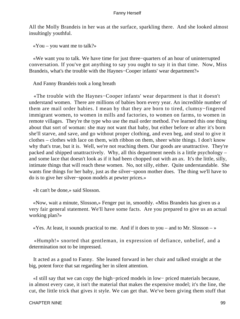All the Molly Brandeis in her was at the surface, sparkling there. And she looked almost insultingly youthful.

 $\alpha$ You – you want me to talk?»

 «We want you to talk. We have time for just three−quarters of an hour of uninterrupted conversation. If you've got anything to say you ought to say it in that time. Now, Miss Brandeis, what's the trouble with the Haynes−Cooper infants' wear department?»

And Fanny Brandeis took a long breath

 «The trouble with the Haynes−Cooper infants' wear department is that it doesn't understand women. There are millions of babies born every year. An incredible number of them are mail order babies. I mean by that they are born to tired, clumsy−fingered immigrant women, to women in mills and factories, to women on farms, to women in remote villages. They're the type who use the mail order method. I've learned this one thing about that sort of woman: she may not want that baby, but either before or after it's born she'll starve, and save, and go without proper clothing, and even beg, and steal to give it clothes – clothes with lace on them, with ribbon on them, sheer white things. I don't know why that's true, but it is. Well, we're not reaching them. Our goods are unattractive. They're packed and shipped unattractively. Why, all this department needs is a little psychology – and some lace that doesn't look as if it had been chopped out with an ax. It's the little, silly, intimate things that will reach these women. No, not silly, either. Quite understandable. She wants fine things for her baby, just as the silver−spoon mother does. The thing we'll have to do is to give her silver−spoon models at pewter prices.»

«It can't be done,» said Slosson.

 «Now, wait a minute, Slosson,» Fenger put in, smoothly. «Miss Brandeis has given us a very fair general statement. We'll have some facts. Are you prepared to give us an actual working plan?»

 $\ll$ Yes. At least, it sounds practical to me. And if it does to you – and to Mr. Slosson – »

 «Humph!» snorted that gentleman, in expression of defiance, unbelief, and a determination not to be impressed.

 It acted as a goad to Fanny. She leaned forward in her chair and talked straight at the big, potent force that sat regarding her in silent attention.

 «I still say that we can copy the high−priced models in low− priced materials because, in almost every case, it isn't the material that makes the expensive model; it's the line, the cut, the little trick that gives it style. We can get that. We've been giving them stuff that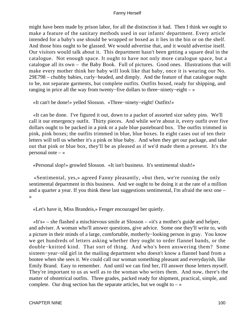might have been made by prison labor, for all the distinction it had. Then I think we ought to make a feature of the sanitary methods used in our infants' department. Every article intended for a baby's use should be wrapped or boxed as it lies in the bin or on the shelf. And those bins ought to be glassed. We would advertise that, and it would advertise itself. Our visitors would talk about it. This department hasn't been getting a square deal in the catalogue. Not enough space. It ought to have not only more catalogue space, but a catalogue all its own – the Baby Book. Full of pictures. Good ones. Illustrations that will make every mother think her baby will look like that baby, once it is wearing our No. 29E798 – chubby babies, curly−headed, and dimply. And the feature of that catalogue ought to be, not separate garments, but complete outfits. Outfits boxed, ready for shipping, and ranging in price all the way from twenty−five dollars to three−ninety−eight – »

«It can't be done!» yelled Slosson. «Three−ninety−eight! Outfits!»

 «It can be done. I've figured it out, down to a packet of assorted size safety pins. We'll call it our emergency outfit. Thirty pieces. And while we're about it, every outfit over five dollars ought to be packed in a pink or a pale blue pasteboard box. The outfits trimmed in pink, pink boxes; the outfits trimmed in blue, blue boxes. In eight cases out of ten their letters will tell us whether it's a pink or blue baby. And when they get our package, and take out that pink or blue box, they'll be as pleased as if we'd made them a present. It's the personal note  $-\infty$ 

«Personal slop!» growled Slosson. «It isn't business. It's sentimental slush!»

 «Sentimental, yes,» agreed Fanny pleasantly, «but then, we're running the only sentimental department in this business. And we ought to be doing it at the rate of a million and a quarter a year. If you think these last suggestions sentimental, I'm afraid the next one – »

«Let's have it, Miss Brandeis,» Fenger encouraged her quietly.

 «It's» – she flashed a mischievous smile at Slosson – «it's a mother's guide and helper, and adviser. A woman who'll answer questions, give advice. Some one they'll write to, with a picture in their minds of a large, comfortable, motherly−looking person in gray. You know we get hundreds of letters asking whether they ought to order flannel bands, or the double−knitted kind. That sort of thing. And who's been answering them? Some sixteen−year−old girl in the mailing department who doesn't know a flannel band from a bootee when she sees it. We could call our woman something pleasant and everydayish, like Emily Brand. Easy to remember. And until we can find her, I'll answer those letters myself. They're important to us as well as to the woman who writes them. And now, there's the matter of obstetrical outfits. Three grades, packed ready for shipment, practical, simple, and complete. Our drug section has the separate articles, but we ought to  $-\infty$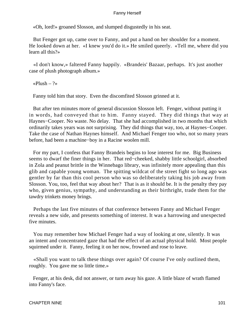«Oh, lord!» groaned Slosson, and slumped disgustedly in his seat.

 But Fenger got up, came over to Fanny, and put a hand on her shoulder for a moment. He looked down at her. «I knew you'd do it.» He smiled queerly. «Tell me, where did you learn all this?»

 «I don't know,» faltered Fanny happily. «Brandeis' Bazaar, perhaps. It's just another case of plush photograph album.»

«Plush – ?»

Fanny told him that story. Even the discomfited Slosson grinned at it.

 But after ten minutes more of general discussion Slosson left. Fenger, without putting it in words, had conveyed that to him. Fanny stayed. They did things that way at Haynes−Cooper. No waste. No delay. That she had accomplished in two months that which ordinarily takes years was not surprising. They did things that way, too, at Haynes−Cooper. Take the case of Nathan Haynes himself. And Michael Fenger too who, not so many years before, had been a machine−boy in a Racine woolen mill.

 For my part, I confess that Fanny Brandeis begins to lose interest for me. Big Business seems to dwarf the finer things in her. That red−cheeked, shabby little schoolgirl, absorbed in Zola and peanut brittle in the Winnebago library, was infinitely more appealing than this glib and capable young woman. The spitting wildcat of the street fight so long ago was gentler by far than this cool person who was so deliberately taking his job away from Slosson. You, too, feel that way about her? That is as it should be. It is the penalty they pay who, given genius, sympathy, and understanding as their birthright, trade them for the tawdry trinkets money brings.

 Perhaps the last five minutes of that conference between Fanny and Michael Fenger reveals a new side, and presents something of interest. It was a harrowing and unexpected five minutes.

 You may remember how Michael Fenger had a way of looking at one, silently. It was an intent and concentrated gaze that had the effect of an actual physical hold. Most people squirmed under it. Fanny, feeling it on her now, frowned and rose to leave.

 «Shall you want to talk these things over again? Of course I've only outlined them, roughly. You gave me so little time.»

 Fenger, at his desk, did not answer, or turn away his gaze. A little blaze of wrath flamed into Fanny's face.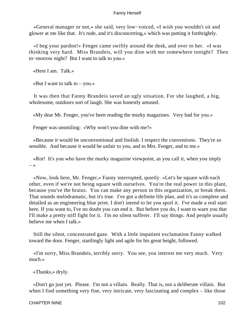«General manager or not,» she said, very low−voiced, «I wish you wouldn't sit and glower at me like that. It's rude, and it's disconcerting,» which was putting it forthrightly.

 «I beg your pardon!» Fenger came swiftly around the desk, and over to her. «I was thinking very hard. Miss Brandeis, will you dine with me somewhere tonight? Then to−morrow night? But I want to talk to you.»

«Here I am. Talk.»

«But I want to talk to  $-$  you.»

 It was then that Fanny Brandeis saved an ugly situation. For she laughed, a big, wholesome, outdoors sort of laugh. She was honestly amused.

«My dear Mr. Fenger, you've been reading the murky magazines. Very bad for you.»

Fenger was unsmiling: «Why won't you dine with me?»

 «Because it would be unconventional and foolish. I respect the conventions. They're so sensible. And because it would be unfair to you, and to Mrs. Fenger, and to me.»

 «Rot! It's you who have the murky magazine viewpoint, as you call it, when you imply  $\rightarrow$ 

 «Now, look here, Mr. Fenger,» Fanny interrupted, quietly. «Let's be square with each other, even if we're not being square with ourselves. You're the real power in this plant, because you've the brains. You can make any person in this organization, or break them. That sounds melodramatic, but it's true. I've got a definite life plan, and it's as complete and detailed as an engineering blue print. I don't intend to let you spoil it. I've made a real start here. If you want to, I've no doubt you can end it. But before you do, I want to warn you that I'll make a pretty stiff fight for it. I'm no silent sufferer. I'll say things. And people usually believe me when I talk.»

 Still the silent, concentrated gaze. With a little impatient exclamation Fanny walked toward the door. Fenger, startlingly light and agile for his great height, followed.

 «I'm sorry, Miss Brandeis, terribly sorry. You see, you interest me very much. Very much.»

«Thanks,» dryly.

 «Don't go just yet. Please. I'm not a villain. Really. That is, not a deliberate villain. But when I find something very fine, very intricate, very fascinating and complex – like those

### CHAPTER NINE 102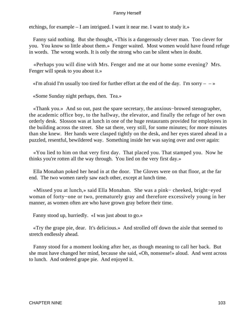etchings, for example – I am intrigued. I want it near me. I want to study it.»

 Fanny said nothing. But she thought, «This is a dangerously clever man. Too clever for you. You know so little about them.» Fenger waited. Most women would have found refuge in words. The wrong words. It is only the strong who can be silent when in doubt.

 «Perhaps you will dine with Mrs. Fenger and me at our home some evening? Mrs. Fenger will speak to you about it.»

«I'm afraid I'm usually too tired for further effort at the end of the day. I'm sorry  $- \rightarrow \infty$ 

«Some Sunday night perhaps, then. Tea.»

 «Thank you.» And so out, past the spare secretary, the anxious−browed stenographer, the academic office boy, to the hallway, the elevator, and finally the refuge of her own orderly desk. Slosson was at lunch in one of the huge restaurants provided for employees in the building across the street. She sat there, very still, for some minutes; for more minutes than she knew. Her hands were clasped tightly on the desk, and her eyes stared ahead in a puzzled, resentful, bewildered way. Something inside her was saying over and over again:

 «You lied to him on that very first day. That placed you. That stamped you. Now he thinks you're rotten all the way through. You lied on the very first day.»

 Ella Monahan poked her head in at the door. The Gloves were on that floor, at the far end. The two women rarely saw each other, except at lunch time.

 «Missed you at lunch,» said Ella Monahan. She was a pink− cheeked, bright−eyed woman of forty−one or two, prematurely gray and therefore excessively young in her manner, as women often are who have grown gray before their time.

Fanny stood up, hurriedly. «I was just about to go.»

 «Try the grape pie, dear. It's delicious.» And strolled off down the aisle that seemed to stretch endlessly ahead.

 Fanny stood for a moment looking after her, as though meaning to call her back. But she must have changed her mind, because she said, «Oh, nonsense!» aloud. And went across to lunch. And ordered grape pie. And enjoyed it.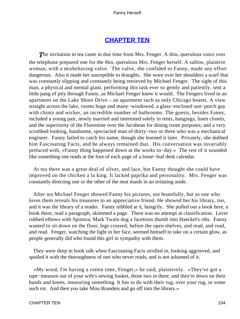# **[CHAPTER TEN](#page-221-0)**

**The invitation to tea came in due time from Mrs. Fenger. A thin, querulous voice over** the telephone prepared one for the thin, querulous Mrs. Fenger herself. A sallow, plaintive woman, with a misbehaving valve. The valve, she confided to Fanny, made any effort dangerous. Also it made her susceptible to draughts. She wore over her shoulders a scarf that was constantly slipping and constantly being retrieved by Michael Fenger. The sight of this man, a physical and mental giant, performing this task ever so gently and patiently, sent a little pang of pity through Fanny, as Michael Fenger knew it would. The Fengers lived in an apartment on the Lake Shore Drive – an apartment such as only Chicago boasts. A view straight across the lake, rooms huge and many−windowed, a glass−enclosed sun−porch gay with chintz and wicker, an incredible number of bathrooms. The guests, besides Fanny, included a young pair, newly married and interested solely in rents, hangings, linen closets, and the superiority of the Florentine over the Jacobean for dining room purposes; and a very scrubbed looking, handsome, spectacled man of thirty−two or three who was a mechanical engineer. Fanny failed to catch his name, though she learned it later. Privately, she dubbed him Fascinating Facts, and he always remained that. His conversation was invariably prefaced with, «Funny thing happened down at the works to−day.» The rest of it sounded like something one reads at the foot of each page of a loose−leaf desk calendar.

 At tea there was a great deal of silver, and lace, but Fanny thought she could have improved on the chicken a la king. It lacked paprika and personality. Mrs. Fenger was constantly directing one or the other of the neat maids in an irritating aside.

 After tea Michael Fenger showed Fanny his pictures, not boastfully, but as one who loves them reveals his treasures to an appreciative friend. He showed her his library, too, and it was the library of a reader. Fanny nibbled at it, hungrily. She pulled out a book here, a book there, read a paragraph, skimmed a page. There was no attempt at classification. Lever rubbed elbows with Spinoza; Mark Twain dug a facetious thumb into Haeckel's ribs. Fanny wanted to sit down on the floor, legs crossed, before the open shelves, and read, and read, and read. Fenger, watching the light in her face, seemed himself to take on a certain glow, as people generally did who found this girl in sympathy with them.

 They were deep in book talk when Fascinating Facts strolled in, looking aggrieved, and spoiled it with the thoroughness of one who never reads, and is not ashamed of it.

 «My word, I'm having a rotten time, Fenger,» he said, plaintively. «They've got a tape−measure out of your wife's sewing basket, those two in there, and they're down on their hands and knees, measuring something. It has to do with their rug, over your rug, or some such rot. And then you take Miss Brandeis and go off into the library.»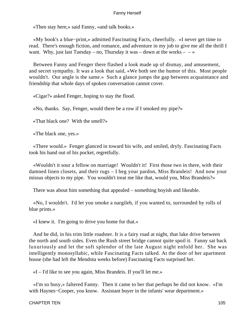«Then stay here,» said Fanny, «and talk books.»

 «My book's a blue−print,» admitted Fascinating Facts, cheerfully. «I never get time to read. There's enough fiction, and romance, and adventure in my job to give me all the thrill I want. Why, just last Tuesday – no, Thursday it was – down at the works –  $-\infty$ 

 Between Fanny and Fenger there flashed a look made up of dismay, and amusement, and secret sympathy. It was a look that said, «We both see the humor of this. Most people wouldn't. Our angle is the same.» Such a glance jumps the gap between acquaintance and friendship that whole days of spoken conversation cannot cover.

«Cigar?» asked Fenger, hoping to stay the flood.

«No, thanks. Say, Fenger, would there be a row if I smoked my pipe?»

«That black one? With the smell?»

«The black one, yes.»

 «There would.» Fenger glanced in toward his wife, and smiled, dryly. Fascinating Facts took his hand out of his pocket, regretfully.

 «Wouldn't it sour a fellow on marriage! Wouldn't it! First those two in there, with their damned linen closets, and their rugs – I beg your pardon, Miss Brandeis! And now your missus objects to my pipe. You wouldn't treat me like that, would you, Miss Brandeis?»

There was about him something that appealed – something boyish and likeable.

 «No, I wouldn't. I'd let you smoke a nargileh, if you wanted to, surrounded by rolls of blue prints.»

«I knew it. I'm going to drive you home for that.»

 And he did, in his trim little roadster. It is a fairy road at night, that lake drive between the north and south sides. Even the Rush street bridge cannot quite spoil it. Fanny sat back luxuriously and let the soft splendor of the late August night enfold her. She was intelligently monosyllabic, while Fascinating Facts talked. At the door of her apartment house (she had left the Mendota weeks before) Fascinating Facts surprised her.

«I – I'd like to see you again, Miss Brandeis. If you'll let me.»

 «I'm so busy,» faltered Fanny. Then it came to her that perhaps he did not know. «I'm with Haynes−Cooper, you know. Assistant buyer in the infants' wear department.»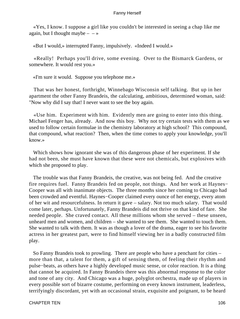«Yes, I know. I suppose a girl like you couldn't be interested in seeing a chap like me again, but I thought maybe  $- - \infty$ 

«But I would,» interrupted Fanny, impulsively. «Indeed I would.»

 «Really! Perhaps you'll drive, some evening. Over to the Bismarck Gardens, or somewhere. It would rest you.»

«I'm sure it would. Suppose you telephone me.»

 That was her honest, forthright, Winnebago Wisconsin self talking. But up in her apartment the other Fanny Brandeis, the calculating, ambitious, determined woman, said: "Now why did I say that! I never want to see the boy again.

 «Use him. Experiment with him. Evidently men are going to enter into this thing. Michael Fenger has, already. And now this boy. Why not try certain tests with them as we used to follow certain formulae in the chemistry laboratory at high school? This compound, that compound, what reaction? Then, when the time comes to apply your knowledge, you'll know.»

 Which shows how ignorant she was of this dangerous phase of her experiment. If she had not been, she must have known that these were not chemicals, but explosives with which she proposed to play.

 The trouble was that Fanny Brandeis, the creative, was not being fed. And the creative fire requires fuel. Fanny Brandeis fed on people, not things. And her work at Haynes− Cooper was all with inanimate objects. The three months since her coming to Chicago had been crowded and eventful. Haynes−Cooper claimed every ounce of her energy, every atom of her wit and resourcefulness. In return it gave – salary. Not too much salary. That would come later, perhaps. Unfortunately, Fanny Brandeis did not thrive on that kind of fare. She needed people. She craved contact. All these millions whom she served – these unseen, unheard men and women, and children – she wanted to see them. She wanted to touch them. She wanted to talk with them. It was as though a lover of the drama, eager to see his favorite actress in her greatest part, were to find himself viewing her in a badly constructed film play.

 So Fanny Brandeis took to prowling. There are people who have a penchant for cities – more than that, a talent for them, a gift of sensing them, of feeling their rhythm and pulse−beats, as others have a highly developed music sense, or color reaction. It is a thing that cannot be acquired. In Fanny Brandeis there was this abnormal response to the color and tone of any city. And Chicago was a huge, polyglot orchestra, made up of players in every possible sort of bizarre costume, performing on every known instrument, leaderless, terrifyingly discordant, yet with an occasional strain, exquisite and poignant, to be heard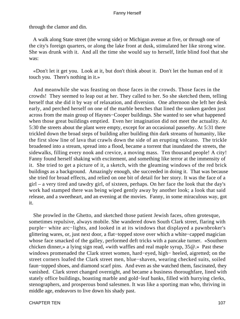through the clamor and din.

 A walk along State street (the wrong side) or Michigan avenue at five, or through one of the city's foreign quarters, or along the lake front at dusk, stimulated her like strong wine. She was drunk with it. And all the time she would say to herself, little blind fool that she was:

 «Don't let it get you. Look at it, but don't think about it. Don't let the human end of it touch you. There's nothing in it.»

 And meanwhile she was feasting on those faces in the crowds. Those faces in the crowds! They seemed to leap out at her. They called to her. So she sketched them, telling herself that she did it by way of relaxation, and diversion. One afternoon she left her desk early, and perched herself on one of the marble benches that lined the sunken garden just across from the main group of Haynes−Cooper buildings. She wanted to see what happened when those great buildings emptied. Even her imagination did not meet the actuality. At 5:30 the streets about the plant were empty, except for an occasional passerby. At 5:31 there trickled down the broad steps of building after building thin dark streams of humanity, like the first slow line of lava that crawls down the side of an erupting volcano. The trickle broadened into a stream, spread into a flood, became a torrent that inundated the streets, the sidewalks, filling every nook and crevice, a moving mass. Ten thousand people! A city! Fanny found herself shaking with excitement, and something like terror at the immensity of it. She tried to get a picture of it, a sketch, with the gleaming windows of the red brick buildings as a background. Amazingly enough, she succeeded in doing it. That was because she tried for broad effects, and relied on one bit of detail for her story. It was the face of a girl – a very tired and tawdry girl, of sixteen, perhaps. On her face the look that the day's work had stamped there was being wiped gently away by another look; a look that said release, and a sweetheart, and an evening at the movies. Fanny, in some miraculous way, got it.

 She prowled in the Ghetto, and sketched those patient Jewish faces, often grotesque, sometimes repulsive, always mobile. She wandered down South Clark street, flaring with purple− white arc−lights, and looked in at its windows that displayed a pawnbroker's glittering wares, or, just next door, a flat−topped stove over which a white−capped magician whose face smacked of the galley, performed deft tricks with a pancake turner. «Southern chicken dinner,» a lying sign read, «with waffles and real maple syrup, 35@.» Past these windows promenaded the Clark street women, hard−eyed, high− heeled, aigretted; on the street corners loafed the Clark street men, blue−shaven, wearing checked suits, soiled faun−topped shoes, and diamond scarf pins. And even as she watched them, fascinated, they vanished. Clark street changed overnight, and became a business thoroughfare, lined with stately office buildings, boasting marble and gold−leaf banks, filled with hurrying clerks, stenographers, and prosperous bond salesmen. It was like a sporting man who, thriving in middle age, endeavors to live down his shady past.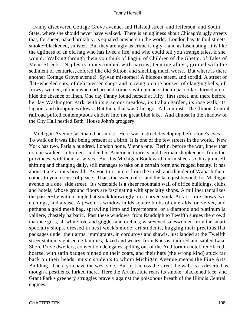Fanny discovered Cottage Grove avenue, and Halsted street, and Jefferson, and South State, where she should never have walked. There is an ugliness about Chicago's ugly streets that, for sheer, naked brutality, is equaled nowhere in the world. London has its foul streets, smoke−blackened, sinister. But they are ugly as crime is ugly – and as fascinating. It is like the ugliness of an old hag who has lived a life, and who could tell you strange tales, if she would. Walking through them you think of Fagin, of Children of the Ghetto, of Tales of Mean Streets. Naples is honeycombed with narrow, teeming alleys, grimed with the sediment of centuries, colored like old Stilton, and smelling much worse. But where is there another Cottage Grove avenue! Sylvan misnomer! A hideous street, and sordid. A street of flat−wheeled cars, of delicatessen shops and moving picture houses, of clanging bells, of frowsy women, of men who dart around corners with pitchers, their coat collars turned up to hide the absence of linen. One day Fanny found herself at Fifty−first street, and there before her lay Washington Park, with its gracious meadow, its Italian garden, its rose walk, its lagoon, and drooping willows. But then, that was Chicago. All contrast. The Illinois Central railroad puffed contemptuous cinders into the great blue lake. And almost in the shadow of the City Hall nestled Bath−House John's groggery.

 Michigan Avenue fascinated her most. Here was a street developing before one's eyes. To walk on it was like being present at a birth. It is one of the few streets in the world. New York has two, Paris a hundred, London none, Vienna one. Berlin, before the war, knew that no one walked Unter den Linden but American tourists and German shopkeepers from the provinces, with their fat wives. But this Michigan Boulevard, unfinished as Chicago itself, shifting and changing daily, still manages to take on a certain form and rugged beauty. It has about it a gracious breadth. As you turn into it from the crash and thunder of Wabash there comes to you a sense of peace. That's the sweep of it, and the lake just beyond, for Michigan avenue is a one−side street. It's west side is a sheer mountain wall of office buildings, clubs, and hotels, whose ground floors are fascinating with specialty shops. A milliner tantalizes the passer−by with a single hat stuck knowingly on a carved stick. An art store shows two etchings, and a vase. A jeweler's window holds square blobs of emeralds, on velvet, and perhaps a gold mesh bag, sprawling limp and invertebrate, or a diamond and platinum la valliere, chastely barbaric. Past these windows, from Randolph to Twelfth surges the crowd: matinee girls, all white fox, and giggles and orchids; wise−eyed saleswomen from the smart specialty shops, dressed in next week's mode; art students, hugging their precious flat packages under their arms; immigrants, in corduroys and shawls, just landed at the Twelfth street station; sightseeing families, dazed and weary, from Kansas; tailored and sabled Lake Shore Drive dwellers; convention delegates spilling out of the Auditorium hotel, red−faced, hoarse, with satin badges pinned on their coats, and their hats (the wrong kind) stuck far back on their heads; music students to whom Michigan Avenue means the Fine Arts Building. There you have the west side. But just across the street the walk is as deserted as though a pestilence lurked there. Here the Art Institute rears its smoke−blackened face, and Grant Park's greenery struggles bravely against the poisonous breath of the Illinois Central engines.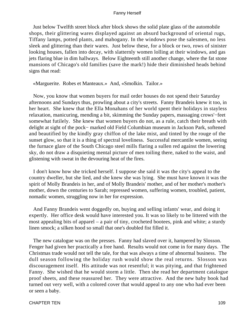Just below Twelfth street block after block shows the solid plate glass of the automobile shops, their glittering wares displayed against an absurd background of oriental rugs, Tiffany lamps, potted plants, and mahogany. In the windows pose the salesmen, no less sleek and glittering than their wares. Just below these, for a block or two, rows of sinister looking houses, fallen into decay, with slatternly women lolling at their windows, and gas jets flaring blue in dim hallways. Below Eighteenth still another change, where the fat stone mansions of Chicago's old families (save the mark!) hide their diminished heads behind signs that read:

«Marguerite. Robes et Manteaux.» And, «Smolkin. Tailor.»

 Now, you know that women buyers for mail order houses do not spend their Saturday afternoons and Sundays thus, prowling about a city's streets. Fanny Brandeis knew it too, in her heart. She knew that the Ella Monahans of her world spent their holidays in stayless relaxation, manicuring, mending a bit, skimming the Sunday papers, massaging crows'−feet somewhat futilely. She knew that women buyers do not, as a rule, catch their breath with delight at sight of the pock− marked old Field Columbian museum in Jackson Park, softened and beautified by the kindly gray chiffon of the lake mist, and tinted by the rouge of the sunset glow, so that it is a thing of spectral loveliness. Successful mercantile women, seeing the furnace glare of the South Chicago steel mills flaring a sullen red against the lowering sky, do not draw a disquieting mental picture of men toiling there, naked to the waist, and glistening with sweat in the devouring heat of the fires.

 I don't know how she tricked herself. I suppose she said it was the city's appeal to the country dweller, but she lied, and she knew she was lying. She must have known it was the spirit of Molly Brandeis in her, and of Molly Brandeis' mother, and of her mother's mother's mother, down the centuries to Sarah; repressed women, suffering women, troubled, patient, nomadic women, struggling now in her for expression.

 And Fanny Brandeis went doggedly on, buying and selling infants' wear, and doing it expertly. Her office desk would have interested you. It was so likely to be littered with the most appealing bits of apparel – a pair of tiny, crocheted bootees, pink and white; a sturdy linen smock; a silken hood so small that one's doubled fist filled it.

 The new catalogue was on the presses. Fanny had slaved over it, hampered by Slosson. Fenger had given her practically a free hand. Results would not come in for many days. The Christmas trade would not tell the tale, for that was always a time of abnormal business. The dull season following the holiday rush would show the real returns. Slosson was discouragement itself. His attitude was not resentful; it was pitying, and that frightened Fanny. She wished that he would storm a little. Then she read her department catalogue proof sheets, and these reassured her. They were attractive. And the new baby book had turned out very well, with a colored cover that would appeal to any one who had ever been or seen a baby.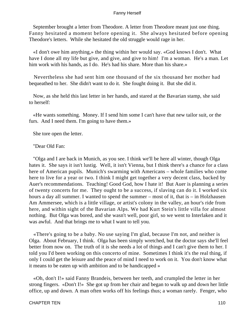September brought a letter from Theodore. A letter from Theodore meant just one thing. Fanny hesitated a moment before opening it. She always hesitated before opening Theodore's letters. While she hesitated the old struggle would rage in her.

 «I don't owe him anything,» the thing within her would say. «God knows I don't. What have I done all my life but give, and give, and give to him! I'm a woman. He's a man. Let him work with his hands, as I do. He's had his share. More than his share.»

 Nevertheless she had sent him one thousand of the six thousand her mother had bequeathed to her. She didn't want to do it. She fought doing it. But she did it.

 Now, as she held this last letter in her hands, and stared at the Bavarian stamp, she said to herself:

 «He wants something. Money. If I send him some I can't have that new tailor suit, or the furs. And I need them. I'm going to have them.»

She tore open the letter.

"Dear Old Fan:

 "Olga and I are back in Munich, as you see. I think we'll be here all winter, though Olga hates it. She says it isn't lustig. Well, it isn't Vienna, but I think there's a chance for a class here of American pupils. Munich's swarming with Americans – whole families who come here to live for a year or two. I think I might get together a very decent class, backed by Auer's recommendations. Teaching! Good God, how I hate it! But Auer is planning a series of twenty concerts for me. They ought to be a success, if slaving can do it. I worked six hours a day all summer. I wanted to spend the summer – most of it, that is – in Holzhausen Am Ammersee, which is a little village, or artist's colony in the valley, an hour's ride from here, and within sight of the Bavarian Alps. We had Kurt Stein's little villa for almost nothing. But Olga was bored, and she wasn't well, poor girl, so we went to Interlaken and it was awful. And that brings me to what I want to tell you.

 «There's going to be a baby. No use saying I'm glad, because I'm not, and neither is Olga. About February, I think. Olga has been simply wretched, but the doctor says she'll feel better from now on. The truth of it is she needs a lot of things and I can't give them to her. I told you I'd been working on this concerto of mine. Sometimes I think it's the real thing, if only I could get the leisure and the peace of mind I need to work on it. You don't know what it means to be eaten up with ambition and to be handicapped »

 «Oh, don't I!» said Fanny Brandeis, between her teeth, and crumpled the letter in her strong fingers. «Don't I!» She got up from her chair and began to walk up and down her little office, up and down. A man often works off his feelings thus; a woman rarely. Fenger, who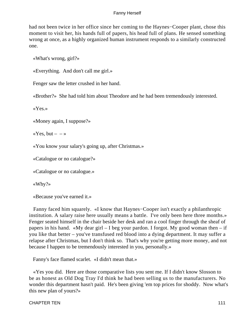had not been twice in her office since her coming to the Haynes−Cooper plant, chose this moment to visit her, his hands full of papers, his head full of plans. He sensed something wrong at once, as a highly organized human instrument responds to a similarly constructed one.

«What's wrong, girl?»

«Everything. And don't call me girl.»

Fenger saw the letter crushed in her hand.

«Brother?» She had told him about Theodore and he had been tremendously interested.

«Yes.»

«Money again, I suppose?»

«Yes, but  $-$  – »

«You know your salary's going up, after Christmas.»

«Catalogue or no catalogue?»

«Catalogue or no catalogue.»

«Why?»

«Because you've earned it.»

 Fanny faced him squarely. «I know that Haynes−Cooper isn't exactly a philanthropic institution. A salary raise here usually means a battle. I've only been here three months.» Fenger seated himself in the chair beside her desk and ran a cool finger through the sheaf of papers in his hand. «My dear girl  $-$  I beg your pardon. I forgot. My good woman then  $-$  if you like that better – you've transfused red blood into a dying department. It may suffer a relapse after Christmas, but I don't think so. That's why you're getting more money, and not because I happen to be tremendously interested in you, personally.»

Fanny's face flamed scarlet. «I didn't mean that.»

 «Yes you did. Here are those comparative lists you sent me. If I didn't know Slosson to be as honest as Old Dog Tray I'd think he had been selling us to the manufacturers. No wonder this department hasn't paid. He's been giving 'em top prices for shoddy. Now what's this new plan of yours?»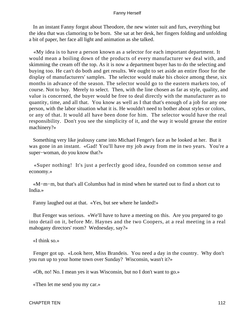In an instant Fanny forgot about Theodore, the new winter suit and furs, everything but the idea that was clamoring to be born. She sat at her desk, her fingers folding and unfolding a bit of paper, her face all light and animation as she talked.

 «My idea is to have a person known as a selector for each important department. It would mean a boiling down of the products of every manufacturer we deal with, and skimming the cream off the top. As it is now a department buyer has to do the selecting and buying too. He can't do both and get results. We ought to set aside an entire floor for the display of manufacturers' samples. The selector would make his choice among these, six months in advance of the season. The selector would go to the eastern markets too, of course. Not to buy. Merely to select. Then, with the line chosen as far as style, quality, and value is concerned, the buyer would be free to deal directly with the manufacturer as to quantity, time, and all that. You know as well as I that that's enough of a job for any one person, with the labor situation what it is. He wouldn't need to bother about styles or colors, or any of that. It would all have been done for him. The selector would have the real responsibility. Don't you see the simplicity of it, and the way it would grease the entire machinery?»

 Something very like jealousy came into Michael Fenger's face as he looked at her. But it was gone in an instant. «Gad! You'll have my job away from me in two years. You're a super−woman, do you know that?»

 «Super nothing! It's just a perfectly good idea, founded on common sense and economy.»

 «M−m−m, but that's all Columbus had in mind when he started out to find a short cut to India.»

Fanny laughed out at that. «Yes, but see where he landed!»

 But Fenger was serious. «We'll have to have a meeting on this. Are you prepared to go into detail on it, before Mr. Haynes and the two Coopers, at a real meeting in a real mahogany directors' room? Wednesday, say?»

«I think so.»

 Fenger got up. «Look here, Miss Brandeis. You need a day in the country. Why don't you run up to your home town over Sunday? Wisconsin, wasn't it?»

«Oh, no! No. I mean yes it was Wisconsin, but no I don't want to go.»

«Then let me send you my car.»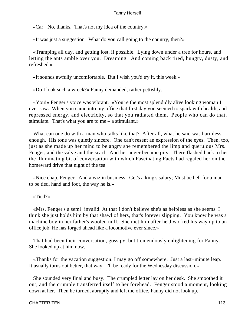«Car! No, thanks. That's not my idea of the country.»

«It was just a suggestion. What do you call going to the country, then?»

 «Tramping all day, and getting lost, if possible. Lying down under a tree for hours, and letting the ants amble over you. Dreaming. And coming back tired, hungry, dusty, and refreshed.»

«It sounds awfully uncomfortable. But I wish you'd try it, this week.»

«Do I look such a wreck?» Fanny demanded, rather pettishly.

 «You!» Fenger's voice was vibrant. «You're the most splendidly alive looking woman I ever saw. When you came into my office that first day you seemed to spark with health, and repressed energy, and electricity, so that you radiated them. People who can do that, stimulate. That's what you are to me – a stimulant.»

 What can one do with a man who talks like that? After all, what he said was harmless enough. His tone was quietly sincere. One can't resent an expression of the eyes. Then, too, just as she made up her mind to be angry she remembered the limp and querulous Mrs. Fenger, and the valve and the scarf. And her anger became pity. There flashed back to her the illuminating bit of conversation with which Fascinating Facts had regaled her on the homeward drive that night of the tea.

 «Nice chap, Fenger. And a wiz in business. Get's a king's salary; Must be hell for a man to be tied, hand and foot, the way he is.»

«Tied?»

 «Mrs. Fenger's a semi−invalid. At that I don't believe she's as helpless as she seems. I think she just holds him by that shawl of hers, that's forever slipping. You know he was a machine boy in her father's woolen mill. She met him after he'd worked his way up to an office job. He has forged ahead like a locomotive ever since.»

 That had been their conversation, gossipy, but tremendously enlightening for Fanny. She looked up at him now.

 «Thanks for the vacation suggestion. I may go off somewhere. Just a last−minute leap. It usually turns out better, that way. I'll be ready for the Wednesday discussion.»

 She sounded very final and busy. The crumpled letter lay on her desk. She smoothed it out, and the crumple transferred itself to her forehead. Fenger stood a moment, looking down at her. Then he turned, abruptly and left the office. Fanny did not look up.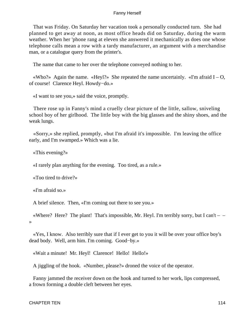That was Friday. On Saturday her vacation took a personally conducted turn. She had planned to get away at noon, as most office heads did on Saturday, during the warm weather. When her 'phone rang at eleven she answered it mechanically as does one whose telephone calls mean a row with a tardy manufacturer, an argument with a merchandise man, or a catalogue query from the printer's.

The name that came to her over the telephone conveyed nothing to her.

«Who?» Again the name. «Heyl?» She repeated the name uncertainly. «I'm afraid  $I - O$ , of course! Clarence Heyl. Howdy−do.»

«I want to see you,» said the voice, promptly.

 There rose up in Fanny's mind a cruelly clear picture of the little, sallow, sniveling school boy of her girlhood. The little boy with the big glasses and the shiny shoes, and the weak lungs.

 «Sorry,» she replied, promptly, «but I'm afraid it's impossible. I'm leaving the office early, and I'm swamped.» Which was a lie.

«This evening?»

«I rarely plan anything for the evening. Too tired, as a rule.»

«Too tired to drive?»

«I'm afraid so.»

A brief silence. Then, «I'm coming out there to see you.»

«Where? Here? The plant! That's impossible, Mr. Heyl. I'm terribly sorry, but I can't  $-$ »

 «Yes, I know. Also terribly sure that if I ever get to you it will be over your office boy's dead body. Well, arm him. I'm coming. Good−by.»

«Wait a minute! Mr. Heyl! Clarence! Hello! Hello!»

A jiggling of the hook. «Number, please?» droned the voice of the operator.

 Fanny jammed the receiver down on the hook and turned to her work, lips compressed, a frown forming a double cleft between her eyes.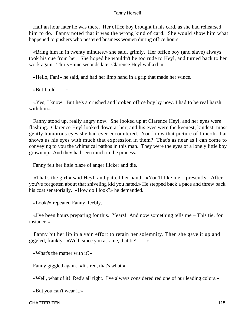Half an hour later he was there. Her office boy brought in his card, as she had rehearsed him to do. Fanny noted that it was the wrong kind of card. She would show him what happened to pushers who pestered business women during office hours.

 «Bring him in in twenty minutes,» she said, grimly. Her office boy (and slave) always took his cue from her. She hoped he wouldn't be too rude to Heyl, and turned back to her work again. Thirty−nine seconds later Clarence Heyl walked in.

«Hello, Fan!» he said, and had her limp hand in a grip that made her wince.

«But I told  $- - \infty$ 

 «Yes, I know. But he's a crushed and broken office boy by now. I had to be real harsh with him.»

 Fanny stood up, really angry now. She looked up at Clarence Heyl, and her eyes were flashing. Clarence Heyl looked down at her, and his eyes were the keenest, kindest, most gently humorous eyes she had ever encountered. You know that picture of Lincoln that shows us his eyes with much that expression in them? That's as near as I can come to conveying to you the whimsical pathos in this man. They were the eyes of a lonely little boy grown up. And they had seen much in the process.

Fanny felt her little blaze of anger flicker and die.

 «That's the girl,» said Heyl, and patted her hand. «You'll like me – presently. After you've forgotten about that sniveling kid you hated.» He stepped back a pace and threw back his coat senatorially. «How do I look?» he demanded.

«Look?» repeated Fanny, feebly.

 «I've been hours preparing for this. Years! And now something tells me – This tie, for instance.»

 Fanny bit her lip in a vain effort to retain her solemnity. Then she gave it up and giggled, frankly. «Well, since you ask me, that tie!  $- \rightarrow \infty$ 

«What's the matter with it?»

Fanny giggled again. «It's red, that's what.»

«Well, what of it! Red's all right. I've always considered red one of our leading colors.»

«But you can't wear it.»

CHAPTER TEN 115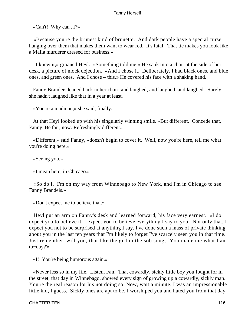«Can't! Why can't I?»

 «Because you're the brunest kind of brunette. And dark people have a special curse hanging over them that makes them want to wear red. It's fatal. That tie makes you look like a Mafia murderer dressed for business.»

 «I knew it,» groaned Heyl. «Something told me.» He sank into a chair at the side of her desk, a picture of mock dejection. «And I chose it. Deliberately. I had black ones, and blue ones, and green ones. And I chose – this.» He covered his face with a shaking hand.

 Fanny Brandeis leaned back in her chair, and laughed, and laughed, and laughed. Surely she hadn't laughed like that in a year at least.

«You're a madman,» she said, finally.

 At that Heyl looked up with his singularly winning smile. «But different. Concede that, Fanny. Be fair, now. Refreshingly different.»

 «Different,» said Fanny, «doesn't begin to cover it. Well, now you're here, tell me what you're doing here.»

«Seeing you.»

«I mean here, in Chicago.»

 «So do I. I'm on my way from Winnebago to New York, and I'm in Chicago to see Fanny Brandeis.»

«Don't expect me to believe that.»

 Heyl put an arm on Fanny's desk and learned forward, his face very earnest. «I do expect you to believe it. I expect you to believe everything I say to you. Not only that, I expect you not to be surprised at anything I say. I've done such a mass of private thinking about you in the last ten years that I'm likely to forget I've scarcely seen you in that time. Just remember, will you, that like the girl in the sob song, `You made me what I am to−day?'»

«I! You're being humorous again.»

 «Never less so in my life. Listen, Fan. That cowardly, sickly little boy you fought for in the street, that day in Winnebago, showed every sign of growing up a cowardly, sickly man. You're the real reason for his not doing so. Now, wait a minute. I was an impressionable little kid, I guess. Sickly ones are apt to be. I worshiped you and hated you from that day.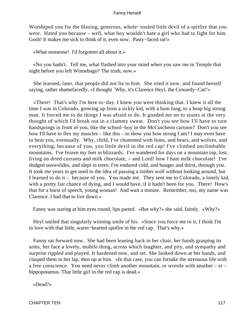Worshiped you for the blazing, generous, whole−souled little devil of a spitfire that you were. Hated you because – well, what boy wouldn't hate a girl who had to fight for him. Gosh! It makes me sick to think of it, even now. Pasty−faced rat!»

«What nonsense! I'd forgotten all about it.»

 «No you hadn't. Tell me, what flashed into your mind when you saw me in Temple that night before you left Winnebago? The truth, now.»

 She learned, later, that people did not lie to him. She tried it now, and found herself saying, rather shamefacedly, «I thought `Why, it's Clarence Heyl, the Cowardy−Cat!'»

 «There! That's why I'm here to−day. I knew you were thinking that. I knew it all the time I was in Colorado, growing up from a sickly kid, with a bum lung, to a heap big strong man. It forced me to do things I was afraid to do. It goaded me on to stunts at the very thought of which I'd break out in a clammy sweat. Don't you see how I'll have to turn handsprings in front of you, like the school−boy in the McCutcheon cartoon? Don't you see how I'll have to flex my muscles – like this – to show you how strong I am? I may even have to beat you, eventually. Why, child, I've chummed with lions, and bears, and wolves, and everything, because of you, you little devil in the red cap! I've climbed unclimbable mountains. I've frozen my feet in blizzards. I've wandered for days on a mountain top, lost, living on dried currants and milk chocolate, – and Lord! how I hate milk chocolate! I've dodged snowslides, and slept in trees; I've endured cold, and hunger and thirst, through you. It took me years to get used to the idea of passing a timber wolf without looking around, but I learned to do it – because of you. You made me. They sent me to Colorado, a lonely kid, with a pretty fair chance of dying, and I would have, if it hadn't been for you. There! How's that for a burst of speech, young woman! And wait a minute. Remember, too, my name was Clarence. I had that to live down.»

Fanny was staring at him eyes round, lips parted. «But why?» she said, faintly. «Why?»

 Heyl smiled that singularly winning smile of his. «Since you force me to it, I think I'm in love with that little, warm−hearted spitfire in the red cap. That's why.»

 Fanny sat forward now. She had been leaning back in her chair, her hands grasping its arms, her face a lovely, mobile thing, across which laughter, and pity, and sympathy and surprise rippled and played. It hardened now, and set. She looked down at her hands, and clasped them in her lap, then up at him. «In that case, you can forsake the strenuous life with a free conscience. You need never climb another mountain, or wrestle with another – er – hippopotamus. That little girl in the red cap is dead.»

«Dead?»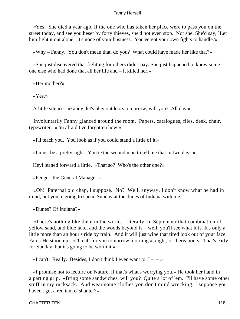«Yes. She died a year ago. If the one who has taken her place were to pass you on the street today, and see you beset by forty thieves, she'd not even stop. Not she. She'd say, `Let him fight it out alone. It's none of your business. You've got your own fights to handle.'»

«Why – Fanny. You don't mean that, do you? What could have made her like that?»

 «She just discovered that fighting for others didn't pay. She just happened to know some one else who had done that all her life and – it killed her.»

«Her mother?»

«Yes.»

A little silence. «Fanny, let's play outdoors tomorrow, will you? All day.»

 Involuntarily Fanny glanced around the room. Papers, catalogues, files, desk, chair, typewriter. «I'm afraid I've forgotten how.»

«I'll teach you. You look as if you could stand a little of it.»

«I must be a pretty sight. You're the second man to tell me that in two days.»

Heyl leaned forward a little. «That so? Who's the other one?»

«Fenger, the General Manager.»

 «Oh! Paternal old chap, I suppose. No? Well, anyway, I don't know what he had in mind, but you're going to spend Sunday at the dunes of Indiana with me.»

«Dunes? Of Indiana?»

 «There's nothing like them in the world. Literally. In September that combination of yellow sand, and blue lake, and the woods beyond is – well, you'll see what it is. It's only a little more than an hour's ride by train. And it will just wipe that tired look out of your face, Fan.» He stood up. «I'll call for you tomorrow morning at eight, or thereabouts. That's early for Sunday, but it's going to be worth it.»

«I can't. Really. Besides, I don't think I even want to.  $I - -\infty$ 

 «I promise not to lecture on Nature, if that's what's worrying you.» He took her hand in a parting grip. «Bring some sandwiches, will you? Quite a lot of 'em. I'll have some other stuff in my rucksack. And wear some clothes you don't mind wrecking. I suppose you haven't got a red tam o' shanter?»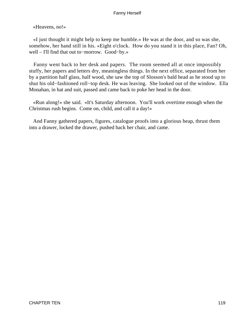«Heavens, no!»

 «I just thought it might help to keep me humble.» He was at the door, and so was she, somehow, her hand still in his. «Eight o'clock. How do you stand it in this place, Fan? Oh, well – I'll find that out to−morrow. Good−by.»

 Fanny went back to her desk and papers. The room seemed all at once impossibly stuffy, her papers and letters dry, meaningless things. In the next office, separated from her by a partition half glass, half wood, she saw the top of Slosson's bald head as he stood up to shut his old−fashioned roll−top desk. He was leaving. She looked out of the window. Ella Monahan, in hat and suit, passed and came back to poke her head in the door.

 «Run along!» she said. «It's Saturday afternoon. You'll work overtime enough when the Christmas rush begins. Come on, child, and call it a day!»

 And Fanny gathered papers, figures, catalogue proofs into a glorious heap, thrust them into a drawer, locked the drawer, pushed back her chair, and came.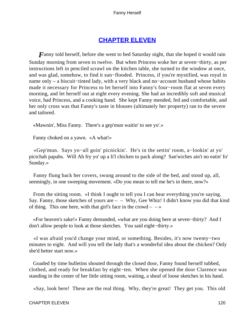# **[CHAPTER ELEVEN](#page-221-0)**

*Fanny* told herself, before she went to bed Saturday night, that she hoped it would rain Sunday morning from seven to twelve. But when Princess woke her at seven−thirty, as per instructions left in penciled scrawl on the kitchen table, she turned to the window at once, and was glad, somehow, to find it sun−flooded. Princess, if you're mystified, was royal in name only – a biscuit–tinted lady, with a very black and no–account husband whose habits made it necessary for Princess to let herself into Fanny's four−room flat at seven every morning, and let herself out at eight every evening. She had an incredibly soft and musical voice, had Princess, and a cooking hand. She kept Fanny mended, fed and comfortable, and her only cross was that Fanny's taste in blouses (ultimately her property) ran to the severe and tailored.

«Mawnin', Miss Fanny. There's a gep'mun waitin' to see yo'.»

Fanny choked on a yawn. «A what!»

 «Gep'mun. Says yo−all goin' picnickin'. He's in the settin' room, a−lookin' at yo' pictchah papahs. Will Ah fry yo' up a li'l chicken to pack along? San'wiches ain't no eatin' fo' Sunday.»

 Fanny flung back her covers, swung around to the side of the bed, and stood up, all, seemingly, in one sweeping movement. «Do you mean to tell me he's in there, now?»

From the sitting room. «I think I ought to tell you I can hear everything you're saying. Say. Fanny, those sketches of yours are  $-$  – Why, Gee Whiz! I didn't know you did that kind of thing. This one here, with that girl's face in the crowd  $- \rightarrow \infty$ 

 «For heaven's sake!» Fanny demanded, «what are you doing here at seven−thirty? And I don't allow people to look at those sketches. You said eight−thirty.»

 «I was afraid you'd change your mind, or something. Besides, it's now twenty−two minutes to eight. And will you tell the lady that's a wonderful idea about the chicken? Only she'd better start now.»

 Goaded by time bulletins shouted through the closed door, Fanny found herself tubbed, clothed, and ready for breakfast by eight−ten. When she opened the door Clarence was standing in the center of her little sitting room, waiting, a sheaf of loose sketches in his hand.

«Say, look here! These are the real thing. Why, they're great! They get you. This old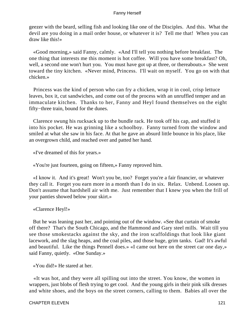geezer with the beard, selling fish and looking like one of the Disciples. And this. What the devil are you doing in a mail order house, or whatever it is? Tell me that! When you can draw like this!»

 «Good morning,» said Fanny, calmly. «And I'll tell you nothing before breakfast. The one thing that interests me this moment is hot coffee. Will you have some breakfast? Oh, well, a second one won't hurt you. You must have got up at three, or thereabouts.» She went toward the tiny kitchen. «Never mind, Princess. I'll wait on myself. You go on with that chicken.»

 Princess was the kind of person who can fry a chicken, wrap it in cool, crisp lettuce leaves, box it, cut sandwiches, and come out of the process with an unruffled temper and an immaculate kitchen. Thanks to her, Fanny and Heyl found themselves on the eight fifty−three train, bound for the dunes.

 Clarence swung his rucksack up to the bundle rack. He took off his cap, and stuffed it into his pocket. He was grinning like a schoolboy. Fanny turned from the window and smiled at what she saw in his face. At that he gave an absurd little bounce in his place, like an overgrown child, and reached over and patted her hand.

«I've dreamed of this for years.»

«You're just fourteen, going on fifteen,» Fanny reproved him.

 «I know it. And it's great! Won't you be, too? Forget you're a fair financier, or whatever they call it. Forget you earn more in a month than I do in six. Relax. Unbend. Loosen up. Don't assume that hardshell air with me. Just remember that I knew you when the frill of your panties showed below your skirt.»

«Clarence Heyl!»

 But he was leaning past her, and pointing out of the window. «See that curtain of smoke off there? That's the South Chicago, and the Hammond and Gary steel mills. Wait till you see those smokestacks against the sky, and the iron scaffoldings that look like giant lacework, and the slag heaps, and the coal piles, and those huge, grim tanks. Gad! It's awful and beautiful. Like the things Pennell does.» «I came out here on the street car one day,» said Fanny, quietly. «One Sunday.»

«You did!» He stared at her.

 «It was hot, and they were all spilling out into the street. You know, the women in wrappers, just blobs of flesh trying to get cool. And the young girls in their pink silk dresses and white shoes, and the boys on the street corners, calling to them. Babies all over the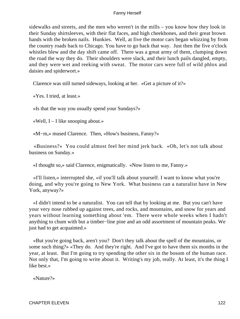sidewalks and streets, and the men who weren't in the mills – you know how they look in their Sunday shirtsleeves, with their flat faces, and high cheekbones, and their great brown hands with the broken nails. Hunkies. Well, at five the motor cars began whizzing by from the country roads back to Chicago. You have to go back that way. Just then the five o'clock whistles blew and the day shift came off. There was a great army of them, clumping down the road the way they do. Their shoulders were slack, and their lunch pails dangled, empty, and they were wet and reeking with sweat. The motor cars were full of wild phlox and daisies and spiderwort.»

Clarence was still turned sideways, looking at her. «Get a picture of it?»

«Yes. I tried, at least.»

«Is that the way you usually spend your Sundays?»

«Well,  $I - I$  like snooping about.»

«M−m,» mused Clarence. Then, «How's business, Fanny?»

 «Business?» You could almost feel her mind jerk back. «Oh, let's not talk about business on Sunday.»

«I thought so,» said Clarence, enigmatically. «Now listen to me, Fanny.»

 «I'll listen,» interrupted she, «if you'll talk about yourself. I want to know what you're doing, and why you're going to New York. What business can a naturalist have in New York, anyway?»

 «I didn't intend to be a naturalist. You can tell that by looking at me. But you can't have your very nose rubbed up against trees, and rocks, and mountains, and snow for years and years without learning something about 'em. There were whole weeks when I hadn't anything to chum with but a timber−line pine and an odd assortment of mountain peaks. We just had to get acquainted.»

 «But you're going back, aren't you? Don't they talk about the spell of the mountains, or some such thing?» «They do. And they're right. And I've got to have them six months in the year, at least. But I'm going to try spending the other six in the bosom of the human race. Not only that, I'm going to write about it. Writing's my job, really. At least, it's the thing I like best.»

«Nature?»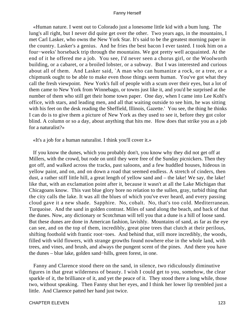«Human nature. I went out to Colorado just a lonesome little kid with a bum lung. The lung's all right, but I never did quite get over the other. Two years ago, in the mountains, I met Carl Lasker, who owns the New York Star. It's said to be the greatest morning paper in the country. Lasker's a genius. And he fries the best bacon I ever tasted. I took him on a four−weeks' horseback trip through the mountains. We got pretty well acquainted. At the end of it he offered me a job. You see, I'd never seen a chorus girl, or the Woolworth building, or a cabaret, or a broiled lobster, or a subway. But I was interested and curious about all of them. And Lasker said, `A man who can humanize a rock, or a tree, or a chipmunk ought to be able to make even those things seem human. You've got what they call the fresh viewpoint. New York's full of people with a scum over their eyes, but a lot of them came to New York from Winnebago, or towns just like it, and you'd be surprised at the number of them who still get their home town paper. One day, when I came into Lee Kohl's office, with stars, and leading men, and all that waiting outside to see him, he was sitting with his feet on the desk reading the Sheffield, Illinois, Gazette.' You see, the thing he thinks I can do is to give them a picture of New York as they used to see it, before they got color blind. A column or so a day, about anything that hits me. How does that strike you as a job for a naturalist?»

«It's a job for a human naturalist. I think you'll cover it.»

 If you know the dunes, which you probably don't, you know why they did not get off at Millers, with the crowd, but rode on until they were free of the Sunday picnickers. Then they got off, and walked across the tracks, past saloons, and a few huddled houses, hideous in yellow paint, and on, and on down a road that seemed endless. A stretch of cinders, then dust, a rather stiff little hill, a great length of yellow sand and – the lake! We say, the lake! like that, with an exclamation point after it, because it wasn't at all the Lake Michigan that Chicagoans know. This vast blue glory bore no relation to the sullen, gray, turbid thing that the city calls the lake. It was all the blues of which you've ever heard, and every passing cloud gave it a new shade. Sapphire. No, cobalt. No, that's too cold. Mediterranean. Turquoise. And the sand in golden contrast. Miles of sand along the beach, and back of that the dunes. Now, any dictionary or Scotchman will tell you that a dune is a hill of loose sand. But these dunes are done in American fashion, lavishly. Mountains of sand, as far as the eye can see, and on the top of them, incredibly, great pine trees that clutch at their perilous, shifting foothold with frantic root−toes. And behind that, still more incredibly, the woods, filled with wild flowers, with strange growths found nowhere else in the whole land, with trees, and vines, and brush, and always the pungent scent of the pines. And there you have the dunes – blue lake, golden sand−hills, green forest, in one.

 Fanny and Clarence stood there on the sand, in silence, two ridiculously diminutive figures in that great wilderness of beauty. I wish I could get to you, somehow, the clear sparkle of it, the brilliance of it, and yet the peace of it. They stood there a long while, those two, without speaking. Then Fanny shut her eyes, and I think her lower lip trembled just a little. And Clarence patted her hand just twice.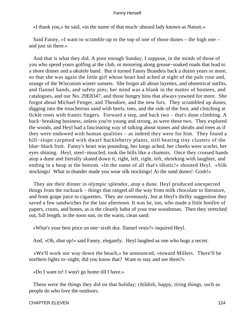«I thank you,» he said, «in the name of that much−abused lady known as Nature.»

 Said Fanny, «I want to scramble up to the top of one of those dunes – the high one – and just sit there.»

 And that is what they did. A poor enough Sunday, I suppose, in the minds of those of you who spend yours golfing at the club, or motoring along grease−soaked roads that lead to a shore dinner and a ukulele band. But it turned Fanny Brandeis back a dozen years or more, so that she was again the little girl whose heart had ached at sight of the pale rose and, orange of the Wisconsin winter sunsets. She forgot all about layettes, and obstetrical outfits, and flannel bands, and safety pins; her mind was a blank in the matter of bootees, and catalogues, and our No. 29E8347, and those hungry bins that always yawned for more. She forgot about Michael Fenger, and Theodore, and the new furs. They scrambled up dunes, digging into the treacherous sand with heels, toes, and the side of the foot, and clutching at fickle roots with frantic fingers. Forward a step, and back two – that's dune climbing. A back−breaking business, unless you're young and strong, as were these two. They explored the woods, and Heyl had a fascinating way of talking about stones and shrubs and trees as if they were endowed with human qualities – as indeed they were for him. They found a hill−slope carpeted with dwarf huckleberry plants, still bearing tiny clusters of the blue−black fruit. Fanny's heart was pounding, her lungs ached, her cheeks were scarlet, her eyes shining. Heyl, steel−muscled, took the hills like a chamois. Once they crossed hands atop a dune and literally skated down it, right, left, right, left, shrieking with laughter, and ending in a heap at the bottom. «In the name of all that's idiotic!» shouted Heyl. «Silk stockings! What in thunder made you wear silk stockings! At the sand dunes! Gosh!»

 They ate their dinner in olympic splendor, atop a dune. Heyl produced unexpected things from the rucksack – things that ranged all the way from milk chocolate to literature, and from grape juice to cigarettes. They ate ravenously, but at Heyl's thrifty suggestion they saved a few sandwiches for the late afternoon. It was he, too, who made a little bonfire of papers, crusts, and bones, as is the cleanly habit of your true woodsman. Then they stretched out, full length, in the noon sun, on the warm, clean sand.

«What's your best price on one−sixth doz. flannel vests?» inquired Heyl.

And, «Oh, shut up!» said Fanny, elegantly. Heyl laughed as one who hugs a secret.

 «We'll work our way down the beach,» he announced, «toward Millers. There'll be northern lights to−night; did you know that? Want to stay and see them?»

«Do I want to! I won't go home till I have.»

 These were the things they did on that holiday; childish, happy, tiring things, such as people do who love the outdoors.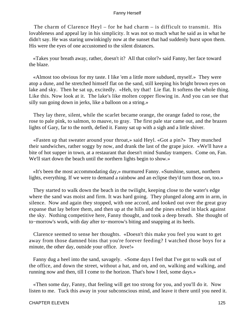The charm of Clarence Heyl – for he had charm – is difficult to transmit. His lovableness and appeal lay in his simplicity. It was not so much what he said as in what he didn't say. He was staring unwinkingly now at the sunset that had suddenly burst upon them. His were the eyes of one accustomed to the silent distances.

 «Takes your breath away, rather, doesn't it? All that color?» said Fanny, her face toward the blaze.

 «Almost too obvious for my taste. I like 'em a little more subdued, myself.» They were atop a dune, and he stretched himself flat on the sand, still keeping his bright brown eyes on lake and sky. Then he sat up, excitedly. «Heh, try that! Lie flat. It softens the whole thing. Like this. Now look at it. The lake's like molten copper flowing in. And you can see that silly sun going down in jerks, like a balloon on a string.»

 They lay there, silent, while the scarlet became orange, the orange faded to rose, the rose to pale pink, to salmon, to mauve, to gray. The first pale star came out, and the brazen lights of Gary, far to the north, defied it. Fanny sat up with a sigh and a little shiver.

 «Fasten up that sweater around your throat,» said Heyl. «Got a pin?» They munched their sandwiches, rather soggy by now, and drank the last of the grape juice. «We'll have a bite of hot supper in town, at a restaurant that doesn't mind Sunday trampers. Come on, Fan. We'll start down the beach until the northern lights begin to show.»

 «It's been the most accommodating day,» murmured Fanny. «Sunshine, sunset, northern lights, everything. If we were to demand a rainbow and an eclipse they'd turn those on, too.»

 They started to walk down the beach in the twilight, keeping close to the water's edge where the sand was moist and firm. It was hard going. They plunged along arm in arm, in silence. Now and again they stopped, with one accord, and looked out over the great gray expanse that lay before them, and then up at the hills and the pines etched in black against the sky. Nothing competitive here, Fanny thought, and took a deep breath. She thought of to−morrow's work, with day after to−morrow's biting and snapping at its heels.

 Clarence seemed to sense her thoughts. «Doesn't this make you feel you want to get away from those damned bins that you're forever feeding? I watched those boys for a minute, the other day, outside your office. Jove!»

 Fanny dug a heel into the sand, savagely. «Some days I feel that I've got to walk out of the office, and down the street, without a hat, and on, and on, walking and walking, and running now and then, till I come to the horizon. That's how I feel, some days.»

 «Then some day, Fanny, that feeling will get too strong for you, and you'll do it. Now listen to me. Tuck this away in your subconscious mind, and leave it there until you need it.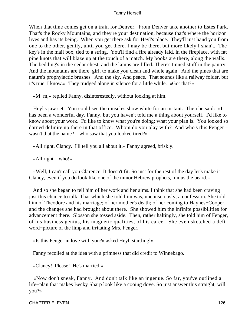When that time comes get on a train for Denver. From Denver take another to Estes Park. That's the Rocky Mountains, and they're your destination, because that's where the horizon lives and has its being. When you get there ask for Heyl's place. They'll just hand you from one to the other, gently, until you get there. I may be there, but more likely I shan't. The key's in the mail box, tied to a string. You'll find a fire already laid, in the fireplace, with fat pine knots that will blaze up at the touch of a match. My books are there, along the walls. The bedding's in the cedar chest, and the lamps are filled. There's tinned stuff in the pantry. And the mountains are there, girl, to make you clean and whole again. And the pines that are nature's prophylactic brushes. And the sky. And peace. That sounds like a railway folder, but it's true. I know.» They trudged along in silence for a little while. «Got that?»

«M−m,» replied Fanny, disinterestedly, without looking at him.

 Heyl's jaw set. You could see the muscles show white for an instant. Then he said: «It has been a wonderful day, Fanny, but you haven't told me a thing about yourself. I'd like to know about your work. I'd like to know what you're doing; what your plan is. You looked so darned definite up there in that office. Whom do you play with? And who's this Fenger – wasn't that the name? – who saw that you looked tired?»

«All right, Clancy. I'll tell you all about it,» Fanny agreed, briskly.

«All right – who!»

 «Well, I can't call you Clarence. It doesn't fit. So just for the rest of the day let's make it Clancy, even if you do look like one of the minor Hebrew prophets, minus the beard.»

 And so she began to tell him of her work and her aims. I think that she had been craving just this chance to talk. That which she told him was, unconsciously, a confession. She told him of Theodore and his marriage; of her mother's death; of her coming to Haynes−Cooper, and the changes she had brought about there. She showed him the infinite possibilities for advancement there. Slosson she tossed aside. Then, rather haltingly, she told him of Fenger, of his business genius, his magnetic qualities, of his career. She even sketched a deft word−picture of the limp and irritating Mrs. Fenger.

«Is this Fenger in love with you?» asked Heyl, startlingly.

Fanny recoiled at the idea with a primness that did credit to Winnebago.

«Clancy! Please! He's married.»

 «Now don't sneak, Fanny. And don't talk like an ingenue. So far, you've outlined a life−plan that makes Becky Sharp look like a cooing dove. So just answer this straight, will you?»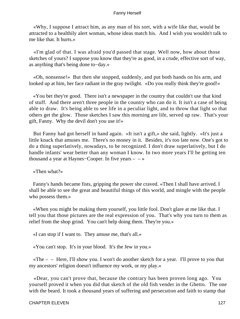«Why, I suppose I attract him, as any man of his sort, with a wife like that, would be attracted to a healthily alert woman, whose ideas match his. And I wish you wouldn't talk to me like that. It hurts.»

 «I'm glad of that. I was afraid you'd passed that stage. Well now, how about those sketches of yours? I suppose you know that they're as good, in a crude, effective sort of way, as anything that's being done to−day.»

 «Oh, nonsense!» But then she stopped, suddenly, and put both hands on his arm, and looked up at him, her face radiant in the gray twilight. «Do you really think they're good!»

 «You bet they're good. There isn't a newspaper in the country that couldn't use that kind of stuff. And there aren't three people in the country who can do it. It isn't a case of being able to draw. It's being able to see life in a peculiar light, and to throw that light so that others get the glow. Those sketches I saw this morning are life, served up raw. That's your gift, Fanny. Why the devil don't you use it!»

 But Fanny had got herself in hand again. «It isn't a gift,» she said, lightly. «It's just a little knack that amuses me. There's no money in it. Besides, it's too late now. One's got to do a thing superlatively, nowadays, to be recognized. I don't draw superlatively, but I do handle infants' wear better than any woman I know. In two more years I'll be getting ten thousand a year at Haynes–Cooper. In five years –  $-\infty$ 

«Then what?»

 Fanny's hands became fists, gripping the power she craved. «Then I shall have arrived. I shall be able to see the great and beautiful things of this world, and mingle with the people who possess them.»

 «When you might be making them yourself, you little fool. Don't glare at me like that. I tell you that those pictures are the real expression of you. That's why you turn to them as relief from the shop grind. You can't help doing them. They're you.»

«I can stop if I want to. They amuse me, that's all.»

«You can't stop. It's in your blood. It's the Jew in you.»

 $\kappa$ The – – Here, I'll show you. I won't do another sketch for a year. I'll prove to you that my ancestors' religion doesn't influence my work, or my play.»

 «Dear, you can't prove that, because the contrary has been proven long ago. You yourself proved it when you did that sketch of the old fish vender in the Ghetto. The one with the beard. It took a thousand years of suffering and persecution and faith to stamp that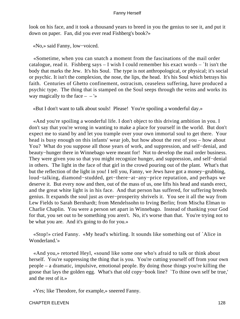look on his face, and it took a thousand years to breed in you the genius to see it, and put it down on paper. Fan, did you ever read Fishberg's book?»

«No,» said Fanny, low−voiced.

 «Sometime, when you can snatch a moment from the fascinations of the mail order catalogue, read it. Fishberg says – I wish I could remember his exact words – `It isn't the body that marks the Jew. It's his Soul. The type is not anthropological, or physical; it's social or psychic. It isn't the complexion, the nose, the lips, the head. It's his Soul which betrays his faith. Centuries of Ghetto confinement, ostracism, ceaseless suffering, have produced a psychic type. The thing that is stamped on the Soul seeps through the veins and works its way magically to the face  $- -$ '»

«But I don't want to talk about souls! Please! You're spoiling a wonderful day.»

 «And you're spoiling a wonderful life. I don't object to this driving ambition in you. I don't say that you're wrong in wanting to make a place for yourself in the world. But don't expect me to stand by and let you trample over your own immortal soul to get there. Your head is busy enough on this infants' wear job, but how about the rest of you – how about You? What do you suppose all those years of work, and suppression, and self−denial, and beauty−hunger there in Winnebago were meant for! Not to develop the mail order business. They were given you so that you might recognize hunger, and suppression, and self−denial in others. The light in the face of that girl in the crowd pouring out of the plant. What's that but the reflection of the light in you! I tell you, Fanny, we Jews have got a money−grubbing, loud−talking, diamond−studded, get−there−at−any−price reputation, and perhaps we deserve it. But every now and then, out of the mass of us, one lifts his head and stands erect, and the great white light is in his face. And that person has suffered, for suffering breeds genius. It expands the soul just as over−prosperity shrivels it. You see it all the way from Lew Fields to Sarah Bernhardt; from Mendelssohn to Irving Berlin; from Mischa Elman to Charlie Chaplin. You were a person set apart in Winnebago. Instead of thanking your God for that, you set out to be something you aren't. No, it's worse than that. You're trying not to be what you are. And it's going to do for you.»

 «Stop!» cried Fanny. «My head's whirling. It sounds like something out of `Alice in Wonderland.'»

 «And you,» retorted Heyl, «sound like some one who's afraid to talk or think about herself. You're suppressing the thing that is you. You're cutting yourself off from your own people – a dramatic, impulsive, emotional people. By doing those things you're killing the goose that lays the golden egg. What's that old copy−book line? `To thine own self be true,' and the rest of it.»

«Yes; like Theodore, for example,» sneered Fanny.

### CHAPTER ELEVEN 128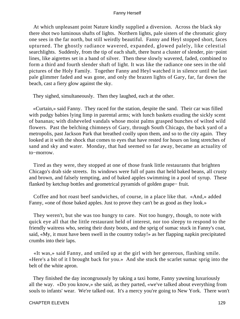At which unpleasant point Nature kindly supplied a diversion. Across the black sky there shot two luminous shafts of lights. Northern lights, pale sisters of the chromatic glory one sees in the far north, but still weirdly beautiful. Fanny and Heyl stopped short, faces upturned. The ghostly radiance wavered, expanded, glowed palely, like celestial searchlights. Suddenly, from the tip of each shaft, there burst a cluster of slender, pin−point lines, like aigrettes set in a band of silver. Then these slowly wavered, faded, combined to form a third and fourth slender shaft of light. It was like the radiance one sees in the old pictures of the Holy Family. Together Fanny and Heyl watched it in silence until the last pale glimmer faded and was gone, and only the brazen lights of Gary, far, far down the beach, cast a fiery glow against the sky.

They sighed, simultaneously. Then they laughed, each at the other.

 «Curtain,» said Fanny. They raced for the station, despite the sand. Their car was filled with pudgy babies lying limp in parental arms; with lunch baskets exuding the sickly scent of bananas; with disheveled vandals whose moist palms grasped bunches of wilted wild flowers. Past the belching chimneys of Gary, through South Chicago, the back yard of a metropolis, past Jackson Park that breathed coolly upon them, and so to the city again. They looked at it with the shock that comes to eyes that have rested for hours on long stretches of sand and sky and water. Monday, that had seemed so far away, became an actuality of to−morrow.

 Tired as they were, they stopped at one of those frank little restaurants that brighten Chicago's drab side streets. Its windows were full of pans that held baked beans, all crusty and brown, and falsely tempting, and of baked apples swimming in a pool of syrup. These flanked by ketchup bottles and geometrical pyramids of golden grape− fruit.

 Coffee and hot roast beef sandwiches, of course, in a place like that. «And,» added Fanny, «one of those baked apples. Just to prove they can't be as good as they look.»

 They weren't, but she was too hungry to care. Not too hungry, though, to note with quick eye all that the little restaurant held of interest, nor too sleepy to respond to the friendly waitress who, seeing their dusty boots, and the sprig of sumac stuck in Fanny's coat, said, «My, it must have been swell in the country today!» as her flapping napkin precipitated crumbs into their laps.

 «It was,» said Fanny, and smiled up at the girl with her generous, flashing smile. «Here's a bit of it I brought back for you.» And she stuck the scarlet sumac sprig into the belt of the white apron.

 They finished the day incongruously by taking a taxi home, Fanny yawning luxuriously all the way. «Do you know,» she said, as they parted, «we've talked about everything from souls to infants' wear. We're talked out. It's a mercy you're going to New York. There won't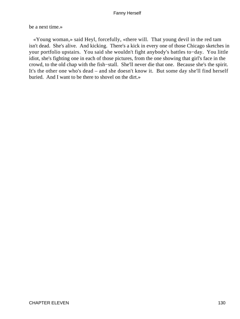be a next time.»

 «Young woman,» said Heyl, forcefully, «there will. That young devil in the red tam isn't dead. She's alive. And kicking. There's a kick in every one of those Chicago sketches in your portfolio upstairs. You said she wouldn't fight anybody's battles to−day. You little idiot, she's fighting one in each of those pictures, from the one showing that girl's face in the crowd, to the old chap with the fish−stall. She'll never die that one. Because she's the spirit. It's the other one who's dead – and she doesn't know it. But some day she'll find herself buried. And I want to be there to shovel on the dirt.»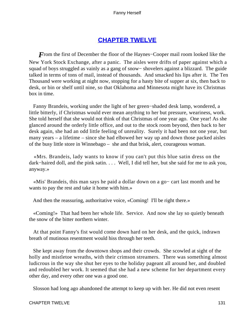# **[CHAPTER TWELVE](#page-221-0)**

*F*rom the first of December the floor of the Haynes–Cooper mail room looked like the New York Stock Exchange, after a panic. The aisles were drifts of paper against which a squad of boys struggled as vainly as a gang of snow− shovelers against a blizzard. The guide talked in terms of tons of mail, instead of thousands. And smacked his lips after it. The Ten Thousand were working at night now, stopping for a hasty bite of supper at six, then back to desk, or bin or shelf until nine, so that Oklahoma and Minnesota might have its Christmas box in time.

 Fanny Brandeis, working under the light of her green−shaded desk lamp, wondered, a little bitterly, if Christmas would ever mean anything to her but pressure, weariness, work. She told herself that she would not think of that Christmas of one year ago. One year! As she glanced around the orderly little office, and out to the stock room beyond, then back to her desk again, she had an odd little feeling of unreality. Surely it had been not one year, but many years – a lifetime – since she had elbowed her way up and down those packed aisles of the busy little store in Winnebago – she and that brisk, alert, courageous woman.

 «Mrs. Brandeis, lady wants to know if you can't put this blue satin dress on the dark−haired doll, and the pink satin. . . . Well, I did tell her, but she said for me to ask you, anyway.»

 «Mis' Brandeis, this man says he paid a dollar down on a go− cart last month and he wants to pay the rest and take it home with him.»

And then the reassuring, authoritative voice, «Coming! I'll be right there.»

 «Coming!» That had been her whole life. Service. And now she lay so quietly beneath the snow of the bitter northern winter.

 At that point Fanny's fist would come down hard on her desk, and the quick, indrawn breath of mutinous resentment would hiss through her teeth.

 She kept away from the downtown shops and their crowds. She scowled at sight of the holly and mistletoe wreaths, with their crimson streamers. There was something almost ludicrous in the way she shut her eyes to the holiday pageant all around her, and doubled and redoubled her work. It seemed that she had a new scheme for her department every other day, and every other one was a good one.

Slosson had long ago abandoned the attempt to keep up with her. He did not even resent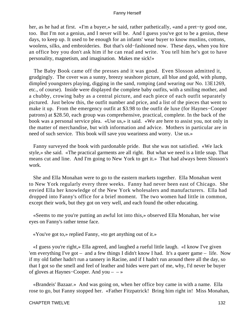her, as he had at first. «I'm a buyer,» he said, rather pathetically, «and a pret−ty good one, too. But I'm not a genius, and I never will be. And I guess you've got to be a genius, these days, to keep up. It used to be enough for an infants' wear buyer to know muslins, cottons, woolens, silks, and embroideries. But that's old−fashioned now. These days, when you hire an office boy you don't ask him if he can read and write. You tell him he's got to have personality, magnetism, and imagination. Makes me sick!»

 The Baby Book came off the presses and it was good. Even Slosson admitted it, grudgingly. The cover was a sunny, breezy seashore picture, all blue and gold, with plump, dimpled youngsters playing, digging in the sand, romping (and wearing our No. 13E1269, etc., of course). Inside were displayed the complete baby outfits, with a smiling mother, and a chubby, crowing baby as a central picture, and each piece of each outfit separately pictured. Just below this, the outfit number and price, and a list of the pieces that went to make it up. From the emergency outfit at \$3.98 to the outfit de luxe (for Haynes−Cooper patrons) at \$28.50, each group was comprehensive, practical, complete. In the back of the book was a personal service plea. «Use us,» it said. «We are here to assist you, not only in the matter of merchandise, but with information and advice. Mothers in particular are in need of such service. This book will save you weariness and worry. Use us.»

 Fanny surveyed the book with pardonable pride. But she was not satisfied. «We lack style,» she said. «The practical garments are all right. But what we need is a little snap. That means cut and line. And I'm going to New York to get it.» That had always been Slosson's work.

 She and Ella Monahan were to go to the eastern markets together. Ella Monahan went to New York regularly every three weeks. Fanny had never been east of Chicago. She envied Ella her knowledge of the New York wholesalers and manufacturers. Ella had dropped into Fanny's office for a brief moment. The two women had little in common, except their work, but they got on very well, and each found the other educating.

 «Seems to me you're putting an awful lot into this,» observed Ella Monahan, her wise eyes on Fanny's rather tense face.

«You've got to,» replied Fanny, «to get anything out of it.»

 «I guess you're right,» Ella agreed, and laughed a rueful little laugh. «I know I've given 'em everything I've got – and a few things I didn't know I had. It's a queer game – life. Now if my old father hadn't run a tannery in Racine, and if I hadn't run around there all the day, so that I got so the smell and feel of leather and hides were part of me, why, I'd never be buyer of gloves at Haynes−Cooper. And you – – »

 «Brandeis' Bazaar.» And was going on, when her office boy came in with a name. Ella rose to go, but Fanny stopped her. «Father Fitzpatrick! Bring him right in! Miss Monahan,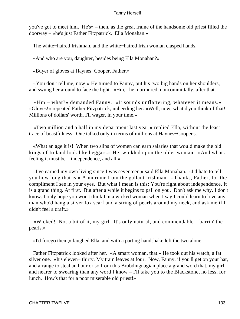you've got to meet him. He's» – then, as the great frame of the handsome old priest filled the doorway – «he's just Father Fitzpatrick. Ella Monahan.»

The white−haired Irishman, and the white−haired Irish woman clasped hands.

«And who are you, daughter, besides being Ella Monahan?»

«Buyer of gloves at Haynes−Cooper, Father.»

 «You don't tell me, now!» He turned to Fanny, put his two big hands on her shoulders, and swung her around to face the light. «Hm,» he murmured, noncommittally, after that.

 «Hm – what?» demanded Fanny. «It sounds unflattering, whatever it means.» «Gloves!» repeated Father Fitzpatrick, unheeding her. «Well, now, what d'you think of that! Millions of dollars' worth, I'll wager, in your time.»

 «Two million and a half in my department last year,» replied Ella, without the least trace of boastfulness. One talked only in terms of millions at Haynes−Cooper's.

 «What an age it is! When two slips of women can earn salaries that would make the old kings of Ireland look like beggars.» He twinkled upon the older woman. «And what a feeling it must be – independence, and all.»

 «I've earned my own living since I was seventeen,» said Ella Monahan. «I'd hate to tell you how long that is.» A murmur from the gallant Irishman. «Thanks, Father, for the compliment I see in your eyes. But what I mean is this: You're right about independence. It is a grand thing. At first. But after a while it begins to pall on you. Don't ask me why. I don't know. I only hope you won't think I'm a wicked woman when I say I could learn to love any man who'd hang a silver fox scarf and a string of pearls around my neck, and ask me if I didn't feel a draft.»

 «Wicked! Not a bit of it, my girl. It's only natural, and commendable – barrin' the pearls.»

«I'd forego them,» laughed Ella, and with a parting handshake left the two alone.

 Father Fitzpatrick looked after her. «A smart woman, that.» He took out his watch, a fat silver one. «It's eleven− thirty. My train leaves at four. Now, Fanny, if you'll get on your hat, and arrange to steal an hour or so from this Brobdingnagian place a grand word that, my girl, and nearer to swearing than any word I know – I'll take you to the Blackstone, no less, for lunch. How's that for a poor miserable old priest!»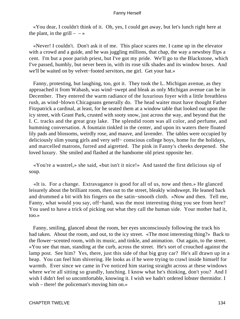«You dear, I couldn't think of it. Oh, yes, I could get away, but let's lunch right here at the plant, in the grill  $-$  – »

 «Never! I couldn't. Don't ask it of me. This place scares me. I came up in the elevator with a crowd and a guide, and he was juggling millions, that chap, the way a newsboy flips a cent. I'm but a poor parish priest, but I've got my pride. We'll go to the Blackstone, which I've passed, humbly, but never been in, with its rose silk shades and its window boxes. And we'll be waited on by velvet−footed servitors, me girl. Get your hat.»

 Fanny, protesting, but laughing, too, got it. They took the L. Michigan avenue, as they approached it from Wabash, was wind−swept and bleak as only Michigan avenue can be in December. They entered the warm radiance of the luxurious foyer with a little breathless rush, as wind−blown Chicagoans generally do. The head waiter must have thought Father Fitzpatrick a cardinal, at least, for he seated them at a window table that looked out upon the icy street, with Grant Park, crusted with sooty snow, just across the way, and beyond that the I. C. tracks and the great gray lake. The splendid room was all color, and perfume, and humming conversation. A fountain tinkled in the center, and upon its waters there floated lily pads and blossoms, weirdly rose, and mauve, and lavender. The tables were occupied by deliciously slim young girls and very self− conscious college boys, home for the holidays, and marcelled matrons, furred and aigretted. The pink in Fanny's cheeks deepened. She loved luxury. She smiled and flashed at the handsome old priest opposite her.

 «You're a wastrel,» she said, «but isn't it nice!» And tasted the first delicious sip of soup.

 «It is. For a change. Extravagance is good for all of us, now and then.» He glanced leisurely about the brilliant room, then out to the street, bleakly windswept. He leaned back and drummed a bit with his fingers on the satin−smooth cloth. «Now and then. Tell me, Fanny, what would you say, off−hand, was the most interesting thing you see from here? You used to have a trick of picking out what they call the human side. Your mother had it, too.»

 Fanny, smiling, glanced about the room, her eyes unconsciously following the track his had taken. About the room, and out, to the icy street. «The most interesting thing?» Back to the flower−scented room, with its music, and tinkle, and animation. Out again, to the street. «You see that man, standing at the curb, across the street. He's sort of crouched against the lamp post. See him? Yes, there, just this side of that big gray car? He's all drawn up in a heap. You can feel him shivering. He looks as if he were trying to crawl inside himself for warmth. Ever since we came in I've noticed him staring straight across at these windows where we're all sitting so grandly, lunching. I know what he's thinking, don't you? And I wish I didn't feel so uncomfortable, knowing it. I wish we hadn't ordered lobster thermidor. I wish – there! the policeman's moving him on.»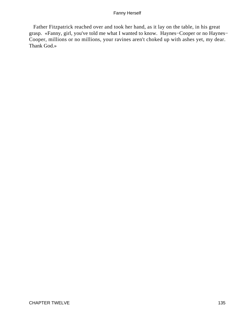Father Fitzpatrick reached over and took her hand, as it lay on the table, in his great grasp. «Fanny, girl, you've told me what I wanted to know. Haynes−Cooper or no Haynes− Cooper, millions or no millions, your ravines aren't choked up with ashes yet, my dear. Thank God.»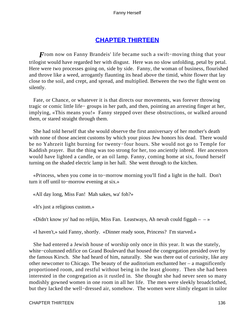# **[CHAPTER THIRTEEN](#page-221-0)**

*F*rom now on Fanny Brandeis' life became such a swift–moving thing that your trilogist would have regarded her with disgust. Here was no slow unfolding, petal by petal. Here were two processes going on, side by side. Fanny, the woman of business, flourished and throve like a weed, arrogantly flaunting its head above the timid, white flower that lay close to the soil, and crept, and spread, and multiplied. Between the two the fight went on silently.

 Fate, or Chance, or whatever it is that directs our movements, was forever throwing tragic or comic little life− groups in her path, and then, pointing an arresting finger at her, implying, «This means you!» Fanny stepped over these obstructions, or walked around them, or stared straight through them.

 She had told herself that she would observe the first anniversary of her mother's death with none of those ancient customs by which your pious Jew honors his dead. There would be no Yahrzeit light burning for twenty−four hours. She would not go to Temple for Kaddish prayer. But the thing was too strong for her, too anciently inbred. Her ancestors would have lighted a candle, or an oil lamp. Fanny, coming home at six, found herself turning on the shaded electric lamp in her hall. She went through to the kitchen.

 «Princess, when you come in to−morrow morning you'll find a light in the hall. Don't turn it off until to−morrow evening at six.»

«All day long, Miss Fan! Mah sakes, wa' foh?»

«It's just a religious custom.»

«Didn't know yo' had no relijin, Miss Fan. Leastways, Ah nevah could figgah  $- \rightarrow \infty$ 

«I haven't,» said Fanny, shortly. «Dinner ready soon, Princess? I'm starved.»

 She had entered a Jewish house of worship only once in this year. It was the stately, white−columned edifice on Grand Boulevard that housed the congregation presided over by the famous Kirsch. She had heard of him, naturally. She was there out of curiosity, like any other newcomer to Chicago. The beauty of the auditorium enchanted her – a magnificently proportioned room, and restful without being in the least gloomy. Then she had been interested in the congregation as it rustled in. She thought she had never seen so many modishly gowned women in one room in all her life. The men were sleekly broadclothed, but they lacked the well−dressed air, somehow. The women were slimly elegant in tailor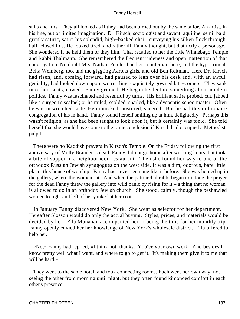suits and furs. They all looked as if they had been turned out by the same tailor. An artist, in his line, but of limited imagination. Dr. Kirsch, sociologist and savant, aquiline, semi−bald, grimly satiric, sat in his splendid, high−backed chair, surveying his silken flock through half−closed lids. He looked tired, and rather ill, Fanny thought, but distinctly a personage. She wondered if he held them or they him. That recalled to her the little Winnebago Temple and Rabbi Thalmann. She remembered the frequent rudeness and open inattention of that congregation. No doubt Mrs. Nathan Pereles had her counterpart here, and the hypocritical Bella Weinberg, too, and the giggling Aarons girls, and old Ben Reitman. Here Dr. Kirsch had risen, and, coming forward, had paused to lean over his desk and, with an awful geniality, had looked down upon two rustling, exquisitely gowned late−comers. They sank into their seats, cowed. Fanny grinned. He began his lecture something about modern politics. Fanny was fascinated and resentful by turns. His brilliant satire probed, cut, jabbed like a surgeon's scalpel; or he railed, scolded, snarled, like a dyspeptic schoolmaster. Often he was in wretched taste. He mimicked, postured, sneered. But he had this millionaire congregation of his in hand. Fanny found herself smiling up at him, delightedly. Perhaps this wasn't religion, as she had been taught to look upon it, but it certainly was tonic. She told herself that she would have come to the same conclusion if Kirsch had occupied a Methodist pulpit.

 There were no Kaddish prayers in Kirsch's Temple. On the Friday following the first anniversary of Molly Brandeis's death Fanny did not go home after working hours, but took a bite of supper in a neighborhood restaurant. Then she found her way to one of the orthodox Russian Jewish synagogues on the west side. It was a dim, odorous, bare little place, this house of worship. Fanny had never seen one like it before. She was herded up in the gallery, where the women sat. And when the patriarchal rabbi began to intone the prayer for the dead Fanny threw the gallery into wild panic by rising for  $it - a$  thing that no woman is allowed to do in an orthodox Jewish church. She stood, calmly, though the beshawled women to right and left of her yanked at her coat.

 In January Fanny discovered New York. She went as selector for her department. Hereafter Slosson would do only the actual buying. Styles, prices, and materials would be decided by her. Ella Monahan accompanied her, it being the time for her monthly trip. Fanny openly envied her her knowledge of New York's wholesale district. Ella offered to help her.

 «No,» Fanny had replied, «I think not, thanks. You've your own work. And besides I know pretty well what I want, and where to go to get it. It's making them give it to me that will be hard.»

 They went to the same hotel, and took connecting rooms. Each went her own way, not seeing the other from morning until night, but they often found kimonoed comfort in each other's presence.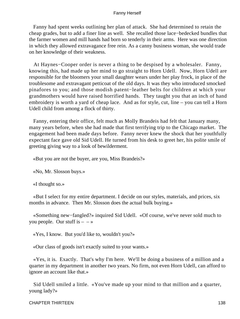Fanny had spent weeks outlining her plan of attack. She had determined to retain the cheap grades, but to add a finer line as well. She recalled those lace−bedecked bundles that the farmer women and mill hands had born so tenderly in their arms. Here was one direction in which they allowed extravagance free rein. As a canny business woman, she would trade on her knowledge of their weakness.

 At Haynes−Cooper order is never a thing to be despised by a wholesaler. Fanny, knowing this, had made up her mind to go straight to Horn Udell. Now, Horn Udell are responsible for the bloomers your small daughter wears under her play frock, in place of the troublesome and extravagant petticoat of the old days. It was they who introduced smocked pinafores to you; and those modish patent−leather belts for children at which your grandmothers would have raised horrified hands. They taught you that an inch of hand embroidery is worth a yard of cheap lace. And as for style, cut, line – you can tell a Horn Udell child from among a flock of thirty.

 Fanny, entering their office, felt much as Molly Brandeis had felt that January many, many years before, when she had made that first terrifying trip to the Chicago market. The engagement had been made days before. Fanny never knew the shock that her youthfully expectant face gave old Sid Udell. He turned from his desk to greet her, his polite smile of greeting giving way to a look of bewilderment.

«But you are not the buyer, are you, Miss Brandeis?»

«No, Mr. Slosson buys.»

«I thought so.»

 «But I select for my entire department. I decide on our styles, materials, and prices, six months in advance. Then Mr. Slosson does the actual bulk buying.»

 «Something new−fangled?» inquired Sid Udell. «Of course, we've never sold much to you people. Our stuff is  $- - \infty$ 

«Yes, I know. But you'd like to, wouldn't you?»

«Our class of goods isn't exactly suited to your wants.»

 «Yes, it is. Exactly. That's why I'm here. We'll be doing a business of a million and a quarter in my department in another two years. No firm, not even Horn Udell, can afford to ignore an account like that.»

 Sid Udell smiled a little. «You've made up your mind to that million and a quarter, young lady?»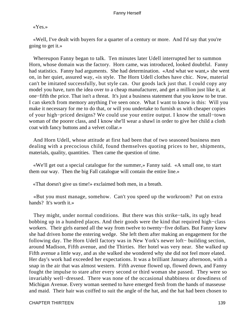«Yes.»

 «Well, I've dealt with buyers for a quarter of a century or more. And I'd say that you're going to get it.»

 Whereupon Fanny began to talk. Ten minutes later Udell interrupted her to summon Horn, whose domain was the factory. Horn came, was introduced, looked doubtful. Fanny had statistics. Fanny had arguments. She had determination. «And what we want,» she went on, in her quiet, assured way, «is style. The Horn Udell clothes have chic. Now, material can't be imitated successfully, but style can. Our goods lack just that. I could copy any model you have, turn the idea over to a cheap manufacturer, and get a million just like it, at one−fifth the price. That isn't a threat. It's just a business statement that you know to be true. I can sketch from memory anything I've seen once. What I want to know is this: Will you make it necessary for me to do that, or will you undertake to furnish us with cheaper copies of your high−priced designs? We could use your entire output. I know the small−town woman of the poorer class, and I know she'll wear a shawl in order to give her child a cloth coat with fancy buttons and a velvet collar.»

 And Horn Udell, whose attitude at first had been that of two seasoned business men dealing with a precocious child, found themselves quoting prices to her, shipments, materials, quality, quantities. Then came the question of time.

 «We'll get out a special catalogue for the summer,» Fanny said. «A small one, to start them our way. Then the big Fall catalogue will contain the entire line.»

«That doesn't give us time!» exclaimed both men, in a breath.

 «But you must manage, somehow. Can't you speed up the workroom? Put on extra hands? It's worth it.»

 They might, under normal conditions. But there was this strike−talk, its ugly head bobbing up in a hundred places. And their goods were the kind that required high−class workers. Their girls earned all the way from twelve to twenty−five dollars. But Fanny knew she had driven home the entering wedge. She left them after making an engagement for the following day. The Horn Udell factory was in New York's newer loft− building section, around Madison, Fifth avenue, and the Thirties. Her hotel was very near. She walked up Fifth avenue a little way, and as she walked she wondered why she did not feel more elated. Her day's work had exceeded her expectations. It was a brilliant January afternoon, with a snap in the air that was almost western. Fifth avenue flowed up, flowed down, and Fanny fought the impulse to stare after every second or third woman she passed. They were so invariably well−dressed. There was none of the occasional shabbiness or dowdiness of Michigan Avenue. Every woman seemed to have emerged fresh from the hands of masseuse and maid. Their hair was coiffed to suit the angle of the hat, and the hat had been chosen to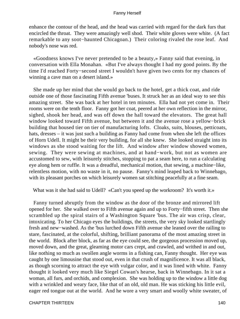enhance the contour of the head, and the head was carried with regard for the dark furs that encircled the throat. They were amazingly well shod. Their white gloves were white. (A fact remarkable to any soot−haunted Chicagoan.) Their coloring rivaled the rose leaf. And nobody's nose was red.

 «Goodness knows I've never pretended to be a beauty,» Fanny said that evening, in conversation with Ella Monahan. «But I've always thought I had my good points. By the time I'd reached Forty−second street I wouldn't have given two cents for my chances of winning a cave man on a desert island.»

 She made up her mind that she would go back to the hotel, get a thick coat, and ride outside one of those fascinating Fifth avenue 'buses. It struck her as an ideal way to see this amazing street. She was back at her hotel in ten minutes. Ella had not yet come in. Their rooms were on the tenth floor. Fanny got her coat, peered at her own reflection in the mirror, sighed, shook her head, and was off down the hall toward the elevators. The great hall window looked toward Fifth avenue, but between it and the avenue rose a yellow−brick building that housed tier on tier of manufacturing lofts. Cloaks, suits, blouses, petticoats, hats, dresses – it was just such a building as Fanny had come from when she left the offices of Horn Udell. It might be their very building, for all she knew. She looked straight into its windows as she stood waiting for the lift. And window after window showed women, sewing. They were sewing at machines, and at hand−work, but not as women are accustomed to sew, with leisurely stitches, stopping to pat a seam here, to run a calculating eye along hem or ruffle. It was a dreadful, mechanical motion, that sewing, a machine−like, relentless motion, with no waste in it, no pause. Fanny's mind leaped back to Winnebago, with its pleasant porches on which leisurely women sat stitching peacefully at a fine seam.

What was it she had said to Udell? «Can't you speed up the workroom? It's worth it.»

 Fanny turned abruptly from the window as the door of the bronze and mirrored lift opened for her. She walked over to Fifth avenue again and up to Forty−fifth street. Then she scrambled up the spiral stairs of a Washington Square 'bus. The air was crisp, clear, intoxicating. To her Chicago eyes the buildings, the streets, the very sky looked startlingly fresh and new−washed. As the 'bus lurched down Fifth avenue she leaned over the railing to stare, fascinated, at the colorful, shifting, brilliant panorama of the most amazing street in the world. Block after block, as far as the eye could see, the gorgeous procession moved up, moved down, and the great, gleaming motor cars crept, and crawled, and writhed in and out, like nothing so much as swollen angle worms in a fishing can, Fanny thought. Her eye was caught by one limousine that stood out, even in that crush of magnificence. It was all black, as though scorning to attract the eye with vulgar color, and it was lined with white. Fanny thought it looked very much like Siegel Cowan's hearse, back in Winnebago. In it sat a woman, all furs, and orchids, and complexion. She was holding up to the window a little dog with a wrinkled and weary face, like that of an old, old man. He was sticking his little evil, eager red tongue out at the world. And he wore a very smart and woolly white sweater, of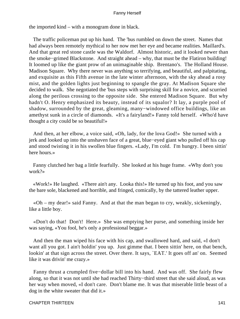the imported kind – with a monogram done in black.

 The traffic policeman put up his hand. The 'bus rumbled on down the street. Names that had always been remotely mythical to her now met her eye and became realities. Maillard's. And that great red stone castle was the Waldorf. Almost historic, and it looked newer than the smoke−grimed Blackstone. And straight ahead – why, that must be the Flatiron building! It loomed up like the giant prow of an unimaginable ship. Brentano's. The Holland House. Madison Square. Why there never was anything so terrifying, and beautiful, and palpitating, and exquisite as this Fifth avenue in the late winter afternoon, with the sky ahead a rosy mist, and the golden lights just beginning to spangle the gray. At Madison Square she decided to walk. She negotiated the 'bus steps with surprising skill for a novice, and scurried along the perilous crossing to the opposite side. She entered Madison Square. But why hadn't O. Henry emphasized its beauty, instead of its squalor? It lay, a purple pool of shadow, surrounded by the great, gleaming, many−windowed office buildings, like an amethyst sunk in a circle of diamonds. «It's a fairyland!» Fanny told herself. «Who'd have thought a city could be so beautiful!»

 And then, at her elbow, a voice said, «Oh, lady, for the lova God!» She turned with a jerk and looked up into the unshaven face of a great, blue−eyed giant who pulled off his cap and stood twisting it in his swollen blue fingers. «Lady, I'm cold. I'm hungry. I been sittin' here hours.»

 Fanny clutched her bag a little fearfully. She looked at his huge frame. «Why don't you work?»

 «Work!» He laughed. «There ain't any. Looka this!» He turned up his foot, and you saw the bare sole, blackened and horrible, and fringed, comically, by the tattered leather upper.

 «Oh – my dear!» said Fanny. And at that the man began to cry, weakly, sickeningly, like a little boy.

 «Don't do that! Don't! Here.» She was emptying her purse, and something inside her was saying, «You fool, he's only a professional beggar.»

 And then the man wiped his face with his cap, and swallowed hard, and said, «I don't want all you got. I ain't holdin' you up. Just gimme that. I been sittin' here, on that bench, lookin' at that sign across the street. Over there. It says, `EAT.' It goes off an' on. Seemed like it was drivin' me crazy.»

 Fanny thrust a crumpled five−dollar bill into his hand. And was off. She fairly flew along, so that it was not until she had reached Thirty−third street that she said aloud, as was her way when moved, «I don't care. Don't blame me. It was that miserable little beast of a dog in the white sweater that did it.»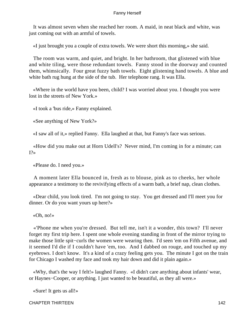It was almost seven when she reached her room. A maid, in neat black and white, was just coming out with an armful of towels.

«I just brought you a couple of extra towels. We were short this morning,» she said.

 The room was warm, and quiet, and bright. In her bathroom, that glistened with blue and white tiling, were those redundant towels. Fanny stood in the doorway and counted them, whimsically. Four great fuzzy bath towels. Eight glistening hand towels. A blue and white bath rug hung at the side of the tub. Her telephone rang. It was Ella.

 «Where in the world have you been, child? I was worried about you. I thought you were lost in the streets of New York.»

«I took a 'bus ride,» Fanny explained.

«See anything of New York?»

«I saw all of it,» replied Fanny. Ella laughed at that, but Fanny's face was serious.

 «How did you make out at Horn Udell's? Never mind, I'm coming in for a minute; can  $I$ ?»

«Please do. I need you.»

 A moment later Ella bounced in, fresh as to blouse, pink as to cheeks, her whole appearance a testimony to the revivifying effects of a warm bath, a brief nap, clean clothes.

 «Dear child, you look tired. I'm not going to stay. You get dressed and I'll meet you for dinner. Or do you want yours up here?»

«Oh, no!»

 «'Phone me when you're dressed. But tell me, isn't it a wonder, this town? I'll never forget my first trip here. I spent one whole evening standing in front of the mirror trying to make those little spit−curls the women were wearing then. I'd seen 'em on Fifth avenue, and it seemed I'd die if I couldn't have 'em, too. And I dabbed on rouge, and touched up my eyebrows. I don't know. It's a kind of a crazy feeling gets you. The minute I got on the train for Chicago I washed my face and took my hair down and did it plain again.»

 «Why, that's the way I felt!» laughed Fanny. «I didn't care anything about infants' wear, or Haynes−Cooper, or anything. I just wanted to be beautiful, as they all were.»

«Sure! It gets us all!»

CHAPTER THIRTEEN 142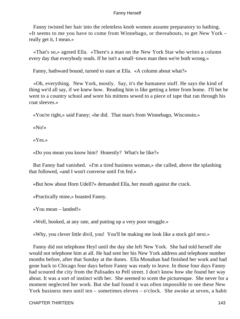Fanny twisted her hair into the relentless knob women assume preparatory to bathing. «It seems to me you have to come from Winnebago, or thereabouts, to get New York – really get it, I mean.»

 «That's so,» agreed Ella. «There's a man on the New York Star who writes a column every day that everybody reads. If he isn't a small−town man then we're both wrong.»

Fanny, bathward bound, turned to stare at Ella. «A column about what?»

 «Oh, everything. New York, mostly. Say, it's the humanest stuff. He says the kind of thing we'd all say, if we knew how. Reading him is like getting a letter from home. I'll bet he went to a country school and wore his mittens sewed to a piece of tape that ran through his coat sleeves.»

«You're right,» said Fanny; «he did. That man's from Winnebago, Wisconsin.»

«No!»

«Yes.»

«Do you mean you know him? Honestly? What's he like?»

 But Fanny had vanished. «I'm a tired business woman,» she called, above the splashing that followed, «and I won't converse until I'm fed.»

«But how about Horn Udell?» demanded Ella, her mouth against the crack.

«Practically mine,» boasted Fanny.

«You mean – landed!»

«Well, hooked, at any rate, and putting up a very poor struggle.»

«Why, you clever little divil, you! You'll be making me look like a stock girl next.»

 Fanny did not telephone Heyl until the day she left New York. She had told herself she would not telephone him at all. He had sent her his New York address and telephone number months before, after that Sunday at the dunes. Ella Monahan had finished her work and had gone back to Chicago four days before Fanny was ready to leave. In those four days Fanny had scoured the city from the Palisades to Pell street. I don't know how she found her way about. It was a sort of instinct with her. She seemed to scent the picturesque. She never for a moment neglected her work. But she had found it was often impossible to see these New York business men until ten – sometimes eleven – o'clock. She awoke at seven, a habit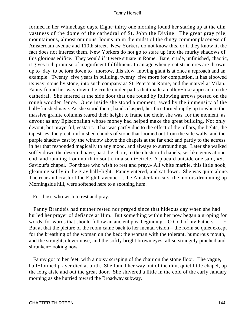formed in her Winnebago days. Eight−thirty one morning found her staring up at the dim vastness of the dome of the cathedral of St. John the Divine. The great gray pile, mountainous, almost ominous, looms up in the midst of the dingy commonplaceness of Amsterdam avenue and 110th street. New Yorkers do not know this, or if they know it, the fact does not interest them. New Yorkers do not go to stare up into the murky shadows of this glorious edifice. They would if it were situate in Rome. Bare, crude, unfinished, chaotic, it gives rich promise of magnificent fulfillment. In an age when great structures are thrown up to−day, to be torn down to− morrow, this slow−moving giant is at once a reproach and an example. Twenty−five years in building, twenty−five more for completion, it has elbowed its way, stone by stone, into such company as St. Peter's at Rome, and the marvel at Milan. Fanny found her way down the crude cinder paths that made an alley−like approach to the cathedral. She entered at the side door that one found by following arrows posted on the rough wooden fence. Once inside she stood a moment, awed by the immensity of the half−finished nave. As she stood there, hands clasped, her face turned raptly up to where the massive granite columns reared their height to frame the choir, she was, for the moment, as devout as any Episcopalian whose money had helped make the great building. Not only devout, but prayerful, ecstatic. That was partly due to the effect of the pillars, the lights, the tapestries, the great, unfinished chunks of stone that loomed out from the side walls, and the purple shadow cast by the window above the chapels at the far end; and partly to the actress in her that responded magically to any mood, and always to surroundings. Later she walked softly down the deserted nave, past the choir, to the cluster of chapels, set like gems at one end, and running from north to south, in a semi−circle. A placard outside one said, «St. Saviour's chapel. For those who wish to rest and pray.» All white marble, this little nook, gleaming softly in the gray half−light. Fanny entered, and sat down. She was quite alone. The roar and crash of the Eighth avenue L, the Amsterdam cars, the motors drumming up Morningside hill, were softened here to a soothing hum.

For those who wish to rest and pray.

 Fanny Brandeis had neither rested nor prayed since that hideous day when she had hurled her prayer of defiance at Him. But something within her now began a groping for words; for words that should follow an ancient plea beginning,  $\triangleleft$ O God of my Fathers – – » But at that the picture of the room came back to her mental vision – the room so quiet except for the breathing of the woman on the bed; the woman with the tolerant, humorous mouth, and the straight, clever nose, and the softly bright brown eyes, all so strangely pinched and shrunken−looking now – –

 Fanny got to her feet, with a noisy scraping of the chair on the stone floor. The vague, half−formed prayer died at birth. She found her way out of the dim, quiet little chapel, up the long aisle and out the great door. She shivered a little in the cold of the early January morning as she hurried toward the Broadway subway.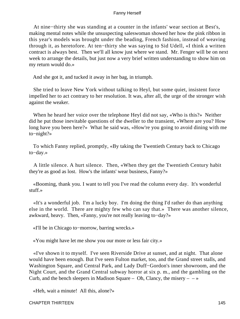At nine−thirty she was standing at a counter in the infants' wear section at Best's, making mental notes while the unsuspecting saleswoman showed her how the pink ribbon in this year's models was brought under the beading, French fashion, instead of weaving through it, as heretofore. At ten−thirty she was saying to Sid Udell, «I think a written contract is always best. Then we'll all know just where we stand. Mr. Fenger will be on next week to arrange the details, but just now a very brief written understanding to show him on my return would do.»

And she got it, and tucked it away in her bag, in triumph.

 She tried to leave New York without talking to Heyl, but some quiet, insistent force impelled her to act contrary to her resolution. It was, after all, the urge of the stronger wish against the weaker.

 When he heard her voice over the telephone Heyl did not say, «Who is this?» Neither did he put those inevitable questions of the dweller to the transient, «Where are you? How long have you been here?» What he said was, «How're you going to avoid dining with me to−night?»

 To which Fanny replied, promptly, «By taking the Twentieth Century back to Chicago to−day.»

 A little silence. A hurt silence. Then, «When they get the Twentieth Century habit they're as good as lost. How's the infants' wear business, Fanny?»

 «Booming, thank you. I want to tell you I've read the column every day. It's wonderful stuff.»

 «It's a wonderful job. I'm a lucky boy. I'm doing the thing I'd rather do than anything else in the world. There are mighty few who can say that.» There was another silence, awkward, heavy. Then, «Fanny, you're not really leaving to−day?»

«I'll be in Chicago to−morrow, barring wrecks.»

«You might have let me show you our more or less fair city.»

 «I've shown it to myself. I've seen Riverside Drive at sunset, and at night. That alone would have been enough. But I've seen Fulton market, too, and the Grand street stalls, and Washington Square, and Central Park, and Lady Duff−Gordon's inner showroom, and the Night Court, and the Grand Central subway horror at six p. m., and the gambling on the Curb, and the bench sleepers in Madison Square – Oh, Clancy, the misery –  $-\infty$ 

«Heh, wait a minute! All this, alone?»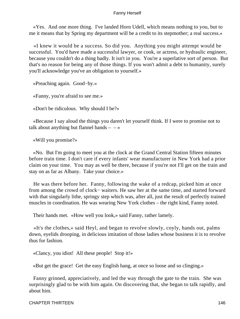«Yes. And one more thing. I've landed Horn Udell, which means nothing to you, but to me it means that by Spring my department will be a credit to its stepmother; a real success.»

 «I knew it would be a success. So did you. Anything you might attempt would be successful. You'd have made a successful lawyer, or cook, or actress, or hydraulic engineer, because you couldn't do a thing badly. It isn't in you. You're a superlative sort of person. But that's no reason for being any of those things. If you won't admit a debt to humanity, surely you'll acknowledge you've an obligation to yourself.»

«Preaching again. Good−by.»

«Fanny, you're afraid to see me.»

«Don't be ridiculous. Why should I be?»

 «Because I say aloud the things you daren't let yourself think. If I were to promise not to talk about anything but flannel bands  $- - \infty$ 

«Will you promise?»

 «No. But I'm going to meet you at the clock at the Grand Central Station fifteen minutes before train time. I don't care if every infants' wear manufacturer in New York had a prior claim on your time. You may as well be there, because if you're not I'll get on the train and stay on as far as Albany. Take your choice.»

 He was there before her. Fanny, following the wake of a redcap, picked him at once from among the crowd of clock− waiters. He saw her at the same time, and started forward with that singularly lithe, springy step which was, after all, just the result of perfectly trained muscles in coordination. He was wearing New York clothes – the right kind, Fanny noted.

Their hands met. «How well you look,» said Fanny, rather lamely.

 «It's the clothes,» said Heyl, and began to revolve slowly, coyly, hands out, palms down, eyelids drooping, in delicious imitation of those ladies whose business it is to revolve thus for fashion.

«Clancy, you idiot! All these people! Stop it!»

«But get the grace! Get the easy English hang, at once so loose and so clinging.»

 Fanny grinned, appreciatively, and led the way through the gate to the train. She was surprisingly glad to be with him again. On discovering that, she began to talk rapidly, and about him.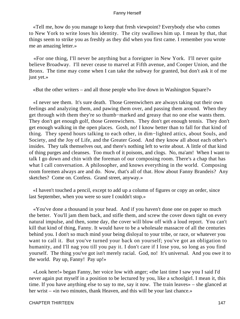«Tell me, how do you manage to keep that fresh viewpoint? Everybody else who comes to New York to write loses his identity. The city swallows him up. I mean by that, that things seem to strike you as freshly as they did when you first came. I remember you wrote me an amazing letter.»

 «For one thing, I'll never be anything but a foreigner in New York. I'll never quite believe Broadway. I'll never cease to marvel at Fifth avenue, and Cooper Union, and the Bronx. The time may come when I can take the subway for granted, but don't ask it of me just yet.»

«But the other writers – and all those people who live down in Washington Square?»

 «I never see them. It's sure death. Those Greenwichers are always taking out their own feelings and analyzing them, and pawing them over, and passing them around. When they get through with them they're so thumb−marked and greasy that no one else wants them. They don't get enough golf, those Greenwichers. They don't get enough tennis. They don't get enough walking in the open places. Gosh, no! I know better than to fall for that kind of thing. They spend hours talking to each other, in dim−lighted attics, about Souls, and Society, and the Joy of Life, and the Greater Good. And they know all about each other's insides. They talk themselves out, and there's nothing left to write about. A little of that kind of thing purges and cleanses. Too much of it poisons, and clogs. No, ma'am! When I want to talk I go down and chin with the foreman of our composing room. There's a chap that has what I call conversation. A philosopher, and knows everything in the world. Composing room foremen always are and do. Now, that's all of that. How about Fanny Brandeis? Any sketches? Come on. Confess. Grand street, anyway.»

 «I haven't touched a pencil, except to add up a column of figures or copy an order, since last September, when you were so sure I couldn't stop.»

 «You've done a thousand in your head. And if you haven't done one on paper so much the better. You'll jam them back, and stifle them, and screw the cover down tight on every natural impulse, and then, some day, the cover will blow off with a loud report. You can't kill that kind of thing, Fanny. It would have to be a wholesale massacre of all the centuries behind you. I don't so much mind your being disloyal to your tribe, or race, or whatever you want to call it. But you've turned your back on yourself; you've got an obligation to humanity, and I'll nag you till you pay it. I don't care if I lose you, so long as you find yourself. The thing you've got isn't merely racial. God, no! It's universal. And you owe it to the world. Pay up, Fanny! Pay up!»

 «Look here!» began Fanny, her voice low with anger; «the last time I saw you I said I'd never again put myself in a position to be lectured by you, like a schoolgirl. I mean it, this time. If you have anything else to say to me, say it now. The train leaves» – she glanced at her wrist – «in two minutes, thank Heaven, and this will be your last chance.»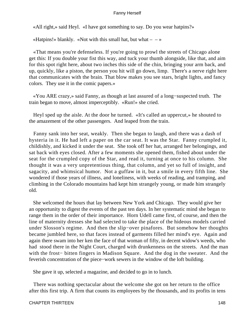«All right,» said Heyl. «I have got something to say. Do you wear hatpins?»

«Hatpins!» blankly. «Not with this small hat, but what  $-\rightarrow$ 

 «That means you're defenseless. If you're going to prowl the streets of Chicago alone get this: If you double your fist this way, and tuck your thumb alongside, like that, and aim for this spot right here, about two inches this side of the chin, bringing your arm back, and up, quickly, like a piston, the person you hit will go down, limp. There's a nerve right here that communicates with the brain. That blow makes you see stars, bright lights, and fancy colors. They use it in the comic papers.»

 «You ARE crazy,» said Fanny, as though at last assured of a long−suspected truth. The train began to move, almost imperceptibly. «Run!» she cried.

 Heyl sped up the aisle. At the door he turned. «It's called an uppercut,» he shouted to the amazement of the other passengers. And leaped from the train.

 Fanny sank into her seat, weakly. Then she began to laugh, and there was a dash of hysteria in it. He had left a paper on the car seat. It was the Star. Fanny crumpled it, childishly, and kicked it under the seat. She took off her hat, arranged her belongings, and sat back with eyes closed. After a few moments she opened them, fished about under the seat for the crumpled copy of the Star, and read it, turning at once to his column. She thought it was a very unpretentious thing, that column, and yet so full of insight, and sagacity, and whimsical humor. Not a guffaw in it, but a smile in every fifth line. She wondered if those years of illness, and loneliness, with weeks of reading, and tramping, and climbing in the Colorado mountains had kept him strangely young, or made him strangely old.

 She welcomed the hours that lay between New York and Chicago. They would give her an opportunity to digest the events of the past ten days. In her systematic mind she began to range them in the order of their importance. Horn Udell came first, of course, and then the line of maternity dresses she had selected to take the place of the hideous models carried under Slosson's regime. And then the slip−over pinafores. But somehow her thoughts became jumbled here, so that faces instead of garments filled her mind's eye. Again and again there swam into her ken the face of that woman of fifty, in decent widow's weeds, who had stood there in the Night Court, charged with drunkenness on the streets. And the man with the frost− bitten fingers in Madison Square. And the dog in the sweater. And the feverish concentration of the piece−work sewers in the window of the loft building.

She gave it up, selected a magazine, and decided to go in to lunch.

 There was nothing spectacular about the welcome she got on her return to the office after this first trip. A firm that counts its employees by the thousands, and its profits in tens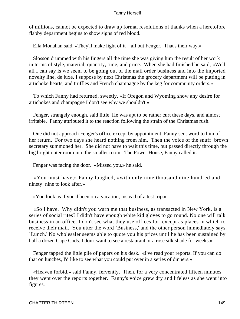of millions, cannot be expected to draw up formal resolutions of thanks when a heretofore flabby department begins to show signs of red blood.

Ella Monahan said, «They'll make light of it – all but Fenger. That's their way.»

 Slosson drummed with his fingers all the time she was giving him the result of her work in terms of style, material, quantity, time, and price. When she had finished he said, «Well, all I can say is we seem to be going out of the mail order business and into the imported novelty line, de luxe. I suppose by next Christmas the grocery department will be putting in artichoke hearts, and truffles and French champagne by the keg for community orders.»

 To which Fanny had returned, sweetly, «If Oregon and Wyoming show any desire for artichokes and champagne I don't see why we shouldn't.»

 Fenger, strangely enough, said little. He was apt to be rather curt these days, and almost irritable. Fanny attributed it to the reaction following the strain of the Christmas rush.

 One did not approach Fenger's office except by appointment. Fanny sent word to him of her return. For two days she heard nothing from him. Then the voice of the snuff−brown secretary summoned her. She did not have to wait this time, but passed directly through the big bright outer room into the smaller room. The Power House, Fanny called it.

Fenger was facing the door. «Missed you,» he said.

 «You must have,» Fanny laughed, «with only nine thousand nine hundred and ninety−nine to look after.»

«You look as if you'd been on a vacation, instead of a test trip.»

 «So I have. Why didn't you warn me that business, as transacted in New York, is a series of social rites? I didn't have enough white kid gloves to go round. No one will talk business in an office. I don't see what they use offices for, except as places in which to receive their mail. You utter the word `Business,' and the other person immediately says, `Lunch.' No wholesaler seems able to quote you his prices until he has been sustained by half a dozen Cape Cods. I don't want to see a restaurant or a rose silk shade for weeks.»

 Fenger tapped the little pile of papers on his desk. «I've read your reports. If you can do that on lunches, I'd like to see what you could put over in a series of dinners.»

 «Heaven forbid,» said Fanny, fervently. Then, for a very concentrated fifteen minutes they went over the reports together. Fanny's voice grew dry and lifeless as she went into figures.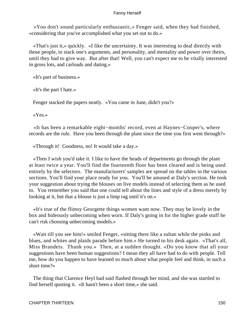«You don't sound particularly enthusiastic,» Fenger said, when they had finished, «considering that you've accomplished what you set out to do.»

 «That's just it,» quickly. «I like the uncertainty. It was interesting to deal directly with those people, to stack one's arguments, and personality, and mentality and power over theirs, until they had to give way. But after that! Well, you can't expect me to be vitally interested in gross lots, and carloads and dating.»

«It's part of business.»

«It's the part I hate.»

Fenger stacked the papers neatly. «You came in June, didn't you?»

«Yes.»

 «It has been a remarkable eight−months' record, even at Haynes−Cooper's, where records are the rule. Have you been through the plant since the time you first went through?»

«Through it! Goodness, no! It would take a day.»

 «Then I wish you'd take it. I like to have the heads of departments go through the plant at least twice a year. You'll find the fourteenth floor has been cleared and is being used entirely by the selectors. The manufacturers' samples are spread on the tables in the various sections. You'll find your place ready for you. You'll be amused at Daly's section. He took your suggestion about trying the blouses on live models instead of selecting them as he used to. You remember you said that one could tell about the lines and style of a dress merely by looking at it, but that a blouse is just a limp rag until it's on.»

 «It's true of the flimsy Georgette things women want now. They may be lovely in the box and hideously unbecoming when worn. If Daly's going in for the higher grade stuff he can't risk choosing unbecoming models.»

 «Wait till you see him!» smiled Fenger, «sitting there like a sultan while the pinks and blues, and whites and plaids parade before him.» He turned to his desk again. «That's all, Miss Brandeis. Thank you.» Then, at a sudden thought. «Do you know that all your suggestions have been human suggestions? I mean they all have had to do with people. Tell me, how do you happen to have learned so much about what people feel and think, in such a short time?»

 The thing that Clarence Heyl had said flashed through her mind, and she was startled to find herself quoting it. «It hasn't been a short time,» she said.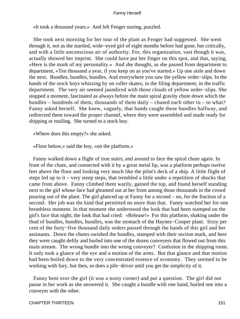«It took a thousand years.» And left Fenger staring, puzzled.

 She took next morning for her tour of the plant as Fenger had suggested. She went through it, not as the startled, wide−eyed girl of eight months before had gone, but critically, and with a little unconscious air of authority. For, this organization, vast though it was, actually showed her imprint. She could have put her finger on this spot, and that, saying, «Here is the mark of my personality.» And she thought, as she passed from department to department, «Ten thousand a year, if you keep on as you've started.» Up one aisle and down the next. Bundles, bundles, bundles. And everywhere you saw the yellow order−slips. In the hands of the stock boys whizzing by on roller skates; in the filing department; in the traffic department. The very air seemed jaundiced with those clouds of yellow order−slips. She stopped a moment, fascinated as always before the main spiral gravity chute down which the bundles – hundreds of them, thousands of them daily – chased each other to – to what? Fanny asked herself. She knew, vaguely, that hands caught these bundles halfway, and redirected them toward the proper channel, where they were assembled and made ready for shipping or mailing. She turned to a stock boy.

«Where does this empty?» she asked.

«Floor below,» said the boy, «on the platform.»

 Fanny walked down a flight of iron stairs, and around to face the spiral chute again. In front of the chute, and connected with it by a great metal lip, was a platform perhaps twelve feet above the floor and looking very much like the pilot's deck of a ship. A little flight of steps led up to it – very steep steps, that trembled a little under a repetition of shocks that came from above. Fanny climbed them warily, gained the top, and found herself standing next to the girl whose face had gleamed out at her from among those thousands in the crowd pouring out of the plant. The girl glanced up at Fanny for a second – no, for the fraction of a second. Her job was the kind that permitted no more than that. Fanny watched her for one breathless moment. In that moment she understood the look that had been stamped on the girl's face that night; the look that had cried: «Release!» For this platform, shaking under the thud of bundles, bundles, bundles, was the stomach of the Haynes−Cooper plant. Sixty per cent of the forty−five thousand daily orders passed through the hands of this girl and her assistants. Down the chutes swished the bundles, stamped with their section mark, and here they were caught deftly and hurled into one of the dozen conveyers that flowed out from this main stream. The wrong bundle into the wrong conveyer? Confusion in the shipping room. It only took a glance of the eye and a motion of the arms. But that glance and that motion had been boiled down to the very concentrated essence of economy. They seemed to be working with fury, but then, so does a pile−driver until you get the simplicity of it.

 Fanny bent over the girl (it was a noisy corner) and put a question. The girl did not pause in her work as she answered it. She caught a bundle with one hand, hurled one into a conveyer with the other.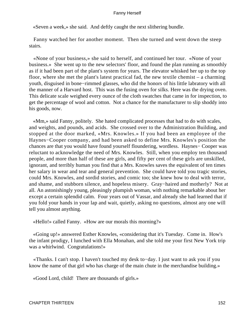«Seven a week,» she said. And deftly caught the next slithering bundle.

 Fanny watched her for another moment. Then she turned and went down the steep stairs.

 «None of your business,» she said to herself, and continued her tour. «None of your business.» She went up to the new selectors' floor, and found the plan running as smoothly as if it had been part of the plant's system for years. The elevator whisked her up to the top floor, where she met the plant's latest practical fad, the new textile chemist – a charming youth, disguised in bone−rimmed glasses, who did the honors of his little labratory with all the manner of a Harvard host. This was the fusing oven for silks. Here was the drying oven. This delicate scale weighed every ounce of the cloth swatches that came in for inspection, to get the percentage of wool and cotton. Not a chance for the manufacturer to slip shoddy into his goods, now.

 «Mm,» said Fanny, politely. She hated complicated processes that had to do with scales, and weights, and pounds, and acids. She crossed over to the Administration Building, and stopped at the door marked, «Mrs. Knowles.» If you had been an employee of the Haynes−Cooper company, and had been asked to define Mrs. Knowles's position the chances are that you would have found yourself floundering, wordless. Haynes− Cooper was reluctant to acknowledge the need of Mrs. Knowles. Still, when you employ ten thousand people, and more than half of these are girls, and fifty per cent of these girls are unskilled, ignorant, and terribly human you find that a Mrs. Knowles saves the equivalent of ten times her salary in wear and tear and general prevention. She could have told you tragic stories, could Mrs. Knowles, and sordid stories, and comic too; she knew how to deal with terror, and shame, and stubborn silence, and hopeless misery. Gray−haired and motherly? Not at all. An astonishingly young, pleasingly plumpish woman, with nothing remarkable about her except a certain splendid calm. Four years out of Vassar, and already she had learned that if you fold your hands in your lap and wait, quietly, asking no questions, almost any one will tell you almost anything.

«Hello!» called Fanny. «How are our morals this morning?»

 «Going up!» answered Esther Knowles, «considering that it's Tuesday. Come in. How's the infant prodigy, I lunched with Ella Monahan, and she told me your first New York trip was a whirlwind. Congratulations!»

 «Thanks. I can't stop. I haven't touched my desk to−day. I just want to ask you if you know the name of that girl who has charge of the main chute in the merchandise building.»

«Good Lord, child! There are thousands of girls.»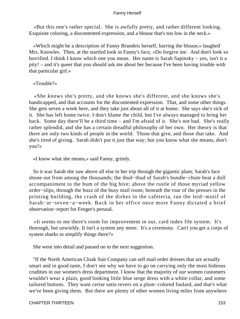«But this one's rather special. She is awfully pretty, and rather different looking. Exquisite coloring, a discontented expression, and a blouse that's too low in the neck.»

 «Which might be a description of Fanny Brandeis herself, barring the blouse,» laughed Mrs. Knowles. Then, at the startled look in Fanny's face, «Do forgive me. And don't look so horrified. I think I know which one you mean. Her name is Sarah Sapinsky – yes, isn't it a pity! – and it's queer that you should ask me about her because I've been having trouble with that particular girl.»

## «Trouble?»

 «She knows she's pretty, and she knows she's different, and she knows she's handicapped, and that accounts for the discontented expression. That, and some other things. She gets seven a week here, and they take just about all of it at home. She says she's sick of it. She has left home twice. I don't blame the child, but I've always managed to bring her back. Some day there'll be a third time – and I'm afraid of it. She's not bad. She's really rather splendid, and she has a certain dreadful philosophy of her own. Her theory is that there are only two kinds of people in the world. Those that give, and those that take. And she's tired of giving. Sarah didn't put it just that way; but you know what she means, don't you?»

«I know what she means,» said Fanny, grimly.

 So it was Sarah she saw above all else in her trip through the gigantic plant; Sarah's face shone out from among the thousands; the thud−thud of Sarah's bundle−chute beat a dull accompaniment to the hum of the big hive; above the rustle of those myriad yellow order−slips, through the buzz of the busy mail room; beneath the roar of the presses in the printing building, the crash of the dishes in the cafeteria, ran the leid−motif of Sarah−at−seven−a−week. Back in her office once more Fanny dictated a brief observation−report for Fenger's perusal.

 «It seems to me there's room for improvement in our, card index file system. It's thorough, but unwieldy. It isn't a system any more. It's a ceremony. Can't you get a corps of system sharks to simplify things there?»

She went into detail and passed on to the next suggestion.

 "If the North American Cloak Suit Company can sell mail order dresses that are actually smart and in good taste, I don't see why we have to go on carrying only the most hideous crudities in our women's dress department. I know that the majority of our women customers wouldn't wear a plain, good looking little blue serge dress with a white collar, and some tailored buttons. They want cerise satin revers on a plum−colored foulard, and that's what we've been giving them. But there are plenty of other women living miles from anywhere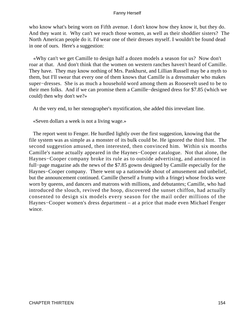who know what's being worn on Fifth avenue. I don't know how they know it, but they do. And they want it. Why can't we reach those women, as well as their shoddier sisters? The North American people do it. I'd wear one of their dresses myself. I wouldn't be found dead in one of ours. Here's a suggestion:

 «Why can't we get Camille to design half a dozen models a season for us? Now don't roar at that. And don't think that the women on western ranches haven't heard of Camille. They have. They may know nothing of Mrs. Pankhurst, and Lillian Russell may be a myth to them, but I'll swear that every one of them knows that Camille is a dressmaker who makes super−dresses. She is as much a household word among them as Roosevelt used to be to their men folks. And if we can promise them a Camille−designed dress for \$7.85 (which we could) then why don't we?»

At the very end, to her stenographer's mystification, she added this irrevelant line.

«Seven dollars a week is not a living wage.»

 The report went to Fenger. He hurdled lightly over the first suggestion, knowing that the file system was as simple as a monster of its bulk could be. He ignored the third hint. The second suggestion amused, then interested, then convinced him. Within six months Camille's name actually appeared in the Haynes−Cooper catalogue. Not that alone, the Haynes−Cooper company broke its rule as to outside advertising, and announced in full−page magazine ads the news of the \$7.85 gowns designed by Camille especially for the Haynes−Cooper company. There went up a nationwide shout of amusement and unbelief, but the announcement continued. Camille (herself a frump with a fringe) whose frocks were worn by queens, and dancers and matrons with millions, and debutantes; Camille, who had introduced the slouch, revived the hoop, discovered the sunset chiffon, had actually consented to design six models every season for the mail order millions of the Haynes−Cooper women's dress department – at a price that made even Michael Fenger wince.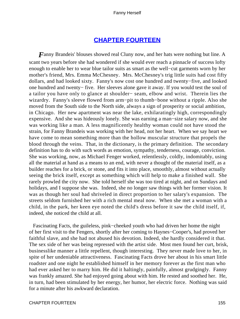# **[CHAPTER FOURTEEN](#page-221-0)**

*Fanny Brandeis'* blouses showed real Cluny now, and her hats were nothing but line. A scant two years before she had wondered if she would ever reach a pinnacle of success lofty enough to enable her to wear blue tailor suits as smart as the well−cut garments worn by her mother's friend, Mrs. Emma McChesney. Mrs. McChesney's trig little suits had cost fifty dollars, and had looked sixty. Fanny's now cost one hundred and twenty−five, and looked one hundred and twenty− five. Her sleeves alone gave it away. If you would test the soul of a tailor you have only to glance at shoulder− seam, elbow and wrist. Therein lies the wizardry. Fanny's sleeve flowed from arm−pit to thumb−bone without a ripple. Also she moved from the South side to the North side, always a sign of prosperity or social ambition, in Chicago. Her new apartment was near the lake, exhilaratingly high, correspondingly expensive. And she was hideously lonely. She was earning a man−size salary now, and she was working like a man. A less magnificently healthy woman could not have stood the strain, for Fanny Brandeis was working with her head, not her heart. When we say heart we have come to mean something more than the hollow muscular structure that propels the blood through the veins. That, in the dictionary, is the primary definition. The secondary definition has to do with such words as emotion, sympathy, tenderness, courage, conviction. She was working, now, as Michael Fenger worked, relentlessly, coldly, indomitably, using all the material at hand as a means to an end, with never a thought of the material itself, as a builder reaches for a brick, or stone, and fits it into place, smoothly, almost without actually seeing the brick itself, except as something which will help to make a finished wall. She rarely prowled the city now. She told herself she was too tired at night, and on Sundays and holidays, and I suppose she was. Indeed, she no longer saw things with her former vision. It was as though her soul had shriveled in direct proportion to her salary's expansion. The streets seldom furnished her with a rich mental meal now. When she met a woman with a child, in the park, her keen eye noted the child's dress before it saw the child itself, if, indeed, she noticed the child at all.

 Fascinating Facts, the guileless, pink−cheeked youth who had driven her home the night of her first visit to the Fengers, shortly after her coming to Haynes−Cooper's, had proved her faithful slave, and she had not abused his devotion. Indeed, she hardly considered it that. The sex side of her was being repressed with the artist side. Most men found her curt, brisk, businesslike manner a little repellent, though interesting. They never made love to her, in spite of her undeniable attractiveness. Fascinating Facts drove her about in his smart little roadster and one night he established himself in her memory forever as the first man who had ever asked her to marry him. He did it haltingly, painfully, almost grudgingly. Fanny was frankly amazed. She had enjoyed going about with him. He rested and soothed her. He, in turn, had been stimulated by her energy, her humor, her electric force. Nothing was said for a minute after his awkward declaration.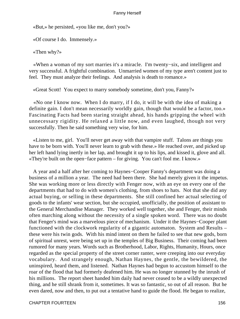«But,» he persisted, «you like me, don't you?»

«Of course I do. Immensely.»

«Then why?»

 «When a woman of my sort marries it's a miracle. I'm twenty−six, and intelligent and very successful. A frightful combination. Unmarried women of my type aren't content just to feel. They must analyze their feelings. And analysis is death to romance.»

«Great Scott! You expect to marry somebody sometime, don't you, Fanny?»

 «No one I know now. When I do marry, if I do, it will be with the idea of making a definite gain. I don't mean necessarily worldly gain, though that would be a factor, too.» Fascinating Facts had been staring straight ahead, his hands gripping the wheel with unnecessary rigidity. He relaxed a little now, and even laughed, though not very successfully. Then he said something very wise, for him.

 «Listen to me, girl. You'll never get away with that vampire stuff. Talons are things you have to be born with. You'll never learn to grab with these.» He reached over, and picked up her left hand lying inertly in her lap, and brought it up to his lips, and kissed it, glove and all. «They're built on the open−face pattern – for giving. You can't fool me. I know.»

 A year and a half after her coming to Haynes−Cooper Fanny's department was doing a business of a million a year. The need had been there. She had merely given it the impetus. She was working more or less directly with Fenger now, with an eye on every one of the departments that had to do with women's clothing, from shoes to hats. Not that she did any actual buying, or selling in these departments. She still confined her actual selecting of goods to the infants' wear section, but she occupied, unofficially, the position of assistant to the General Merchandise Manager. They worked well together, she and Fenger, their minds often marching along without the necessity of a single spoken word. There was no doubt that Fenger's mind was a marvelous piece of mechanism. Under it the Haynes−Cooper plant functioned with the clockwork regularity of a gigantic automaton. System and Results – these were his twin gods. With his mind intent on them he failed to see that new gods, born of spiritual unrest, were being set up in the temples of Big Business. Their coming had been rumored for many years. Words such as Brotherhood, Labor, Rights, Humanity, Hours, once regarded as the special property of the street corner ranter, were creeping into our everyday vocabulary. And strangely enough, Nathan Haynes, the gentle, the bewildered, the uninspired, heard them, and listened. Nathan Haynes had begun to accustom himself to the roar of the flood that had formerly deafened him. He was no longer stunned by the inrush of his millions. The report sheet handed him daily had never ceased to be a wildly unexpected thing, and he still shrank from it, sometimes. It was so fantastic, so out of all reason. But he even dared, now and then, to put out a tentative hand to guide the flood. He began to realize,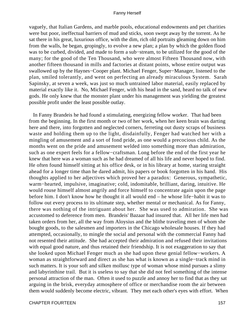vaguely, that Italian Gardens, and marble pools, educational endowments and pet charities were but poor, ineffectual barriers of mud and sticks, soon swept away by the torrent. As he sat there in his great, luxurious office, with the dim, rich old portraits gleaming down on him from the walls, he began, gropingly, to evolve a new plan; a plan by which the golden flood was to be curbed, divided, and made to form a sub−stream, to be utilized for the good of the many; for the good of the Ten Thousand, who were almost Fifteen Thousand now, with another fifteen thousand in mills and factories at distant points, whose entire output was swallowed up by the Haynes−Cooper plant. Michael Fenger, Super−Manager, listened to the plan, smiled tolerantly, and went on perfecting an already miraculous System. Sarah Sapinsky, at seven a week, was just so much untrained labor material, easily replaced by material exactly like it. No, Michael Fenger, with his head in the sand, heard no talk of new gods. He only knew that the monster plant under his management was yielding the greatest possible profit under the least possible outlay.

 In Fanny Brandeis he had found a stimulating, energizing fellow worker. That had been from the beginning. In the first month or two of her work, when her keen brain was darting here and there, into forgotten and neglected corners, ferreting out dusty scraps of business waste and holding them up to the light, disdainfully, Fenger had watched her with a mingling of amusement and a sort of fond pride, as one would a precocious child. As the months went on the pride and amusement welded into something more than admiration, such as one expert feels for a fellow−craftsman. Long before the end of the first year he knew that here was a woman such as he had dreamed of all his life and never hoped to find. He often found himself sitting at his office desk, or in his library at home, staring straight ahead for a longer time than he dared admit, his papers or book forgotten in his hand. His thoughts applied to her adjectives which proved her a paradox: Generous, sympathetic, warm−hearted, impulsive, imaginative; cold, indomitable, brilliant, daring, intuitive. He would rouse himself almost angrily and force himself to concentrate again upon the page before him. I don't know how he thought it all would end – he whose life−habit it was to follow out every process to its ultimate step, whether mental or mechanical. As for Fanny, there was nothing of the intriguant about her. She was used to admiration. She was accustomed to deference from men. Brandeis' Bazaar had insured that. All her life men had taken orders from her, all the way from Aloysius and the blithe traveling men of whom she bought goods, to the salesmen and importers in the Chicago wholesale houses. If they had attempted, occasionally, to mingle the social and personal with the commercial Fanny had not resented their attitude. She had accepted their admiration and refused their invitations with equal good nature, and thus retained their friendship. It is not exaggeration to say that she looked upon Michael Fenger much as she had upon these genial fellow−workers. A woman as straightforward and direct as she has what is known as a single−track mind in such matters. It is your soft and silken mollusc type of woman whose mind pursues a slimy and labyrinthine trail. But it is useless to say that she did not feel something of the intense personal attraction of the man. Often it used to puzzle and annoy her to find that as they sat arguing in the brisk, everyday atmosphere of office or merchandise room the air between them would suddenly become electric, vibrant. They met each other's eyes with effort. When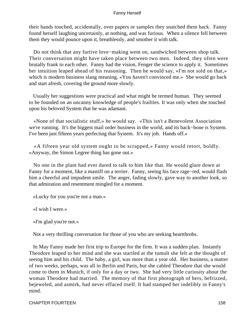their hands touched, accidentally, over papers or samples they snatched them back. Fanny found herself laughing uncertainly, at nothing, and was furious. When a silence fell between them they would pounce upon it, breathlessly, and smother it with talk.

 Do not think that any furtive love−making went on, sandwiched between shop talk. Their conversation might have taken place between two men. Indeed, they often were brutally frank to each other. Fanny had the vision, Fenger the science to apply it. Sometimes her intuition leaped ahead of his reasoning. Then he would say, «I'm not sold on that,» which is modern business slang meaning, «You haven't convinced me.» She would go back and start afresh, covering the ground more slowly.

 Usually her suggestions were practical and what might be termed human. They seemed to be founded on an uncanny knowledge of people's frailties. It was only when she touched upon his beloved System that he was adamant.

 «None of that socialistic stuff,» he would say. «This isn't a Benevolent Association we're running. It's the biggest mail order business in the world, and its back−bone is System. I've been just fifteen years perfecting that System. It's my job. Hands off.»

 «A fifteen year old system ought to be scrapped,» Fanny would retort, boldly. «Anyway, the Simon Legree thing has gone out.»

 No one in the plant had ever dared to talk to him like that. He would glare down at Fanny for a moment, like a mastiff on a terrier. Fanny, seeing his face rage−red, would flash him a cheerful and impudent smile. The anger, fading slowly, gave way to another look, so that admiration and resentment mingled for a moment.

«Lucky for you you're not a man.»

«I wish I were.»

«I'm glad you're not.»

Not a very thrilling conversation for those of you who are seeking heartthrobs.

 In May Fanny made her first trip to Europe for the firm. It was a sudden plan. Instantly Theodore leaped to her mind and she was startled at the tumult she felt at the thought of seeing him and his child. The baby, a girl, was more than a year old. Her business, a matter of two weeks, perhaps, was all in Berlin and Paris, but she cabled Theodore that she would come to them in Munich, if only for a day or two. She had very little curiosity about the woman Theodore had married. The memory of that first photograph of hers, befrizzed, bejeweled, and asmirk, had never effaced itself. It had stamped her indelibly in Fanny's mind.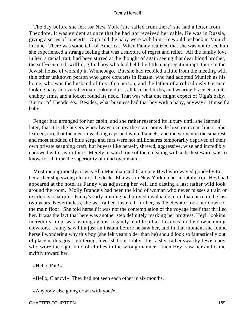The day before she left for New York (she sailed from there) she had a letter from Theodore. It was evident at once that he had not received her cable. He was in Russia, giving a series of concerts. Olga and the baby were with him. He would be back in Munich in June. There was some talk of America. When Fanny realized that she was not to see him she experienced a strange feeling that was a mixture of regret and relief. All the family love in her, a racial trait, had been stirred at the thought of again seeing that dear blond brother, the self−centered, willful, gifted boy who had held the little congregation rapt, there in the Jewish house of worship in Winnebago. But she had recoiled a little from the meeting with this other unknown person who gave concerts in Russia, who had adopted Munich as his home, who was the husband of this Olga person, and the father of a ridiculously German looking baby in a very German looking dress, all lace and tucks, and wearing bracelets on its chubby arms, and a locket round its neck. That was what one might expect of Olga's baby. But not of Theodore's. Besides, what business had that boy with a baby, anyway? Himself a baby.

 Fenger had arranged for her cabin, and she rather resented its luxury until she learned later, that it is the buyers who always occupy the staterooms de luxe on ocean liners. She learned, too, that the men in yachting caps and white flannels, and the women in the smartest and most subdued of blue serge and furs were not millionaires temporarily deprived of their own private seagoing craft, but buyers like herself, shrewd, aggressive, wise and incredibly endowed with savoir faire. Merely to watch one of them dealing with a deck steward was to know for all time the superiority of mind over matter.

 Most incongruously, it was Ella Monahan and Clarence Heyl who waved good−by to her as her ship swung clear of the dock. Ella was in New York on her monthly trip. Heyl had appeared at the hotel as Fanny was adjusting her veil and casting a last rather wild look around the room. Molly Brandeis had been the kind of woman who never misses a train or overlooks a hairpin. Fanny's early training had proved invaluable more than once in the last two years. Nevertheless, she was rather flustered, for her, as the elevator took her down to the main floor. She told herself it was not the contemplation of the voyage itself that thrilled her. It was the fact that here was another step definitely marking her progress. Heyl, looking incredibly limp, was leaning against a gaudy marble pillar, his eyes on the downcoming elevators. Fanny saw him just an instant before he saw her, and in that moment she found herself wondering why this boy (she felt years older than he) should look so fantastically out of place in this great, glittering, feverish hotel lobby. Just a shy, rather swarthy Jewish boy, who wore the right kind of clothes in the wrong manner – then Heyl saw her and came swiftly toward her.

«Hello, Fan!»

«Hello, Clancy!» They had not seen each other in six months.

«Anybody else going down with you?»

CHAPTER FOURTEEN 159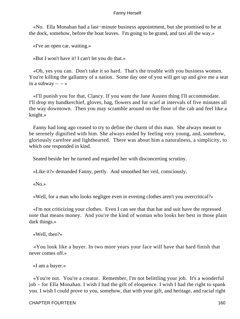«No. Ella Monahan had a last−minute business appointment, but she promised to be at the dock, somehow, before the boat leaves. I'm going to be grand, and taxi all the way.»

«I've an open car, waiting.»

«But I won't have it! I can't let you do that.»

 «Oh, yes you can. Don't take it so hard. That's the trouble with you business women. You're killing the gallantry of a nation. Some day one of you will get up and give me a seat in a subway  $- - \infty$ 

 «I'll punish you for that, Clancy. If you want the Jane Austen thing I'll accommodate. I'll drop my handkerchief, gloves, bag, flowers and fur scarf at intervals of five minutes all the way downtown. Then you may scramble around on the floor of the cab and feel like a knight.»

 Fanny had long ago ceased to try to define the charm of this man. She always meant to be serenely dignified with him. She always ended by feeling very young, and, somehow, gloriously carefree and lighthearted. There was about him a naturalness, a simplicity, to which one responded in kind.

Seated beside her he turned and regarded her with disconcerting scrutiny.

«Like it?» demanded Fanny, pertly. And smoothed her veil, consciously.

«No.»

«Well, for a man who looks negligee even in evening clothes aren't you overcritical?»

 «I'm not criticizing your clothes. Even I can see that that hat and suit have the repressed note that means money. And you're the kind of woman who looks her best in those plain dark things.»

«Well, then?»

 «You look like a buyer. In two more years your face will have that hard finish that never comes off.»

«I am a buyer.»

 «You're not. You're a creator. Remember, I'm not belittling your job. It's a wonderful job – for Ella Monahan. I wish I had the gift of eloquence. I wish I had the right to spank you. I wish I could prove to you, somehow, that with your gift, and heritage, and racial right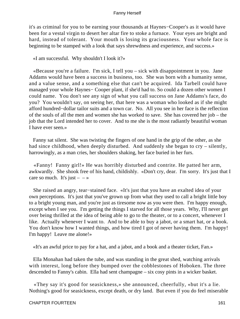it's as criminal for you to be earning your thousands at Haynes−Cooper's as it would have been for a vestal virgin to desert her altar fire to stoke a furnace. Your eyes are bright and hard, instead of tolerant. Your mouth is losing its graciousness. Your whole face is beginning to be stamped with a look that says shrewdness and experience, and success.»

«I am successful. Why shouldn't I look it?»

 «Because you're a failure. I'm sick, I tell you – sick with disappointment in you. Jane Addams would have been a success in business, too. She was born with a humanity sense, and a value sense, and a something else that can't be acquired. Ida Tarbell could have managed your whole Haynes− Cooper plant, if she'd had to. So could a dozen other women I could name. You don't see any sign of what you call success on Jane Addams's face, do you? You wouldn't say, on seeing her, that here was a woman who looked as if she might afford hundred−dollar tailor suits and a town car. No. All you see in her face is the reflection of the souls of all the men and women she has worked to save. She has covered her job – the job that the Lord intended her to cover. And to me she is the most radiantly beautiful woman I have ever seen.»

 Fanny sat silent. She was twisting the fingers of one hand in the grip of the other, as she had since childhood, when deeply disturbed. And suddenly she began to cry – silently, harrowingly, as a man cries, her shoulders shaking, her face buried in her furs.

 «Fanny! Fanny girl!» He was horribly disturbed and contrite. He patted her arm, awkwardly. She shook free of his hand, childishly. «Don't cry, dear. I'm sorry. It's just that I care so much. It's just  $-$  – »

 She raised an angry, tear−stained face. «It's just that you have an exalted idea of your own perceptions. It's just that you've grown up from what they used to call a bright little boy to a bright young man, and you're just as tiresome now as you were then. I'm happy enough, except when I see you. I'm getting the things I starved for all those years. Why, I'll never get over being thrilled at the idea of being able to go to the theater, or to a concert, whenever I like. Actually whenever I want to. And to be able to buy a jabot, or a smart hat, or a book. You don't know how I wanted things, and how tired I got of never having them. I'm happy! I'm happy! Leave me alone!»

«It's an awful price to pay for a hat, and a jabot, and a book and a theater ticket, Fan.»

 Ella Monahan had taken the tube, and was standing in the great shed, watching arrivals with interest, long before they bumped over the cobblestones of Hoboken. The three descended to Fanny's cabin. Ella had sent champagne – six cosy pints in a wicker basket.

 «They say it's good for seasickness,» she announced, cheerfully, «but it's a lie. Nothing's good for seasickness, except death, or dry land. But even if you do feel miserable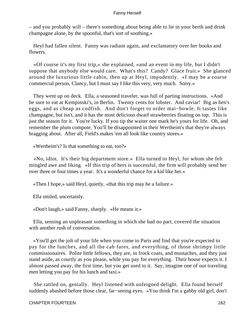– and you probably will – there's something about being able to lie in your berth and drink champagne alone, by the spoonful, that's sort of soothing.»

 Heyl had fallen silent. Fanny was radiant again, and exclamatory over her books and flowers.

 «Of course it's my first trip,» she explained, «and an event in my life, but I didn't suppose that anybody else would care. What's this? Candy? Glace fruit.» She glanced around the luxurious little cabin, then up at Heyl, impudently. «I may be a coarse commercial person, Clancy, but I must say I like this very, very much. Sorry.»

 They went up on deck. Ella, a seasoned traveler, was full of parting instructions. «And be sure to eat at Kempinski's, in Berlin. Twenty cents for lobster. And caviar! Big as hen's eggs, and as cheap as codfish. And don't forget to order mai−bowle. It tastes like champagne, but isn't, and it has the most delicious dwarf strawberries floating on top. This is just the season for it. You're lucky. If you tip the waiter one mark he's yours for life. Oh, and remember the plum compote. You'll be disappointed in their Wertheim's that they're always bragging about. After all, Field's makes 'em all look like country stores.»

«Wertheim's? Is that something to eat, too?»

 «No, idiot. It's their big department store.» Ella turned to Heyl, for whom she felt mingled awe and liking. «If this trip of hers is successful, the firm will probably send her over three or four times a year. It's a wonderful chance for a kid like her.»

«Then I hope,» said Heyl, quietly, «that this trip may be a failure.»

Ella smiled, uncertainly.

«Don't laugh,» said Fanny, sharply. «He means it.»

 Ella, sensing an unpleasant something in which she had no part, covered the situation with another rush of conversation.

 «You'll get the jolt of your life when you come to Paris and find that you're expected to pay for the lunches, and all the cab fares, and everything, of those shrimpy little commissionaires. Polite little fellows, they are, in frock coats, and mustaches, and they just stand aside, as courtly as you please, while you pay for everything. Their house expects it. I almost passed away, the first time, but you get used to it. Say, imagine one of our traveling men letting you pay for his lunch and taxi.»

 She rattled on, genially. Heyl listened with unfeigned delight. Ella found herself suddenly abashed before those clear, far−seeing eyes. «You think I'm a gabby old girl, don't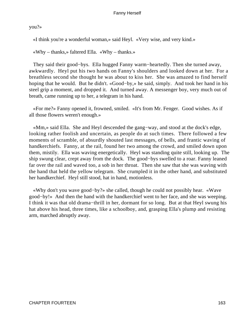you?»

«I think you're a wonderful woman,» said Heyl. «Very wise, and very kind.»

«Why – thanks,» faltered Ella. «Why – thanks.»

 They said their good−bys. Ella hugged Fanny warm−heartedly. Then she turned away, awkwardly. Heyl put his two hands on Fanny's shoulders and looked down at her. For a breathless second she thought he was about to kiss her. She was amazed to find herself hoping that he would. But he didn't. «Good−by,» he said, simply. And took her hand in his steel grip a moment, and dropped it. And turned away. A messenger boy, very much out of breath, came running up to her, a telegram in his hand.

 «For me?» Fanny opened it, frowned, smiled. «It's from Mr. Fenger. Good wishes. As if all those flowers weren't enough.»

 «Mm,» said Ella. She and Heyl descended the gang−way, and stood at the dock's edge, looking rather foolish and uncertain, as people do at such times. There followed a few moments of scramble, of absurdly shouted last messages, of bells, and frantic waving of handkerchiefs. Fanny, at the rail, found her two among the crowd, and smiled down upon them, mistily. Ella was waving energetically. Heyl was standing quite still, looking up. The ship swung clear, crept away from the dock. The good−bys swelled to a roar. Fanny leaned far over the rail and waved too, a sob in her throat. Then she saw that she was waving with the hand that held the yellow telegram. She crumpled it in the other hand, and substituted her handkerchief. Heyl still stood, hat in hand, motionless.

 «Why don't you wave good−by?» she called, though he could not possibly hear. «Wave good−by!» And then the hand with the handkerchief went to her face, and she was weeping. I think it was that old drama−thrill in her, dormant for so long. But at that Heyl swung his hat above his head, three times, like a schoolboy, and, grasping Ella's plump and resisting arm, marched abruptly away.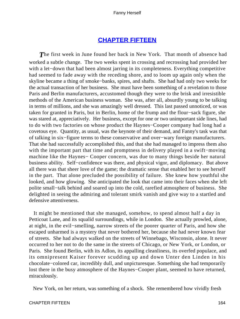# **[CHAPTER FIFTEEN](#page-221-0)**

**The first week in June found her back in New York. That month of absence had** worked a subtle change. The two weeks spent in crossing and recrossing had provided her with a let−down that had been almost jarring in its completeness. Everything competitive had seemed to fade away with the receding shore, and to loom up again only when the skyline became a thing of smoke−banks, spires, and shafts. She had had only two weeks for the actual transaction of her business. She must have been something of a revelation to those Paris and Berlin manufacturers, accustomed though they were to the brisk and irresistible methods of the American business woman. She was, after all, absurdly young to be talking in terms of millions, and she was amazingly well dressed. This last passed unnoticed, or was taken for granted in Paris, but in Berlin, home of the frump and the flour−sack figure, she was stared at, appreciatively. Her business, except for one or two unimportant side lines, had to do with two factories on whose product the Haynes−Cooper company had long had a covetous eye. Quantity, as usual, was the keynote of their demand, and Fanny's task was that of talking in six−figure terms to these conservative and over−wary foreign manufacturers. That she had successfully accomplished this, and that she had managed to impress them also with the important part that time and promptness in delivery played in a swift−moving machine like the Haynes− Cooper concern, was due to many things beside her natural business ability. Self−confidence was there, and physical vigor, and diplomacy. But above all there was that sheer love of the game; the dramatic sense that enabled her to see herself in the part. That alone precluded the possibility of failure. She knew how youthful she looked, and how glowing. She anticipated the look that came into their faces when she left polite small−talk behind and soared up into the cold, rarefied atmosphere of business. She delighted in seeing the admiring and tolerant smirk vanish and give way to a startled and defensive attentiveness.

 It might be mentioned that she managed, somehow, to spend almost half a day in Petticoat Lane, and its squalid surroundings, while in London. She actually prowled, alone, at night, in the evil−smelling, narrow streets of the poorer quarter of Paris, and how she escaped unharmed is a mystery that never bothered her, because she had never known fear of streets. She had always walked on the streets of Winnebago, Wisconsin, alone. It never occurred to her not to do the same in the streets of Chicago, or New York, or London, or Paris. She found Berlin, with its Adlon, its appalling cleanliness, its overfed populace, and its omnipresent Kaiser forever scudding up and down Unter den Linden in his chocolate−colored car, incredibly dull, and unpicturesque. Something she had temporarily lost there in the busy atmosphere of the Haynes−Cooper plant, seemed to have returned, miraculously.

New York, on her return, was something of a shock. She remembered how vividly fresh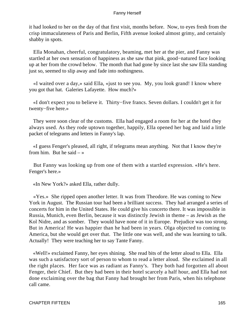it had looked to her on the day of that first visit, months before. Now, to eyes fresh from the crisp immaculateness of Paris and Berlin, Fifth avenue looked almost grimy, and certainly shabby in spots.

 Ella Monahan, cheerful, congratulatory, beaming, met her at the pier, and Fanny was startled at her own sensation of happiness as she saw that pink, good−natured face looking up at her from the crowd below. The month that had gone by since last she saw Ella standing just so, seemed to slip away and fade into nothingness.

 «I waited over a day,» said Ella, «just to see you. My, you look grand! I know where you got that hat. Galeries Lafayette. How much?»

 «I don't expect you to believe it. Thirty−five francs. Seven dollars. I couldn't get it for twenty−five here.»

 They were soon clear of the customs. Ella had engaged a room for her at the hotel they always used. As they rode uptown together, happily, Ella opened her bag and laid a little packet of telegrams and letters in Fanny's lap.

 «I guess Fenger's pleased, all right, if telegrams mean anything. Not that I know they're from him. But he said  $-\infty$ 

 But Fanny was looking up from one of them with a startled expression. «He's here. Fenger's here.»

«In New York?» asked Ella, rather dully.

 «Yes.» She ripped open another letter. It was from Theodore. He was coming to New York in August. The Russian tour had been a brilliant success. They had arranged a series of concerts for him in the United States. He could give his concerto there. It was impossible in Russia, Munich, even Berlin, because it was distinctly Jewish in theme – as Jewish as the Kol Nidre, and as somber. They would have none of it in Europe. Prejudice was too strong. But in America! He was happier than he had been in years. Olga objected to coming to America, but she would get over that. The little one was well, and she was learning to talk. Actually! They were teaching her to say Tante Fanny.

 «Well!» exclaimed Fanny, her eyes shining. She read bits of the letter aloud to Ella. Ella was such a satisfactory sort of person to whom to read a letter aloud. She exclaimed in all the right places. Her face was as radiant as Fanny's. They both had forgotten all about Fenger, their Chief. But they had been in their hotel scarcely a half hour, and Ella had not done exclaiming over the bag that Fanny had brought her from Paris, when his telephone call came.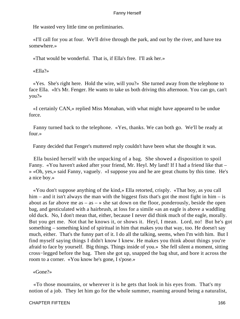He wasted very little time on preliminaries.

 «I'll call for you at four. We'll drive through the park, and out by the river, and have tea somewhere.»

«That would be wonderful. That is, if Ella's free. I'll ask her.»

«Ella?»

 «Yes. She's right here. Hold the wire, will you?» She turned away from the telephone to face Ella. «It's Mr. Fenger. He wants to take us both driving this afternoon. You can go, can't you?»

 «I certainly CAN,» replied Miss Monahan, with what might have appeared to be undue force.

 Fanny turned back to the telephone. «Yes, thanks. We can both go. We'll be ready at four.»

Fanny decided that Fenger's muttered reply couldn't have been what she thought it was.

 Ella busied herself with the unpacking of a bag. She showed a disposition to spoil Fanny. «You haven't asked after your friend, Mr. Heyl. My land! If I had a friend like that – » «Oh, yes,» said Fanny, vaguely. «I suppose you and he are great chums by this time. He's a nice boy.»

 «You don't suppose anything of the kind,» Ella retorted, crisply. «That boy, as you call him – and it isn't always the man with the biggest fists that's got the most fight in him – is about as far above me as  $-$  as  $-$  » she sat down on the floor, ponderously, beside the open bag, and gesticulated with a hairbrush, at loss for a simile «as an eagle is above a waddling old duck. No, I don't mean that, either, because I never did think much of the eagle, morally. But you get me. Not that he knows it, or shows it. Heyl, I mean. Lord, no! But he's got something – something kind of spiritual in him that makes you that way, too. He doesn't say much, either. That's the funny part of it. I do all the talking, seems, when I'm with him. But I find myself saying things I didn't know I knew. He makes you think about things you're afraid to face by yourself. Big things. Things inside of you.» She fell silent a moment, sitting cross−legged before the bag. Then she got up, snapped the bag shut, and bore it across the room to a corner. «You know he's gone, I s'pose.»

«Gone?»

 «To those mountains, or wherever it is he gets that look in his eyes from. That's my notion of a job. They let him go for the whole summer, roaming around being a naturalist,

## CHAPTER FIFTEEN 166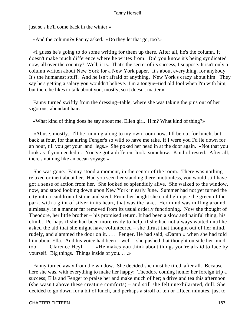just so's he'll come back in the winter.»

«And the column?» Fanny asked. «Do they let that go, too?»

 «I guess he's going to do some writing for them up there. After all, he's the column. It doesn't make much difference where he writes from. Did you know it's being syndicated now, all over the country? Well, it is. That's the secret of its success, I suppose. It isn't only a column written about New York for a New York paper. It's about everything, for anybody. It's the humanest stuff. And he isn't afraid of anything. New York's crazy about him. They say he's getting a salary you wouldn't believe. I'm a tongue−tied old fool when I'm with him, but then, he likes to talk about you, mostly, so it doesn't matter.»

 Fanny turned swiftly from the dressing−table, where she was taking the pins out of her vigorous, abundant hair.

«What kind of thing does he say about me, Ellen girl. H'm? What kind of thing?»

 «Abuse, mostly. I'll be running along to my own room now. I'll be out for lunch, but back at four, for that airing Fenger's so wild to have me take. If I were you I'd lie down for an hour, till you get your land−legs.» She poked her head in at the door again. «Not that you look as if you needed it. You've got a different look, somehow. Kind of rested. After all, there's nothing like an ocean voyage.»

 She was gone. Fanny stood a moment, in the center of the room. There was nothing relaxed or inert about her. Had you seen her standing there, motionless, you would still have got a sense of action from her. She looked so splendidly alive. She walked to the window, now, and stood looking down upon New York in early June. Summer had not yet turned the city into a cauldron of stone and steel. From her height she could glimpse the green of the park, with a glint of silver in its heart, that was the lake. Her mind was milling around, aimlessly, in a manner far removed from its usual orderly functioning. Now she thought of Theodore, her little brother – his promised return. It had been a slow and painful thing, his climb. Perhaps if she had been more ready to help, if she had not always waited until he asked the aid that she might have volunteered – she thrust that thought out of her mind, rudely, and slammed the door on it. . . . Fenger. He had said, «Damn!» when she had told him about Ella. And his voice had been – well – she pushed that thought outside her mind, too. . . . Clarence Heyl. . . . «He makes you think about things you're afraid to face by yourself. Big things. Things inside of you. . . .»

 Fanny turned away from the window. She decided she must be tired, after all. Because here she was, with everything to make her happy: Theodore coming home; her foreign trip a success; Ella and Fenger to praise her and make much of her; a drive and tea this afternoon (she wasn't above these creature comforts) – and still she felt unexhilarated, dull. She decided to go down for a bit of lunch, and perhaps a stroll of ten or fifteen minutes, just to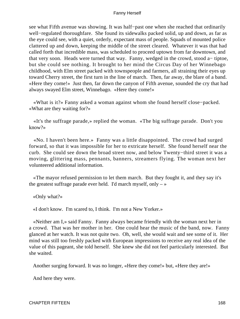see what Fifth avenue was showing. It was half−past one when she reached that ordinarily well−regulated thoroughfare. She found its sidewalks packed solid, up and down, as far as the eye could see, with a quiet, orderly, expectant mass of people. Squads of mounted police clattered up and down, keeping the middle of the street cleared. Whatever it was that had called forth that incredible mass, was scheduled to proceed uptown from far downtown, and that very soon. Heads were turned that way. Fanny, wedged in the crowd, stood a− tiptoe, but she could see nothing. It brought to her mind the Circus Day of her Winnebago childhood, with Elm street packed with townspeople and farmers, all straining their eyes up toward Cherry street, the first turn in the line of march. Then, far away, the blare of a band. «Here they come!» Just then, far down the canyon of Fifth avenue, sounded the cry that had always swayed Elm street, Winnebago. «Here they come!»

 «What is it?» Fanny asked a woman against whom she found herself close−packed. «What are they waiting for?»

 «It's the suffrage parade,» replied the woman. «The big suffrage parade. Don't you know?»

 «No. I haven't been here.» Fanny was a little disappointed. The crowd had surged forward, so that it was impossible for her to extricate herself. She found herself near the curb. She could see down the broad street now, and below Twenty−third street it was a moving, glittering mass, pennants, banners, streamers flying. The woman next her volunteered additional information.

 «The mayor refused permission to let them march. But they fought it, and they say it's the greatest suffrage parade ever held. I'd march myself, only  $-\infty$ 

«Only what?»

«I don't know. I'm scared to, I think. I'm not a New Yorker.»

 «Neither am I,» said Fanny. Fanny always became friendly with the woman next her in a crowd. That was her mother in her. One could hear the music of the band, now. Fanny glanced at her watch. It was not quite two. Oh, well, she would wait and see some of it. Her mind was still too freshly packed with European impressions to receive any real idea of the value of this pageant, she told herself. She knew she did not feel particularly interested. But she waited.

Another surging forward. It was no longer, «Here they come!» but, «Here they are!»

And here they were.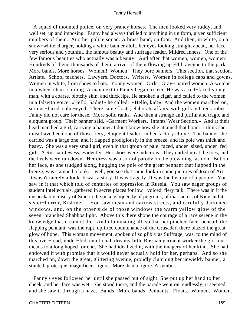A squad of mounted police, on very prancy horses. The men looked very ruddy, and well set−up and imposing. Fanny had always thrilled to anything in uniform, given sufficient numbers of them. Another police squad. A brass band, on foot. And then, in white, on a snow−white charger, holding a white banner aloft, her eyes looking straight ahead, her face very serious and youthful, the famous beauty and suffrage leader, Mildred Inness. One of the few famous beauties who actually was a beauty. And after that women, women, women! Hundreds of them, thousands of them, a river of them flowing up Fifth avenue to the park. More bands. More horses. Women! Women! They bore banners. This section, that section. Artists. School teachers. Lawyers. Doctors. Writers. Women in college caps and gowns. Women in white, from shoes to hats. Young women. Girls. Gray− haired women. A woman in a wheel chair, smiling. A man next to Fanny began to jeer. He was a red−faced young man, with a coarse, blotchy skin, and thick lips. He smoked a cigar, and called to the women in a falsetto voice, «Hello, Sadie!» he called. «Hello, kid!» And the women marched on, serious−faced, calm−eyed. There came floats; elaborate affairs, with girls in Greek robes. Fanny did not care for these. More solid ranks. And then a strange and pitiful and tragic and eloquent group. Their banner said, «Garment Workers. Infants' Wear Section.» And at their head marched a girl, carrying a banner. I don't know how she attained that honor. I think she must have been one of those fiery, eloquent leaders in her factory clique. The banner she carried was a large one, and it flapped prodigiously in the breeze, and its pole was thick and heavy. She was a very small girl, even in that group of pale−faced, under−sized, under−fed girls. A Russian Jewess, evidently. Her shoes were ludicrous. They curled up at the toes, and the heels were run down. Her dress was a sort of parody on the prevailing fashion. But on her face, as she trudged along, hugging the pole of the great pennant that flapped in the breeze, was stamped a look. – well, you see that same look in some pictures of Joan of Arc. It wasn't merely a look. It was a story. It was tragedy. It was the history of a people. You saw in it that which told of centuries of oppression in Russia. You saw eager groups of student Intellectuals, gathered in secret places for low− voiced, fiery talk. There was in it the unspeakable misery of Siberia. It spoke eloquently of pogroms, of massacres, of Kiev and its sister−horror, Kishineff. You saw mean and narrow streets, and carefully darkened windows, and, on the other side of those windows the warm yellow glow of the seven−branched Shabbos light. Above this there shone the courage of a race serene in the knowledge that it cannot die. And illuminating all, so that her pinched face, beneath the flapping pennant, was the rapt, uplifted countenance of the Crusader, there blazed the great glow of hope. This woman movement, spoken of so glibly as Suffrage, was, to the mind of this over−read, under−fed, emotional, dreamy little Russian garment worker the glorious means to a long hoped for end. She had idealized it, with the imagery of her kind. She had endowed it with promise that it would never actually hold for her, perhaps. And so she marched on, down the great, glittering avenue, proudly clutching her unwieldy banner, a stunted, grotesque, magnificent figure. More than a figure. A symbol.

 Fanny's eyes followed her until she passed out of sight. She put up her hand to her cheek, and her face was wet. She stood there, and the parade went on, endlessly, it seemed, and she saw it through a haze. Bands. More bands. Pennants. Floats. Women. Women.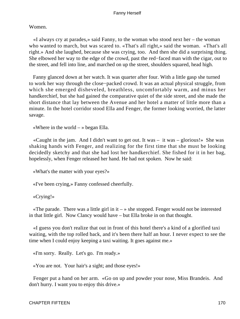Women.

 «I always cry at parades,» said Fanny, to the woman who stood next her – the woman who wanted to march, but was scared to. «That's all right,» said the woman. «That's all right.» And she laughed, because she was crying, too. And then she did a surprising thing. She elbowed her way to the edge of the crowd, past the red−faced man with the cigar, out to the street, and fell into line, and marched on up the street, shoulders squared, head high.

 Fanny glanced down at her watch. It was quarter after four. With a little gasp she turned to work her way through the close−packed crowd. It was an actual physical struggle, from which she emerged disheveled, breathless, uncomfortably warm, and minus her handkerchief, but she had gained the comparative quiet of the side street, and she made the short distance that lay between the Avenue and her hotel a matter of little more than a minute. In the hotel corridor stood Ella and Fenger, the former looking worried, the latter savage.

«Where in the world  $-\infty$  began Ella.

 «Caught in the jam. And I didn't want to get out. It was – it was – glorious!» She was shaking hands with Fenger, and realizing for the first time that she must be looking decidedly sketchy and that she had lost her handkerchief. She fished for it in her bag, hopelessly, when Fenger released her hand. He had not spoken. Now he said:

«What's the matter with your eyes?»

«I've been crying,» Fanny confessed cheerfully.

«Crying!»

«The parade. There was a little girl in it  $\rightarrow \infty$  she stopped. Fenger would not be interested in that little girl. Now Clancy would have – but Ella broke in on that thought.

 «I guess you don't realize that out in front of this hotel there's a kind of a glorified taxi waiting, with the top rolled back, and it's been there half an hour. I never expect to see the time when I could enjoy keeping a taxi waiting. It goes against me.»

«I'm sorry. Really. Let's go. I'm ready.»

«You are not. Your hair's a sight; and those eyes!»

 Fenger put a hand on her arm. «Go on up and powder your nose, Miss Brandeis. And don't hurry. I want you to enjoy this drive.»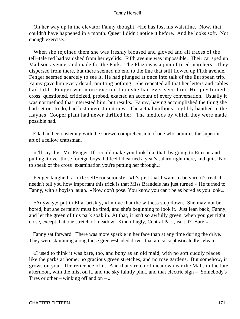On her way up in the elevator Fanny thought, «He has lost his waistline. Now, that couldn't have happened in a month. Queer I didn't notice it before. And he looks soft. Not enough exercise.»

 When she rejoined them she was freshly bloused and gloved and all traces of the tell−tale red had vanished from her eyelids. Fifth avenue was impossible. Their car sped up Madison avenue, and made for the Park. The Plaza was a jam of tired marchers. They dispersed from there, but there seemed no end to the line that still flowed up Fifth avenue. Fenger seemed scarcely to see it. He had plunged at once into talk of the European trip. Fanny gave him every detail, omitting nothing. She repeated all that her letters and cables had told. Fenger was more excited than she had ever seen him. He questioned, cross−questioned, criticized, probed, exacted an account of every conversation. Usually it was not method that interested him, but results. Fanny, having accomplished the thing she had set out to do, had lost interest in it now. The actual millions so glibly bandied in the Haynes−Cooper plant had never thrilled her. The methods by which they were made possible had.

 Ella had been listening with the shrewd comprehension of one who admires the superior art of a fellow craftsman.

 «I'll say this, Mr. Fenger. If I could make you look like that, by going to Europe and putting it over those foreign boys, I'd feel I'd earned a year's salary right there, and quit. Not to speak of the cross−examination you're putting her through.»

 Fenger laughed, a little self−consciously. «It's just that I want to be sure it's real. I needn't tell you how important this trick is that Miss Brandeis has just turned.» He turned to Fanny, with a boyish laugh. «Now don't pose. You know you can't be as bored as you look.»

 «Anyway,» put in Ella, briskly, «I move that the witness step down. She may not be bored, but she certainly must be tired, and she's beginning to look it. Just lean back, Fanny, and let the green of this park soak in. At that, it isn't so awfully green, when you get right close, except that one stretch of meadow. Kind of ugly, Central Park, isn't it? Bare.»

 Fanny sat forward. There was more sparkle in her face than at any time during the drive. They were skimming along those green−shaded drives that are so sophisticatedly sylvan.

 «I used to think it was bare, too, and bony as an old maid, with no soft cuddly places like the parks at home; no gracious green stretches, and no rose gardens. But somehow, it grows on you. The reticence of it. And that stretch of meadow near the Mall, in the late afternoon, with the mist on it, and the sky faintly pink, and that electric sign – Somebody's Tires or other – winking off and on –  $\gg$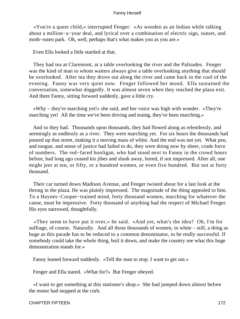«You're a queer child,» interrupted Fenger. «As wooden as an Indian while talking about a million−a−year deal, and lyrical over a combination of electric sign, sunset, and moth−eaten park. Oh, well, perhaps that's what makes you as you are.»

Even Ella looked a little startled at that.

 They had tea at Claremont, at a table overlooking the river and the Palisades. Fenger was the kind of man to whom waiters always give a table overlooking anything that should be overlooked. After tea they drove out along the river and came back in the cool of the evening. Fanny was very quiet now. Fenger followed her mood. Ella sustained the conversation, somewhat doggedly. It was almost seven when they reached the plaza exit. And there Fanny, sitting forward suddenly, gave a little cry.

 «Why – they're marching yet!» she said, and her voice was high with wonder. «They're marching yet! All the time we've been driving and teaing, they've been marching.»

 And so they had. Thousands upon thousands, they had flowed along as relentlessly, and seemingly as endlessly as a river. They were marching yet. For six hours the thousands had poured up that street, making it a moving mass of white. And the end was not yet. What pen, and tongue, and sense of justice had failed to do, they were doing now by sheer, crude force of numbers. The red−faced hooligan, who had stood next to Fanny in the crowd hours before, had long ago ceased his jibes and slunk away, bored, if not impressed. After all, one might jeer at ten, or fifty, or a hundred women, or even five hundred. But not at forty thousand.

 Their car turned down Madison Avenue, and Fenger twisted about for a last look at the throng in the plaza. He was plainly impressed. The magnitude of the thing appealed to him. To a Haynes−Cooper−trained mind, forty thousand women, marching for whatever the cause, must be impressive. Forty thousand of anything had the respect of Michael Fenger. His eyes narrowed, thoughtfully.

 «They seem to have put it over,» he said. «And yet, what's the idea? Oh, I'm for suffrage, of course. Naturally. And all those thousands of women, in white – still, a thing as huge as this parade has to be reduced to a common denominator, to be really successful. If somebody could take the whole thing, boil it down, and make the country see what this huge demonstration stands for.»

Fanny leaned forward suddenly. «Tell the man to stop. I want to get out.»

Fenger and Ella stared. «What for?» But Fenger obeyed.

 «I want to get something at this stationer's shop.» She had jumped down almost before the motor had stopped at the curb.

CHAPTER FIFTEEN 172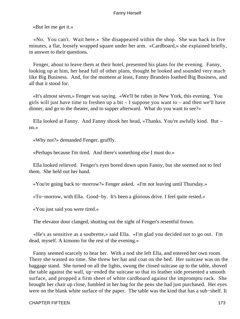«But let me get it.»

 «No. You can't. Wait here.» She disappeared within the shop. She was back in five minutes, a flat, loosely wrapped square under her arm. «Cardboard,» she explained briefly, in answer to their questions.

 Fenger, about to leave them at their hotel, presented his plans for the evening. Fanny, looking up at him, her head full of other plans, thought he looked and sounded very much like Big Business. And, for the moment at least, Fanny Brandeis loathed Big Business, and all that it stood for.

 «It's almost seven,» Fenger was saying. «We'll be rubes in New York, this evening. You girls will just have time to freshen up a bit  $-1$  suppose you want to  $-$  and then we'll have dinner, and go to the theater, and to supper afterward. What do you want to see?»

 Ella looked at Fanny. And Fanny shook her head, «Thanks. You're awfully kind. But – no.»

«Why not?» demanded Fenger, gruffly.

«Perhaps because I'm tired. And there's something else I must do.»

 Ella looked relieved. Fenger's eyes bored down upon Fanny, but she seemed not to feel them. She held out her hand.

«You're going back to−morrow?» Fenger asked. «I'm not leaving until Thursday.»

«To−morrow, with Ella. Good−by. It's been a glorious drive. I feel quite rested.»

«You just said you were tired.»

The elevator door clanged, shutting out the sight of Fenger's resentful frown.

 «He's as sensitive as a soubrette,» said Ella. «I'm glad you decided not to go out. I'm dead, myself. A kimono for the rest of the evening.»

 Fanny seemed scarcely to hear her. With a nod she left Ella, and entered her own room. There she wasted no time. She threw her hat and coat on the bed. Her suitcase was on the baggage stand. She turned on all the lights, swung the closed suitcase up to the table, shoved the table against the wall, up−ended the suitcase so that its leather side presented a smooth surface, and propped a firm sheet of white cardboard against the impromptu rack. She brought her chair up close, fumbled in her bag for the pens she had just purchased. Her eyes were on the blank white surface of the paper. The table was the kind that has a sub−shelf. It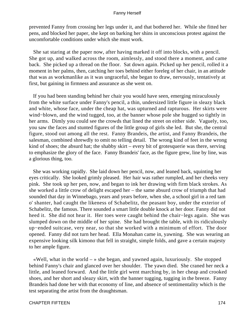prevented Fanny from crossing her legs under it, and that bothered her. While she fitted her pens, and blocked her paper, she kept on barking her shins in unconscious protest against the uncomfortable conditions under which she must work.

 She sat staring at the paper now, after having marked it off into blocks, with a pencil. She got up, and walked across the room, aimlessly, and stood there a moment, and came back. She picked up a thread on the floor. Sat down again. Picked up her pencil, rolled it a moment in her palms, then, catching her toes behind either foreleg of her chair, in an attitude that was as workmanlike as it was ungraceful, she began to draw, nervously, tentatively at first, but gaining in firmness and assurance as she went on.

 If you had been standing behind her chair you would have seen, emerging miraculously from the white surface under Fanny's pencil, a thin, undersized little figure in sleazy black and white, whose face, under the cheap hat, was upturned and rapturous. Her skirts were wind−blown, and the wind tugged, too, at the banner whose pole she hugged so tightly in her arms. Dimly you could see the crowds that lined the street on either side. Vaguely, too, you saw the faces and stunted figures of the little group of girls she led. But she, the central figure, stood out among all the rest. Fanny Brandeis, the artist, and Fanny Brandeis, the salesman, combined shrewdly to omit no telling detail. The wrong kind of feet in the wrong kind of shoes; the absurd hat; the shabby skirt – every bit of grotesquerie was there, serving to emphasize the glory of the face. Fanny Brandeis' face, as the figure grew, line by line, was a glorious thing, too.

 She was working rapidly. She laid down her pencil, now, and leaned back, squinting her eyes critically. She looked grimly pleased. Her hair was rather rumpled, and her cheeks very pink. She took up her pen, now, and began to ink her drawing with firm black strokes. As she worked a little crow of delight escaped her – the same absurd crow of triumph that had sounded that day in Winnebago, years and years before, when she, a school girl in a red tam o' shanter, had caught the likeness of Schabelitz, the peasant boy, under the exterior of Schabelitz, the famous. There sounded a smart little double knock at her door. Fanny did not heed it. She did not hear it. Her toes were caught behind the chair−legs again. She was slumped down on the middle of her spine. She had brought the table, with its ridiculously up−ended suitcase, very near, so that she worked with a minimum of effort. The door opened. Fanny did not turn her head. Ella Monahan came in, yawning. She was wearing an expensive looking silk kimono that fell in straight, simple folds, and gave a certain majesty to her ample figure.

«Well, what in the world  $-\infty$  she began, and yawned again, luxuriously. She stopped behind Fanny's chair and glanced over her shoulder. The yawn died. She craned her neck a little, and leaned forward. And the little girl went marching by, in her cheap and crooked shoes, and her short and sleazy skirt, with the banner tugging, tugging in the breeze. Fanny Brandeis had done her with that economy of line, and absence of sentimentality which is the test separating the artist from the draughtsman.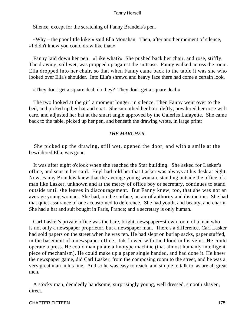Silence, except for the scratching of Fanny Brandeis's pen.

 «Why – the poor little kike!» said Ella Monahan. Then, after another moment of silence, «I didn't know you could draw like that.»

 Fanny laid down her pen. «Like what?» She pushed back her chair, and rose, stiffly. The drawing, still wet, was propped up against the suitcase. Fanny walked across the room. Ella dropped into her chair, so that when Fanny came back to the table it was she who looked over Ella's shoulder. Into Ella's shrewd and heavy face there had come a certain look.

«They don't get a square deal, do they? They don't get a square deal.»

 The two looked at the girl a moment longer, in silence. Then Fanny went over to the bed, and picked up her hat and coat. She smoothed her hair, deftly, powdered her nose with care, and adjusted her hat at the smart angle approved by the Galeries Lafayette. She came back to the table, picked up her pen, and beneath the drawing wrote, in large print:

## *THE MARCHER.*

 She picked up the drawing, still wet, opened the door, and with a smile at the bewildered Ella, was gone.

 It was after eight o'clock when she reached the Star building. She asked for Lasker's office, and sent in her card. Heyl had told her that Lasker was always at his desk at eight. Now, Fanny Brandeis knew that the average young woman, standing outside the office of a man like Lasker, unknown and at the mercy of office boy or secretary, continues to stand outside until she leaves in discouragement. But Fanny knew, too, that she was not an average young woman. She had, on the surface, an air of authority and distinction. She had that quiet assurance of one accustomed to deference. She had youth, and beauty, and charm. She had a hat and suit bought in Paris, France; and a secretary is only human.

 Carl Lasker's private office was the bare, bright, newspaper−strewn room of a man who is not only a newspaper proprietor, but a newspaper man. There's a difference. Carl Lasker had sold papers on the street when he was ten. He had slept on burlap sacks, paper stuffed, in the basement of a newspaper office. Ink flowed with the blood in his veins. He could operate a press. He could manipulate a linotype machine (that almost humanly intelligent piece of mechanism). He could make up a paper single handed, and had done it. He knew the newspaper game, did Carl Lasker, from the composing room to the street, and he was a very great man in his line. And so he was easy to reach, and simple to talk to, as are all great men.

 A stocky man, decidedly handsome, surprisingly young, well dressed, smooth shaven, direct.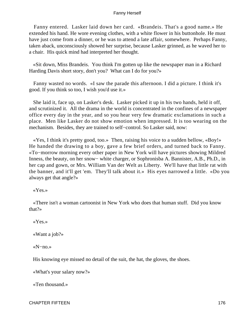Fanny entered. Lasker laid down her card. «Brandeis. That's a good name.» He extended his hand. He wore evening clothes, with a white flower in his buttonhole. He must have just come from a dinner, or he was to attend a late affair, somewhere. Perhaps Fanny, taken aback, unconsciously showed her surprise, because Lasker grinned, as he waved her to a chair. His quick mind had interpreted her thought.

 «Sit down, Miss Brandeis. You think I'm gotten up like the newspaper man in a Richard Harding Davis short story, don't you? What can I do for you?»

 Fanny wasted no words. «I saw the parade this afternoon. I did a picture. I think it's good. If you think so too, I wish you'd use it.»

 She laid it, face up, on Lasker's desk. Lasker picked it up in his two hands, held it off, and scrutinized it. All the drama in the world is concentrated in the confines of a newspaper office every day in the year, and so you hear very few dramatic exclamations in such a place. Men like Lasker do not show emotion when impressed. It is too wearing on the mechanism. Besides, they are trained to self−control. So Lasker said, now:

 «Yes, I think it's pretty good, too.» Then, raising his voice to a sudden bellow, «Boy!» He handed the drawing to a boy, gave a few brief orders, and turned back to Fanny. «To−morrow morning every other paper in New York will have pictures showing Mildred Inness, the beauty, on her snow− white charger, or Sophronisba A. Bannister, A.B., Ph.D., in her cap and gown, or Mrs. William Van der Welt as Liberty. We'll have that little rat with the banner, and it'll get 'em. They'll talk about it.» His eyes narrowed a little. «Do you always get that angle?»

«Yes.»

 «There isn't a woman cartoonist in New York who does that human stuff. Did you know that?»

«Yes.»

«Want a job?»

«N−no.»

His knowing eye missed no detail of the suit, the hat, the gloves, the shoes.

«What's your salary now?»

«Ten thousand.»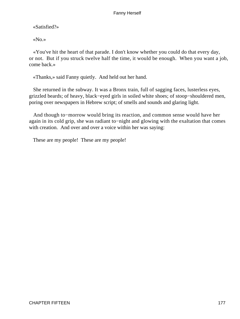«Satisfied?»

«No.»

 «You've hit the heart of that parade. I don't know whether you could do that every day, or not. But if you struck twelve half the time, it would be enough. When you want a job, come back.»

«Thanks,» said Fanny quietly. And held out her hand.

 She returned in the subway. It was a Bronx train, full of sagging faces, lusterless eyes, grizzled beards; of heavy, black−eyed girls in soiled white shoes; of stoop−shouldered men, poring over newspapers in Hebrew script; of smells and sounds and glaring light.

 And though to−morrow would bring its reaction, and common sense would have her again in its cold grip, she was radiant to−night and glowing with the exaltation that comes with creation. And over and over a voice within her was saying:

These are my people! These are my people!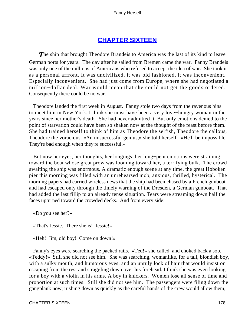# **[CHAPTER SIXTEEN](#page-221-0)**

**The ship that brought Theodore Brandeis to America was the last of its kind to leave** German ports for years. The day after he sailed from Bremen came the war. Fanny Brandeis was only one of the millions of Americans who refused to accept the idea of war. She took it as a personal affront. It was uncivilized, it was old fashioned, it was inconvenient. Especially inconvenient. She had just come from Europe, where she had negotiated a million−dollar deal. War would mean that she could not get the goods ordered. Consequently there could be no war.

 Theodore landed the first week in August. Fanny stole two days from the ravenous bins to meet him in New York. I think she must have been a very love−hungry woman in the years since her mother's death. She had never admitted it. But only emotions denied to the point of starvation could have been so shaken now at the thought of the feast before them. She had trained herself to think of him as Theodore the selfish, Theodore the callous, Theodore the voracious. «An unsuccessful genius,» she told herself. «He'll be impossible. They're bad enough when they're successful.»

 But now her eyes, her thoughts, her longings, her long−pent emotions were straining toward the boat whose great prow was looming toward her, a terrifying bulk. The crowd awaiting the ship was enormous. A dramatic enough scene at any time, the great Hoboken pier this morning was filled with an unrehearsed mob, anxious, thrilled, hysterical. The morning papers had carried wireless news that the ship had been chased by a French gunboat and had escaped only through the timely warning of the Dresden, a German gunboat. That had added the last fillip to an already tense situation. Tears were streaming down half the faces upturned toward the crowded decks. And from every side:

«Do you see her?»

«That's Jessie. There she is! Jessie!»

«Heh! Jim, old boy! Come on down!»

 Fanny's eyes were searching the packed rails. «Ted!» she called, and choked back a sob. «Teddy!» Still she did not see him. She was searching, womanlike, for a tall, blondish boy, with a sulky mouth, and humorous eyes, and an unruly lock of hair that would insist on escaping from the rest and straggling down over his forehead. I think she was even looking for a boy with a violin in his arms. A boy in knickers. Women lose all sense of time and proportion at such times. Still she did not see him. The passengers were filing down the gangplank now; rushing down as quickly as the careful hands of the crew would allow them,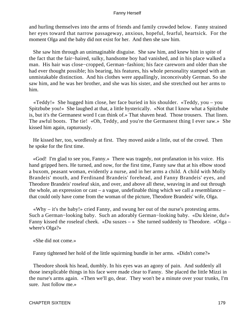and hurling themselves into the arms of friends and family crowded below. Fanny strained her eyes toward that narrow passageway, anxious, hopeful, fearful, heartsick. For the moment Olga and the baby did not exist for her. And then she saw him.

 She saw him through an unimaginable disguise. She saw him, and knew him in spite of the fact that the fair−haired, sulky, handsome boy had vanished, and in his place walked a man. His hair was close−cropped, German−fashion; his face careworn and older than she had ever thought possible; his bearing, his features, his whole personality stamped with an unmistakable distinction. And his clothes were appallingly, inconceivably German. So she saw him, and he was her brother, and she was his sister, and she stretched out her arms to him.

 «Teddy!» She hugged him close, her face buried in his shoulder. «Teddy, you – you Spitzbube you!» She laughed at that, a little hysterically. «Not that I know what a Spitzbube is, but it's the Germanest word I can think of.» That shaven head. Those trousers. That linen. The awful boots. The tie! «Oh, Teddy, and you're the Germanest thing I ever saw.» She kissed him again, rapturously.

 He kissed her, too, wordlessly at first. They moved aside a little, out of the crowd. Then he spoke for the first time.

 «God! I'm glad to see you, Fanny.» There was tragedy, not profanation in his voice. His hand gripped hers. He turned, and now, for the first time, Fanny saw that at his elbow stood a buxom, peasant woman, evidently a nurse, and in her arms a child. A child with Molly Brandeis' mouth, and Ferdinand Brandeis' forehead, and Fanny Brandeis' eyes, and Theodore Brandeis' roseleaf skin, and over, and above all these, weaving in and out through the whole, an expression or cast – a vague, undefinable thing which we call a resemblance – that could only have come from the woman of the picture, Theodore Brandeis' wife, Olga.

 «Why – it's the baby!» cried Fanny, and swung her out of the nurse's protesting arms. Such a German−looking baby. Such an adorably German−looking baby. «Du kleine, du!» Fanny kissed the roseleaf cheek. «Du suszes – » She turned suddenly to Theodore. «Olga – where's Olga?»

«She did not come.»

Fanny tightened her hold of the little squirming bundle in her arms. «Didn't come?»

 Theodore shook his head, dumbly. In his eyes was an agony of pain. And suddenly all those inexplicable things in his face were made clear to Fanny. She placed the little Mizzi in the nurse's arms again. «Then we'll go, dear. They won't be a minute over your trunks, I'm sure. Just follow me.»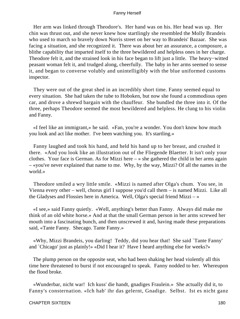Her arm was linked through Theodore's. Her hand was on his. Her head was up. Her chin was thrust out, and she never knew how startlingly she resembled the Molly Brandeis who used to march so bravely down Norris street on her way to Brandeis' Bazaar. She was facing a situation, and she recognized it. There was about her an assurance, a composure, a blithe capability that imparted itself to the three bewildered and helpless ones in her charge. Theodore felt it, and the strained look in his face began to lift just a little. The heavy−witted peasant woman felt it, and trudged along, cheerfully. The baby in her arms seemed to sense it, and began to converse volubly and unintelligibly with the blue uniformed customs inspector.

 They were out of the great shed in an incredibly short time. Fanny seemed equal to every situation. She had taken the tube to Hoboken, but now she found a commodious open car, and drove a shrewd bargain with the chauffeur. She bundled the three into it. Of the three, perhaps Theodore seemed the most bewildered and helpless. He clung to his violin and Fanny.

 «I feel like an immigrant,» he said. «Fan, you're a wonder. You don't know how much you look and act like mother. I've been watching you. It's startling.»

 Fanny laughed and took his hand, and held his hand up to her breast, and crushed it there. «And you look like an illustration out of the Fliegende Blaetter. It isn't only your clothes. Your face is German. As for Mizzi here – » she gathered the child in her arms again – «you've never explained that name to me. Why, by the way, Mizzi? Of all the names in the world.»

 Theodore smiled a wry little smile. «Mizzi is named after Olga's chum. You see, in Vienna every other – well, chorus girl I suppose you'd call them – is named Mizzi. Like all the Gladyses and Flossies here in America. Well, Olga's special friend Mizzi – »

 «I see,» said Fanny quietly. «Well, anything's better than Fanny. Always did make me think of an old white horse.» And at that the small German person in her arms screwed her mouth into a fascinating bunch, and then unscrewed it and, having made these preparations said, «Tante Fanny. Shecago. Tante Fanny.»

 «Why, Mizzi Brandeis, you darling! Teddy, did you hear that! She said `Tante Fanny' and `Chicago' just as plainly!» «Did I hear it? Have I heard anything else for weeks?»

 The plump person on the opposite seat, who had been shaking her head violently all this time here threatened to burst if not encouraged to speak. Fanny nodded to her. Whereupon the flood broke.

 «Wunderbar, nicht war! Ich kuss' die handt, gnadiges Fraulein.» She actually did it, to Fanny's consternation. «Ich hab' ihr das gelernt, Gnadige. Selbst. Ist es nicht ganz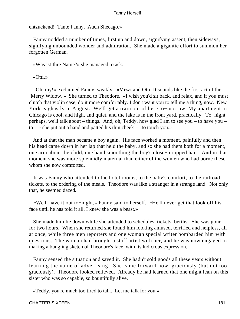entzuckend! Tante Fanny. Auch Shecago.»

 Fanny nodded a number of times, first up and down, signifying assent, then sideways, signifying unbounded wonder and admiration. She made a gigantic effort to summon her forgotten German.

«Was ist Ihre Name?» she managed to ask.

#### «Otti.»

 «Oh, my!» exclaimed Fanny, weakly. «Mizzi and Otti. It sounds like the first act of the `Merry Widow.'» She turned to Theodore. «I wish you'd sit back, and relax, and if you must clutch that violin case, do it more comfortably. I don't want you to tell me a thing, now. New York is ghastly in August. We'll get a train out of here to−morrow. My apartment in Chicago is cool, and high, and quiet, and the lake is in the front yard, practically. To−night, perhaps, we'll talk about – things. And, oh, Teddy, how glad I am to see you – to have you –  $to - \infty$  she put out a hand and patted his thin cheek – «to touch you.»

 And at that the man became a boy again. His face worked a moment, painfully and then his head came down in her lap that held the baby, and so she had them both for a moment, one arm about the child, one hand smoothing the boy's close− cropped hair. And in that moment she was more splendidly maternal than either of the women who had borne these whom she now comforted.

 It was Fanny who attended to the hotel rooms, to the baby's comfort, to the railroad tickets, to the ordering of the meals. Theodore was like a stranger in a strange land. Not only that, he seemed dazed.

 «We'll have it out to−night,» Fanny said to herself. «He'll never get that look off his face until he has told it all. I knew she was a beast.»

 She made him lie down while she attended to schedules, tickets, berths. She was gone for two hours. When she returned she found him looking amused, terrified and helpless, all at once, while three men reporters and one woman special writer bombarded him with questions. The woman had brought a staff artist with her, and he was now engaged in making a bungling sketch of Theodore's face, with its ludicrous expression.

 Fanny sensed the situation and saved it. She hadn't sold goods all these years without learning the value of advertising. She came forward now, graciously (but not too graciously). Theodore looked relieved. Already he had learned that one might lean on this sister who was so capable, so bountifully alive.

«Teddy, you're much too tired to talk. Let me talk for you.»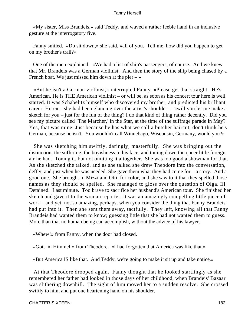«My sister, Miss Brandeis,» said Teddy, and waved a rather feeble hand in an inclusive gesture at the interrogatory five.

 Fanny smiled. «Do sit down,» she said, «all of you. Tell me, how did you happen to get on my brother's trail?»

 One of the men explained. «We had a list of ship's passengers, of course. And we knew that Mr. Brandeis was a German violinist. And then the story of the ship being chased by a French boat. We just missed him down at the pier  $-\infty$ 

 «But he isn't a German violinist,» interrupted Fanny. «Please get that straight. He's American. He is THE American violinist – or will be, as soon as his concert tour here is well started. It was Schabelitz himself who discovered my brother, and predicted his brilliant career. Here» – she had been glancing over the artist's shoulder – «will you let me make a sketch for you – just for the fun of the thing? I do that kind of thing rather decently. Did you see my picture called `The Marcher,' in the Star, at the time of the suffrage parade in May? Yes, that was mine. Just because he has what we call a butcher haircut, don't think he's German, because he isn't. You wouldn't call Winnebago, Wisconsin, Germany, would you?»

 She was sketching him swiftly, daringly, masterfully. She was bringing out the distinction, the suffering, the boyishness in his face, and toning down the queer little foreign air he had. Toning it, but not omitting it altogether. She was too good a showman for that. As she sketched she talked, and as she talked she drew Theodore into the conversation, deftly, and just when he was needed. She gave them what they had come for – a story. And a good one. She brought in Mizzi and Otti, for color, and she saw to it that they spelled those names as they should be spelled. She managed to gloss over the question of Olga. Ill. Detained. Last minute. Too brave to sacrifice her husband's American tour. She finished her sketch and gave it to the woman reporter. It was an amazingly compelling little piece of work – and yet, not so amazing, perhaps, when you consider the thing that Fanny Brandeis had put into it. Then she sent them away, tactfully. They left, knowing all that Fanny Brandeis had wanted them to know; guessing little that she had not wanted them to guess. More than that no human being can accomplish, without the advice of his lawyer.

«Whew!» from Fanny, when the door had closed.

«Gott im Himmel!» from Theodore. «I had forgotten that America was like that.»

«But America IS like that. And Teddy, we're going to make it sit up and take notice.»

 At that Theodore drooped again. Fanny thought that he looked startlingly as she remembered her father had looked in those days of her childhood, when Brandeis' Bazaar was slithering downhill. The sight of him moved her to a sudden resolve. She crossed swiftly to him, and put one heartening hand on his shoulder.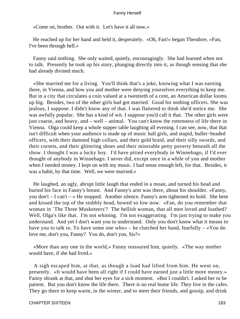«Come on, brother. Out with it. Let's have it all now.»

 He reached up for her hand and held it, desperately. «Oh, Fan!» began Theodore, «Fan, I've been through hell.»

 Fanny said nothing. She only waited, quietly, encouragingly. She had learned when not to talk. Presently he took up his story, plunging directly into it, as though sensing that she had already divined much.

 «She married me for a living. You'll think that's a joke, knowing what I was earning there, in Vienna, and how you and mother were denying yourselves everything to keep me. But in a city that circulates a coin valued at a twentieth of a cent, an American dollar looms up big. Besides, two of the other girls had got married. Good for nothing officers. She was jealous, I suppose. I didn't know any of that. I was flattered to think she'd notice me. She was awfully popular. She has a kind of wit. I suppose you'd call it that. The other girls were just coarse, and heavy, and – well – animal. You can't know the rottenness of life there in Vienna. Olga could keep a whole supper table laughing all evening. I can see, now, that that isn't difficult when your audience is made up of music hall girls, and stupid, bullet−headed officers, with their damned high collars, and their gold braid, and their silly swords, and their corsets, and their glittering shoes and their miserable petty poverty beneath all the show. I thought I was a lucky boy. I'd have pitied everybody in Winnebago, if I'd ever thought of anybody in Winnebago. I never did, except once in a while of you and mother when I needed money. I kept on with my music. I had sense enough left, for that. Besides, it was a habit, by that time. Well, we were married.»

 He laughed, an ugly, abrupt little laugh that ended in a moan, and turned his head and buried his face in Fanny's breast. And Fanny's arm was there, about his shoulder. «Fanny, you don't – I can't – » He stopped. Another silence. Fanny's arm tightened its hold. She bent and kissed the top of the stubbly head, bowed so low now. «Fan, do you remember that woman in `The Three Musketeers'? The hellish woman, that all men loved and loathed? Well, Olga's like that. I'm not whining. I'm not exaggerating. I'm just trying to make you understand. And yet I don't want you to understand. Only you don't know what it means to have you to talk to. To have some one who» – he clutched her hand, fearfully – «You do love me, don't you, Fanny? You do, don't you, Sis?»

 «More than any one in the world,» Fanny reassured him, quietly. «The way mother would have, if she had lived.»

 A sigh escaped him, at that, as though a load had lifted from him. He went on, presently. «It would have been all right if I could have earned just a little more money.» Fanny shrank at that, and shut her eyes for a sick moment. «But I couldn't. I asked her to be patient. But you don't know the life there. There is no real home life. They live in the cafes. They go there to keep warm, in the winter, and to meet their friends, and gossip, and drink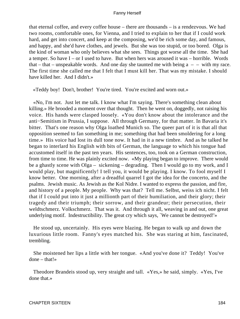that eternal coffee, and every coffee house – there are thousands – is a rendezvous. We had two rooms, comfortable ones, for Vienna, and I tried to explain to her that if I could work hard, and get into concert, and keep at the composing, we'd be rich some day, and famous, and happy, and she'd have clothes, and jewels. But she was too stupid, or too bored. Olga is the kind of woman who only believes what she sees. Things got worse all the time. She had a temper. So have I – or I used to have. But when hers was aroused it was – horrible. Words that – that – unspeakable words. And one day she taunted me with being  $a - -$  with my race. The first time she called me that I felt that I must kill her. That was my mistake. I should have killed her. And I didn't.»

«Teddy boy! Don't, brother! You're tired. You're excited and worn out.»

 «No, I'm not. Just let me talk. I know what I'm saying. There's something clean about killing.» He brooded a moment over that thought. Then he went on, doggedly, not raising his voice. His hands were clasped loosely. «You don't know about the intolerance and the anti−Semitism in Prussia, I suppose. All through Germany, for that matter. In Bavaria it's bitter. That's one reason why Olga loathed Munich so. The queer part of it is that all that opposition seemed to fan something in me; something that had been smoldering for a long time.» His voice had lost its dull tone now. It had in it a new timbre. And as he talked he began to interlard his English with bits of German, the language to which his tongue had accustomed itself in the past ten years. His sentences, too, took on a German construction, from time to time. He was plainly excited now. «My playing began to improve. There would be a ghastly scene with Olga – sickening – degrading. Then I would go to my work, and I would play, but magnificently! I tell you, it would be playing. I know. To fool myself I know better. One morning, after a dreadful quarrel I got the idea for the concerto, and the psalms. Jewish music. As Jewish as the Kol Nidre. I wanted to express the passion, and fire, and history of a people. My people. Why was that? Tell me. Selbst, weiss ich nicht. I felt that if I could put into it just a millionth part of their humiliation, and their glory; their tragedy and their triumph; their sorrow, and their grandeur; their persecution, their weldtschmerz. Volkschmerz. That was it. And through it all, weaving in and out, one great underlying motif. Indestructibility. The great cry which says, `We cannot be destroyed!'»

 He stood up, uncertainly. His eyes were blazing. He began to walk up and down the luxurious little room. Fanny's eyes matched his. She was staring at him, fascinated, trembling.

 She moistened her lips a little with her tongue. «And you've done it? Teddy! You've done – that!»

 Theodore Brandeis stood up, very straight and tall. «Yes,» he said, simply. «Yes, I've done that.»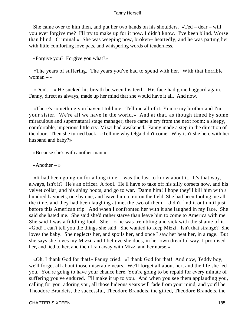She came over to him then, and put her two hands on his shoulders. «Ted – dear – will you ever forgive me? I'll try to make up for it now. I didn't know. I've been blind. Worse than blind. Criminal.» She was weeping now, broken− heartedly, and he was patting her with little comforting love pats, and whispering words of tenderness.

«Forgive you? Forgive you what?»

 «The years of suffering. The years you've had to spend with her. With that horrible woman  $-$  »

«Don't  $-$  » He sucked his breath between his teeth. His face had gone haggard again. Fanny, direct as always, made up her mind that she would have it all. And now.

 «There's something you haven't told me. Tell me all of it. You're my brother and I'm your sister. We're all we have in the world.» And at that, as though timed by some miraculous and supernatural stage manager, there came a cry from the next room; a sleepy, comfortable, imperious little cry. Mizzi had awakened. Fanny made a step in the direction of the door. Then she turned back. «Tell me why Olga didn't come. Why isn't she here with her husband and baby?»

«Because she's with another man.»

«Another  $-$  »

 «It had been going on for a long time. I was the last to know about it. It's that way, always, isn't it? He's an officer. A fool. He'll have to take off his silly corsets now, and his velvet collar, and his shiny boots, and go to war. Damn him! I hope they'll kill him with a hundred bayonets, one by one, and leave him to rot on the field. She had been fooling me all the time, and they had been laughing at me, the two of them. I didn't find it out until just before this American trip. And when I confronted her with it she laughed in my face. She said she hated me. She said she'd rather starve than leave him to come to America with me. She said I was a fiddling fool. She –  $\phi$  he was trembling and sick with the shame of it – «God! I can't tell you the things she said. She wanted to keep Mizzi. Isn't that strange? She loves the baby. She neglects her, and spoils her, and once I saw her beat her, in a rage. But she says she loves my Mizzi, and I believe she does, in her own dreadful way. I promised her, and lied to her, and then I ran away with Mizzi and her nurse.»

 «Oh, I thank God for that!» Fanny cried. «I thank God for that! And now, Teddy boy, we'll forget all about those miserable years. We'll forget all about her, and the life she led you. You're going to have your chance here. You're going to be repaid for every minute of suffering you've endured. I'll make it up to you. And when you see them applauding you, calling for you, adoring you, all those hideous years will fade from your mind, and you'll be Theodore Brandeis, the successful, Theodore Brandeis, the gifted, Theodore Brandeis, the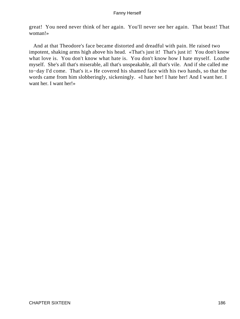great! You need never think of her again. You'll never see her again. That beast! That woman!»

 And at that Theodore's face became distorted and dreadful with pain. He raised two impotent, shaking arms high above his head. «That's just it! That's just it! You don't know what love is. You don't know what hate is. You don't know how I hate myself. Loathe myself. She's all that's miserable, all that's unspeakable, all that's vile. And if she called me to−day I'd come. That's it.» He covered his shamed face with his two hands, so that the words came from him slobberingly, sickeningly. «I hate her! I hate her! And I want her. I want her. I want her!»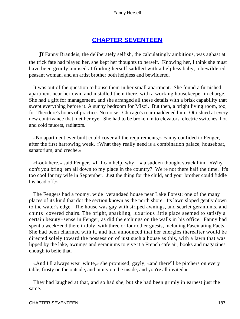# **[CHAPTER SEVENTEEN](#page-221-0)**

*I*f Fanny Brandeis, the deliberately selfish, the calculatingly ambitious, was aghast at the trick fate had played her, she kept her thoughts to herself. Knowing her, I think she must have been grimly amused at finding herself saddled with a helpless baby, a bewildered peasant woman, and an artist brother both helpless and bewildered.

 It was out of the question to house them in her small apartment. She found a furnished apartment near her own, and installed them there, with a working housekeeper in charge. She had a gift for management, and she arranged all these details with a brisk capability that swept everything before it. A sunny bedroom for Mizzi. But then, a bright living room, too, for Theodore's hours of practice. No noise. Chicago's roar maddened him. Otti shied at every new contrivance that met her eye. She had to be broken in to elevators, electric switches, hot and cold faucets, radiators.

 «No apartment ever built could cover all the requirements,» Fanny confided to Fenger, after the first harrowing week. «What they really need is a combination palace, houseboat, sanatorium, and creche.»

«Look here,» said Fenger. «If I can help, why  $-\infty$  a sudden thought struck him. «Why don't you bring 'em all down to my place in the country? We're not there half the time. It's too cool for my wife in September. Just the thing for the child, and your brother could fiddle his head off.»

 The Fengers had a roomy, wide−verandaed house near Lake Forest; one of the many places of its kind that dot the section known as the north shore. Its lawn sloped gently down to the water's edge. The house was gay with striped awnings, and scarlet geraniums, and chintz−covered chairs. The bright, sparkling, luxurious little place seemed to satisfy a certain beauty−sense in Fenger, as did the etchings on the walls in his office. Fanny had spent a week−end there in July, with three or four other guests, including Fascinating Facts. She had been charmed with it, and had announced that her energies thereafter would be directed solely toward the possession of just such a house as this, with a lawn that was lipped by the lake, awnings and geraniums to give it a French cafe air; books and magazines enough to belie that.

 «And I'll always wear white,» she promised, gayly, «and there'll be pitchers on every table, frosty on the outside, and minty on the inside, and you're all invited.»

 They had laughed at that, and so had she, but she had been grimly in earnest just the same.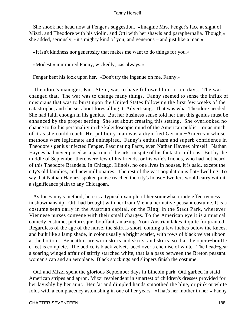She shook her head now at Fenger's suggestion. «Imagine Mrs. Fenger's face at sight of Mizzi, and Theodore with his violin, and Otti with her shawls and paraphernalia. Though,» she added, seriously, «it's mighty kind of you, and generous – and just like a man.»

«It isn't kindness nor generosity that makes me want to do things for you.»

«Modest,» murmured Fanny, wickedly, «as always.»

Fenger bent his look upon her. «Don't try the ingenue on me, Fanny.»

 Theodore's manager, Kurt Stein, was to have followed him in ten days. The war changed that. The war was to change many things. Fanny seemed to sense the influx of musicians that was to burst upon the United States following the first few weeks of the catastrophe, and she set about forestalling it. Advertising. That was what Theodore needed. She had faith enough in his genius. But her business sense told her that this genius must be enhanced by the proper setting. She set about creating this setting. She overlooked no chance to fix his personality in the kaleidoscopic mind of the American public – or as much of it as she could reach. His publicity man was a dignified German−American whose methods were legitimate and uninspired. Fanny's enthusiasm and superb confidence in Theodore's genius infected Fenger, Fascinating Facts, even Nathan Haynes himself. Nathan Haynes had never posed as a patron of the arts, in spite of his fantastic millions. But by the middle of September there were few of his friends, or his wife's friends, who had not heard of this Theodore Brandeis. In Chicago, Illinois, no one lives in houses, it is said, except the city's old families, and new millionaires. The rest of the vast population is flat−dwelling. To say that Nathan Haynes' spoken praise reached the city's house−dwellers would carry with it a significance plain to any Chicagoan.

 As for Fanny's method; here is a typical example of her somewhat crude effectiveness in showmanship. Otti had brought with her from Vienna her native peasant costume. It is a costume seen daily in the Austrian capital, on the Ring, in the Stadt Park, wherever Viennese nurses convene with their small charges. To the American eye it is a musical comedy costume, picturesque, bouffant, amazing. Your Austrian takes it quite for granted. Regardless of the age of the nurse, the skirt is short, coming a few inches below the knees, and built like a lamp shade, in color usually a bright scarlet, with rows of black velvet ribbon at the bottom. Beneath it are worn skirts and skirts, and skirts, so that the opera−bouffe effect is complete. The bodice is black velvet, laced over a chemise of white. The head−gear a soaring winged affair of stiffly starched white, that is a pass between the Breton peasant woman's cap and an aeroplane. Black stockings and slippers finish the costume.

 Otti and Mizzi spent the glorious September days in Lincoln park, Otti garbed in staid American stripes and apron, Mizzi resplendent in smartest of children's dresses provided for her lavishly by her aunt. Her fat and dimpled hands smoothed the blue, or pink or white folds with a complacency astonishing in one of her years. «That's her mother in her,» Fanny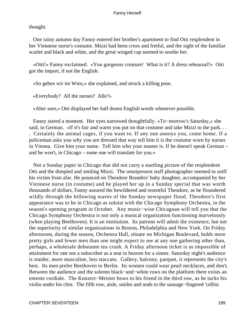thought.

 One rainy autumn day Fanny entered her brother's apartment to find Otti resplendent in her Viennese nurse's costume. Mizzi had been cross and fretful, and the sight of the familiar scarlet and black and white, and the great winged cap seemed to soothe her.

 «Otti!» Fanny exclaimed. «You gorgeous creature! What is it? A dress rehearsal?» Otti got the import, if not the English.

«So gehen wir im Wien,» she explained, and struck a killing pose.

«Everybody? All the nurses? Alle?»

«Aber sure,» Otti displayed her half dozen English words whenever possible.

 Fanny stared a moment. Her eyes narrowed thoughtfully. «To−morrow's Saturday,» she said, in German. «If it's fair and warm you put on that costume and take Mizzi to the park. . . . Certainly the animal cages, if you want to. If any one annoys you, come home. If a policeman asks you why you are dressed that way tell him it is the costume worn by nurses in Vienna. Give him your name. Tell him who your master is. If he doesn't speak German – and he won't, in Chicago – some one will translate for you.»

 Not a Sunday paper in Chicago that did not carry a startling picture of the resplendent Otti and the dimpled and smiling Mizzi. The omnipresent staff photographer seemed to sniff his victim from afar. He pounced on Theodore Brandeis' baby daughter, accompanied by her Viennese nurse (in costume) and he played her up in a Sunday special that was worth thousands of dollars, Fanny assured the bewildered and resentful Theodore, as he floundered wildly through the billowing waves of the Sunday newspaper flood. Theodore's first appearance was to be in Chicago as soloist with the Chicago Symphony Orchestra, in the season's opening program in October. Any music−wise Chicagoan will tell you that the Chicago Symphony Orchestra is not only a musical organization functioning marvelously (when playing Beethoven). It is an institution. Its patrons will admit the existence, but not the superiority of similar organizations in Boston, Philadelphia and New York. On Friday afternoons, during the season, Orchestra Hall, situate on Michigan Boulevard, holds more pretty girls and fewer men than one might expect to see at any one gathering other than, perhaps, a wholesale debutante tea crush. A Friday afternoon ticket is as impossible of attainment for one not a subscriber as a seat in heaven for a sinner. Saturday night's audience is staider, more masculine, less staccato. Gallery, balcony, parquet, it represents the city's best. Its men prefer Beethoven to Berlin. Its women could wear pearl necklaces, and don't. Between the audience and the solemn black−and−white rows on the platform there exists an entente cordiale. The Konzert−Meister bows to his friend in the third row, as he tucks his violin under his chin. The fifth row, aisle, smiles and nods to the sausage−fingered 'cellist.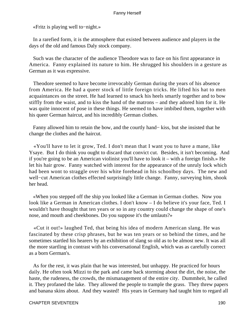«Fritz is playing well to−night.»

 In a rarefied form, it is the atmosphere that existed between audience and players in the days of the old and famous Daly stock company.

 Such was the character of the audience Theodore was to face on his first appearance in America. Fanny explained its nature to him. He shrugged his shoulders in a gesture as German as it was expressive.

 Theodore seemed to have become irrevocably German during the years of his absence from America. He had a queer stock of little foreign tricks. He lifted his hat to men acquaintances on the street. He had learned to smack his heels smartly together and to bow stiffly from the waist, and to kiss the hand of the matrons – and they adored him for it. He was quite innocent of pose in these things. He seemed to have imbibed them, together with his queer German haircut, and his incredibly German clothes.

 Fanny allowed him to retain the bow, and the courtly hand− kiss, but she insisted that he change the clothes and the haircut.

 «You'll have to let it grow, Ted. I don't mean that I want you to have a mane, like Ysaye. But I do think you ought to discard that convict cut. Besides, it isn't becoming. And if you're going to be an American violinist you'll have to look it – with a foreign finish.» He let his hair grow. Fanny watched with interest for the appearance of the unruly lock which had been wont to straggle over his white forehead in his schoolboy days. The new and well−cut American clothes effected surprisingly little change. Fanny, surveying him, shook her head.

 «When you stepped off the ship you looked like a German in German clothes. Now you look like a German in American clothes. I don't know – I do believe it's your face, Ted. I wouldn't have thought that ten years or so in any country could change the shape of one's nose, and mouth and cheekbones. Do you suppose it's the umlauts?»

 «Cut it out!» laughed Ted, that being his idea of modern American slang. He was fascinated by these crisp phrases, but he was ten years or so behind the times, and he sometimes startled his hearers by an exhibition of slang so old as to be almost new. It was all the more startling in contrast with his conversational English, which was as carefully correct as a born German's.

 As for the rest, it was plain that he was interested, but unhappy. He practiced for hours daily. He often took Mizzi to the park and came back storming about the dirt, the noise, the haste, the rudeness, the crowds, the mismanagement of the entire city. Dummheit, he called it. They profaned the lake. They allowed the people to trample the grass. They threw papers and banana skins about. And they wasted! His years in Germany had taught him to regard all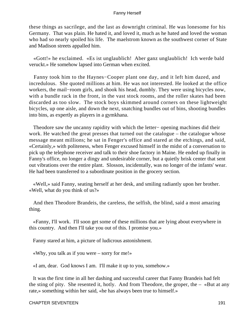these things as sacrilege, and the last as downright criminal. He was lonesome for his Germany. That was plain. He hated it, and loved it, much as he hated and loved the woman who had so nearly spoiled his life. The maelstrom known as the southwest corner of State and Madison streets appalled him.

 «Gott!» he exclaimed. «Es ist unglaublich! Aber ganz unglaublich! Ich werde bald veruckt.» He somehow lapsed into German when excited.

 Fanny took him to the Haynes−Cooper plant one day, and it left him dazed, and incredulous. She quoted millions at him. He was not interested. He looked at the office workers, the mail−room girls, and shook his head, dumbly. They were using bicycles now, with a bundle rack in the front, in the vast stock rooms, and the roller skates had been discarded as too slow. The stock boys skimmed around corners on these lightweight bicycles, up one aisle, and down the next, snatching bundles out of bins, shooting bundles into bins, as expertly as players in a gymkhana.

 Theodore saw the uncanny rapidity with which the letter− opening machines did their work. He watched the great presses that turned out the catalogue – the catalogue whose message meant millions; he sat in Fenger's office and stared at the etchings, and said, «Certainly,» with politeness, when Fenger excused himself in the midst of a conversation to pick up the telephone receiver and talk to their shoe factory in Maine. He ended up finally in Fanny's office, no longer a dingy and undesirable corner, but a quietly brisk center that sent out vibrations over the entire plant. Slosson, incidentally, was no longer of the infants' wear. He had been transferred to a subordinate position in the grocery section.

 «Well,» said Fanny, seating herself at her desk, and smiling radiantly upon her brother. «Well, what do you think of us?»

 And then Theodore Brandeis, the careless, the selfish, the blind, said a most amazing thing.

 «Fanny, I'll work. I'll soon get some of these millions that are lying about everywhere in this country. And then I'll take you out of this. I promise you.»

Fanny stared at him, a picture of ludicrous astonishment.

«Why, you talk as if you were – sorry for me!»

«I am, dear. God knows I am. I'll make it up to you, somehow.»

 It was the first time in all her dashing and successful career that Fanny Brandeis had felt the sting of pity. She resented it, hotly. And from Theodore, the groper, the  $-$  «But at any rate,» something within her said, «he has always been true to himself.»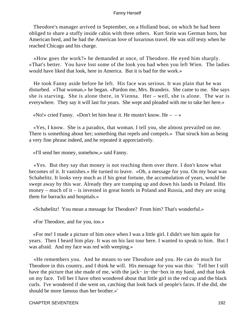Theodore's manager arrived in September, on a Holland boat, on which he had been obliged to share a stuffy inside cabin with three others. Kurt Stein was German born, but American bred, and he had the American love of luxurious travel. He was still testy when he reached Chicago and his charge.

 «How goes the work?» he demanded at once, of Theodore. He eyed him sharply. «That's better. You have lost some of the look you had when you left Wien. The ladies would have liked that look, here in America. But it is bad for the work.»

 He took Fanny aside before he left. His face was serious. It was plain that he was disturbed. «That woman,» he began. «Pardon me, Mrs. Brandeis. She came to me. She says she is starving. She is alone there, in Vienna. Her – well, she is alone. The war is everywhere. They say it will last for years. She wept and pleaded with me to take her here.»

«No!» cried Fanny. «Don't let him hear it. He mustn't know. He  $- \rightarrow \infty$ 

 «Yes, I know. She is a paradox, that woman. I tell you, she almost prevailed on me. There is something about her; something that repels and compels.» That struck him as being a very fine phrase indeed, and he repeated it appreciatively.

«I'll send her money, somehow,» said Fanny.

 «Yes. But they say that money is not reaching them over there. I don't know what becomes of it. It vanishes.» He turned to leave. «Oh, a message for you. On my boat was Schabelitz. It looks very much as if his great fortune, the accumulation of years, would be swept away by this war. Already they are tramping up and down his lands in Poland. His money – much of it – is invested in great hotels in Poland and Russia, and they are using them for barracks and hospitals.»

«Schabelitz! You mean a message for Theodore? From him? That's wonderful.»

«For Theodore, and for you, too.»

 «For me! I made a picture of him once when I was a little girl. I didn't see him again for years. Then I heard him play. It was on his last tour here. I wanted to speak to him. But I was afraid. And my face was red with weeping.»

 «He remembers you. And he means to see Theodore and you. He can do much for Theodore in this country, and I think he will. His message for you was this: `Tell her I still have the picture that she made of me, with the jack− in−the−box in my hand, and that look on my face. Tell her I have often wondered about that little girl in the red cap and the black curls. I've wondered if she went on, catching that look back of people's faces. If she did, she should be more famous than her brother.»'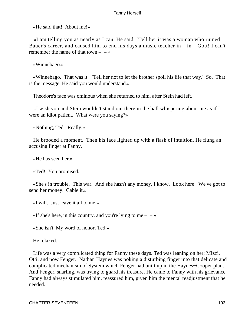«He said that! About me!»

 «I am telling you as nearly as I can. He said, `Tell her it was a woman who ruined Bauer's career, and caused him to end his days a music teacher in  $-$  in  $-$  Gott! I can't remember the name of that town  $- - \infty$ 

«Winnebago.»

 «Winnebago. That was it. `Tell her not to let the brother spoil his life that way.' So. That is the message. He said you would understand.»

Theodore's face was ominous when she returned to him, after Stein had left.

 «I wish you and Stein wouldn't stand out there in the hall whispering about me as if I were an idiot patient. What were you saying?»

«Nothing, Ted. Really.»

 He brooded a moment. Then his face lighted up with a flash of intuition. He flung an accusing finger at Fanny.

«He has seen her.»

«Ted! You promised.»

 «She's in trouble. This war. And she hasn't any money. I know. Look here. We've got to send her money. Cable it.»

«I will. Just leave it all to me.»

«If she's here, in this country, and you're lying to me  $- \rightarrow \infty$ 

«She isn't. My word of honor, Ted.»

He relaxed.

 Life was a very complicated thing for Fanny these days. Ted was leaning on her; Mizzi, Otti, and now Fenger. Nathan Haynes was poking a disturbing finger into that delicate and complicated mechanism of System which Fenger had built up in the Haynes−Cooper plant. And Fenger, snarling, was trying to guard his treasure. He came to Fanny with his grievance. Fanny had always stimulated him, reassured him, given him the mental readjustment that he needed.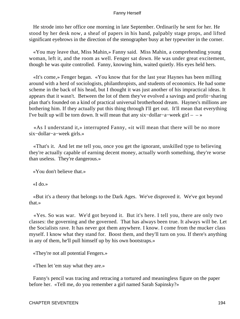He strode into her office one morning in late September. Ordinarily he sent for her. He stood by her desk now, a sheaf of papers in his hand, palpably stage props, and lifted significant eyebrows in the direction of the stenographer busy at her typewriter in the corner.

 «You may leave that, Miss Mahin,» Fanny said. Miss Mahin, a comprehending young woman, left it, and the room as well. Fenger sat down. He was under great excitement, though he was quite controlled. Fanny, knowing him, waited quietly. His eyes held hers.

 «It's come,» Fenger began. «You know that for the last year Haynes has been milling around with a herd of sociologists, philanthropists, and students of economics. He had some scheme in the back of his head, but I thought it was just another of his impractical ideas. It appears that it wasn't. Between the lot of them they've evolved a savings and profit−sharing plan that's founded on a kind of practical universal brotherhood dream. Haynes's millions are bothering him. If they actually put this thing through I'll get out. It'll mean that everything I've built up will be torn down. It will mean that any six−dollar−a−week girl – – »

 «As I understand it,» interrupted Fanny, «it will mean that there will be no more six−dollar−a−week girls.»

 «That's it. And let me tell you, once you get the ignorant, unskilled type to believing they're actually capable of earning decent money, actually worth something, they're worse than useless. They're dangerous.»

«You don't believe that.»

«I do.»

 «But it's a theory that belongs to the Dark Ages. We've disproved it. We've got beyond that.»

 «Yes. So was war. We'd got beyond it. But it's here. I tell you, there are only two classes: the governing and the governed. That has always been true. It always will be. Let the Socialists rave. It has never got them anywhere. I know. I come from the mucker class myself. I know what they stand for. Boost them, and they'll turn on you. If there's anything in any of them, he'll pull himself up by his own bootstraps.»

«They're not all potential Fengers.»

«Then let 'em stay what they are.»

 Fanny's pencil was tracing and retracing a tortured and meaningless figure on the paper before her. «Tell me, do you remember a girl named Sarah Sapinsky?»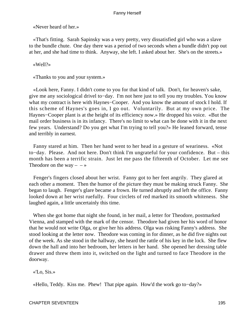«Never heard of her.»

 «That's fitting. Sarah Sapinsky was a very pretty, very dissatisfied girl who was a slave to the bundle chute. One day there was a period of two seconds when a bundle didn't pop out at her, and she had time to think. Anyway, she left. I asked about her. She's on the streets.»

«Well?»

«Thanks to you and your system.»

 «Look here, Fanny. I didn't come to you for that kind of talk. Don't, for heaven's sake, give me any sociological drivel to−day. I'm not here just to tell you my troubles. You know what my contract is here with Haynes−Cooper. And you know the amount of stock I hold. If this scheme of Haynes's goes in, I go out. Voluntarily. But at my own price. The Haynes−Cooper plant is at the height of its efficiency now.» He dropped his voice. «But the mail order business is in its infancy. There's no limit to what can be done with it in the next few years. Understand? Do you get what I'm trying to tell you?» He leaned forward, tense and terribly in earnest.

 Fanny stared at him. Then her hand went to her head in a gesture of weariness. «Not to−day. Please. And not here. Don't think I'm ungrateful for your confidence. But – this month has been a terrific strain. Just let me pass the fifteenth of October. Let me see Theodore on the way  $- \rightarrow \infty$ 

 Fenger's fingers closed about her wrist. Fanny got to her feet angrily. They glared at each other a moment. Then the humor of the picture they must be making struck Fanny. She began to laugh. Fenger's glare became a frown. He turned abruptly and left the office. Fanny looked down at her wrist ruefully. Four circlets of red marked its smooth whiteness. She laughed again, a little uncertainly this time.

 When she got home that night she found, in her mail, a letter for Theodore, postmarked Vienna, and stamped with the mark of the censor. Theodore had given her his word of honor that he would not write Olga, or give her his address. Olga was risking Fanny's address. She stood looking at the letter now. Theodore was coming in for dinner, as he did five nights out of the week. As she stood in the hallway, she heard the rattle of his key in the lock. She flew down the hall and into her bedroom, her letters in her hand. She opened her dressing table drawer and threw them into it, switched on the light and turned to face Theodore in the doorway.

«'Lo, Sis.»

«Hello, Teddy. Kiss me. Phew! That pipe again. How'd the work go to−day?»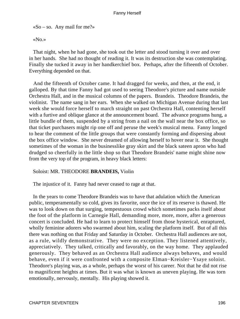$\triangleleft$ So – so. Any mail for me?»

«No.»

 That night, when he had gone, she took out the letter and stood turning it over and over in her hands. She had no thought of reading it. It was its destruction she was contemplating. Finally she tucked it away in her handkerchief box. Perhaps, after the fifteenth of October. Everything depended on that.

 And the fifteenth of October came. It had dragged for weeks, and then, at the end, it galloped. By that time Fanny had got used to seeing Theodore's picture and name outside Orchestra Hall, and in the musical columns of the papers. Brandeis. Theodore Brandeis, the violinist. The name sang in her ears. When she walked on Michigan Avenue during that last week she would force herself to march straight on past Orchestra Hall, contenting herself with a furtive and oblique glance at the announcement board. The advance programs hung, a little bundle of them, suspended by a string from a nail on the wall near the box office, so that ticket purchasers might rip one off and peruse the week's musical menu. Fanny longed to hear the comment of the little groups that were constantly forming and dispersing about the box office window. She never dreamed of allowing herself to hover near it. She thought sometimes of the woman in the businesslike gray skirt and the black sateen apron who had drudged so cheerfully in the little shop so that Theodore Brandeis' name might shine now from the very top of the program, in heavy black letters:

# Soloist: MR. THEODORE **BRANDEIS,** Violin

The injustice of it. Fanny had never ceased to rage at that.

 In the years to come Theodore Brandeis was to have that adulation which the American public, temperamentally so cold, gives its favorite, once the ice of its reserve is thawed. He was to look down on that surging, tempestuous crowd which sometimes packs itself about the foot of the platform in Carnegie Hall, demanding more, more, more, after a generous concert is concluded. He had to learn to protect himself from those hysterical, enraptured, wholly feminine adorers who swarmed about him, scaling the platform itself. But of all this there was nothing on that Friday and Saturday in October. Orchestra Hall audiences are not, as a rule, wildly demonstrative. They were no exception. They listened attentively, appreciatively. They talked, critically and favorably, on the way home. They applauded generously. They behaved as an Orchestra Hall audience always behaves, and would behave, even if it were confronted with a composite Elman−Kreisler−Ysaye soloist. Theodore's playing was, as a whole, perhaps the worst of his career. Not that he did not rise to magnificent heights at times. But it was what is known as uneven playing. He was torn emotionally, nervously, mentally. His playing showed it.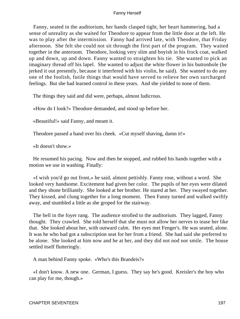Fanny, seated in the auditorium, her hands clasped tight, her heart hammering, had a sense of unreality as she waited for Theodore to appear from the little door at the left. He was to play after the intermission. Fanny had arrived late, with Theodore, that Friday afternoon. She felt she could not sit through the first part of the program. They waited together in the anteroom. Theodore, looking very slim and boyish in his frock coat, walked up and down, up and down. Fanny wanted to straighten his tie. She wanted to pick an imaginary thread off his lapel. She wanted to adjust the white flower in his buttonhole (he jerked it out presently, because it interfered with his violin, he said). She wanted to do any one of the foolish, futile things that would have served to relieve her own surcharged feelings. But she had learned control in these years. And she yielded to none of them.

The things they said and did were, perhaps, almost ludicrous.

«How do I look?» Theodore demanded, and stood up before her.

«Beautiful!» said Fanny, and meant it.

Theodore passed a hand over his cheek. «Cut myself shaving, damn it!»

«It doesn't show.»

 He resumed his pacing. Now and then he stopped, and rubbed his hands together with a motion we use in washing. Finally:

 «I wish you'd go out front,» he said, almost pettishly. Fanny rose, without a word. She looked very handsome. Excitement had given her color. The pupils of her eyes were dilated and they shone brilliantly. She looked at her brother. He stared at her. They swayed together. They kissed, and clung together for a long moment. Then Fanny turned and walked swiftly away, and stumbled a little as she groped for the stairway.

 The bell in the foyer rang. The audience strolled to the auditorium. They lagged, Fanny thought. They crawled. She told herself that she must not allow her nerves to tease her like that. She looked about her, with outward calm. Her eyes met Fenger's. He was seated, alone. It was he who had got a subscription seat for her from a friend. She had said she preferred to be alone. She looked at him now and he at her, and they did not nod nor smile. The house settled itself flutteringly.

A man behind Fanny spoke. «Who's this Brandeis?»

 «I don't know. A new one. German, I guess. They say he's good. Kreisler's the boy who can play for me, though.»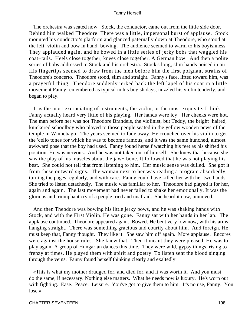The orchestra was seated now. Stock, the conductor, came out from the little side door. Behind him walked Theodore. There was a little, impersonal burst of applause. Stock mounted his conductor's platform and glanced paternally down at Theodore, who stood at the left, violin and bow in hand, bowing. The audience seemed to warm to his boyishness. They applauded again, and he bowed in a little series of jerky bobs that waggled his coat−tails. Heels close together, knees close together. A German bow. And then a polite series of bobs addressed to Stock and his orchestra. Stock's long, slim hands poised in air. His fingertips seemed to draw from the men before him the first poignant strains of Theodore's concerto. Theodore stood, slim and straight. Fanny's face, lifted toward him, was a prayerful thing. Theodore suddenly jerked back the left lapel of his coat in a little movement Fanny remembered as typical in his boyish days, nuzzled his violin tenderly, and began to play.

 It is the most excruciating of instruments, the violin, or the most exquisite. I think Fanny actually heard very little of his playing. Her hands were icy. Her cheeks were hot. The man before her was not Theodore Brandeis, the violinist, but Teddy, the bright−haired, knickered schoolboy who played to those people seated in the yellow wooden pews of the temple in Winnebago. The years seemed to fade away. He crouched over his violin to get the 'cello tones for which he was to become famous, and it was the same hunched, almost awkward pose that the boy had used. Fanny found herself watching his feet as his shifted his position. He was nervous. And he was not taken out of himself. She knew that because she saw the play of his muscles about the jaw− bone. It followed that he was not playing his best. She could not tell that from listening to him. Her music sense was dulled. She got it from these outward signs. The woman next to her was reading a program absorbedly, turning the pages regularly, and with care. Fanny could have killed her with her two hands. She tried to listen detachedly. The music was familiar to her. Theodore had played it for her, again and again. The last movement had never failed to shake her emotionally. It was the glorious and triumphant cry of a people tried and unafraid. She heard it now, unmoved.

 And then Theodore was bowing his little jerky bows, and he was shaking hands with Stock, and with the First Violin. He was gone. Fanny sat with her hands in her lap. The applause continued. Theodore appeared again. Bowed. He bent very low now, with his arms hanging straight. There was something gracious and courtly about him. And foreign. He must keep that, Fanny thought. They like it. She saw him off again. More applause. Encores were against the house rules. She knew that. Then it meant they were pleased. He was to play again. A group of Hungarian dances this time. They were wild, gypsy things, rising to frenzy at times. He played them with spirit and poetry. To listen sent the blood singing through the veins. Fanny found herself thinking clearly and exaltedly.

 «This is what my mother drudged for, and died for, and it was worth it. And you must do the same, if necessary. Nothing else matters. What he needs now is luxury. He's worn out with fighting. Ease. Peace. Leisure. You've got to give them to him. It's no use, Fanny. You lose.»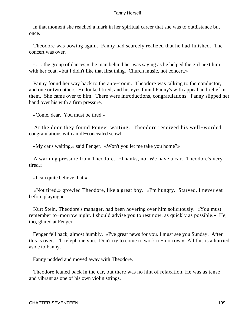In that moment she reached a mark in her spiritual career that she was to outdistance but once.

 Theodore was bowing again. Fanny had scarcely realized that he had finished. The concert was over.

 «. . . the group of dances,» the man behind her was saying as he helped the girl next him with her coat, «but I didn't like that first thing. Church music, not concert.»

 Fanny found her way back to the ante−room. Theodore was talking to the conductor, and one or two others. He looked tired, and his eyes found Fanny's with appeal and relief in them. She came over to him. There were introductions, congratulations. Fanny slipped her hand over his with a firm pressure.

«Come, dear. You must be tired.»

 At the door they found Fenger waiting. Theodore received his well−worded congratulations with an ill−concealed scowl.

«My car's waiting,» said Fenger. «Won't you let me take you home?»

 A warning pressure from Theodore. «Thanks, no. We have a car. Theodore's very tired.»

«I can quite believe that.»

 «Not tired,» growled Theodore, like a great boy. «I'm hungry. Starved. I never eat before playing.»

 Kurt Stein, Theodore's manager, had been hovering over him solicitously. «You must remember to−morrow night. I should advise you to rest now, as quickly as possible.» He, too, glared at Fenger.

 Fenger fell back, almost humbly. «I've great news for you. I must see you Sunday. After this is over. I'll telephone you. Don't try to come to work to−morrow.» All this is a hurried aside to Fanny.

Fanny nodded and moved away with Theodore.

 Theodore leaned back in the car, but there was no hint of relaxation. He was as tense and vibrant as one of his own violin strings.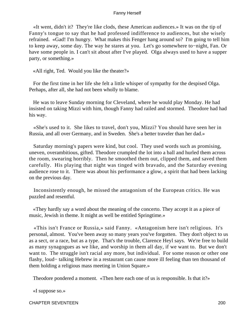«It went, didn't it? They're like clods, these American audiences.» It was on the tip of Fanny's tongue to say that he had professed indifference to audiences, but she wisely refrained. «Gad! I'm hungry. What makes this Fenger hang around so? I'm going to tell him to keep away, some day. The way he stares at you. Let's go somewhere to−night, Fan. Or have some people in. I can't sit about after I've played. Olga always used to have a supper party, or something.»

«All right, Ted. Would you like the theater?»

 For the first time in her life she felt a little whisper of sympathy for the despised Olga. Perhaps, after all, she had not been wholly to blame.

 He was to leave Sunday morning for Cleveland, where he would play Monday. He had insisted on taking Mizzi with him, though Fanny had railed and stormed. Theodore had had his way.

 «She's used to it. She likes to travel, don't you, Mizzi? You should have seen her in Russia, and all over Germany, and in Sweden. She's a better traveler than her dad.»

 Saturday morning's papers were kind, but cool. They used words such as promising, uneven, overambitious, gifted. Theodore crumpled the lot into a ball and hurled them across the room, swearing horribly. Then he smoothed them out, clipped them, and saved them carefully. His playing that night was tinged with bravado, and the Saturday evening audience rose to it. There was about his performance a glow, a spirit that had been lacking on the previous day.

 Inconsistently enough, he missed the antagonism of the European critics. He was puzzled and resentful.

 «They hardly say a word about the meaning of the concerto. They accept it as a piece of music, Jewish in theme. It might as well be entitled Springtime.»

 «This isn't France or Russia,» said Fanny. «Antagonism here isn't religious. It's personal, almost. You've been away so many years you've forgotten. They don't object to us as a sect, or a race, but as a type. That's the trouble, Clarence Heyl says. We're free to build as many synagogues as we like, and worship in them all day, if we want to. But we don't want to. The struggle isn't racial any more, but individual. For some reason or other one flashy, loud− talking Hebrew in a restaurant can cause more ill feeling than ten thousand of them holding a religious mass meeting in Union Square.»

Theodore pondered a moment. «Then here each one of us is responsible. Is that it?»

«I suppose so.»

CHAPTER SEVENTEEN 200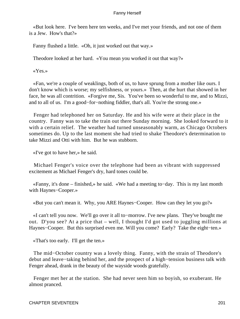«But look here. I've been here ten weeks, and I've met your friends, and not one of them is a Jew. How's that?»

Fanny flushed a little. «Oh, it just worked out that way.»

Theodore looked at her hard. «You mean you worked it out that way?»

«Yes.»

 «Fan, we're a couple of weaklings, both of us, to have sprung from a mother like ours. I don't know which is worse; my selfishness, or yours.» Then, at the hurt that showed in her face, he was all contrition. «Forgive me, Sis. You've been so wonderful to me, and to Mizzi, and to all of us. I'm a good−for−nothing fiddler, that's all. You're the strong one.»

 Fenger had telephoned her on Saturday. He and his wife were at their place in the country. Fanny was to take the train out there Sunday morning. She looked forward to it with a certain relief. The weather had turned unseasonably warm, as Chicago Octobers sometimes do. Up to the last moment she had tried to shake Theodore's determination to take Mizzi and Otti with him. But he was stubborn.

«I've got to have her,» he said.

 Michael Fenger's voice over the telephone had been as vibrant with suppressed excitement as Michael Fenger's dry, hard tones could be.

 «Fanny, it's done – finished,» he said. «We had a meeting to−day. This is my last month with Haynes−Cooper.»

«But you can't mean it. Why, you ARE Haynes−Cooper. How can they let you go?»

 «I can't tell you now. We'll go over it all to−morrow. I've new plans. They've bought me out. D'you see? At a price that – well, I thought I'd got used to juggling millions at Haynes−Cooper. But this surprised even me. Will you come? Early? Take the eight−ten.»

«That's too early. I'll get the ten.»

 The mid−October country was a lovely thing. Fanny, with the strain of Theodore's debut and leave−taking behind her, and the prospect of a high−tension business talk with Fenger ahead, drank in the beauty of the wayside woods gratefully.

 Fenger met her at the station. She had never seen him so boyish, so exuberant. He almost pranced.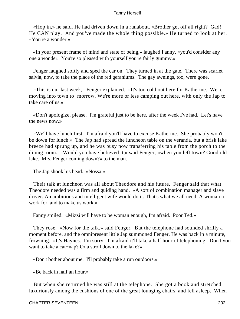«Hop in,» he said. He had driven down in a runabout. «Brother get off all right? Gad! He CAN play. And you've made the whole thing possible.» He turned to look at her. «You're a wonder.»

 «In your present frame of mind and state of being,» laughed Fanny, «you'd consider any one a wonder. You're so pleased with yourself you're fairly gummy.»

 Fenger laughed softly and sped the car on. They turned in at the gate. There was scarlet salvia, now, to take the place of the red geraniums. The gay awnings, too, were gone.

 «This is our last week,» Fenger explained. «It's too cold out here for Katherine. We're moving into town to−morrow. We're more or less camping out here, with only the Jap to take care of us.»

 «Don't apologize, please. I'm grateful just to be here, after the week I've had. Let's have the news now.»

 «We'll have lunch first. I'm afraid you'll have to excuse Katherine. She probably won't be down for lunch.» The Jap had spread the luncheon table on the veranda, but a brisk lake breeze had sprung up, and he was busy now transferring his table from the porch to the dining room. «Would you have believed it,» said Fenger, «when you left town? Good old lake. Mrs. Fenger coming down?» to the man.

The Jap shook his head. «Nossa.»

 Their talk at luncheon was all about Theodore and his future. Fenger said that what Theodore needed was a firm and guiding hand. «A sort of combination manager and slave− driver. An ambitious and intelligent wife would do it. That's what we all need. A woman to work for, and to make us work.»

Fanny smiled. «Mizzi will have to be woman enough, I'm afraid. Poor Ted.»

 They rose. «Now for the talk,» said Fenger. But the telephone had sounded shrilly a moment before, and the omnipresent little Jap summoned Fenger. He was back in a minute, frowning. «It's Haynes. I'm sorry. I'm afraid it'll take a half hour of telephoning. Don't you want to take a cat−nap? Or a stroll down to the lake?»

«Don't bother about me. I'll probably take a run outdoors.»

«Be back in half an hour.»

 But when she returned he was still at the telephone. She got a book and stretched luxuriously among the cushions of one of the great lounging chairs, and fell asleep. When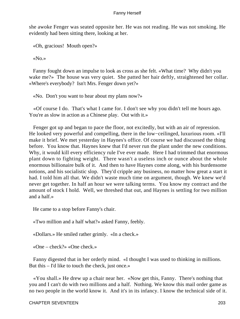she awoke Fenger was seated opposite her. He was not reading. He was not smoking. He evidently had been sitting there, looking at her.

«Oh, gracious! Mouth open?»

«No.»

 Fanny fought down an impulse to look as cross as she felt. «What time? Why didn't you wake me?» The house was very quiet. She patted her hair deftly, straightened her collar. «Where's everybody? Isn't Mrs. Fenger down yet?»

«No. Don't you want to hear about my plans now?»

 «Of course I do. That's what I came for. I don't see why you didn't tell me hours ago. You're as slow in action as a Chinese play. Out with it.»

 Fenger got up and began to pace the floor, not excitedly, but with an air of repression. He looked very powerful and compelling, there in the low−ceilinged, luxurious room. «I'll make it brief. We met yesterday in Haynes's office. Of course we had discussed the thing before. You know that. Haynes knew that I'd never run the plant under the new conditions. Why, it would kill every efficiency rule I've ever made. Here I had trimmed that enormous plant down to fighting weight. There wasn't a useless inch or ounce about the whole enormous billionaire bulk of it. And then to have Haynes come along, with his burdensome notions, and his socialistic slop. They'd cripple any business, no matter how great a start it had. I told him all that. We didn't waste much time on argument, though. We knew we'd never get together. In half an hour we were talking terms. You know my contract and the amount of stock I hold. Well, we threshed that out, and Haynes is settling for two million and a half.»

He came to a stop before Fanny's chair.

«Two million and a half what?» asked Fanny, feebly.

«Dollars.» He smiled rather grimly. «In a check.»

«One – check?» «One check.»

 Fanny digested that in her orderly mind. «I thought I was used to thinking in millions. But this – I'd like to touch the check, just once.»

 «You shall.» He drew up a chair near her. «Now get this, Fanny. There's nothing that you and I can't do with two millions and a half. Nothing. We know this mail order game as no two people in the world know it. And it's in its infancy. I know the technical side of it.

CHAPTER SEVENTEEN 203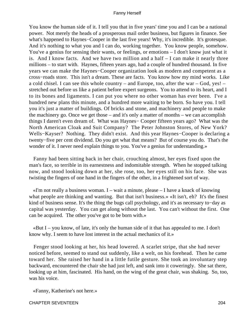You know the human side of it. I tell you that in five years' time you and I can be a national power. Not merely the heads of a prosperous mail order business, but figures in finance. See what's happened to Haynes−Cooper in the last five years! Why, it's incredible. It's grotesque. And it's nothing to what you and I can do, working together. You know people, somehow. You've a genius for sensing their wants, or feelings, or emotions – I don't know just what it is. And I know facts. And we have two million and a half – I can make it nearly three millions – to start with. Haynes, fifteen years ago, had a couple of hundred thousand. In five years we can make the Haynes−Cooper organization look as modern and competent as a cross−roads store. This isn't a dream. These are facts. You know how my mind works. Like a cold chisel. I can see this whole country – and Europe, too, after the war – God, yes! – stretched out before us like a patient before expert surgeons. You to attend to its heart, and I to its bones and ligaments. I can put you where no other woman has ever been. I've a hundred new plans this minute, and a hundred more waiting to be born. So have you. I tell you it's just a matter of buildings. Of bricks and stone, and machinery and people to make the machinery go. Once we get those – and it's only a matter of months – we can accomplish things I daren't even dream of. What was Haynes− Cooper fifteen years ago? What was the North American Cloak and Suit Company? The Peter Johnston Stores, of New York? Wells−Kayser? Nothing. They didn't exist. And this year Haynes−Cooper is declaring a twenty−five per cent dividend. Do you get what that means? But of course you do. That's the wonder of it. I never need explain things to you. You've a genius for understanding.»

 Fanny had been sitting back in her chair, crouching almost, her eyes fixed upon the man's face, so terrible in its earnestness and indomitable strength. When he stopped talking now, and stood looking down at her, she rose, too, her eyes still on his face. She was twisting the fingers of one hand in the fingers of the other, in a frightened sort of way.

 $\ll$ I'm not really a business woman. I – wait a minute, please – I have a knack of knowing what people are thinking and wanting. But that isn't business.» «It isn't, eh? It's the finest kind of business sense. It's the thing the bugs call psychology, and it's as necessary to−day as capital was yesterday. You can get along without the last. You can't without the first. One can be acquired. The other you've got to be born with.»

 «But I – you know, of late, it's only the human side of it that has appealed to me. I don't know why. I seem to have lost interest in the actual mechanics of it.»

 Fenger stood looking at her, his head lowered. A scarlet stripe, that she had never noticed before, seemed to stand out suddenly, like a welt, on his forehead. Then he came toward her. She raised her hand in a little futile gesture. She took an involuntary step backward, encountered the chair she had just left, and sank into it coweringly. She sat there, looking up at him, fascinated. His hand, on the wing of the great chair, was shaking. So, too, was his voice.

«Fanny, Katherine's not here.»

CHAPTER SEVENTEEN 204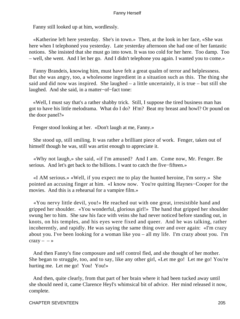Fanny still looked up at him, wordlessly.

 «Katherine left here yesterday. She's in town.» Then, at the look in her face, «She was here when I telephoned you yesterday. Late yesterday afternoon she had one of her fantastic notions. She insisted that she must go into town. It was too cold for her here. Too damp. Too – well, she went. And I let her go. And I didn't telephone you again. I wanted you to come.»

 Fanny Brandeis, knowing him, must have felt a great qualm of terror and helplessness. But she was angry, too, a wholesome ingredient in a situation such as this. The thing she said and did now was inspired. She laughed  $-$  a little uncertainly, it is true  $-$  but still she laughed. And she said, in a matter−of−fact tone:

 «Well, I must say that's a rather shabby trick. Still, I suppose the tired business man has got to have his little melodrama. What do I do? H'm? Beat my breast and howl? Or pound on the door panel?»

Fenger stood looking at her. «Don't laugh at me, Fanny.»

 She stood up, still smiling. It was rather a brilliant piece of work. Fenger, taken out of himself though he was, still was artist enough to appreciate it.

 «Why not laugh,» she said, «if I'm amused? And I am. Come now, Mr. Fenger. Be serious. And let's get back to the billions. I want to catch the five−fifteen.»

 «I AM serious.» «Well, if you expect me to play the hunted heroine, I'm sorry.» She pointed an accusing finger at him. «I know now. You're quitting Haynes−Cooper for the movies. And this is a rehearsal for a vampire film.»

 «You nervy little devil, you!» He reached out with one great, irresistible hand and gripped her shoulder. «You wonderful, glorious girl!» The hand that gripped her shoulder swung her to him. She saw his face with veins she had never noticed before standing out, in knots, on his temples, and his eyes were fixed and queer. And he was talking, rather incoherently, and rapidly. He was saying the same thing over and over again: «I'm crazy about you. I've been looking for a woman like you – all my life. I'm crazy about you. I'm  $crazy - - \rightarrow$ 

 And then Fanny's fine composure and self control fled, and she thought of her mother. She began to struggle, too, and to say, like any other girl, «Let me go! Let me go! You're hurting me. Let me go! You! You!»

 And then, quite clearly, from that part of her brain where it had been tucked away until she should need it, came Clarence Heyl's whimsical bit of advice. Her mind released it now, complete.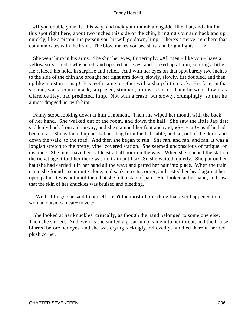«If you double your fist this way, and tuck your thumb alongside, like that, and aim for this spot right here, about two inches this side of the chin, bringing your arm back and up quickly, like a piston, the person you hit will go down, limp. There's a nerve right here that communicates with the brain. The blow makes you see stars, and bright lights  $-\rightarrow$ 

 She went limp in his arms. She shut her eyes, flutteringly. «All men – like you – have a yellow streak,» she whispered, and opened her eyes, and looked up at him, smiling a little. He relaxed his hold, in surprise and relief. And with her eyes on that spot barely two inches to the side of the chin she brought her right arm down, slowly, slowly, fist doubled, and then up like a piston – snap! His teeth came together with a sharp little crack. His face, in that second, was a comic mask, surprised, stunned, almost idiotic. Then he went down, as Clarence Heyl had predicted, limp. Not with a crash, but slowly, crumpingly, so that he almost dragged her with him.

 Fanny stood looking down at him a moment. Then she wiped her mouth with the back of her hand. She walked out of the room, and down the hall. She saw the little Jap dart suddenly back from a doorway, and she stamped her foot and said, «S−s−cat!» as if he had been a rat. She gathered up her hat and bag from the hall table, and so, out of the door, and down the walk, to the road. And then she began to run. She ran, and ran, and ran. It was a longish stretch to the pretty, vine−covered station. She seemed unconscious of fatigue, or distance. She must have been at least a half hour on the way. When she reached the station the ticket agent told her there was no train until six. So she waited, quietly. She put on her hat (she had carried it in her hand all the way) and patted her hair into place. When the train came she found a seat quite alone, and sank into its corner, and rested her head against her open palm. It was not until then that she felt a stab of pain. She looked at her hand, and saw that the skin of her knuckles was bruised and bleeding.

 «Well, if this,» she said to herself, «isn't the most idiotic thing that ever happened to a woman outside a near− novel.»

 She looked at her knuckles, critically, as though the hand belonged to some one else. Then she smiled. And even as she smiled a great lump came into her throat, and the bruise blurred before her eyes, and she was crying rackingly, relievedly, huddled there in her red plush corner.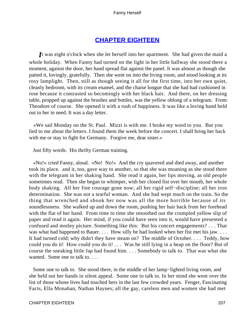# **[CHAPTER EIGHTEEN](#page-221-0)**

*I*t was eight o'clock when she let herself into her apartment. She had given the maid a whole holiday. When Fanny had turned on the light in her little hallway she stood there a moment, against the door, her hand spread flat against the panel. It was almost as though she patted it, lovingly, gratefully. Then she went on into the living room, and stood looking at its rosy lamplight. Then, still as though seeing it all for the first time, into her own quiet, cleanly bedroom, with its cream enamel, and the chaise longue that she had had cushioned in rose because it contrasted so becomingly with her black hair. And there, on her dressing table, propped up against the brushes and bottles, was the yellow oblong of a telegram. From Theodore of course. She opened it with a rush of happiness. It was like a loving hand held out to her in need. It was a day letter.

 «We sail Monday on the St. Paul. Mizzi is with me. I broke my word to you. But you lied to me about the letters. I found them the week before the concert. I shall bring her back with me or stay to fight for Germany. Forgive me, dear sister.»

Just fifty words. His thrifty German training.

 «No!» cried Fanny, aloud. «No! No!» And the cry quavered and died away, and another took its place. and it, too, gave way to another, so that she was moaning as she stood there with the telegram in her shaking hand. She read it again, her lips moving, as old people sometimes read. Then she began to whimper, with her closed fist over her mouth, her whole body shaking. All her fine courage gone now; all her rigid self−discipline; all her iron determination. She was not a tearful woman. And she had wept much on the train. So the thing that wrenched and shook her now was all the more horrible because of its soundlessness. She walked up and down the room, pushing her hair back from her forehead with the flat of her hand. From time to time she smoothed out the crumpled yellow slip of paper and read it again. Her mind, if you could have seen into it, would have presented a confused and motley picture. Something like this: But his concert engagements? . . . That was what had happened to Bauer. . . . How silly he had looked when her fist met his jaw. . . . It had turned cold; why didn't they have steam on? The middle of October. . . . Teddy, how could you do it! How could you do it! . . . Was he still lying in a heap on the floor? But of course the sneaking little Jap had found him. . . . Somebody to talk to. That was what she wanted. Some one to talk to....

 Some one to talk to. She stood there, in the middle of her lamp−lighted living room, and she held out her hands in silent appeal. Some one to talk to. In her mind she went over the list of those whose lives had touched hers in the last few crowded years. Fenger, Fascinating Facts, Ella Monahan, Nathan Haynes; all the gay, careless men and women she had met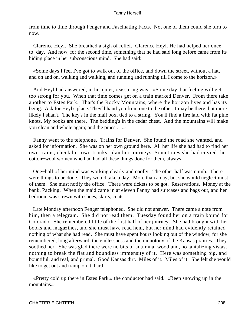from time to time through Fenger and Fascinating Facts. Not one of them could she turn to now.

 Clarence Heyl. She breathed a sigh of relief. Clarence Heyl. He had helped her once, to−day. And now, for the second time, something that he had said long before came from its hiding place in her subconscious mind. She had said:

 «Some days I feel I've got to walk out of the office, and down the street, without a hat, and on and on, walking and walking, and running and running till I come to the horizon.»

 And Heyl had answered, in his quiet, reassuring way: «Some day that feeling will get too strong for you. When that time comes get on a train marked Denver. From there take another to Estes Park. That's the Rocky Mountains, where the horizon lives and has its being. Ask for Heyl's place. They'll hand you from one to the other. I may be there, but more likely I shan't. The key's in the mail box, tied to a string. You'll find a fire laid with fat pine knots. My books are there. The bedding's in the cedar chest. And the mountains will make you clean and whole again; and the pines . . .»

 Fanny went to the telephone. Trains for Denver. She found the road she wanted, and asked for information. She was on her own ground here. All her life she had had to find her own trains, check her own trunks, plan her journeys. Sometimes she had envied the cotton−wool women who had had all these things done for them, always.

 One−half of her mind was working clearly and coolly. The other half was numb. There were things to be done. They would take a day. More than a day, but she would neglect most of them. She must notify the office. There were tickets to be got. Reservations. Money at the bank. Packing. When the maid came in at eleven Fanny had suitcases and bags out, and her bedroom was strewn with shoes, skirts, coats.

 Late Monday afternoon Fenger telephoned. She did not answer. There came a note from him, then a telegram. She did not read them. Tuesday found her on a train bound for Colorado. She remembered little of the first half of her journey. She had brought with her books and magazines, and she must have read hem, but her mind had evidently retained nothing of what she had read. She must have spent hours looking out of the window, for she remembered, long afterward, the endlessness and the monotony of the Kansas prairies. They soothed her. She was glad there were no bits of autumnal woodland, no tantalizing vistas, nothing to break the flat and boundless immensity of it. Here was something big, and bountiful, and real, and primal. Good Kansas dirt. Miles of it. Miles of it. She felt she would like to get out and tramp on it, hard.

 «Pretty cold up there in Estes Park,» the conductor had said. «Been snowing up in the mountains.»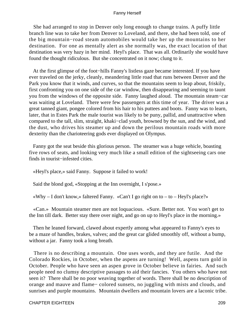She had arranged to stop in Denver only long enough to change trains. A puffy little branch line was to take her from Denver to Loveland, and there, she had been told, one of the big mountain−road steam automobiles would take her up the mountains to her destination. For one as mentally alert as she normally was, the exact location of that destination was very hazy in her mind. Heyl's place. That was all. Ordinarily she would have found the thought ridiculous. But she concentrated on it now; clung to it.

 At the first glimpse of the foot−hills Fanny's listless gaze became interested. If you have ever traveled on the jerky, cleanly, meandering little road that runs between Denver and the Park you know that it winds, and curves, so that the mountains seem to leap about, friskily, first confronting you on one side of the car window, then disappearing and seeming to taunt you from the windows of the opposite side. Fanny laughed aloud. The mountain steam−car was waiting at Loveland. There were few passengers at this time of year. The driver was a great tanned giant, pongee colored from his hair to his puttees and boots. Fanny was to learn, later, that in Estes Park the male tourist was likely to be puny, pallid, and unattractive when compared to the tall, slim, straight, khaki−clad youth, browned by the sun, and the wind, and the dust, who drives his steamer up and down the perilous mountain roads with more dexterity than the charioteering gods ever displayed on Olympus.

 Fanny got the seat beside this glorious person. The steamer was a huge vehicle, boasting five rows of seats, and looking very much like a small edition of the sightseeing cars one finds in tourist−infested cities.

«Heyl's place,» said Fanny. Suppose it failed to work!

Said the blond god, «Stopping at the Inn overnight, I s'pose.»

«Why  $- I$  don't know,» faltered Fanny. «Can't I go right on to  $-$  to  $-$  Heyl's place?»

 «Can.» Mountain steamer men are not loquacious. «Sure. Better not. You won't get to the Inn till dark. Better stay there over night, and go on up to Heyl's place in the morning.»

 Then he leaned forward, clawed about expertly among what appeared to Fanny's eyes to be a maze of handles, brakes, valves; and the great car glided smoothly off, without a bump, without a jar. Fanny took a long breath.

 There is no describing a mountain. One uses words, and they are futile. And the Colorado Rockies, in October, when the aspens are turning! Well, aspens turn gold in October. People who have seen an aspen grove in October believe in fairies. And such people need no clumsy descriptive passages to aid their fancies. You others who have not seen it? There shall be no poor weaving together of words. There shall be no description of orange and mauve and flame− colored sunsets, no juggling with mists and clouds, and sunrises and purple mountains. Mountain dwellers and mountain lovers are a laconic tribe.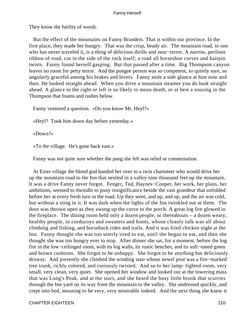They know the futility of words.

 But the effect of the mountains on Fanny Brandeis. That is within our province. In the first place, they made her hungry. That was the crisp, heady air. The mountain road, to one who has never traveled it, is a thing of delicious thrills and near−terror. A narrow, perilous ribbon of road, cut in the side of the rock itself; a road all horseshoe curves and hairpin twists. Fanny found herself gasping. But that passed after a time. Big Thompson canyon leaves no room for petty terror. And the pongee person was so competent, so quietly sure, so angularly graceful among his brakes and levers. Fanny stole a side glance at him now and then. He looked straight ahead. When you drive a mountain steamer you do look straight ahead. A glance to the right or left is so likely to mean death, or at best a sousing in the Thompson that foams and rushes below.

Fanny ventured a question. «Do you know Mr. Heyl?»

«Heyl? Took him down day before yesterday.»

«Down?»

«To the village. He's gone back east.»

Fanny was not quite sure whether the pang she felt was relief or consternation.

 At Estes village the blond god handed her over to a twin charioteer who would drive her up the mountain road to the Inn that nestled in a valley nine thousand feet up the mountain. It was a drive Fanny never forgot. Fenger, Ted, Haynes−Cooper, her work, her plans, her ambitions, seemed to dwindle to puny insignificance beside the vast grandeur that unfolded before her at every fresh turn in the road. Up they went, and up, and up, and the air was cold, but without a sting in it. It was dark when the lights of the Inn twinkled out at them. The door was thrown open as they swung up the curve to the porch. A great log fire glowed in the fireplace. The dining room held only a dozen people, or thereabouts – a dozen weary, healthy people, in corduroys and sweaters and boots, whose cleanly talk was all about climbing and fishing, and horseback rides and trails. And it was fried chicken night at the Inn. Fanny thought she was too utterly tired to eat, until she began to eat, and then she thought she was too hungry ever to stop. After dinner she sat, for a moment, before the log fire in the low−ceilinged room, with its log walls, its rustic benches, and its soft−toned green and brown cushions. She forgot to be unhappy. She forgot to be anything but deliciously drowsy. And presently she climbed the winding stair whose newel post was a fire−marked tree trunk, richly colored, and curiously twisted. And so to her lamp−lighted room, very small, very clean, very quiet. She opened her window and looked out at the towering mass that was Long's Peak, and at the stars, and she heard the busy little brook that scurries through the Inn yard on its way from the mountain to the valley. She undressed quickly, and crept into bed, meaning to be very, very miserable indeed. And the next thing she knew it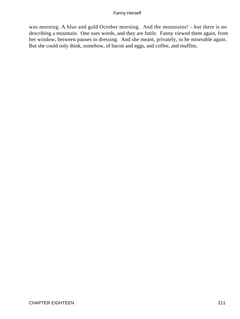was morning. A blue and gold October morning. And the mountains! – but there is no describing a mountain. One uses words, and they are futile. Fanny viewed them again, from her window, between pauses in dressing. And she meant, privately, to be miserable again. But she could only think, somehow, of bacon and eggs, and coffee, and muffins.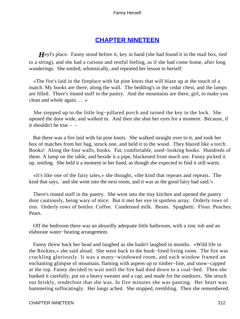# **[CHAPTER NINETEEN](#page-221-0)**

*Heyl's place.* Fanny stood before it, key in hand (she had found it in the mail box, tied to a string), and she had a curious and restful feeling, as if she had come home, after long wanderings. She smiled, whimsically, and repeated her lesson to herself:

 «The fire's laid in the fireplace with fat pine knots that will blaze up at the touch of a match. My books are there, along the wall. The bedding's in the cedar chest, and the lamps are filled. There's tinned stuff in the pantry. And the mountains are there, girl, to make you clean and whole again. . . .»

 She stepped up to the little log−pillared porch and turned the key in the lock. She opened the door wide, and walked in. And then she shut her eyes for a moment. Because, if it shouldn't be true  $-$ 

 But there was a fire laid with fat pine knots. She walked straight over to it, and took her box of matches from her bag, struck one, and held it to the wood. They blazed like a torch. Books! Along the four walls, books. Fat, comfortable, used−looking books. Hundreds of them. A lamp on the table, and beside it a pipe, blackened from much use. Fanny picked it up, smiling. She held it a moment in her hand, as though she expected to find it still warm.

 «It's like one of the fairy tales,» she thought, «the kind that repeats and repeats. The kind that says, `and she went into the next room, and it was as the good fairy had said.'»

 There's tinned stuff in the pantry. She went into the tiny kitchen and opened the pantry door cautiously, being wary of mice. But it met her eye in spotless array. Orderly rows of tins. Orderly rows of bottles. Coffee. Condensed milk. Beans. Spaghetti. Flour. Peaches. Pears.

 Off the bedroom there was an absurdly adequate little bathroom, with a zinc tub and an elaborate water−heating arrangement.

 Fanny threw back her head and laughed as she hadn't laughed in months. «Wild life in the Rockies,» she said aloud. She went back to the book−lined living room. The fire was crackling gloriously. It was a many−windowed room, and each window framed an enchanting glimpse of mountain, flaming with aspens up to timber−line, and snow−capped at the top. Fanny decided to wait until the fire had died down to a coal−bed. Then she banked it carefully, put on a heavy sweater and a cap, and made for the outdoors. She struck out briskly, tenderfoot that she was. In five minutes she was panting. Her heart was hammering suffocatingly. Her lungs ached. She stopped, trembling. Then she remembered.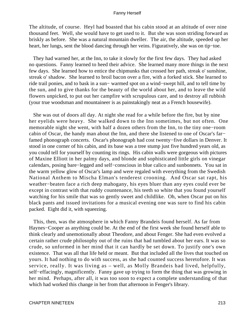The altitude, of course. Heyl had boasted that his cabin stood at an altitude of over nine thousand feet. Well, she would have to get used to it. But she was soon striding forward as briskly as before. She was a natural mountain dweller. The air, the altitude, speeded up her heart, her lungs, sent the blood dancing through her veins. Figuratively, she was on tip−toe.

 They had warned her, at the Inn, to take it slowly for the first few days. They had asked no questions. Fanny learned to heed their advice. She learned many more things in the next few days. She learned how to entice the chipmunks that crossed her path, streak o' sunshine, streak o' shadow. She learned to broil bacon over a fire, with a forked stick. She learned to ride trail ponies, and to bask in a sun− warmed spot on a wind−swept hill, and to tell time by the sun, and to give thanks for the beauty of the world about her, and to leave the wild flowers unpicked, to put out her campfire with scrupulous care, and to destroy all rubbish (your true woodsman and mountaineer is as painstakingly neat as a French housewife).

 She was out of doors all day. At night she read for a while before the fire, but by nine her eyelids were heavy. She walked down to the Inn sometimes, but not often. One memorable night she went, with half a dozen others from the Inn, to the tiny one−room cabin of Oscar, the handy man about the Inn, and there she listened to one of Oscar's far− famed phonograph concerts. Oscar's phonograph had cost twenty−five dollars in Denver. It stood in one corner of his cabin, and its base was a tree stump just five hundred years old, as you could tell for yourself by counting its rings. His cabin walls were gorgeous with pictures of Maxine Elliott in her palmy days, and blonde and sophisticated little girls on vinegar calendars, posing bare−legged and self−conscious in blue calico and sunbonnets. You sat in the warm yellow glow of Oscar's lamp and were regaled with everything from the Swedish National Anthem to Mischa Elman's tenderest crooning. And Oscar sat rapt, his weather−beaten face a rich deep mahogany, his eyes bluer than any eyes could ever be except in contrast with that ruddy countenance, his teeth so white that you found yourself watching for his smile that was so gently sweet and childlike. Oh, when Oscar put on his black pants and issued invitations for a musical evening one was sure to find his cabin packed. Eight did it, with squeezing.

 This, then, was the atmosphere in which Fanny Brandeis found herself. As far from Haynes−Cooper as anything could be. At the end of the first week she found herself able to think clearly and unemotionally about Theodore, and about Fenger. She had even evolved a certain rather crude philosophy out of the ruins that had tumbled about her ears. It was so crude, so unformed in her mind that it can hardly be set down. To justify one's own existence. That was all that life held or meant. But that included all the lives that touched on yours. It had nothing to do with success, as she had counted success heretofore. It was service, really. It was living as – well, as Molly Brandeis had lived, helpfully, self−effacingly, magnificently. Fanny gave up trying to form the thing that was growing in her mind. Perhaps, after all, it was too soon to expect a complete understanding of that which had worked this change in her from that afternoon in Fenger's library.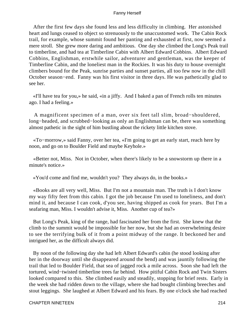After the first few days she found less and less difficulty in climbing. Her astonished heart and lungs ceased to object so strenuously to the unaccustomed work. The Cabin Rock trail, for example, whose summit found her panting and exhausted at first, now seemed a mere stroll. She grew more daring and ambitious. One day she climbed the Long's Peak trail to timberline, and had tea at Timberline Cabin with Albert Edward Cobbins. Albert Edward Cobbins, Englishman, erstwhile sailor, adventurer and gentleman, was the keeper of Timberline Cabin, and the loneliest man in the Rockies. It was his duty to house overnight climbers bound for the Peak, sunrise parties and sunset parties, all too few now in the chill October season−end. Fanny was his first visitor in three days. He was pathetically glad to see her.

 «I'll have tea for you,» he said, «in a jiffy. And I baked a pan of French rolls ten minutes ago. I had a feeling.»

 A magnificent specimen of a man, over six feet tall slim, broad−shouldered, long−headed, and scrubbed−looking as only an Englishman can be, there was something almost pathetic in the sight of him bustling about the rickety little kitchen stove.

 «To−morrow,» said Fanny, over her tea, «I'm going to get an early start, reach here by noon, and go on to Boulder Field and maybe Keyhole.»

 «Better not, Miss. Not in October, when there's likely to be a snowstorm up there in a minute's notice.»

«You'd come and find me, wouldn't you? They always do, in the books.»

 «Books are all very well, Miss. But I'm not a mountain man. The truth is I don't know my way fifty feet from this cabin. I got the job because I'm used to loneliness, and don't mind it, and because I can cook, d'you see, having shipped as cook for years. But I'm a seafaring man, Miss. I wouldn't advise it, Miss. Another cup of tea?»

 But Long's Peak, king of the range, had fascinated her from the first. She knew that the climb to the summit would be impossible for her now, but she had an overwhelming desire to see the terrifying bulk of it from a point midway of the range. It beckoned her and intrigued her, as the difficult always did.

 By noon of the following day she had left Albert Edward's cabin (he stood looking after her in the doorway until she disappeared around the bend) and was jauntily following the trail that led to Boulder Field, that sea of jagged rock a mile across. Soon she had left the tortured, wind−twisted timberline trees far behind. How pitiful Cabin Rock and Twin Sisters looked compared to this. She climbed easily and steadily, stopping for brief rests. Early in the week she had ridden down to the village, where she had bought climbing breeches and stout leggings. She laughed at Albert Edward and his fears. By one o'clock she had reached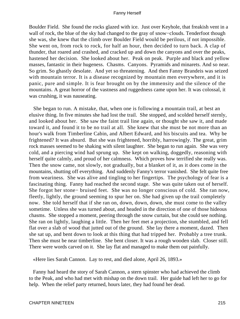Boulder Field. She found the rocks glazed with ice. Just over Keyhole, that freakish vent in a wall of rock, the blue of the sky had changed to the gray of snow−clouds. Tenderfoot though she was, she knew that the climb over Boulder Field would be perilous, if not impossible. She went on, from rock to rock, for half an hour, then decided to turn back. A clap of thunder, that roared and crashed, and cracked up and down the canyons and over the peaks, hastened her decision. She looked about her. Peak on peak. Purple and black and yellow masses, fantastic in their hugeness. Chasms. Canyons. Pyramids and minarets. And so near. So grim. So ghastly desolate. And yet so threatening. And then Fanny Brandeis was seized with mountain terror. It is a disease recognized by mountain men everywhere, and it is panic, pure and simple. It is fear brought on by the immensity and the silence of the mountains. A great horror of the vastness and ruggedness came upon her. It was colossal, it was crushing, it was nauseating.

 She began to run. A mistake, that, when one is following a mountain trail, at best an elusive thing. In five minutes she had lost the trail. She stopped, and scolded herself sternly, and looked about her. She saw the faint trail line again, or thought she saw it, and made toward it, and found it to be no trail at all. She knew that she must be not more than an hour's walk from Timberline Cabin, and Albert Edward, and his biscuits and tea. Why be frightened? It was absurd. But she was frightened, horribly, harrowingly. The great, grim rock masses seemed to be shaking with silent laughter. She began to run again. She was very cold, and a piercing wind had sprung up. She kept on walking, doggedly, reasoning with herself quite calmly, and proud of her calmness. Which proves how terrified she really was. Then the snow came, not slowly, not gradually, but a blanket of it, as it does come in the mountains, shutting off everything. And suddenly Fanny's terror vanished. She felt quite free from weariness. She was alive and tingling to her fingertips. The psychology of fear is a fascinating thing. Fanny had reached the second stage. She was quite taken out of herself. She forgot her stone− bruised feet. She was no longer conscious of cold. She ran now, fleetly, lightly, the ground seeming to spur her on. She had given up the trail completely now. She told herself that if she ran on, down, down, down, she must come to the valley sometime. Unless she was turned about, and headed in the direction of one of those hideous chasms. She stopped a moment, peering through the snow curtain, but she could see nothing. She ran on lightly, laughing a little. Then her feet met a projection, she stumbled, and fell flat over a slab of wood that jutted out of the ground. She lay there a moment, dazed. Then she sat up, and bent down to look at this thing that had tripped her. Probably a tree trunk. Then she must be near timberline. She bent closer. It was a rough wooden slab. Closer still. There were words carved on it. She lay flat and managed to make them out painfully.

«Here lies Sarah Cannon. Lay to rest, and died alone, April 26, 1893.»

 Fanny had heard the story of Sarah Cannon, a stern spinster who had achieved the climb to the Peak, and who had met with mishap on the down trail. Her guide had left her to go for help. When the relief party returned, hours later, they had found her dead.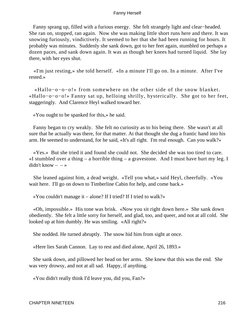Fanny sprang up, filled with a furious energy. She felt strangely light and clear−headed. She ran on, stopped, ran again. Now she was making little short runs here and there. It was snowing furiously, vindictively. It seemed to her that she had been running for hours. It probably was minutes. Suddenly she sank down, got to her feet again, stumbled on perhaps a dozen paces, and sank down again. It was as though her knees had turned liquid. She lay there, with her eyes shut.

 «I'm just resting,» she told herself. «In a minute I'll go on. In a minute. After I've rested.»

 «Hallo−o−o−o!» from somewhere on the other side of the snow blanket. «Hallo−o−o−o!» Fanny sat up, helloing shrilly, hysterically. She got to her feet, staggeringly. And Clarence Heyl walked toward her.

«You ought to be spanked for this,» he said.

 Fanny began to cry weakly. She felt no curiosity as to his being there. She wasn't at all sure that he actually was there, for that matter. At that thought she dug a frantic hand into his arm. He seemed to understand, for he said, «It's all right. I'm real enough. Can you walk?»

 «Yes.» But she tried it and found she could not. She decided she was too tired to care. «I stumbled over a thing – a horrible thing – a gravestone. And I must have hurt my leg. I didn't know  $- - \infty$ 

 She leaned against him, a dead weight. «Tell you what,» said Heyl, cheerfully. «You wait here. I'll go on down to Timberline Cabin for help, and come back.»

«You couldn't manage it – alone? If I tried? If I tried to walk?»

 «Oh, impossible.» His tone was brisk. «Now you sit right down here.» She sank down obediently. She felt a little sorry for herself, and glad, too, and queer, and not at all cold. She looked up at him dumbly. He was smiling. «All right?»

She nodded. He turned abruptly. The snow hid him from sight at once.

«Here lies Sarah Cannon. Lay to rest and died alone, April 26, 1893.»

 She sank down, and pillowed her head on her arms. She knew that this was the end. She was very drowsy, and not at all sad. Happy, if anything.

«You didn't really think I'd leave you, did you, Fan?»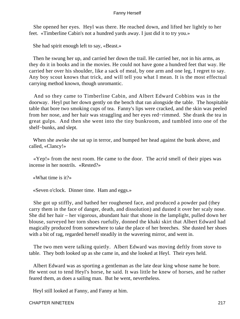She opened her eyes. Heyl was there. He reached down, and lifted her lightly to her feet. «Timberline Cabin's not a hundred yards away. I just did it to try you.»

She had spirit enough left to say, «Beast.»

 Then he swung her up, and carried her down the trail. He carried her, not in his arms, as they do it in books and in the movies. He could not have gone a hundred feet that way. He carried her over his shoulder, like a sack of meal, by one arm and one leg, I regret to say. Any boy scout knows that trick, and will tell you what I mean. It is the most effectual carrying method known, though unromantic.

 And so they came to Timberline Cabin, and Albert Edward Cobbins was in the doorway. Heyl put her down gently on the bench that ran alongside the table. The hospitable table that bore two smoking cups of tea. Fanny's lips were cracked, and the skin was peeled from her nose, and her hair was straggling and her eyes red−rimmed. She drank the tea in great gulps. And then she went into the tiny bunkroom, and tumbled into one of the shelf−bunks, and slept.

 When she awoke she sat up in terror, and bumped her head against the bunk above, and called, «Clancy!»

 «Yep!» from the next room. He came to the door. The acrid smell of their pipes was incense in her nostrils. «Rested?»

«What time is it?»

«Seven o'clock. Dinner time. Ham and eggs.»

 She got up stiffly, and bathed her roughened face, and produced a powder pad (they carry them in the face of danger, death, and dissolution) and dusted it over her scaly nose. She did her hair – her vigorous, abundant hair that shone in the lamplight, pulled down her blouse, surveyed her torn shoes ruefully, donned the khaki skirt that Albert Edward had magically produced from somewhere to take the place of her breeches. She dusted her shoes with a bit of rag, regarded herself steadily in the wavering mirror, and went in.

 The two men were talking quietly. Albert Edward was moving deftly from stove to table. They both looked up as she came in, and she looked at Heyl. Their eyes held.

 Albert Edward was as sporting a gentleman as the late dear king whose name he bore. He went out to tend Heyl's horse, he said. It was little he knew of horses, and he rather feared them, as does a sailing man. But he went, nevertheless.

Heyl still looked at Fanny, and Fanny at him.

CHAPTER NINETEEN 217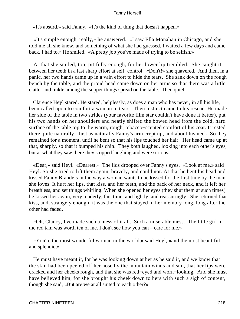«It's absurd,» said Fanny. «It's the kind of thing that doesn't happen.»

 «It's simple enough, really,» he answered. «I saw Ella Monahan in Chicago, and she told me all she knew, and something of what she had guessed. I waited a few days and came back. I had to.» He smiled. «A pretty job you've made of trying to be selfish.»

 At that she smiled, too, pitifully enough, for her lower lip trembled. She caught it between her teeth in a last sharp effort at self−control. «Don't!» she quavered. And then, in a panic, her two hands came up in a vain effort to hide the tears. She sank down on the rough bench by the table, and the proud head came down on her arms so that there was a little clatter and tinkle among the supper things spread on the table. Then quiet.

 Clarence Heyl stared. He stared, helplessly, as does a man who has never, in all his life, been called upon to comfort a woman in tears. Then instinct came to his rescue. He made her side of the table in two strides (your favorite film star couldn't have done it better), put his two hands on her shoulders and neatly shifted the bowed head from the cold, hard surface of the table top to the warm, rough, tobacco−scented comfort of his coat. It rested there quite naturally. Just as naturally Fanny's arm crept up, and about his neck. So they remained for a moment, until he bent so that his lips touched her hair. Her head came up at that, sharply, so that it bumped his chin. They both laughed, looking into each other's eyes, but at what they saw there they stopped laughing and were serious.

 «Dear,» said Heyl. «Dearest.» The lids drooped over Fanny's eyes. «Look at me,» said Heyl. So she tried to lift them again, bravely, and could not. At that he bent his head and kissed Fanny Brandeis in the way a woman wants to be kissed for the first time by the man she loves. It hurt her lips, that kiss, and her teeth, and the back of her neck, and it left her breathless, and set things whirling. When she opened her eyes (they shut them at such times) he kissed her again, very tenderly, this time, and lightly, and reassuringly. She returned that kiss, and, strangely enough, it was the one that stayed in her memory long, long after the other had faded.

 «Oh, Clancy, I've made such a mess of it all. Such a miserable mess. The little girl in the red tam was worth ten of me. I don't see how you can – care for me.»

 «You're the most wonderful woman in the world,» said Heyl, «and the most beautiful and splendid.»

 He must have meant it, for he was looking down at her as he said it, and we know that the skin had been peeled off her nose by the mountain winds and sun, that her lips were cracked and her cheeks rough, and that she was red−eyed and worn−looking. And she must have believed him, for she brought his cheek down to hers with such a sigh of content, though she said, «But are we at all suited to each other?»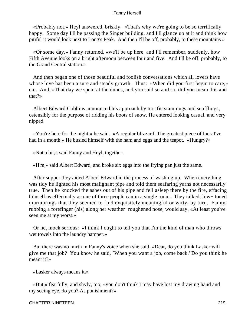«Probably not,» Heyl answered, briskly. «That's why we're going to be so terrifically happy. Some day I'll be passing the Singer building, and I'll glance up at it and think how pitiful it would look next to Long's Peak. And then I'll be off, probably, to these mountains »

 «Or some day,» Fanny returned, «we'll be up here, and I'll remember, suddenly, how Fifth Avenue looks on a bright afternoon between four and five. And I'll be off, probably, to the Grand Central station.»

 And then began one of those beautiful and foolish conversations which all lovers have whose love has been a sure and steady growth. Thus: «When did you first begin to care,» etc. And, «That day we spent at the dunes, and you said so and so, did you mean this and that?»

 Albert Edward Cobbins announced his approach by terrific stampings and scufflings, ostensibly for the purpose of ridding his boots of snow. He entered looking casual, and very nipped.

 «You're here for the night,» he said. «A regular blizzard. The greatest piece of luck I've had in a month.» He busied himself with the ham and eggs and the teapot. «Hungry?»

«Not a bit,» said Fanny and Heyl, together.

«H'm,» said Albert Edward, and broke six eggs into the frying pan just the same.

 After supper they aided Albert Edward in the process of washing up. When everything was tidy he lighted his most malignant pipe and told them seafaring yarns not necessarily true. Then he knocked the ashes out of his pipe and fell asleep there by the fire, effacing himself as effectually as one of three people can in a single room. They talked; low− toned murmurings that they seemed to find exquisitely meaningful or witty, by turn. Fanny, rubbing a forefinger (his) along her weather−roughened nose, would say, «At least you've seen me at my worst.»

 Or he, mock serious: «I think I ought to tell you that I'm the kind of man who throws wet towels into the laundry hamper.»

 But there was no mirth in Fanny's voice when she said, «Dear, do you think Lasker will give me that job? You know he said, `When you want a job, come back.' Do you think he meant it?»

«Lasker always means it.»

 «But,» fearfully, and shyly, too, «you don't think I may have lost my drawing hand and my seeing eye, do you? As punishment?»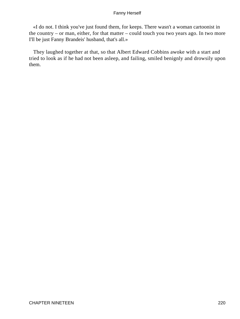«I do not. I think you've just found them, for keeps. There wasn't a woman cartoonist in the country – or man, either, for that matter – could touch you two years ago. In two more I'll be just Fanny Brandeis' husband, that's all.»

 They laughed together at that, so that Albert Edward Cobbins awoke with a start and tried to look as if he had not been asleep, and failing, smiled benignly and drowsily upon them.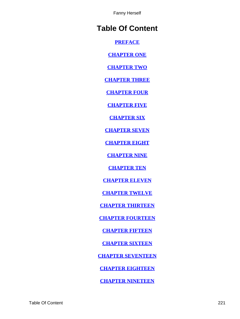# **Table Of Content**

**[PREFACE](#page-3-0)**

**[CHAPTER ONE](#page-4-0)**

**[CHAPTER TWO](#page-9-0)**

**[CHAPTER THREE](#page-16-0)**

**[CHAPTER FOUR](#page-29-0)**

**[CHAPTER FIVE](#page-35-0)**

**[CHAPTER SIX](#page-47-0)**

**[CHAPTER SEVEN](#page-60-0)**

**[CHAPTER EIGHT](#page-69-0)**

**[CHAPTER NINE](#page-89-0)**

**[CHAPTER TEN](#page-104-0)**

**[CHAPTER ELEVEN](#page-120-0)**

**[CHAPTER TWELVE](#page-131-0)**

**[CHAPTER THIRTEEN](#page-136-0)**

**[CHAPTER FOURTEEN](#page-155-0)**

**[CHAPTER FIFTEEN](#page-164-0)**

**[CHAPTER SIXTEEN](#page-178-0)**

**[CHAPTER SEVENTEEN](#page-187-0)**

**[CHAPTER EIGHTEEN](#page-207-0)**

**[CHAPTER NINETEEN](#page-212-0)**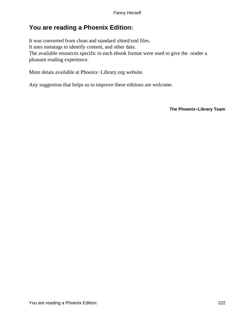## **You are reading a Phoenix Edition:**

It was converted from clean and standard xhtml/xml files. It uses metatags to identify content, and other data. The available resources specific to each ebook format were used to give the reader a pleasant reading experience.

More detais available at Phoenix−Library.org website.

Any suggestion that helps us to improve these editions are welcome.

**The Phoenix−Library Team**